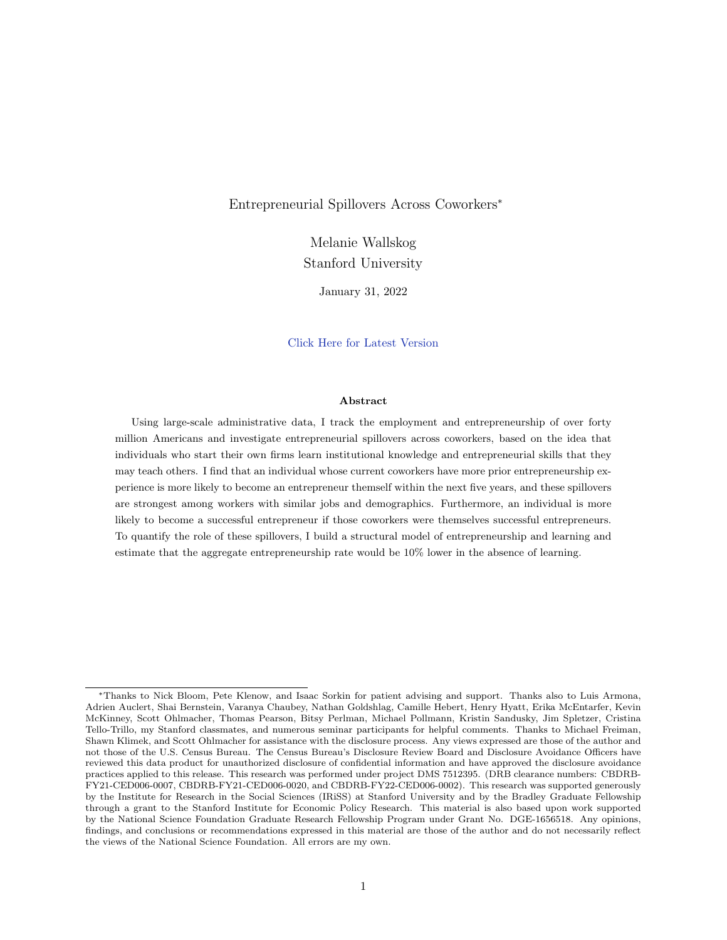Entrepreneurial Spillovers Across Coworkers<sup>∗</sup>

Melanie Wallskog Stanford University

January 31, 2022

# [Click Here for Latest Version](https://wallskog.su.domains/files/wallskog_jmp.pdf)

#### Abstract

Using large-scale administrative data, I track the employment and entrepreneurship of over forty million Americans and investigate entrepreneurial spillovers across coworkers, based on the idea that individuals who start their own firms learn institutional knowledge and entrepreneurial skills that they may teach others. I find that an individual whose current coworkers have more prior entrepreneurship experience is more likely to become an entrepreneur themself within the next five years, and these spillovers are strongest among workers with similar jobs and demographics. Furthermore, an individual is more likely to become a successful entrepreneur if those coworkers were themselves successful entrepreneurs. To quantify the role of these spillovers, I build a structural model of entrepreneurship and learning and estimate that the aggregate entrepreneurship rate would be 10% lower in the absence of learning.

<sup>∗</sup>Thanks to Nick Bloom, Pete Klenow, and Isaac Sorkin for patient advising and support. Thanks also to Luis Armona, Adrien Auclert, Shai Bernstein, Varanya Chaubey, Nathan Goldshlag, Camille Hebert, Henry Hyatt, Erika McEntarfer, Kevin McKinney, Scott Ohlmacher, Thomas Pearson, Bitsy Perlman, Michael Pollmann, Kristin Sandusky, Jim Spletzer, Cristina Tello-Trillo, my Stanford classmates, and numerous seminar participants for helpful comments. Thanks to Michael Freiman, Shawn Klimek, and Scott Ohlmacher for assistance with the disclosure process. Any views expressed are those of the author and not those of the U.S. Census Bureau. The Census Bureau's Disclosure Review Board and Disclosure Avoidance Officers have reviewed this data product for unauthorized disclosure of confidential information and have approved the disclosure avoidance practices applied to this release. This research was performed under project DMS 7512395. (DRB clearance numbers: CBDRB-FY21-CED006-0007, CBDRB-FY21-CED006-0020, and CBDRB-FY22-CED006-0002). This research was supported generously by the Institute for Research in the Social Sciences (IRiSS) at Stanford University and by the Bradley Graduate Fellowship through a grant to the Stanford Institute for Economic Policy Research. This material is also based upon work supported by the National Science Foundation Graduate Research Fellowship Program under Grant No. DGE-1656518. Any opinions, findings, and conclusions or recommendations expressed in this material are those of the author and do not necessarily reflect the views of the National Science Foundation. All errors are my own.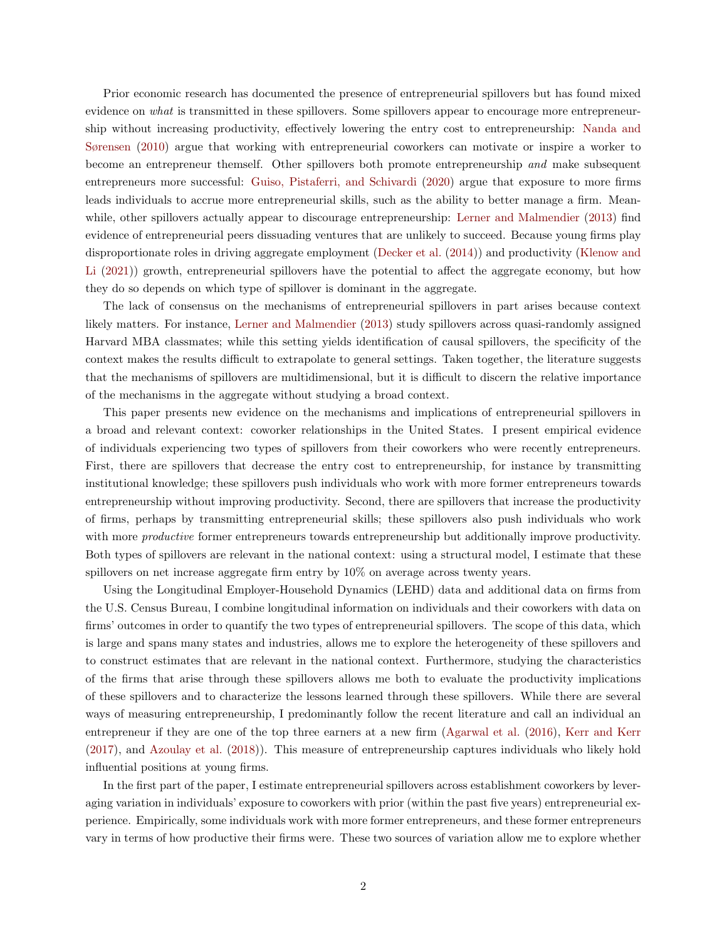Prior economic research has documented the presence of entrepreneurial spillovers but has found mixed evidence on what is transmitted in these spillovers. Some spillovers appear to encourage more entrepreneurship without increasing productivity, effectively lowering the entry cost to entrepreneurship: [Nanda and](#page-38-0) [Sørensen](#page-38-0) [\(2010\)](#page-38-0) argue that working with entrepreneurial coworkers can motivate or inspire a worker to become an entrepreneur themself. Other spillovers both promote entrepreneurship and make subsequent entrepreneurs more successful: [Guiso, Pistaferri, and Schivardi](#page-37-0) [\(2020\)](#page-37-0) argue that exposure to more firms leads individuals to accrue more entrepreneurial skills, such as the ability to better manage a firm. Meanwhile, other spillovers actually appear to discourage entrepreneurship: [Lerner and Malmendier](#page-38-1) [\(2013\)](#page-38-1) find evidence of entrepreneurial peers dissuading ventures that are unlikely to succeed. Because young firms play disproportionate roles in driving aggregate employment [\(Decker et al.](#page-37-1) [\(2014\)](#page-37-1)) and productivity [\(Klenow and](#page-38-2) [Li](#page-38-2) [\(2021\)](#page-38-2)) growth, entrepreneurial spillovers have the potential to affect the aggregate economy, but how they do so depends on which type of spillover is dominant in the aggregate.

The lack of consensus on the mechanisms of entrepreneurial spillovers in part arises because context likely matters. For instance, [Lerner and Malmendier](#page-38-1) [\(2013\)](#page-38-1) study spillovers across quasi-randomly assigned Harvard MBA classmates; while this setting yields identification of causal spillovers, the specificity of the context makes the results difficult to extrapolate to general settings. Taken together, the literature suggests that the mechanisms of spillovers are multidimensional, but it is difficult to discern the relative importance of the mechanisms in the aggregate without studying a broad context.

This paper presents new evidence on the mechanisms and implications of entrepreneurial spillovers in a broad and relevant context: coworker relationships in the United States. I present empirical evidence of individuals experiencing two types of spillovers from their coworkers who were recently entrepreneurs. First, there are spillovers that decrease the entry cost to entrepreneurship, for instance by transmitting institutional knowledge; these spillovers push individuals who work with more former entrepreneurs towards entrepreneurship without improving productivity. Second, there are spillovers that increase the productivity of firms, perhaps by transmitting entrepreneurial skills; these spillovers also push individuals who work with more *productive* former entrepreneurs towards entrepreneurship but additionally improve productivity. Both types of spillovers are relevant in the national context: using a structural model, I estimate that these spillovers on net increase aggregate firm entry by  $10\%$  on average across twenty years.

Using the Longitudinal Employer-Household Dynamics (LEHD) data and additional data on firms from the U.S. Census Bureau, I combine longitudinal information on individuals and their coworkers with data on firms' outcomes in order to quantify the two types of entrepreneurial spillovers. The scope of this data, which is large and spans many states and industries, allows me to explore the heterogeneity of these spillovers and to construct estimates that are relevant in the national context. Furthermore, studying the characteristics of the firms that arise through these spillovers allows me both to evaluate the productivity implications of these spillovers and to characterize the lessons learned through these spillovers. While there are several ways of measuring entrepreneurship, I predominantly follow the recent literature and call an individual an entrepreneur if they are one of the top three earners at a new firm [\(Agarwal et al.](#page-36-0) [\(2016\)](#page-36-0), [Kerr and Kerr](#page-38-3) [\(2017\)](#page-38-3), and [Azoulay et al.](#page-36-1) [\(2018\)](#page-36-1)). This measure of entrepreneurship captures individuals who likely hold influential positions at young firms.

In the first part of the paper, I estimate entrepreneurial spillovers across establishment coworkers by leveraging variation in individuals' exposure to coworkers with prior (within the past five years) entrepreneurial experience. Empirically, some individuals work with more former entrepreneurs, and these former entrepreneurs vary in terms of how productive their firms were. These two sources of variation allow me to explore whether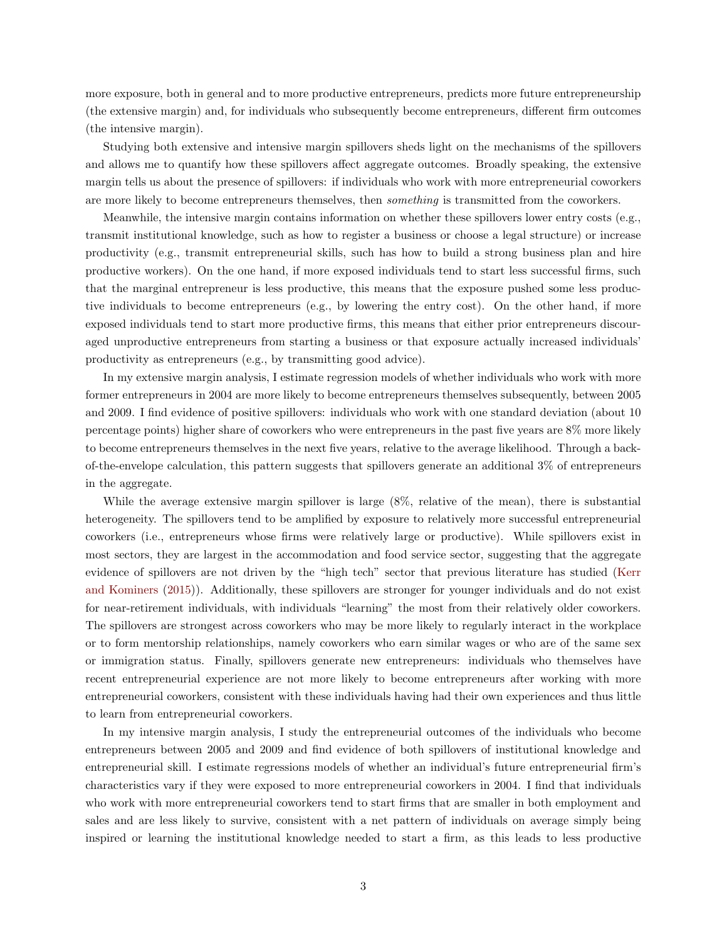more exposure, both in general and to more productive entrepreneurs, predicts more future entrepreneurship (the extensive margin) and, for individuals who subsequently become entrepreneurs, different firm outcomes (the intensive margin).

Studying both extensive and intensive margin spillovers sheds light on the mechanisms of the spillovers and allows me to quantify how these spillovers affect aggregate outcomes. Broadly speaking, the extensive margin tells us about the presence of spillovers: if individuals who work with more entrepreneurial coworkers are more likely to become entrepreneurs themselves, then something is transmitted from the coworkers.

Meanwhile, the intensive margin contains information on whether these spillovers lower entry costs (e.g., transmit institutional knowledge, such as how to register a business or choose a legal structure) or increase productivity (e.g., transmit entrepreneurial skills, such has how to build a strong business plan and hire productive workers). On the one hand, if more exposed individuals tend to start less successful firms, such that the marginal entrepreneur is less productive, this means that the exposure pushed some less productive individuals to become entrepreneurs (e.g., by lowering the entry cost). On the other hand, if more exposed individuals tend to start more productive firms, this means that either prior entrepreneurs discouraged unproductive entrepreneurs from starting a business or that exposure actually increased individuals' productivity as entrepreneurs (e.g., by transmitting good advice).

In my extensive margin analysis, I estimate regression models of whether individuals who work with more former entrepreneurs in 2004 are more likely to become entrepreneurs themselves subsequently, between 2005 and 2009. I find evidence of positive spillovers: individuals who work with one standard deviation (about 10 percentage points) higher share of coworkers who were entrepreneurs in the past five years are 8% more likely to become entrepreneurs themselves in the next five years, relative to the average likelihood. Through a backof-the-envelope calculation, this pattern suggests that spillovers generate an additional 3% of entrepreneurs in the aggregate.

While the average extensive margin spillover is large (8%, relative of the mean), there is substantial heterogeneity. The spillovers tend to be amplified by exposure to relatively more successful entrepreneurial coworkers (i.e., entrepreneurs whose firms were relatively large or productive). While spillovers exist in most sectors, they are largest in the accommodation and food service sector, suggesting that the aggregate evidence of spillovers are not driven by the "high tech" sector that previous literature has studied [\(Kerr](#page-38-4) [and Kominers](#page-38-4) [\(2015\)](#page-38-4)). Additionally, these spillovers are stronger for younger individuals and do not exist for near-retirement individuals, with individuals "learning" the most from their relatively older coworkers. The spillovers are strongest across coworkers who may be more likely to regularly interact in the workplace or to form mentorship relationships, namely coworkers who earn similar wages or who are of the same sex or immigration status. Finally, spillovers generate new entrepreneurs: individuals who themselves have recent entrepreneurial experience are not more likely to become entrepreneurs after working with more entrepreneurial coworkers, consistent with these individuals having had their own experiences and thus little to learn from entrepreneurial coworkers.

In my intensive margin analysis, I study the entrepreneurial outcomes of the individuals who become entrepreneurs between 2005 and 2009 and find evidence of both spillovers of institutional knowledge and entrepreneurial skill. I estimate regressions models of whether an individual's future entrepreneurial firm's characteristics vary if they were exposed to more entrepreneurial coworkers in 2004. I find that individuals who work with more entrepreneurial coworkers tend to start firms that are smaller in both employment and sales and are less likely to survive, consistent with a net pattern of individuals on average simply being inspired or learning the institutional knowledge needed to start a firm, as this leads to less productive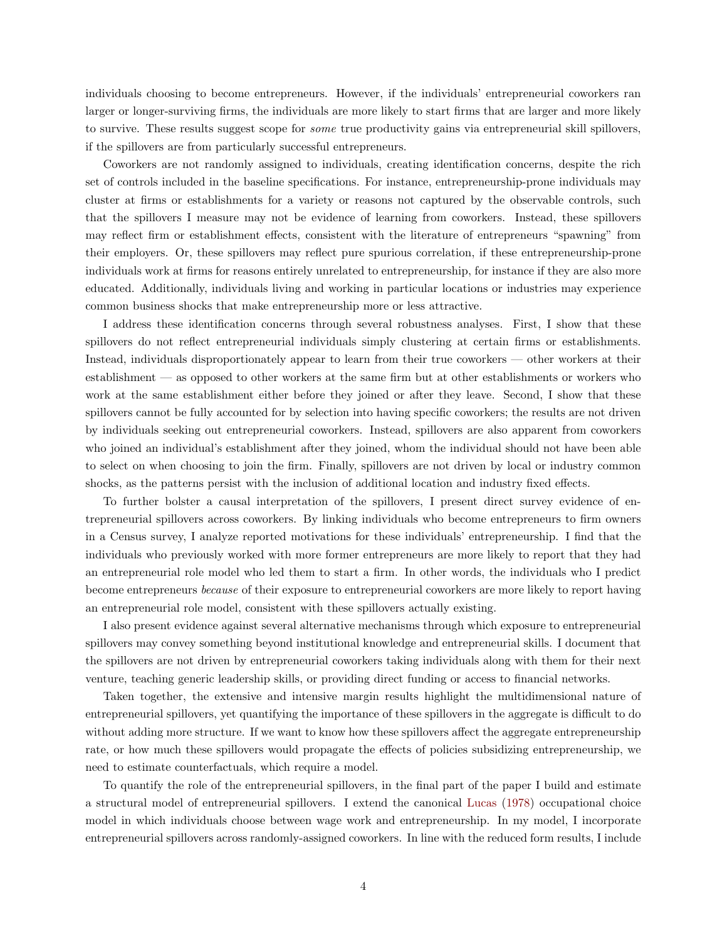individuals choosing to become entrepreneurs. However, if the individuals' entrepreneurial coworkers ran larger or longer-surviving firms, the individuals are more likely to start firms that are larger and more likely to survive. These results suggest scope for some true productivity gains via entrepreneurial skill spillovers, if the spillovers are from particularly successful entrepreneurs.

Coworkers are not randomly assigned to individuals, creating identification concerns, despite the rich set of controls included in the baseline specifications. For instance, entrepreneurship-prone individuals may cluster at firms or establishments for a variety or reasons not captured by the observable controls, such that the spillovers I measure may not be evidence of learning from coworkers. Instead, these spillovers may reflect firm or establishment effects, consistent with the literature of entrepreneurs "spawning" from their employers. Or, these spillovers may reflect pure spurious correlation, if these entrepreneurship-prone individuals work at firms for reasons entirely unrelated to entrepreneurship, for instance if they are also more educated. Additionally, individuals living and working in particular locations or industries may experience common business shocks that make entrepreneurship more or less attractive.

I address these identification concerns through several robustness analyses. First, I show that these spillovers do not reflect entrepreneurial individuals simply clustering at certain firms or establishments. Instead, individuals disproportionately appear to learn from their true coworkers — other workers at their establishment — as opposed to other workers at the same firm but at other establishments or workers who work at the same establishment either before they joined or after they leave. Second, I show that these spillovers cannot be fully accounted for by selection into having specific coworkers; the results are not driven by individuals seeking out entrepreneurial coworkers. Instead, spillovers are also apparent from coworkers who joined an individual's establishment after they joined, whom the individual should not have been able to select on when choosing to join the firm. Finally, spillovers are not driven by local or industry common shocks, as the patterns persist with the inclusion of additional location and industry fixed effects.

To further bolster a causal interpretation of the spillovers, I present direct survey evidence of entrepreneurial spillovers across coworkers. By linking individuals who become entrepreneurs to firm owners in a Census survey, I analyze reported motivations for these individuals' entrepreneurship. I find that the individuals who previously worked with more former entrepreneurs are more likely to report that they had an entrepreneurial role model who led them to start a firm. In other words, the individuals who I predict become entrepreneurs because of their exposure to entrepreneurial coworkers are more likely to report having an entrepreneurial role model, consistent with these spillovers actually existing.

I also present evidence against several alternative mechanisms through which exposure to entrepreneurial spillovers may convey something beyond institutional knowledge and entrepreneurial skills. I document that the spillovers are not driven by entrepreneurial coworkers taking individuals along with them for their next venture, teaching generic leadership skills, or providing direct funding or access to financial networks.

Taken together, the extensive and intensive margin results highlight the multidimensional nature of entrepreneurial spillovers, yet quantifying the importance of these spillovers in the aggregate is difficult to do without adding more structure. If we want to know how these spillovers affect the aggregate entrepreneurship rate, or how much these spillovers would propagate the effects of policies subsidizing entrepreneurship, we need to estimate counterfactuals, which require a model.

To quantify the role of the entrepreneurial spillovers, in the final part of the paper I build and estimate a structural model of entrepreneurial spillovers. I extend the canonical [Lucas](#page-38-5) [\(1978\)](#page-38-5) occupational choice model in which individuals choose between wage work and entrepreneurship. In my model, I incorporate entrepreneurial spillovers across randomly-assigned coworkers. In line with the reduced form results, I include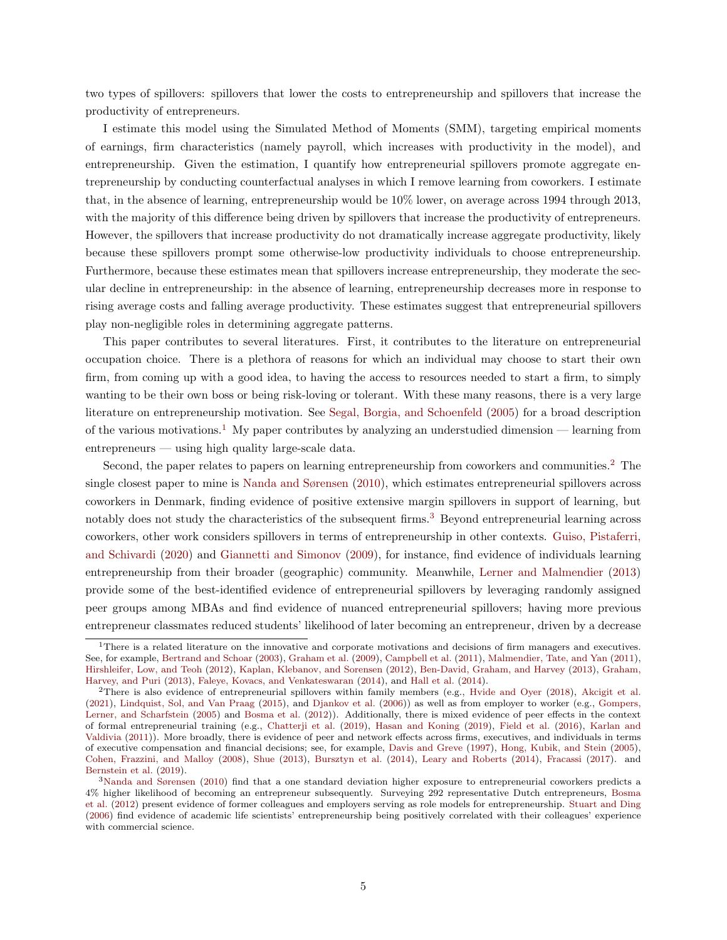two types of spillovers: spillovers that lower the costs to entrepreneurship and spillovers that increase the productivity of entrepreneurs.

I estimate this model using the Simulated Method of Moments (SMM), targeting empirical moments of earnings, firm characteristics (namely payroll, which increases with productivity in the model), and entrepreneurship. Given the estimation, I quantify how entrepreneurial spillovers promote aggregate entrepreneurship by conducting counterfactual analyses in which I remove learning from coworkers. I estimate that, in the absence of learning, entrepreneurship would be 10% lower, on average across 1994 through 2013, with the majority of this difference being driven by spillovers that increase the productivity of entrepreneurs. However, the spillovers that increase productivity do not dramatically increase aggregate productivity, likely because these spillovers prompt some otherwise-low productivity individuals to choose entrepreneurship. Furthermore, because these estimates mean that spillovers increase entrepreneurship, they moderate the secular decline in entrepreneurship: in the absence of learning, entrepreneurship decreases more in response to rising average costs and falling average productivity. These estimates suggest that entrepreneurial spillovers play non-negligible roles in determining aggregate patterns.

This paper contributes to several literatures. First, it contributes to the literature on entrepreneurial occupation choice. There is a plethora of reasons for which an individual may choose to start their own firm, from coming up with a good idea, to having the access to resources needed to start a firm, to simply wanting to be their own boss or being risk-loving or tolerant. With these many reasons, there is a very large literature on entrepreneurship motivation. See [Segal, Borgia, and Schoenfeld](#page-39-0) [\(2005\)](#page-39-0) for a broad description of the various motivations.<sup>[1](#page-4-0)</sup> My paper contributes by analyzing an understudied dimension — learning from entrepreneurs — using high quality large-scale data.

Second, the paper relates to papers on learning entrepreneurship from coworkers and communities.<sup>[2](#page-4-1)</sup> The single closest paper to mine is [Nanda and Sørensen](#page-38-0) [\(2010\)](#page-38-0), which estimates entrepreneurial spillovers across coworkers in Denmark, finding evidence of positive extensive margin spillovers in support of learning, but notably does not study the characteristics of the subsequent firms.<sup>[3](#page-4-2)</sup> Beyond entrepreneurial learning across coworkers, other work considers spillovers in terms of entrepreneurship in other contexts. [Guiso, Pistaferri,](#page-37-0) [and Schivardi](#page-37-0) [\(2020\)](#page-37-0) and [Giannetti and Simonov](#page-37-2) [\(2009\)](#page-37-2), for instance, find evidence of individuals learning entrepreneurship from their broader (geographic) community. Meanwhile, [Lerner and Malmendier](#page-38-1) [\(2013\)](#page-38-1) provide some of the best-identified evidence of entrepreneurial spillovers by leveraging randomly assigned peer groups among MBAs and find evidence of nuanced entrepreneurial spillovers; having more previous entrepreneur classmates reduced students' likelihood of later becoming an entrepreneur, driven by a decrease

<span id="page-4-0"></span> $1$ There is a related literature on the innovative and corporate motivations and decisions of firm managers and executives. See, for example, [Bertrand and Schoar](#page-36-2) [\(2003\)](#page-36-2), [Graham et al.](#page-37-3) [\(2009\)](#page-37-3), [Campbell et al.](#page-36-3) [\(2011\)](#page-36-3), [Malmendier, Tate, and Yan](#page-38-6) [\(2011\)](#page-38-6), [Hirshleifer, Low, and Teoh](#page-38-7) [\(2012\)](#page-38-7), [Kaplan, Klebanov, and Sorensen](#page-38-8) [\(2012\)](#page-38-8), [Ben-David, Graham, and Harvey](#page-36-4) [\(2013\)](#page-36-4), [Graham,](#page-37-4) [Harvey, and Puri](#page-37-4) [\(2013\)](#page-37-4), [Faleye, Kovacs, and Venkateswaran](#page-37-5) [\(2014\)](#page-37-5), and [Hall et al.](#page-37-6) [\(2014\)](#page-37-6).

<span id="page-4-1"></span><sup>2</sup>There is also evidence of entrepreneurial spillovers within family members (e.g., [Hvide and Oyer](#page-38-9) [\(2018\)](#page-38-9), [Akcigit et al.](#page-36-5) [\(2021\)](#page-36-5), [Lindquist, Sol, and Van Praag](#page-38-10) [\(2015\)](#page-38-10), and [Djankov et al.](#page-37-7) [\(2006\)](#page-37-7)) as well as from employer to worker (e.g., [Gompers,](#page-37-8) [Lerner, and Scharfstein](#page-37-8) [\(2005\)](#page-37-8) and [Bosma et al.](#page-36-6) [\(2012\)](#page-36-6)). Additionally, there is mixed evidence of peer effects in the context of formal entrepreneurial training (e.g., [Chatterji et al.](#page-36-7) [\(2019\)](#page-36-7), [Hasan and Koning](#page-37-9) [\(2019\)](#page-37-9), [Field et al.](#page-37-10) [\(2016\)](#page-37-10), [Karlan and](#page-38-11) [Valdivia](#page-38-11) [\(2011\)](#page-38-11)). More broadly, there is evidence of peer and network effects across firms, executives, and individuals in terms of executive compensation and financial decisions; see, for example, [Davis and Greve](#page-36-8) [\(1997\)](#page-36-8), [Hong, Kubik, and Stein](#page-38-12) [\(2005\)](#page-38-12), [Cohen, Frazzini, and Malloy](#page-36-9) [\(2008\)](#page-36-9), [Shue](#page-39-1) [\(2013\)](#page-39-1), [Bursztyn et al.](#page-36-10) [\(2014\)](#page-36-10), [Leary and Roberts](#page-38-13) [\(2014\)](#page-38-13), [Fracassi](#page-37-11) [\(2017\)](#page-37-11). and [Bernstein et al.](#page-36-11) [\(2019\)](#page-36-11).

<span id="page-4-2"></span><sup>3</sup>[Nanda and Sørensen](#page-38-0) [\(2010\)](#page-38-0) find that a one standard deviation higher exposure to entrepreneurial coworkers predicts a 4% higher likelihood of becoming an entrepreneur subsequently. Surveying 292 representative Dutch entrepreneurs, [Bosma](#page-36-6) [et al.](#page-36-6) [\(2012\)](#page-36-6) present evidence of former colleagues and employers serving as role models for entrepreneurship. [Stuart and Ding](#page-39-2) [\(2006\)](#page-39-2) find evidence of academic life scientists' entrepreneurship being positively correlated with their colleagues' experience with commercial science.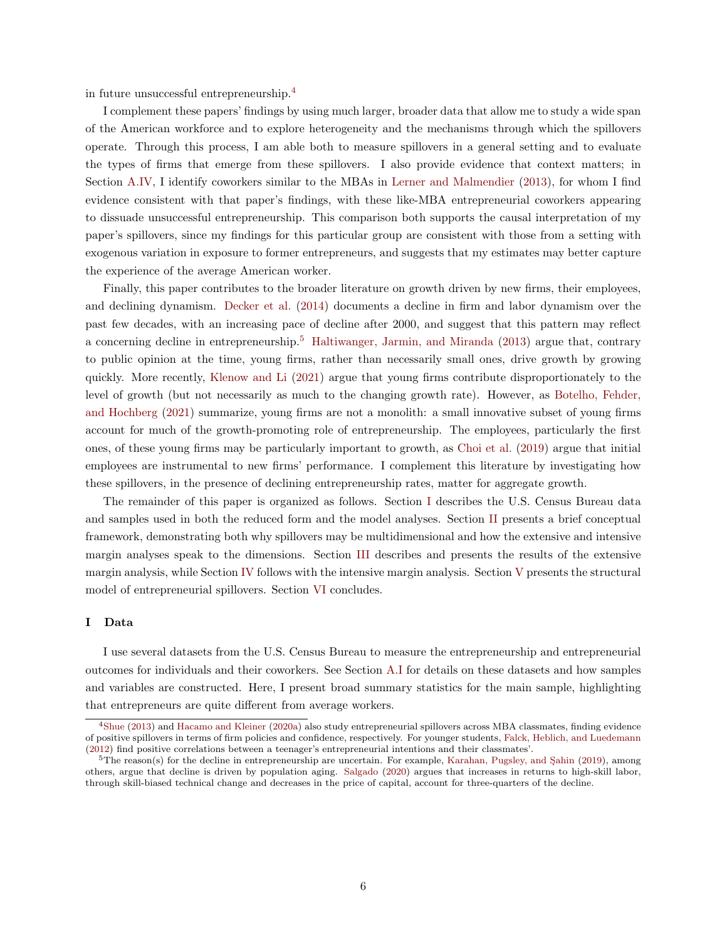in future unsuccessful entrepreneurship.[4](#page-5-0)

I complement these papers' findings by using much larger, broader data that allow me to study a wide span of the American workforce and to explore heterogeneity and the mechanisms through which the spillovers operate. Through this process, I am able both to measure spillovers in a general setting and to evaluate the types of firms that emerge from these spillovers. I also provide evidence that context matters; in Section [A.IV,](#page-69-0) I identify coworkers similar to the MBAs in [Lerner and Malmendier](#page-38-1) [\(2013\)](#page-38-1), for whom I find evidence consistent with that paper's findings, with these like-MBA entrepreneurial coworkers appearing to dissuade unsuccessful entrepreneurship. This comparison both supports the causal interpretation of my paper's spillovers, since my findings for this particular group are consistent with those from a setting with exogenous variation in exposure to former entrepreneurs, and suggests that my estimates may better capture the experience of the average American worker.

Finally, this paper contributes to the broader literature on growth driven by new firms, their employees, and declining dynamism. [Decker et al.](#page-37-1) [\(2014\)](#page-37-1) documents a decline in firm and labor dynamism over the past few decades, with an increasing pace of decline after 2000, and suggest that this pattern may reflect a concerning decline in entrepreneurship.[5](#page-5-1) [Haltiwanger, Jarmin, and Miranda](#page-37-12) [\(2013\)](#page-37-12) argue that, contrary to public opinion at the time, young firms, rather than necessarily small ones, drive growth by growing quickly. More recently, [Klenow and Li](#page-38-2) [\(2021\)](#page-38-2) argue that young firms contribute disproportionately to the level of growth (but not necessarily as much to the changing growth rate). However, as [Botelho, Fehder,](#page-36-12) [and Hochberg](#page-36-12) [\(2021\)](#page-36-12) summarize, young firms are not a monolith: a small innovative subset of young firms account for much of the growth-promoting role of entrepreneurship. The employees, particularly the first ones, of these young firms may be particularly important to growth, as [Choi et al.](#page-36-13) [\(2019\)](#page-36-13) argue that initial employees are instrumental to new firms' performance. I complement this literature by investigating how these spillovers, in the presence of declining entrepreneurship rates, matter for aggregate growth.

The remainder of this paper is organized as follows. Section [I](#page-5-2) describes the U.S. Census Bureau data and samples used in both the reduced form and the model analyses. Section [II](#page-9-0) presents a brief conceptual framework, demonstrating both why spillovers may be multidimensional and how the extensive and intensive margin analyses speak to the dimensions. Section [III](#page-12-0) describes and presents the results of the extensive margin analysis, while Section [IV](#page-25-0) follows with the intensive margin analysis. Section [V](#page-28-0) presents the structural model of entrepreneurial spillovers. Section [VI](#page-35-0) concludes.

#### <span id="page-5-2"></span>I Data

I use several datasets from the U.S. Census Bureau to measure the entrepreneurship and entrepreneurial outcomes for individuals and their coworkers. See Section [A.I](#page-53-0) for details on these datasets and how samples and variables are constructed. Here, I present broad summary statistics for the main sample, highlighting that entrepreneurs are quite different from average workers.

<span id="page-5-0"></span><sup>4</sup>[Shue](#page-39-1) [\(2013\)](#page-39-1) and [Hacamo and Kleiner](#page-37-13) [\(2020a\)](#page-37-13) also study entrepreneurial spillovers across MBA classmates, finding evidence of positive spillovers in terms of firm policies and confidence, respectively. For younger students, [Falck, Heblich, and Luedemann](#page-37-14) [\(2012\)](#page-37-14) find positive correlations between a teenager's entrepreneurial intentions and their classmates'.

<span id="page-5-1"></span> $5$ The reason(s) for the decline in entrepreneurship are uncertain. For example, Karahan, Pugsley, and Sahin [\(2019\)](#page-38-14), among others, argue that decline is driven by population aging. [Salgado](#page-39-3) [\(2020\)](#page-39-3) argues that increases in returns to high-skill labor, through skill-biased technical change and decreases in the price of capital, account for three-quarters of the decline.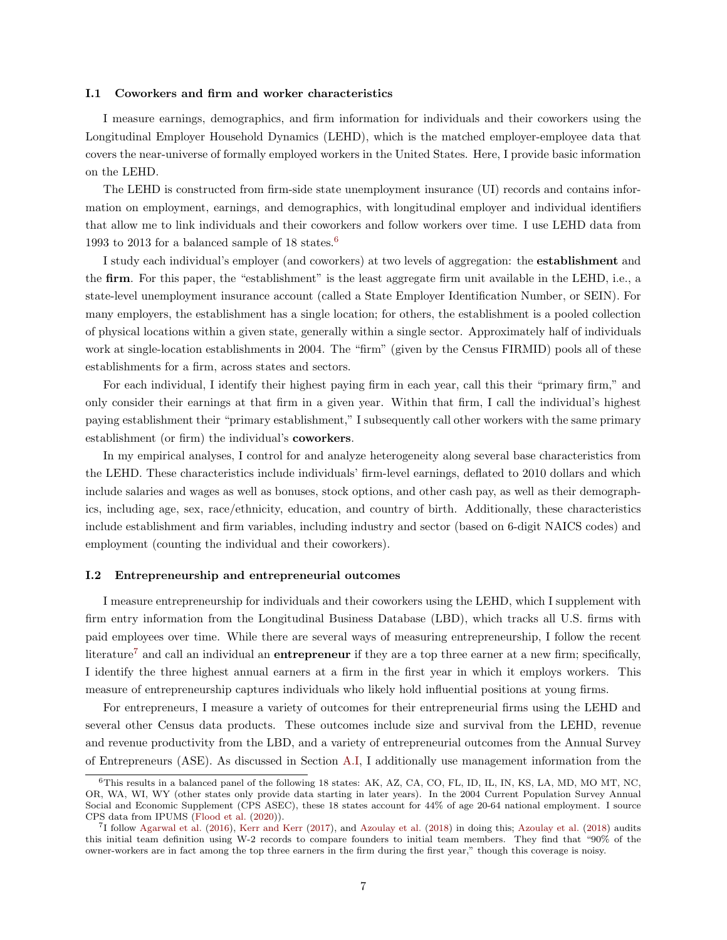#### I.1 Coworkers and firm and worker characteristics

I measure earnings, demographics, and firm information for individuals and their coworkers using the Longitudinal Employer Household Dynamics (LEHD), which is the matched employer-employee data that covers the near-universe of formally employed workers in the United States. Here, I provide basic information on the LEHD.

The LEHD is constructed from firm-side state unemployment insurance (UI) records and contains information on employment, earnings, and demographics, with longitudinal employer and individual identifiers that allow me to link individuals and their coworkers and follow workers over time. I use LEHD data from 1993 to 2013 for a balanced sample of 18 states.<sup>[6](#page-6-0)</sup>

I study each individual's employer (and coworkers) at two levels of aggregation: the establishment and the firm. For this paper, the "establishment" is the least aggregate firm unit available in the LEHD, i.e., a state-level unemployment insurance account (called a State Employer Identification Number, or SEIN). For many employers, the establishment has a single location; for others, the establishment is a pooled collection of physical locations within a given state, generally within a single sector. Approximately half of individuals work at single-location establishments in 2004. The "firm" (given by the Census FIRMID) pools all of these establishments for a firm, across states and sectors.

For each individual, I identify their highest paying firm in each year, call this their "primary firm," and only consider their earnings at that firm in a given year. Within that firm, I call the individual's highest paying establishment their "primary establishment," I subsequently call other workers with the same primary establishment (or firm) the individual's coworkers.

In my empirical analyses, I control for and analyze heterogeneity along several base characteristics from the LEHD. These characteristics include individuals' firm-level earnings, deflated to 2010 dollars and which include salaries and wages as well as bonuses, stock options, and other cash pay, as well as their demographics, including age, sex, race/ethnicity, education, and country of birth. Additionally, these characteristics include establishment and firm variables, including industry and sector (based on 6-digit NAICS codes) and employment (counting the individual and their coworkers).

### I.2 Entrepreneurship and entrepreneurial outcomes

I measure entrepreneurship for individuals and their coworkers using the LEHD, which I supplement with firm entry information from the Longitudinal Business Database (LBD), which tracks all U.S. firms with paid employees over time. While there are several ways of measuring entrepreneurship, I follow the recent literature<sup>[7](#page-6-1)</sup> and call an individual an entrepreneur if they are a top three earner at a new firm; specifically, I identify the three highest annual earners at a firm in the first year in which it employs workers. This measure of entrepreneurship captures individuals who likely hold influential positions at young firms.

For entrepreneurs, I measure a variety of outcomes for their entrepreneurial firms using the LEHD and several other Census data products. These outcomes include size and survival from the LEHD, revenue and revenue productivity from the LBD, and a variety of entrepreneurial outcomes from the Annual Survey of Entrepreneurs (ASE). As discussed in Section [A.I,](#page-53-0) I additionally use management information from the

<span id="page-6-0"></span><sup>6</sup>This results in a balanced panel of the following 18 states: AK, AZ, CA, CO, FL, ID, IL, IN, KS, LA, MD, MO MT, NC, OR, WA, WI, WY (other states only provide data starting in later years). In the 2004 Current Population Survey Annual Social and Economic Supplement (CPS ASEC), these 18 states account for 44% of age 20-64 national employment. I source CPS data from IPUMS [\(Flood et al.](#page-37-15) [\(2020\)](#page-37-15)).

<span id="page-6-1"></span><sup>7</sup> I follow [Agarwal et al.](#page-36-0) [\(2016\)](#page-36-0), [Kerr and Kerr](#page-38-3) [\(2017\)](#page-38-3), and [Azoulay et al.](#page-36-1) [\(2018\)](#page-36-1) in doing this; [Azoulay et al.](#page-36-1) [\(2018\)](#page-36-1) audits this initial team definition using W-2 records to compare founders to initial team members. They find that "90% of the owner-workers are in fact among the top three earners in the firm during the first year," though this coverage is noisy.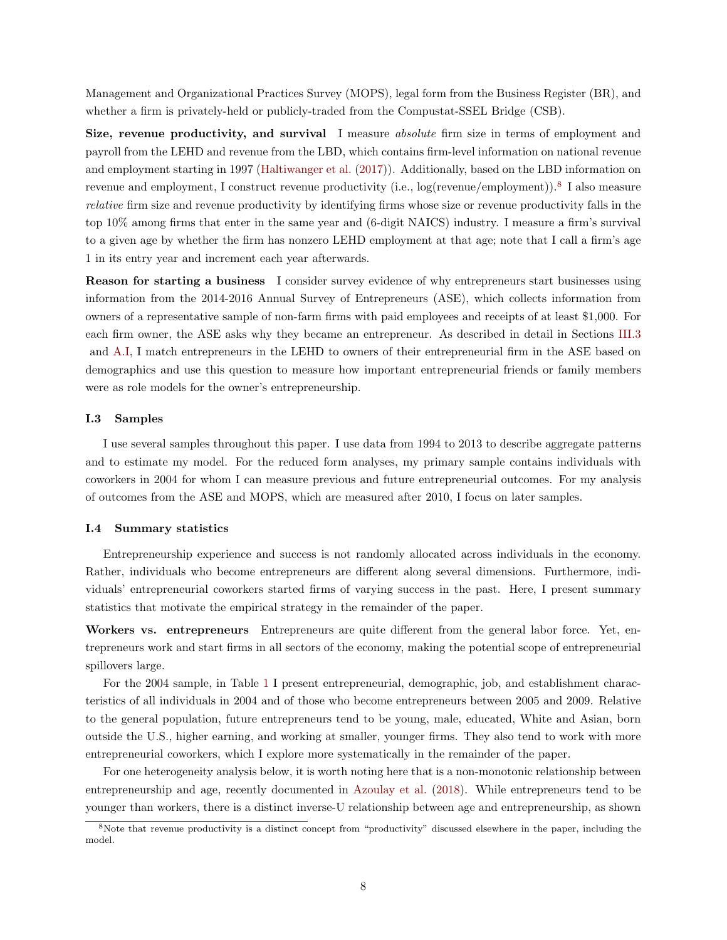Management and Organizational Practices Survey (MOPS), legal form from the Business Register (BR), and whether a firm is privately-held or publicly-traded from the Compustat-SSEL Bridge (CSB).

Size, revenue productivity, and survival I measure *absolute* firm size in terms of employment and payroll from the LEHD and revenue from the LBD, which contains firm-level information on national revenue and employment starting in 1997 [\(Haltiwanger et al.](#page-37-16) [\(2017\)](#page-37-16)). Additionally, based on the LBD information on revenue and employment, I construct revenue productivity (i.e., log(revenue/employment)).<sup>[8](#page-7-0)</sup> I also measure relative firm size and revenue productivity by identifying firms whose size or revenue productivity falls in the top 10% among firms that enter in the same year and (6-digit NAICS) industry. I measure a firm's survival to a given age by whether the firm has nonzero LEHD employment at that age; note that I call a firm's age 1 in its entry year and increment each year afterwards.

Reason for starting a business I consider survey evidence of why entrepreneurs start businesses using information from the 2014-2016 Annual Survey of Entrepreneurs (ASE), which collects information from owners of a representative sample of non-farm firms with paid employees and receipts of at least \$1,000. For each firm owner, the ASE asks why they became an entrepreneur. As described in detail in Sections [III.3](#page-15-0) and [A.I,](#page-53-0) I match entrepreneurs in the LEHD to owners of their entrepreneurial firm in the ASE based on demographics and use this question to measure how important entrepreneurial friends or family members were as role models for the owner's entrepreneurship.

### I.3 Samples

I use several samples throughout this paper. I use data from 1994 to 2013 to describe aggregate patterns and to estimate my model. For the reduced form analyses, my primary sample contains individuals with coworkers in 2004 for whom I can measure previous and future entrepreneurial outcomes. For my analysis of outcomes from the ASE and MOPS, which are measured after 2010, I focus on later samples.

### I.4 Summary statistics

Entrepreneurship experience and success is not randomly allocated across individuals in the economy. Rather, individuals who become entrepreneurs are different along several dimensions. Furthermore, individuals' entrepreneurial coworkers started firms of varying success in the past. Here, I present summary statistics that motivate the empirical strategy in the remainder of the paper.

Workers vs. entrepreneurs Entrepreneurs are quite different from the general labor force. Yet, entrepreneurs work and start firms in all sectors of the economy, making the potential scope of entrepreneurial spillovers large.

For the 2004 sample, in Table [1](#page-40-0) I present entrepreneurial, demographic, job, and establishment characteristics of all individuals in 2004 and of those who become entrepreneurs between 2005 and 2009. Relative to the general population, future entrepreneurs tend to be young, male, educated, White and Asian, born outside the U.S., higher earning, and working at smaller, younger firms. They also tend to work with more entrepreneurial coworkers, which I explore more systematically in the remainder of the paper.

For one heterogeneity analysis below, it is worth noting here that is a non-monotonic relationship between entrepreneurship and age, recently documented in [Azoulay et al.](#page-36-1) [\(2018\)](#page-36-1). While entrepreneurs tend to be younger than workers, there is a distinct inverse-U relationship between age and entrepreneurship, as shown

<span id="page-7-0"></span><sup>8</sup>Note that revenue productivity is a distinct concept from "productivity" discussed elsewhere in the paper, including the model.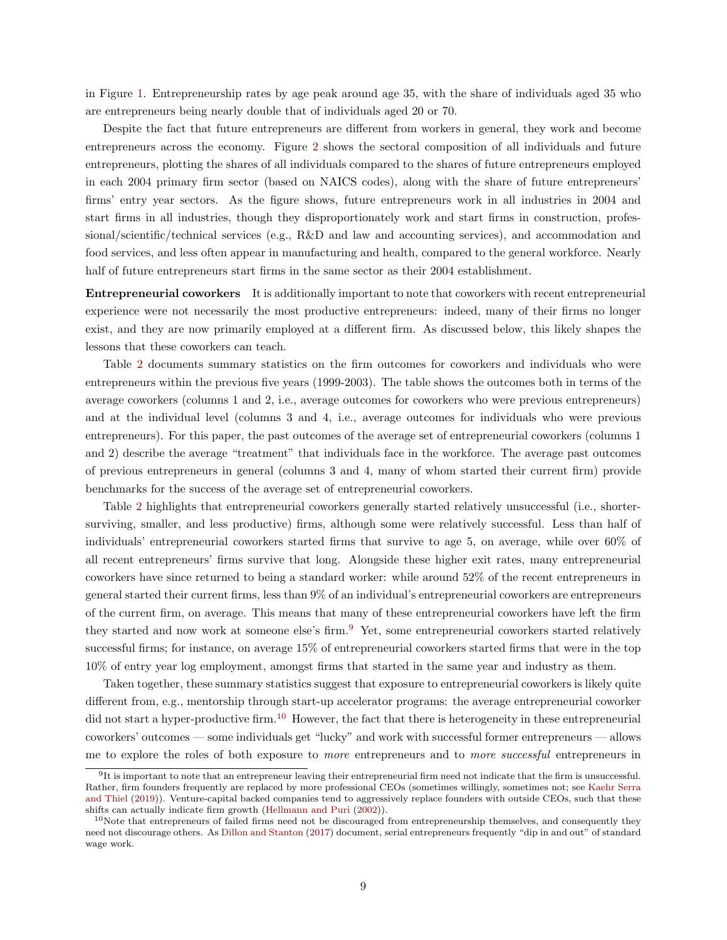in Figure [1.](#page-50-0) Entrepreneurship rates by age peak around age 35, with the share of individuals aged 35 who are entrepreneurs being nearly double that of individuals aged 20 or 70.

Despite the fact that future entrepreneurs are different from workers in general, they work and become entrepreneurs across the economy. Figure [2](#page-50-1) shows the sectoral composition of all individuals and future entrepreneurs, plotting the shares of all individuals compared to the shares of future entrepreneurs employed in each 2004 primary firm sector (based on NAICS codes), along with the share of future entrepreneurs' firms' entry year sectors. As the figure shows, future entrepreneurs work in all industries in 2004 and start firms in all industries, though they disproportionately work and start firms in construction, professional/scientific/technical services (e.g., R&D and law and accounting services), and accommodation and food services, and less often appear in manufacturing and health, compared to the general workforce. Nearly half of future entrepreneurs start firms in the same sector as their 2004 establishment.

Entrepreneurial coworkers It is additionally important to note that coworkers with recent entrepreneurial experience were not necessarily the most productive entrepreneurs: indeed, many of their firms no longer exist, and they are now primarily employed at a different firm. As discussed below, this likely shapes the lessons that these coworkers can teach.

Table [2](#page-41-0) documents summary statistics on the firm outcomes for coworkers and individuals who were entrepreneurs within the previous five years (1999-2003). The table shows the outcomes both in terms of the average coworkers (columns 1 and 2, i.e., average outcomes for coworkers who were previous entrepreneurs) and at the individual level (columns 3 and 4, i.e., average outcomes for individuals who were previous entrepreneurs). For this paper, the past outcomes of the average set of entrepreneurial coworkers (columns 1 and 2) describe the average "treatment" that individuals face in the workforce. The average past outcomes of previous entrepreneurs in general (columns 3 and 4, many of whom started their current firm) provide benchmarks for the success of the average set of entrepreneurial coworkers.

Table [2](#page-41-0) highlights that entrepreneurial coworkers generally started relatively unsuccessful (i.e., shortersurviving, smaller, and less productive) firms, although some were relatively successful. Less than half of individuals' entrepreneurial coworkers started firms that survive to age 5, on average, while over 60% of all recent entrepreneurs' firms survive that long. Alongside these higher exit rates, many entrepreneurial coworkers have since returned to being a standard worker: while around 52% of the recent entrepreneurs in general started their current firms, less than 9% of an individual's entrepreneurial coworkers are entrepreneurs of the current firm, on average. This means that many of these entrepreneurial coworkers have left the firm they started and now work at someone else's firm.<sup>[9](#page-8-0)</sup> Yet, some entrepreneurial coworkers started relatively successful firms; for instance, on average 15% of entrepreneurial coworkers started firms that were in the top 10% of entry year log employment, amongst firms that started in the same year and industry as them.

Taken together, these summary statistics suggest that exposure to entrepreneurial coworkers is likely quite different from, e.g., mentorship through start-up accelerator programs: the average entrepreneurial coworker did not start a hyper-productive firm.<sup>[10](#page-8-1)</sup> However, the fact that there is heterogeneity in these entrepreneurial coworkers' outcomes — some individuals get "lucky" and work with successful former entrepreneurs — allows me to explore the roles of both exposure to more entrepreneurs and to more successful entrepreneurs in

<span id="page-8-0"></span> $9$ It is important to note that an entrepreneur leaving their entrepreneurial firm need not indicate that the firm is unsuccessful. Rather, firm founders frequently are replaced by more professional CEOs (sometimes willingly, sometimes not; see [Kaehr Serra](#page-38-15) [and Thiel](#page-38-15) [\(2019\)](#page-38-15)). Venture-capital backed companies tend to aggressively replace founders with outside CEOs, such that these shifts can actually indicate firm growth [\(Hellmann and Puri](#page-38-16) [\(2002\)](#page-38-16)).

<span id="page-8-1"></span> $10$ Note that entrepreneurs of failed firms need not be discouraged from entrepreneurship themselves, and consequently they need not discourage others. As [Dillon and Stanton](#page-37-17) [\(2017\)](#page-37-17) document, serial entrepreneurs frequently "dip in and out" of standard wage work.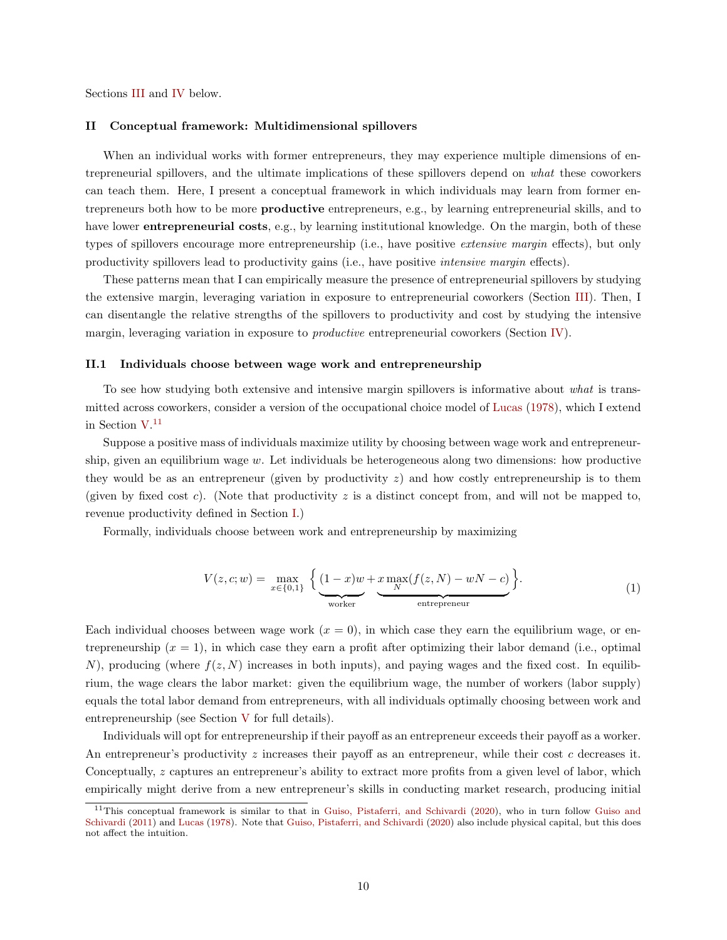Sections [III](#page-12-0) and [IV](#page-25-0) below.

# <span id="page-9-0"></span>II Conceptual framework: Multidimensional spillovers

When an individual works with former entrepreneurs, they may experience multiple dimensions of entrepreneurial spillovers, and the ultimate implications of these spillovers depend on what these coworkers can teach them. Here, I present a conceptual framework in which individuals may learn from former entrepreneurs both how to be more productive entrepreneurs, e.g., by learning entrepreneurial skills, and to have lower **entrepreneurial costs**, e.g., by learning institutional knowledge. On the margin, both of these types of spillovers encourage more entrepreneurship (i.e., have positive extensive margin effects), but only productivity spillovers lead to productivity gains (i.e., have positive intensive margin effects).

These patterns mean that I can empirically measure the presence of entrepreneurial spillovers by studying the extensive margin, leveraging variation in exposure to entrepreneurial coworkers (Section [III\)](#page-12-0). Then, I can disentangle the relative strengths of the spillovers to productivity and cost by studying the intensive margin, leveraging variation in exposure to *productive* entrepreneurial coworkers (Section [IV\)](#page-25-0).

### II.1 Individuals choose between wage work and entrepreneurship

To see how studying both extensive and intensive margin spillovers is informative about what is transmitted across coworkers, consider a version of the occupational choice model of [Lucas](#page-38-5) [\(1978\)](#page-38-5), which I extend in Section [V.](#page-28-0) [11](#page-9-1)

Suppose a positive mass of individuals maximize utility by choosing between wage work and entrepreneurship, given an equilibrium wage w. Let individuals be heterogeneous along two dimensions: how productive they would be as an entrepreneur (given by productivity  $z$ ) and how costly entrepreneurship is to them (given by fixed cost c). (Note that productivity  $z$  is a distinct concept from, and will not be mapped to, revenue productivity defined in Section [I.](#page-5-2))

Formally, individuals choose between work and entrepreneurship by maximizing

$$
V(z, c; w) = \max_{x \in \{0, 1\}} \left\{ \underbrace{(1 - x)w}_{\text{worker}} + \underbrace{x \max_N(f(z, N) - wN - c)}_{\text{entrepreneur}} \right\}.
$$
\n(1)

Each individual chooses between wage work  $(x = 0)$ , in which case they earn the equilibrium wage, or entrepreneurship  $(x = 1)$ , in which case they earn a profit after optimizing their labor demand (i.e., optimal N), producing (where  $f(z, N)$  increases in both inputs), and paying wages and the fixed cost. In equilibrium, the wage clears the labor market: given the equilibrium wage, the number of workers (labor supply) equals the total labor demand from entrepreneurs, with all individuals optimally choosing between work and entrepreneurship (see Section [V](#page-28-0) for full details).

Individuals will opt for entrepreneurship if their payoff as an entrepreneur exceeds their payoff as a worker. An entrepreneur's productivity z increases their payoff as an entrepreneur, while their cost c decreases it. Conceptually, z captures an entrepreneur's ability to extract more profits from a given level of labor, which empirically might derive from a new entrepreneur's skills in conducting market research, producing initial

<span id="page-9-1"></span><sup>&</sup>lt;sup>11</sup>This conceptual framework is similar to that in [Guiso, Pistaferri, and Schivardi](#page-37-0) [\(2020\)](#page-37-0), who in turn follow [Guiso and](#page-37-18) [Schivardi](#page-37-18) [\(2011\)](#page-37-18) and [Lucas](#page-38-5) [\(1978\)](#page-38-5). Note that [Guiso, Pistaferri, and Schivardi](#page-37-0) [\(2020\)](#page-37-0) also include physical capital, but this does not affect the intuition.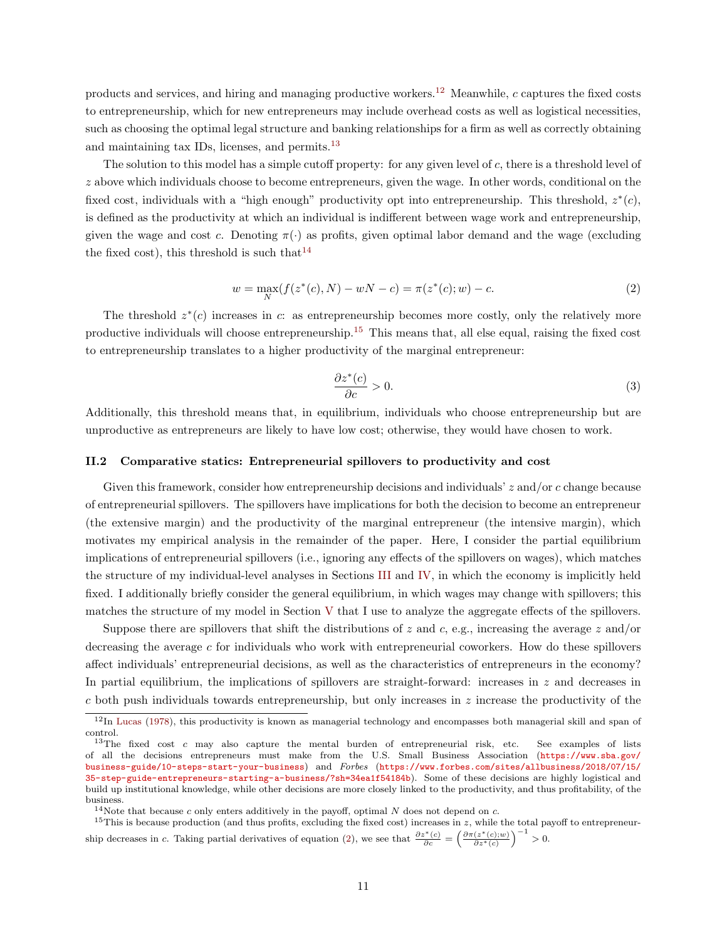products and services, and hiring and managing productive workers.<sup>[12](#page-10-0)</sup> Meanwhile, c captures the fixed costs to entrepreneurship, which for new entrepreneurs may include overhead costs as well as logistical necessities, such as choosing the optimal legal structure and banking relationships for a firm as well as correctly obtaining and maintaining tax IDs, licenses, and permits.<sup>[13](#page-10-1)</sup>

The solution to this model has a simple cutoff property: for any given level of  $c$ , there is a threshold level of z above which individuals choose to become entrepreneurs, given the wage. In other words, conditional on the fixed cost, individuals with a "high enough" productivity opt into entrepreneurship. This threshold,  $z^*(c)$ , is defined as the productivity at which an individual is indifferent between wage work and entrepreneurship, given the wage and cost c. Denoting  $\pi(\cdot)$  as profits, given optimal labor demand and the wage (excluding the fixed cost), this threshold is such that  $14$ 

<span id="page-10-4"></span>
$$
w = \max_{N} (f(z^*(c), N) - wN - c) = \pi(z^*(c); w) - c.
$$
 (2)

The threshold  $z^*(c)$  increases in c: as entrepreneurship becomes more costly, only the relatively more productive individuals will choose entrepreneurship.[15](#page-10-3) This means that, all else equal, raising the fixed cost to entrepreneurship translates to a higher productivity of the marginal entrepreneur:

<span id="page-10-5"></span>
$$
\frac{\partial z^*(c)}{\partial c} > 0.
$$
\n(3)

Additionally, this threshold means that, in equilibrium, individuals who choose entrepreneurship but are unproductive as entrepreneurs are likely to have low cost; otherwise, they would have chosen to work.

## II.2 Comparative statics: Entrepreneurial spillovers to productivity and cost

Given this framework, consider how entrepreneurship decisions and individuals'  $z$  and/or  $c$  change because of entrepreneurial spillovers. The spillovers have implications for both the decision to become an entrepreneur (the extensive margin) and the productivity of the marginal entrepreneur (the intensive margin), which motivates my empirical analysis in the remainder of the paper. Here, I consider the partial equilibrium implications of entrepreneurial spillovers (i.e., ignoring any effects of the spillovers on wages), which matches the structure of my individual-level analyses in Sections [III](#page-12-0) and [IV,](#page-25-0) in which the economy is implicitly held fixed. I additionally briefly consider the general equilibrium, in which wages may change with spillovers; this matches the structure of my model in Section [V](#page-28-0) that I use to analyze the aggregate effects of the spillovers.

Suppose there are spillovers that shift the distributions of z and c, e.g., increasing the average z and/or decreasing the average  $c$  for individuals who work with entrepreneurial coworkers. How do these spillovers affect individuals' entrepreneurial decisions, as well as the characteristics of entrepreneurs in the economy? In partial equilibrium, the implications of spillovers are straight-forward: increases in  $z$  and decreases in  $c$  both push individuals towards entrepreneurship, but only increases in  $z$  increase the productivity of the

<span id="page-10-0"></span><sup>12</sup>In [Lucas](#page-38-5) [\(1978\)](#page-38-5), this productivity is known as managerial technology and encompasses both managerial skill and span of control.

<span id="page-10-1"></span><sup>&</sup>lt;sup>13</sup>The fixed cost c may also capture the mental burden of entrepreneurial risk, etc. See examples of lists of all the decisions entrepreneurs must make from the U.S. Small Business Association ([https://www.sba.gov/](https://www.sba.gov/business-guide/10-steps-start-your-business) [business-guide/10-steps-start-your-business](https://www.sba.gov/business-guide/10-steps-start-your-business)) and Forbes ([https://www.forbes.com/sites/allbusiness/2018/07/15/](https://www.forbes.com/sites/allbusiness/2018/07/15/35-step-guide-entrepreneurs-starting-a-business/?sh=34ea1f54184b) [35-step-guide-entrepreneurs-starting-a-business/?sh=34ea1f54184b](https://www.forbes.com/sites/allbusiness/2018/07/15/35-step-guide-entrepreneurs-starting-a-business/?sh=34ea1f54184b)). Some of these decisions are highly logistical and build up institutional knowledge, while other decisions are more closely linked to the productivity, and thus profitability, of the business.

<span id="page-10-3"></span><span id="page-10-2"></span><sup>&</sup>lt;sup>14</sup>Note that because c only enters additively in the payoff, optimal N does not depend on c.

<sup>&</sup>lt;sup>15</sup>This is because production (and thus profits, excluding the fixed cost) increases in  $z$ , while the total payoff to entrepreneur-ship decreases in c. Taking partial derivatives of equation [\(2\)](#page-10-4), we see that  $\frac{\partial z^*(c)}{\partial c} = \left(\frac{\partial \pi(z^*(c);w)}{\partial z^*(c)}\right)^{-1} > 0$ .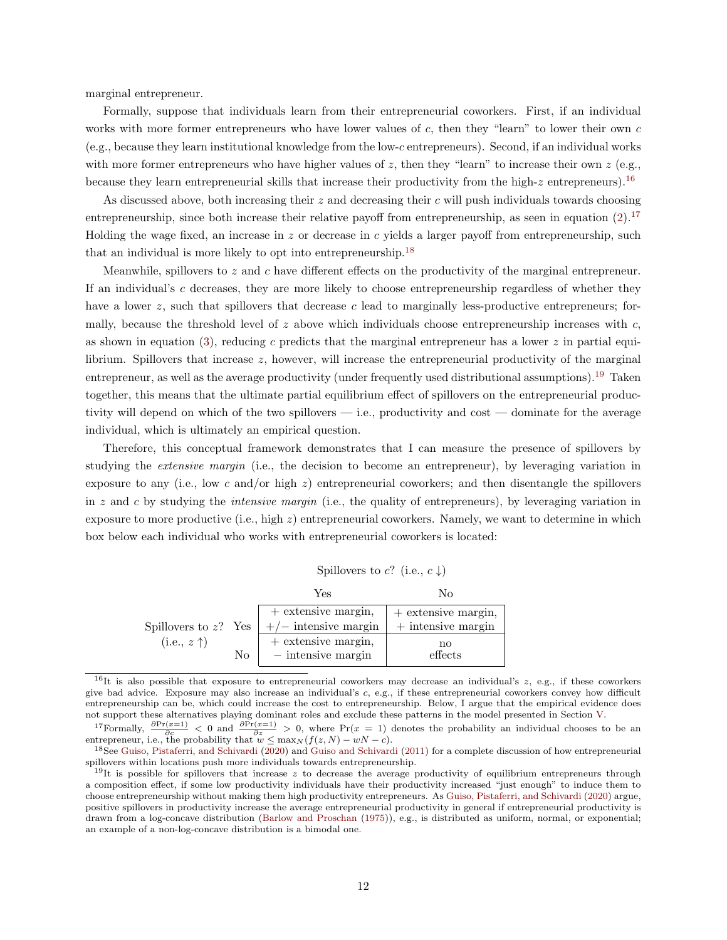marginal entrepreneur.

Formally, suppose that individuals learn from their entrepreneurial coworkers. First, if an individual works with more former entrepreneurs who have lower values of  $c$ , then they "learn" to lower their own  $c$ (e.g., because they learn institutional knowledge from the low-c entrepreneurs). Second, if an individual works with more former entrepreneurs who have higher values of z, then they "learn" to increase their own  $z$  (e.g., because they learn entrepreneurial skills that increase their productivity from the high-z entrepreneurs).<sup>[16](#page-11-0)</sup>

As discussed above, both increasing their  $z$  and decreasing their c will push individuals towards choosing entrepreneurship, since both increase their relative payoff from entrepreneurship, as seen in equation  $(2)$ .<sup>[17](#page-11-1)</sup> Holding the wage fixed, an increase in  $z$  or decrease in  $c$  yields a larger payoff from entrepreneurship, such that an individual is more likely to opt into entrepreneurship.[18](#page-11-2)

Meanwhile, spillovers to  $z$  and  $c$  have different effects on the productivity of the marginal entrepreneur. If an individual's c decreases, they are more likely to choose entrepreneurship regardless of whether they have a lower z, such that spillovers that decrease c lead to marginally less-productive entrepreneurs; formally, because the threshold level of z above which individuals choose entrepreneurship increases with  $c$ , as shown in equation [\(3\)](#page-10-5), reducing c predicts that the marginal entrepreneur has a lower  $z$  in partial equilibrium. Spillovers that increase  $z$ , however, will increase the entrepreneurial productivity of the marginal entrepreneur, as well as the average productivity (under frequently used distributional assumptions).[19](#page-11-3) Taken together, this means that the ultimate partial equilibrium effect of spillovers on the entrepreneurial productivity will depend on which of the two spillovers — i.e., productivity and cost — dominate for the average individual, which is ultimately an empirical question.

Therefore, this conceptual framework demonstrates that I can measure the presence of spillovers by studying the extensive margin (i.e., the decision to become an entrepreneur), by leveraging variation in exposure to any (i.e., low c and/or high  $z$ ) entrepreneurial coworkers; and then disentangle the spillovers in z and c by studying the *intensive margin* (i.e., the quality of entrepreneurs), by leveraging variation in exposure to more productive (i.e., high z) entrepreneurial coworkers. Namely, we want to determine in which box below each individual who works with entrepreneurial coworkers is located:

Spillovers to c? (i.e.,  $c \downarrow$ )

|                                                   |    | Yes                                             | Nο                                            |
|---------------------------------------------------|----|-------------------------------------------------|-----------------------------------------------|
| Spillovers to $z$ ? Yes  <br>$(i.e., z \uparrow)$ |    | $+$ extensive margin,<br>$+/-$ intensive margin | $+$ extensive margin,<br>$+$ intensive margin |
|                                                   | No | $+$ extensive margin,<br>$-$ intensive margin   | no<br>effects                                 |

<span id="page-11-0"></span><sup>&</sup>lt;sup>16</sup>It is also possible that exposure to entrepreneurial coworkers may decrease an individual's  $z$ , e.g., if these coworkers give bad advice. Exposure may also increase an individual's c, e.g., if these entrepreneurial coworkers convey how difficult entrepreneurship can be, which could increase the cost to entrepreneurship. Below, I argue that the empirical evidence does not support these alternatives playing dominant roles and exclude these patterns in the model presented in Section [V.](#page-28-0)

<span id="page-11-1"></span><sup>&</sup>lt;sup>17</sup>Formally,  $\frac{\partial \Pr(x=1)}{\partial e} < 0$  and  $\frac{\partial \Pr(x=1)}{\partial s} > 0$ , where  $\Pr(x=1)$  denotes the probability an individual chooses to be an entrepreneur, i.e., the probability that  $w \le \max_N (f(z,N) - wN - c)$ .

<span id="page-11-2"></span><sup>18</sup>See [Guiso, Pistaferri, and Schivardi](#page-37-0) [\(2020\)](#page-37-0) and [Guiso and Schivardi](#page-37-18) [\(2011\)](#page-37-18) for a complete discussion of how entrepreneurial spillovers within locations push more individuals towards entrepreneurship.

<span id="page-11-3"></span><sup>&</sup>lt;sup>19</sup>It is possible for spillovers that increase z to decrease the average productivity of equilibrium entrepreneurs through a composition effect, if some low productivity individuals have their productivity increased "just enough" to induce them to choose entrepreneurship without making them high productivity entrepreneurs. As [Guiso, Pistaferri, and Schivardi](#page-37-0) [\(2020\)](#page-37-0) argue, positive spillovers in productivity increase the average entrepreneurial productivity in general if entrepreneurial productivity is drawn from a log-concave distribution [\(Barlow and Proschan](#page-36-14) [\(1975\)](#page-36-14)), e.g., is distributed as uniform, normal, or exponential; an example of a non-log-concave distribution is a bimodal one.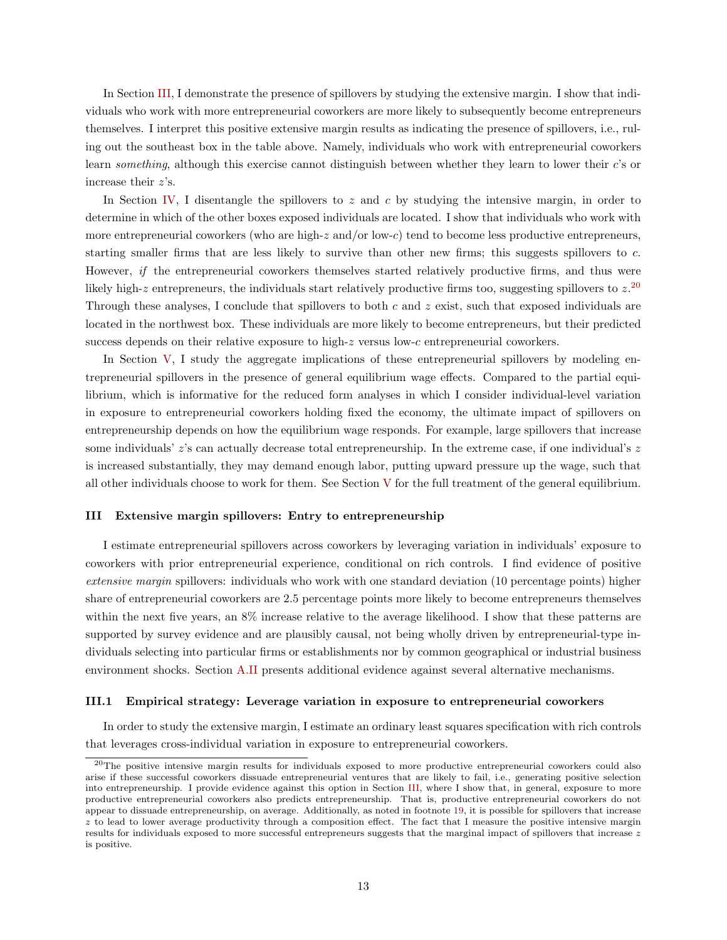In Section [III,](#page-12-0) I demonstrate the presence of spillovers by studying the extensive margin. I show that individuals who work with more entrepreneurial coworkers are more likely to subsequently become entrepreneurs themselves. I interpret this positive extensive margin results as indicating the presence of spillovers, i.e., ruling out the southeast box in the table above. Namely, individuals who work with entrepreneurial coworkers learn something, although this exercise cannot distinguish between whether they learn to lower their c's or increase their z's.

In Section [IV,](#page-25-0) I disentangle the spillovers to z and c by studying the intensive margin, in order to determine in which of the other boxes exposed individuals are located. I show that individuals who work with more entrepreneurial coworkers (who are high-z and/or low-c) tend to become less productive entrepreneurs, starting smaller firms that are less likely to survive than other new firms; this suggests spillovers to c. However, if the entrepreneurial coworkers themselves started relatively productive firms, and thus were likely high-z entrepreneurs, the individuals start relatively productive firms too, suggesting spillovers to  $z^{20}$  $z^{20}$  $z^{20}$ Through these analyses, I conclude that spillovers to both  $c$  and  $z$  exist, such that exposed individuals are located in the northwest box. These individuals are more likely to become entrepreneurs, but their predicted success depends on their relative exposure to high- $z$  versus low- $c$  entrepreneurial coworkers.

In Section [V,](#page-28-0) I study the aggregate implications of these entrepreneurial spillovers by modeling entrepreneurial spillovers in the presence of general equilibrium wage effects. Compared to the partial equilibrium, which is informative for the reduced form analyses in which I consider individual-level variation in exposure to entrepreneurial coworkers holding fixed the economy, the ultimate impact of spillovers on entrepreneurship depends on how the equilibrium wage responds. For example, large spillovers that increase some individuals'  $z$ 's can actually decrease total entrepreneurship. In the extreme case, if one individual's  $z$ is increased substantially, they may demand enough labor, putting upward pressure up the wage, such that all other individuals choose to work for them. See Section [V](#page-28-0) for the full treatment of the general equilibrium.

# <span id="page-12-0"></span>III Extensive margin spillovers: Entry to entrepreneurship

I estimate entrepreneurial spillovers across coworkers by leveraging variation in individuals' exposure to coworkers with prior entrepreneurial experience, conditional on rich controls. I find evidence of positive extensive margin spillovers: individuals who work with one standard deviation (10 percentage points) higher share of entrepreneurial coworkers are 2.5 percentage points more likely to become entrepreneurs themselves within the next five years, an 8% increase relative to the average likelihood. I show that these patterns are supported by survey evidence and are plausibly causal, not being wholly driven by entrepreneurial-type individuals selecting into particular firms or establishments nor by common geographical or industrial business environment shocks. Section [A.II](#page-63-0) presents additional evidence against several alternative mechanisms.

#### III.1 Empirical strategy: Leverage variation in exposure to entrepreneurial coworkers

In order to study the extensive margin, I estimate an ordinary least squares specification with rich controls that leverages cross-individual variation in exposure to entrepreneurial coworkers.

<span id="page-12-1"></span><sup>&</sup>lt;sup>20</sup>The positive intensive margin results for individuals exposed to more productive entrepreneurial coworkers could also arise if these successful coworkers dissuade entrepreneurial ventures that are likely to fail, i.e., generating positive selection into entrepreneurship. I provide evidence against this option in Section [III,](#page-12-0) where I show that, in general, exposure to more productive entrepreneurial coworkers also predicts entrepreneurship. That is, productive entrepreneurial coworkers do not appear to dissuade entrepreneurship, on average. Additionally, as noted in footnote [19,](#page-11-3) it is possible for spillovers that increase  $z$  to lead to lower average productivity through a composition effect. The fact that I measure the positive intensive margin results for individuals exposed to more successful entrepreneurs suggests that the marginal impact of spillovers that increase z is positive.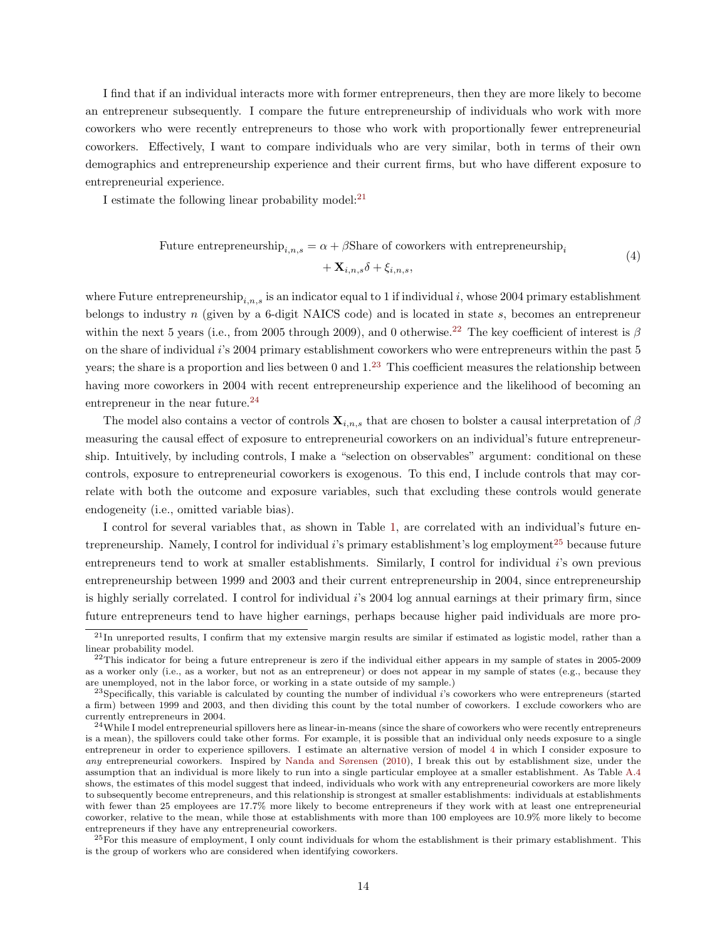I find that if an individual interacts more with former entrepreneurs, then they are more likely to become an entrepreneur subsequently. I compare the future entrepreneurship of individuals who work with more coworkers who were recently entrepreneurs to those who work with proportionally fewer entrepreneurial coworkers. Effectively, I want to compare individuals who are very similar, both in terms of their own demographics and entrepreneurship experience and their current firms, but who have different exposure to entrepreneurial experience.

I estimate the following linear probability model: $^{21}$  $^{21}$  $^{21}$ 

<span id="page-13-5"></span>Future entrepreneurship
$$
i_{i,n,s} = \alpha + \beta \text{Share of coworkers with entrepreneurship}_i + \mathbf{X}_{i,n,s} \delta + \xi_{i,n,s},
$$
\n
$$
(4)
$$

where Future entrepreneurship<sub>i,n,s</sub> is an indicator equal to 1 if individual i, whose 2004 primary establishment belongs to industry n (given by a 6-digit NAICS code) and is located in state s, becomes an entrepreneur within the next 5 years (i.e., from 2005 through 2009), and 0 otherwise.<sup>[22](#page-13-1)</sup> The key coefficient of interest is  $\beta$ on the share of individual i's 2004 primary establishment coworkers who were entrepreneurs within the past 5 years; the share is a proportion and lies between 0 and  $1<sup>23</sup>$  $1<sup>23</sup>$  $1<sup>23</sup>$  This coefficient measures the relationship between having more coworkers in 2004 with recent entrepreneurship experience and the likelihood of becoming an entrepreneur in the near future.<sup>[24](#page-13-3)</sup>

The model also contains a vector of controls  $\mathbf{X}_{i,n,s}$  that are chosen to bolster a causal interpretation of  $\beta$ measuring the causal effect of exposure to entrepreneurial coworkers on an individual's future entrepreneurship. Intuitively, by including controls, I make a "selection on observables" argument: conditional on these controls, exposure to entrepreneurial coworkers is exogenous. To this end, I include controls that may correlate with both the outcome and exposure variables, such that excluding these controls would generate endogeneity (i.e., omitted variable bias).

I control for several variables that, as shown in Table [1,](#page-40-0) are correlated with an individual's future entrepreneurship. Namely, I control for individual  $i$ 's primary establishment's log employment<sup>[25](#page-13-4)</sup> because future entrepreneurs tend to work at smaller establishments. Similarly, I control for individual i's own previous entrepreneurship between 1999 and 2003 and their current entrepreneurship in 2004, since entrepreneurship is highly serially correlated. I control for individual i's 2004 log annual earnings at their primary firm, since future entrepreneurs tend to have higher earnings, perhaps because higher paid individuals are more pro-

<span id="page-13-4"></span> $^{25}$ For this measure of employment, I only count individuals for whom the establishment is their primary establishment. This is the group of workers who are considered when identifying coworkers.

<span id="page-13-0"></span> $^{21}$ In unreported results, I confirm that my extensive margin results are similar if estimated as logistic model, rather than a linear probability model.

<span id="page-13-1"></span> $^{22}$ This indicator for being a future entrepreneur is zero if the individual either appears in my sample of states in 2005-2009 as a worker only (i.e., as a worker, but not as an entrepreneur) or does not appear in my sample of states (e.g., because they are unemployed, not in the labor force, or working in a state outside of my sample.)

<span id="page-13-2"></span> $23$ Specifically, this variable is calculated by counting the number of individual  $i$ 's coworkers who were entrepreneurs (started a firm) between 1999 and 2003, and then dividing this count by the total number of coworkers. I exclude coworkers who are currently entrepreneurs in 2004.

<span id="page-13-3"></span><sup>&</sup>lt;sup>24</sup>While I model entrepreneurial spillovers here as linear-in-means (since the share of coworkers who were recently entrepreneurs is a mean), the spillovers could take other forms. For example, it is possible that an individual only needs exposure to a single entrepreneur in order to experience spillovers. I estimate an alternative version of model [4](#page-13-5) in which I consider exposure to any entrepreneurial coworkers. Inspired by [Nanda and Sørensen](#page-38-0) [\(2010\)](#page-38-0), I break this out by establishment size, under the assumption that an individual is more likely to run into a single particular employee at a smaller establishment. As Table [A.4](#page-70-0) shows, the estimates of this model suggest that indeed, individuals who work with any entrepreneurial coworkers are more likely to subsequently become entrepreneurs, and this relationship is strongest at smaller establishments: individuals at establishments with fewer than 25 employees are 17.7% more likely to become entrepreneurs if they work with at least one entrepreneurial coworker, relative to the mean, while those at establishments with more than 100 employees are 10.9% more likely to become entrepreneurs if they have any entrepreneurial coworkers.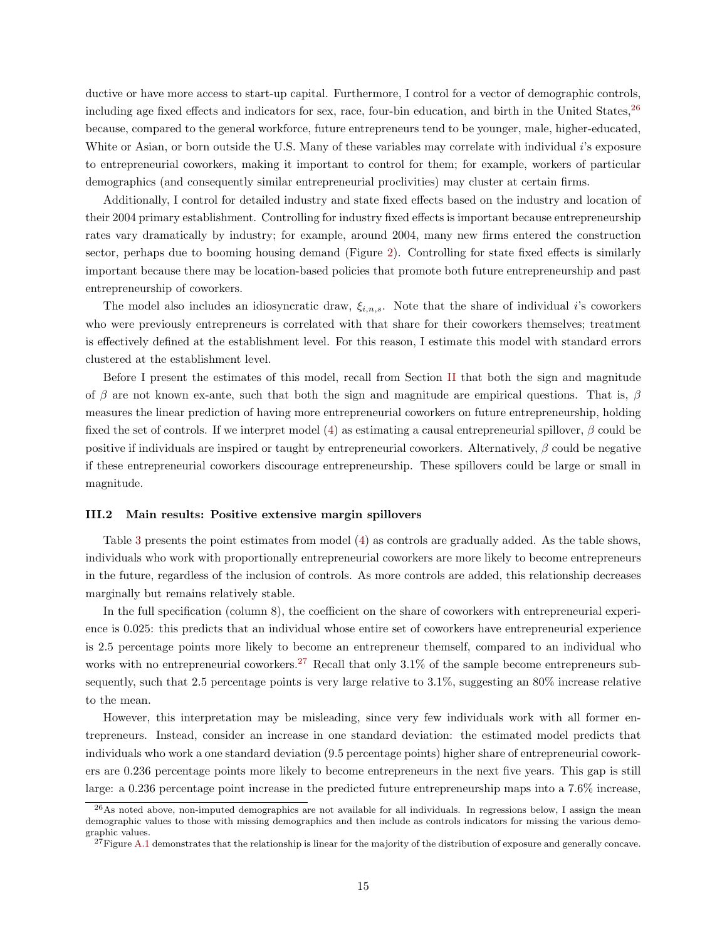ductive or have more access to start-up capital. Furthermore, I control for a vector of demographic controls, including age fixed effects and indicators for sex, race, four-bin education, and birth in the United States,<sup>[26](#page-14-0)</sup> because, compared to the general workforce, future entrepreneurs tend to be younger, male, higher-educated, White or Asian, or born outside the U.S. Many of these variables may correlate with individual i's exposure to entrepreneurial coworkers, making it important to control for them; for example, workers of particular demographics (and consequently similar entrepreneurial proclivities) may cluster at certain firms.

Additionally, I control for detailed industry and state fixed effects based on the industry and location of their 2004 primary establishment. Controlling for industry fixed effects is important because entrepreneurship rates vary dramatically by industry; for example, around 2004, many new firms entered the construction sector, perhaps due to booming housing demand (Figure [2\)](#page-50-1). Controlling for state fixed effects is similarly important because there may be location-based policies that promote both future entrepreneurship and past entrepreneurship of coworkers.

The model also includes an idiosyncratic draw,  $\xi_{i,n,s}$ . Note that the share of individual *i*'s coworkers who were previously entrepreneurs is correlated with that share for their coworkers themselves; treatment is effectively defined at the establishment level. For this reason, I estimate this model with standard errors clustered at the establishment level.

Before I present the estimates of this model, recall from Section [II](#page-9-0) that both the sign and magnitude of β are not known ex-ante, such that both the sign and magnitude are empirical questions. That is, β measures the linear prediction of having more entrepreneurial coworkers on future entrepreneurship, holding fixed the set of controls. If we interpret model [\(4\)](#page-13-5) as estimating a causal entrepreneurial spillover,  $\beta$  could be positive if individuals are inspired or taught by entrepreneurial coworkers. Alternatively,  $\beta$  could be negative if these entrepreneurial coworkers discourage entrepreneurship. These spillovers could be large or small in magnitude.

### III.2 Main results: Positive extensive margin spillovers

Table [3](#page-41-1) presents the point estimates from model [\(4\)](#page-13-5) as controls are gradually added. As the table shows, individuals who work with proportionally entrepreneurial coworkers are more likely to become entrepreneurs in the future, regardless of the inclusion of controls. As more controls are added, this relationship decreases marginally but remains relatively stable.

In the full specification (column 8), the coefficient on the share of coworkers with entrepreneurial experience is 0.025: this predicts that an individual whose entire set of coworkers have entrepreneurial experience is 2.5 percentage points more likely to become an entrepreneur themself, compared to an individual who works with no entrepreneurial coworkers.<sup>[27](#page-14-1)</sup> Recall that only  $3.1\%$  of the sample become entrepreneurs subsequently, such that 2.5 percentage points is very large relative to 3.1%, suggesting an 80% increase relative to the mean.

However, this interpretation may be misleading, since very few individuals work with all former entrepreneurs. Instead, consider an increase in one standard deviation: the estimated model predicts that individuals who work a one standard deviation (9.5 percentage points) higher share of entrepreneurial coworkers are 0.236 percentage points more likely to become entrepreneurs in the next five years. This gap is still large: a 0.236 percentage point increase in the predicted future entrepreneurship maps into a 7.6% increase,

<span id="page-14-0"></span><sup>26</sup>As noted above, non-imputed demographics are not available for all individuals. In regressions below, I assign the mean demographic values to those with missing demographics and then include as controls indicators for missing the various demographic values.

<span id="page-14-1"></span> $^{27}$ Figure [A.1](#page-89-0) demonstrates that the relationship is linear for the majority of the distribution of exposure and generally concave.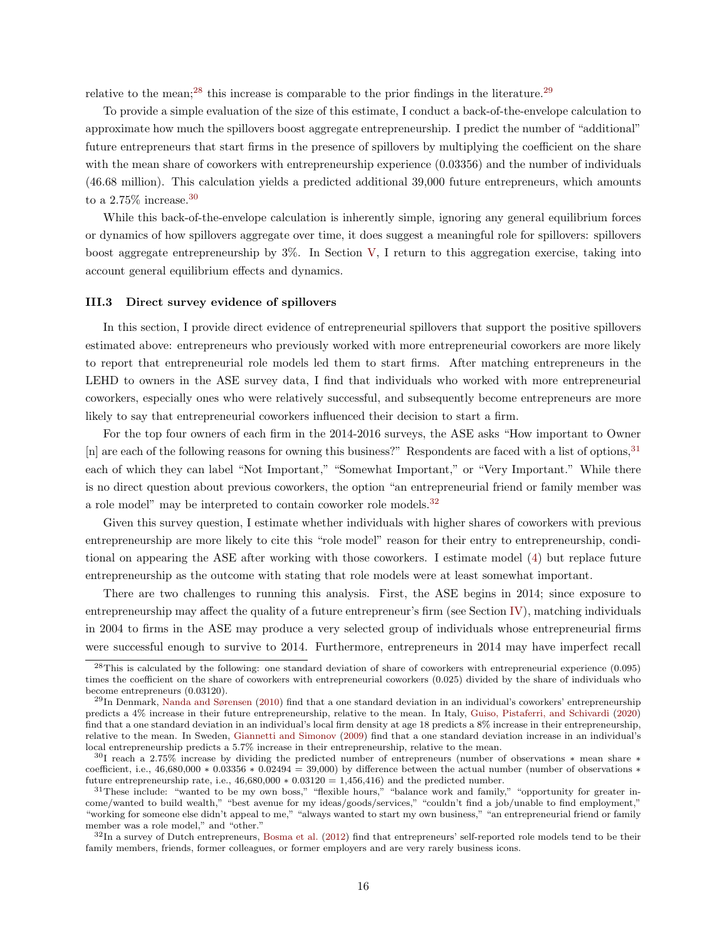relative to the mean;<sup>[28](#page-15-1)</sup> this increase is comparable to the prior findings in the literature.<sup>[29](#page-15-2)</sup>

To provide a simple evaluation of the size of this estimate, I conduct a back-of-the-envelope calculation to approximate how much the spillovers boost aggregate entrepreneurship. I predict the number of "additional" future entrepreneurs that start firms in the presence of spillovers by multiplying the coefficient on the share with the mean share of coworkers with entrepreneurship experience  $(0.03356)$  and the number of individuals (46.68 million). This calculation yields a predicted additional 39,000 future entrepreneurs, which amounts to a 2.75% increase.<sup>[30](#page-15-3)</sup>

While this back-of-the-envelope calculation is inherently simple, ignoring any general equilibrium forces or dynamics of how spillovers aggregate over time, it does suggest a meaningful role for spillovers: spillovers boost aggregate entrepreneurship by 3%. In Section [V,](#page-28-0) I return to this aggregation exercise, taking into account general equilibrium effects and dynamics.

#### <span id="page-15-0"></span>III.3 Direct survey evidence of spillovers

In this section, I provide direct evidence of entrepreneurial spillovers that support the positive spillovers estimated above: entrepreneurs who previously worked with more entrepreneurial coworkers are more likely to report that entrepreneurial role models led them to start firms. After matching entrepreneurs in the LEHD to owners in the ASE survey data, I find that individuals who worked with more entrepreneurial coworkers, especially ones who were relatively successful, and subsequently become entrepreneurs are more likely to say that entrepreneurial coworkers influenced their decision to start a firm.

For the top four owners of each firm in the 2014-2016 surveys, the ASE asks "How important to Owner [n] are each of the following reasons for owning this business?" Respondents are faced with a list of options,<sup>[31](#page-15-4)</sup> each of which they can label "Not Important," "Somewhat Important," or "Very Important." While there is no direct question about previous coworkers, the option "an entrepreneurial friend or family member was a role model" may be interpreted to contain coworker role models.<sup>[32](#page-15-5)</sup>

Given this survey question, I estimate whether individuals with higher shares of coworkers with previous entrepreneurship are more likely to cite this "role model" reason for their entry to entrepreneurship, conditional on appearing the ASE after working with those coworkers. I estimate model [\(4\)](#page-13-5) but replace future entrepreneurship as the outcome with stating that role models were at least somewhat important.

There are two challenges to running this analysis. First, the ASE begins in 2014; since exposure to entrepreneurship may affect the quality of a future entrepreneur's firm (see Section [IV\)](#page-25-0), matching individuals in 2004 to firms in the ASE may produce a very selected group of individuals whose entrepreneurial firms were successful enough to survive to 2014. Furthermore, entrepreneurs in 2014 may have imperfect recall

<span id="page-15-1"></span> $^{28}$ This is calculated by the following: one standard deviation of share of coworkers with entrepreneurial experience (0.095) times the coefficient on the share of coworkers with entrepreneurial coworkers (0.025) divided by the share of individuals who become entrepreneurs (0.03120).

<span id="page-15-2"></span> $^{29}$ In Denmark, [Nanda and Sørensen](#page-38-0) [\(2010\)](#page-38-0) find that a one standard deviation in an individual's coworkers' entrepreneurship predicts a 4% increase in their future entrepreneurship, relative to the mean. In Italy, [Guiso, Pistaferri, and Schivardi](#page-37-0) [\(2020\)](#page-37-0) find that a one standard deviation in an individual's local firm density at age 18 predicts a 8% increase in their entrepreneurship, relative to the mean. In Sweden, [Giannetti and Simonov](#page-37-2) [\(2009\)](#page-37-2) find that a one standard deviation increase in an individual's local entrepreneurship predicts a 5.7% increase in their entrepreneurship, relative to the mean.

<span id="page-15-3"></span><sup>30</sup>I reach a 2.75% increase by dividing the predicted number of entrepreneurs (number of observations ∗ mean share ∗ coefficient, i.e.,  $46,680,000 * 0.03356 * 0.02494 = 39,000$  by difference between the actual number (number of observations \* future entrepreneurship rate, i.e.,  $46,680,000 * 0.03120 = 1.456,416$  and the predicted number.

<span id="page-15-4"></span><sup>&</sup>lt;sup>31</sup>These include: "wanted to be my own boss," "flexible hours," "balance work and family," "opportunity for greater income/wanted to build wealth," "best avenue for my ideas/goods/services," "couldn't find a job/unable to find employment," "working for someone else didn't appeal to me," "always wanted to start my own business," "an entrepreneurial friend or family member was a role model," and "other."

<span id="page-15-5"></span> $32$ In a survey of Dutch entrepreneurs, [Bosma et al.](#page-36-6) [\(2012\)](#page-36-6) find that entrepreneurs' self-reported role models tend to be their family members, friends, former colleagues, or former employers and are very rarely business icons.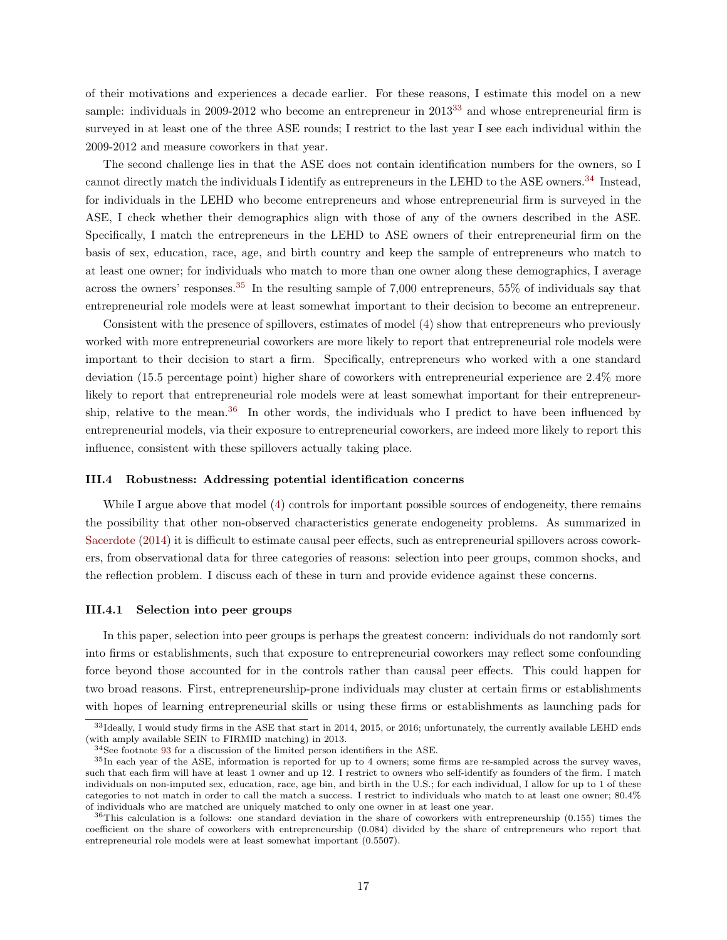of their motivations and experiences a decade earlier. For these reasons, I estimate this model on a new sample: individuals in 2009-2012 who become an entrepreneur in 2013<sup>[33](#page-16-0)</sup> and whose entrepreneurial firm is surveyed in at least one of the three ASE rounds; I restrict to the last year I see each individual within the 2009-2012 and measure coworkers in that year.

The second challenge lies in that the ASE does not contain identification numbers for the owners, so I cannot directly match the individuals I identify as entrepreneurs in the LEHD to the ASE owners.<sup>[34](#page-16-1)</sup> Instead, for individuals in the LEHD who become entrepreneurs and whose entrepreneurial firm is surveyed in the ASE, I check whether their demographics align with those of any of the owners described in the ASE. Specifically, I match the entrepreneurs in the LEHD to ASE owners of their entrepreneurial firm on the basis of sex, education, race, age, and birth country and keep the sample of entrepreneurs who match to at least one owner; for individuals who match to more than one owner along these demographics, I average across the owners' responses.[35](#page-16-2) In the resulting sample of 7,000 entrepreneurs, 55% of individuals say that entrepreneurial role models were at least somewhat important to their decision to become an entrepreneur.

Consistent with the presence of spillovers, estimates of model [\(4\)](#page-13-5) show that entrepreneurs who previously worked with more entrepreneurial coworkers are more likely to report that entrepreneurial role models were important to their decision to start a firm. Specifically, entrepreneurs who worked with a one standard deviation (15.5 percentage point) higher share of coworkers with entrepreneurial experience are 2.4% more likely to report that entrepreneurial role models were at least somewhat important for their entrepreneur-ship, relative to the mean.<sup>[36](#page-16-3)</sup> In other words, the individuals who I predict to have been influenced by entrepreneurial models, via their exposure to entrepreneurial coworkers, are indeed more likely to report this influence, consistent with these spillovers actually taking place.

# III.4 Robustness: Addressing potential identification concerns

While I argue above that model [\(4\)](#page-13-5) controls for important possible sources of endogeneity, there remains the possibility that other non-observed characteristics generate endogeneity problems. As summarized in [Sacerdote](#page-39-4) [\(2014\)](#page-39-4) it is difficult to estimate causal peer effects, such as entrepreneurial spillovers across coworkers, from observational data for three categories of reasons: selection into peer groups, common shocks, and the reflection problem. I discuss each of these in turn and provide evidence against these concerns.

#### III.4.1 Selection into peer groups

In this paper, selection into peer groups is perhaps the greatest concern: individuals do not randomly sort into firms or establishments, such that exposure to entrepreneurial coworkers may reflect some confounding force beyond those accounted for in the controls rather than causal peer effects. This could happen for two broad reasons. First, entrepreneurship-prone individuals may cluster at certain firms or establishments with hopes of learning entrepreneurial skills or using these firms or establishments as launching pads for

<span id="page-16-0"></span> $33$ Ideally, I would study firms in the ASE that start in 2014, 2015, or 2016; unfortunately, the currently available LEHD ends (with amply available SEIN to FIRMID matching) in 2013.

<span id="page-16-2"></span><span id="page-16-1"></span> $34$ See footnote [93](#page-57-0) for a discussion of the limited person identifiers in the ASE.

 $35$ In each year of the ASE, information is reported for up to 4 owners; some firms are re-sampled across the survey waves, such that each firm will have at least 1 owner and up 12. I restrict to owners who self-identify as founders of the firm. I match individuals on non-imputed sex, education, race, age bin, and birth in the U.S.; for each individual, I allow for up to 1 of these categories to not match in order to call the match a success. I restrict to individuals who match to at least one owner; 80.4% of individuals who are matched are uniquely matched to only one owner in at least one year.

<span id="page-16-3"></span> $36$ This calculation is a follows: one standard deviation in the share of coworkers with entrepreneurship  $(0.155)$  times the coefficient on the share of coworkers with entrepreneurship (0.084) divided by the share of entrepreneurs who report that entrepreneurial role models were at least somewhat important (0.5507).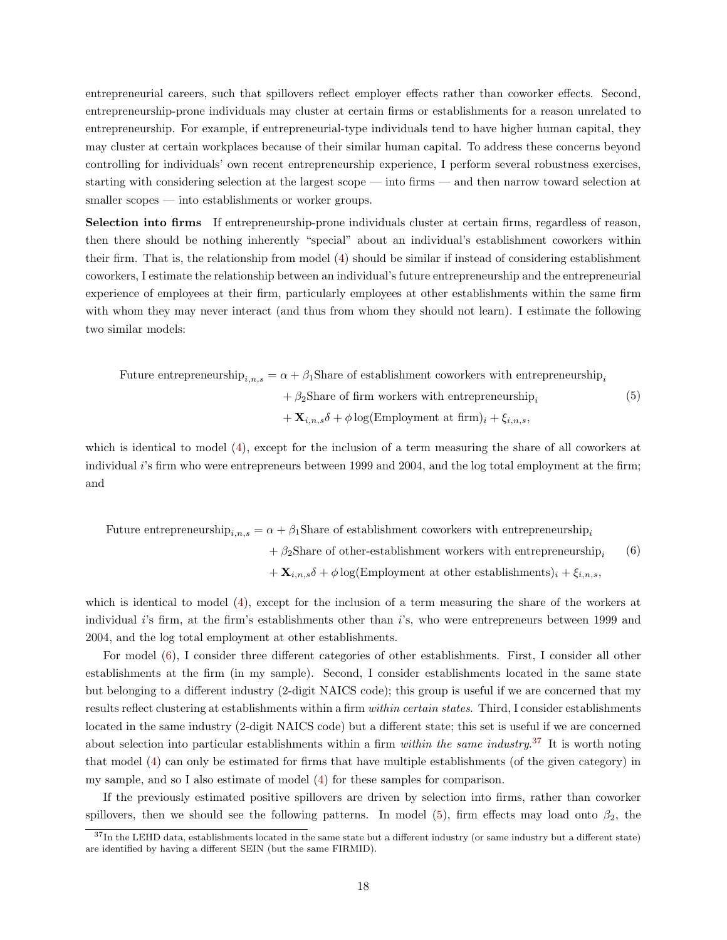entrepreneurial careers, such that spillovers reflect employer effects rather than coworker effects. Second, entrepreneurship-prone individuals may cluster at certain firms or establishments for a reason unrelated to entrepreneurship. For example, if entrepreneurial-type individuals tend to have higher human capital, they may cluster at certain workplaces because of their similar human capital. To address these concerns beyond controlling for individuals' own recent entrepreneurship experience, I perform several robustness exercises, starting with considering selection at the largest scope — into firms — and then narrow toward selection at smaller scopes — into establishments or worker groups.

Selection into firms If entrepreneurship-prone individuals cluster at certain firms, regardless of reason, then there should be nothing inherently "special" about an individual's establishment coworkers within their firm. That is, the relationship from model [\(4\)](#page-13-5) should be similar if instead of considering establishment coworkers, I estimate the relationship between an individual's future entrepreneurship and the entrepreneurial experience of employees at their firm, particularly employees at other establishments within the same firm with whom they may never interact (and thus from whom they should not learn). I estimate the following two similar models:

Future entrepreneurship<sub>i,n,s</sub> =  $\alpha + \beta_1$ Share of establishment coworkers with entrepreneurship<sub>i</sub>  $+ \beta_2$ Share of firm workers with entrepreneurship<sub>i</sub>  $+ \mathbf{X}_{i,n,s} \delta + \phi \log(\text{Emplogment at firm})_i + \xi_{i,n,s}$ (5)

which is identical to model [\(4\)](#page-13-5), except for the inclusion of a term measuring the share of all coworkers at individual i's firm who were entrepreneurs between 1999 and 2004, and the log total employment at the firm; and

Future entrepreneurship<sub>i,n,s</sub> =  $\alpha + \beta_1$ Share of establishment coworkers with entrepreneurship<sub>i</sub>

<span id="page-17-2"></span><span id="page-17-0"></span> $+ \beta_2$ Share of other-establishment workers with entrepreneurship  $+ \mathbf{X}_{i,n,s} \delta + \phi \log(\text{Emplogment at other establishes})_i + \xi_{i,n,s}$ , (6)

which is identical to model [\(4\)](#page-13-5), except for the inclusion of a term measuring the share of the workers at individual i's firm, at the firm's establishments other than i's, who were entrepreneurs between 1999 and 2004, and the log total employment at other establishments.

For model [\(6\)](#page-17-0), I consider three different categories of other establishments. First, I consider all other establishments at the firm (in my sample). Second, I consider establishments located in the same state but belonging to a different industry (2-digit NAICS code); this group is useful if we are concerned that my results reflect clustering at establishments within a firm within certain states. Third, I consider establishments located in the same industry (2-digit NAICS code) but a different state; this set is useful if we are concerned about selection into particular establishments within a firm *within the same industry*.<sup>[37](#page-17-1)</sup> It is worth noting that model [\(4\)](#page-42-0) can only be estimated for firms that have multiple establishments (of the given category) in my sample, and so I also estimate of model [\(4\)](#page-13-5) for these samples for comparison.

If the previously estimated positive spillovers are driven by selection into firms, rather than coworker spillovers, then we should see the following patterns. In model [\(5\)](#page-17-2), firm effects may load onto  $\beta_2$ , the

<span id="page-17-1"></span> $37$ In the LEHD data, establishments located in the same state but a different industry (or same industry but a different state) are identified by having a different SEIN (but the same FIRMID).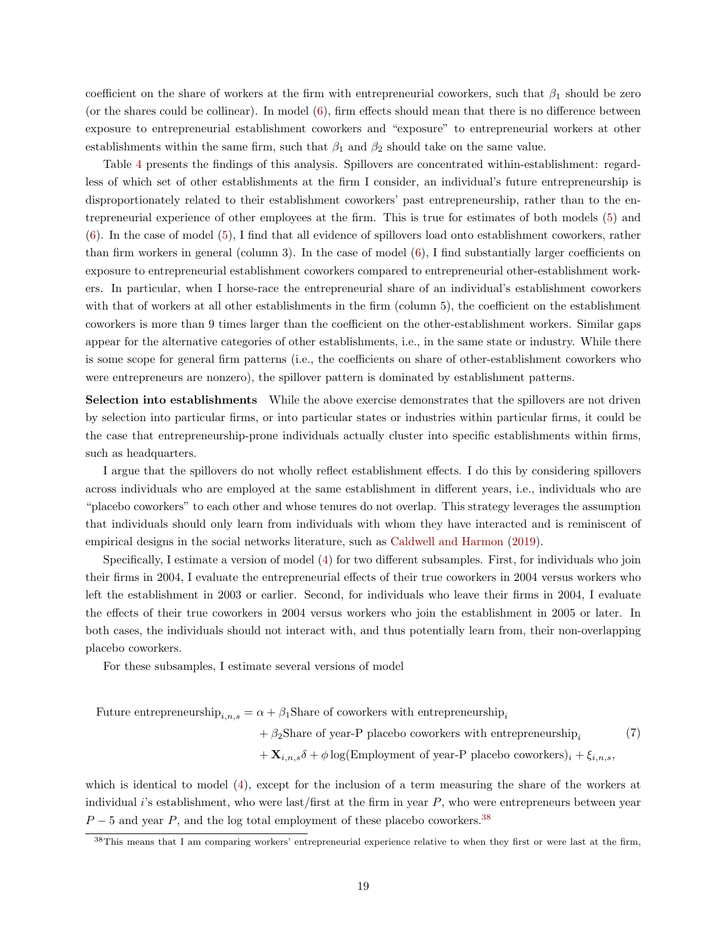coefficient on the share of workers at the firm with entrepreneurial coworkers, such that  $\beta_1$  should be zero (or the shares could be collinear). In model [\(6\)](#page-17-0), firm effects should mean that there is no difference between exposure to entrepreneurial establishment coworkers and "exposure" to entrepreneurial workers at other establishments within the same firm, such that  $\beta_1$  and  $\beta_2$  should take on the same value.

Table [4](#page-42-0) presents the findings of this analysis. Spillovers are concentrated within-establishment: regardless of which set of other establishments at the firm I consider, an individual's future entrepreneurship is disproportionately related to their establishment coworkers' past entrepreneurship, rather than to the entrepreneurial experience of other employees at the firm. This is true for estimates of both models [\(5\)](#page-17-2) and [\(6\)](#page-17-0). In the case of model [\(5\)](#page-17-2), I find that all evidence of spillovers load onto establishment coworkers, rather than firm workers in general (column 3). In the case of model [\(6\)](#page-17-0), I find substantially larger coefficients on exposure to entrepreneurial establishment coworkers compared to entrepreneurial other-establishment workers. In particular, when I horse-race the entrepreneurial share of an individual's establishment coworkers with that of workers at all other establishments in the firm (column 5), the coefficient on the establishment coworkers is more than 9 times larger than the coefficient on the other-establishment workers. Similar gaps appear for the alternative categories of other establishments, i.e., in the same state or industry. While there is some scope for general firm patterns (i.e., the coefficients on share of other-establishment coworkers who were entrepreneurs are nonzero), the spillover pattern is dominated by establishment patterns.

Selection into establishments While the above exercise demonstrates that the spillovers are not driven by selection into particular firms, or into particular states or industries within particular firms, it could be the case that entrepreneurship-prone individuals actually cluster into specific establishments within firms, such as headquarters.

I argue that the spillovers do not wholly reflect establishment effects. I do this by considering spillovers across individuals who are employed at the same establishment in different years, i.e., individuals who are "placebo coworkers" to each other and whose tenures do not overlap. This strategy leverages the assumption that individuals should only learn from individuals with whom they have interacted and is reminiscent of empirical designs in the social networks literature, such as [Caldwell and Harmon](#page-36-15) [\(2019\)](#page-36-15).

Specifically, I estimate a version of model [\(4\)](#page-13-5) for two different subsamples. First, for individuals who join their firms in 2004, I evaluate the entrepreneurial effects of their true coworkers in 2004 versus workers who left the establishment in 2003 or earlier. Second, for individuals who leave their firms in 2004, I evaluate the effects of their true coworkers in 2004 versus workers who join the establishment in 2005 or later. In both cases, the individuals should not interact with, and thus potentially learn from, their non-overlapping placebo coworkers.

For these subsamples, I estimate several versions of model

Future entrepreneurship<sub>i,n,s</sub> =  $\alpha + \beta_1$ Share of coworkers with entrepreneurship<sub>i</sub>

 $+ \beta_2$ Share of year-P placebo coworkers with entrepreneurship, (7)

 $+ \mathbf{X}_{i,n,s} \delta + \phi \log(\text{Emplogment of year-P placebo coworkers})_i + \xi_{i,n,s}$ ,

which is identical to model [\(4\)](#page-13-5), except for the inclusion of a term measuring the share of the workers at individual i's establishment, who were last/first at the firm in year  $P$ , who were entrepreneurs between year  $P-5$  and year P, and the log total employment of these placebo coworkers.<sup>[38](#page-18-0)</sup>

<span id="page-18-0"></span><sup>38</sup>This means that I am comparing workers' entrepreneurial experience relative to when they first or were last at the firm,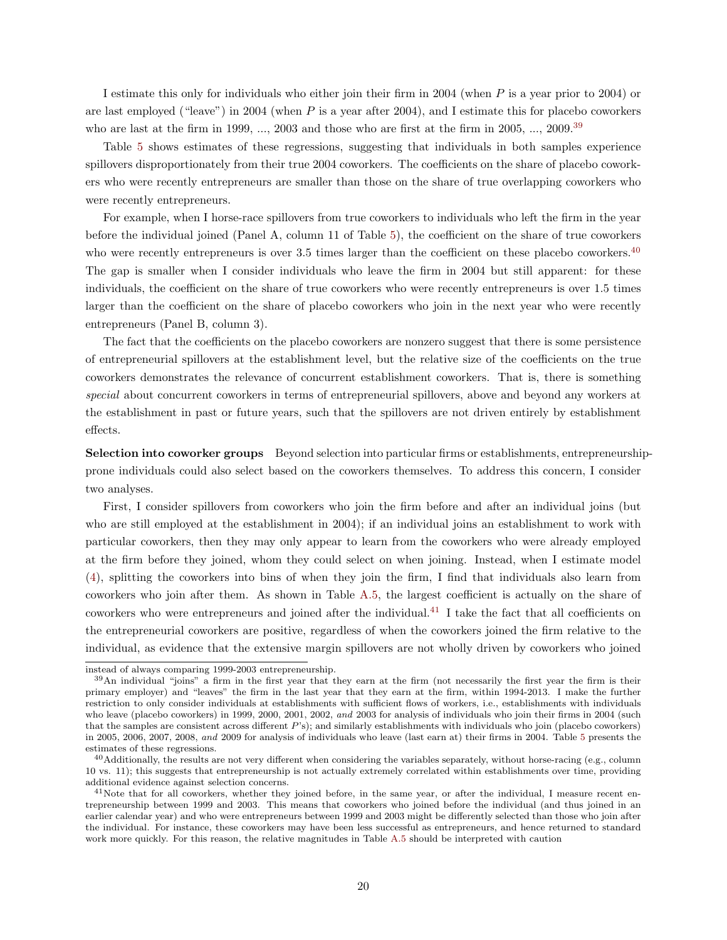I estimate this only for individuals who either join their firm in 2004 (when P is a year prior to 2004) or are last employed ("leave") in 2004 (when  $P$  is a year after 2004), and I estimate this for placebo coworkers who are last at the firm in 1999, ..., 2003 and those who are first at the firm in 2005, ..., 2009.<sup>[39](#page-19-0)</sup>

Table [5](#page-43-0) shows estimates of these regressions, suggesting that individuals in both samples experience spillovers disproportionately from their true 2004 coworkers. The coefficients on the share of placebo coworkers who were recently entrepreneurs are smaller than those on the share of true overlapping coworkers who were recently entrepreneurs.

For example, when I horse-race spillovers from true coworkers to individuals who left the firm in the year before the individual joined (Panel A, column 11 of Table [5\)](#page-43-0), the coefficient on the share of true coworkers who were recently entrepreneurs is over 3.5 times larger than the coefficient on these placebo coworkers.<sup>[40](#page-19-1)</sup> The gap is smaller when I consider individuals who leave the firm in 2004 but still apparent: for these individuals, the coefficient on the share of true coworkers who were recently entrepreneurs is over 1.5 times larger than the coefficient on the share of placebo coworkers who join in the next year who were recently entrepreneurs (Panel B, column 3).

The fact that the coefficients on the placebo coworkers are nonzero suggest that there is some persistence of entrepreneurial spillovers at the establishment level, but the relative size of the coefficients on the true coworkers demonstrates the relevance of concurrent establishment coworkers. That is, there is something special about concurrent coworkers in terms of entrepreneurial spillovers, above and beyond any workers at the establishment in past or future years, such that the spillovers are not driven entirely by establishment effects.

Selection into coworker groups Beyond selection into particular firms or establishments, entrepreneurshipprone individuals could also select based on the coworkers themselves. To address this concern, I consider two analyses.

First, I consider spillovers from coworkers who join the firm before and after an individual joins (but who are still employed at the establishment in 2004); if an individual joins an establishment to work with particular coworkers, then they may only appear to learn from the coworkers who were already employed at the firm before they joined, whom they could select on when joining. Instead, when I estimate model [\(4\)](#page-13-5), splitting the coworkers into bins of when they join the firm, I find that individuals also learn from coworkers who join after them. As shown in Table [A.5,](#page-71-0) the largest coefficient is actually on the share of coworkers who were entrepreneurs and joined after the individual.<sup>[41](#page-19-2)</sup> I take the fact that all coefficients on the entrepreneurial coworkers are positive, regardless of when the coworkers joined the firm relative to the individual, as evidence that the extensive margin spillovers are not wholly driven by coworkers who joined

instead of always comparing 1999-2003 entrepreneurship.

<span id="page-19-0"></span> $39$ An individual "joins" a firm in the first year that they earn at the firm (not necessarily the first year the firm is their primary employer) and "leaves" the firm in the last year that they earn at the firm, within 1994-2013. I make the further restriction to only consider individuals at establishments with sufficient flows of workers, i.e., establishments with individuals who leave (placebo coworkers) in 1999, 2000, 2001, 2002, and 2003 for analysis of individuals who join their firms in 2004 (such that the samples are consistent across different P's); and similarly establishments with individuals who join (placebo coworkers) in 2005, 2006, 2007, 2008, and 2009 for analysis of individuals who leave (last earn at) their firms in 2004. Table [5](#page-43-0) presents the estimates of these regressions.

<span id="page-19-1"></span> $^{40}\rm{Additionally,}$  the results are not very different when considering the variables separately, without horse-racing (e.g., column 10 vs. 11); this suggests that entrepreneurship is not actually extremely correlated within establishments over time, providing additional evidence against selection concerns.

<span id="page-19-2"></span><sup>&</sup>lt;sup>41</sup>Note that for all coworkers, whether they joined before, in the same year, or after the individual, I measure recent entrepreneurship between 1999 and 2003. This means that coworkers who joined before the individual (and thus joined in an earlier calendar year) and who were entrepreneurs between 1999 and 2003 might be differently selected than those who join after the individual. For instance, these coworkers may have been less successful as entrepreneurs, and hence returned to standard work more quickly. For this reason, the relative magnitudes in Table [A.5](#page-71-0) should be interpreted with caution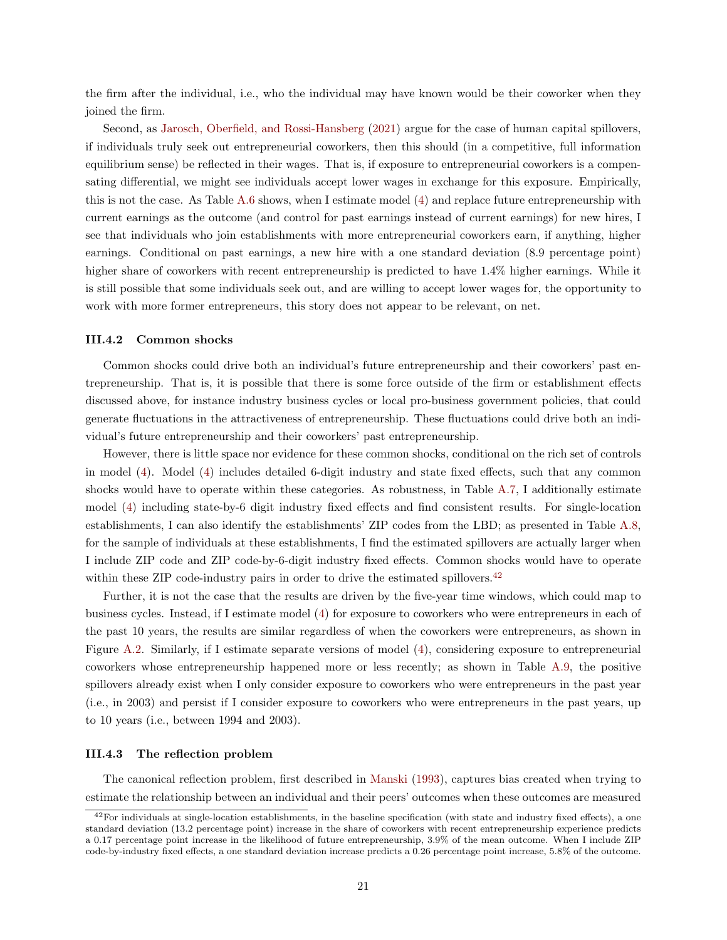the firm after the individual, i.e., who the individual may have known would be their coworker when they joined the firm.

Second, as [Jarosch, Oberfield, and Rossi-Hansberg](#page-38-17) [\(2021\)](#page-38-17) argue for the case of human capital spillovers, if individuals truly seek out entrepreneurial coworkers, then this should (in a competitive, full information equilibrium sense) be reflected in their wages. That is, if exposure to entrepreneurial coworkers is a compensating differential, we might see individuals accept lower wages in exchange for this exposure. Empirically, this is not the case. As Table [A.6](#page-71-1) shows, when I estimate model [\(4\)](#page-13-5) and replace future entrepreneurship with current earnings as the outcome (and control for past earnings instead of current earnings) for new hires, I see that individuals who join establishments with more entrepreneurial coworkers earn, if anything, higher earnings. Conditional on past earnings, a new hire with a one standard deviation (8.9 percentage point) higher share of coworkers with recent entrepreneurship is predicted to have 1.4% higher earnings. While it is still possible that some individuals seek out, and are willing to accept lower wages for, the opportunity to work with more former entrepreneurs, this story does not appear to be relevant, on net.

# III.4.2 Common shocks

Common shocks could drive both an individual's future entrepreneurship and their coworkers' past entrepreneurship. That is, it is possible that there is some force outside of the firm or establishment effects discussed above, for instance industry business cycles or local pro-business government policies, that could generate fluctuations in the attractiveness of entrepreneurship. These fluctuations could drive both an individual's future entrepreneurship and their coworkers' past entrepreneurship.

However, there is little space nor evidence for these common shocks, conditional on the rich set of controls in model [\(4\)](#page-13-5). Model [\(4\)](#page-13-5) includes detailed 6-digit industry and state fixed effects, such that any common shocks would have to operate within these categories. As robustness, in Table [A.7,](#page-72-0) I additionally estimate model [\(4\)](#page-13-5) including state-by-6 digit industry fixed effects and find consistent results. For single-location establishments, I can also identify the establishments' ZIP codes from the LBD; as presented in Table [A.8,](#page-73-0) for the sample of individuals at these establishments, I find the estimated spillovers are actually larger when I include ZIP code and ZIP code-by-6-digit industry fixed effects. Common shocks would have to operate within these ZIP code-industry pairs in order to drive the estimated spillovers.<sup>[42](#page-20-0)</sup>

Further, it is not the case that the results are driven by the five-year time windows, which could map to business cycles. Instead, if I estimate model [\(4\)](#page-13-5) for exposure to coworkers who were entrepreneurs in each of the past 10 years, the results are similar regardless of when the coworkers were entrepreneurs, as shown in Figure [A.2.](#page-89-1) Similarly, if I estimate separate versions of model [\(4\)](#page-13-5), considering exposure to entrepreneurial coworkers whose entrepreneurship happened more or less recently; as shown in Table [A.9,](#page-74-0) the positive spillovers already exist when I only consider exposure to coworkers who were entrepreneurs in the past year (i.e., in 2003) and persist if I consider exposure to coworkers who were entrepreneurs in the past years, up to 10 years (i.e., between 1994 and 2003).

#### III.4.3 The reflection problem

The canonical reflection problem, first described in [Manski](#page-38-18) [\(1993\)](#page-38-18), captures bias created when trying to estimate the relationship between an individual and their peers' outcomes when these outcomes are measured

<span id="page-20-0"></span> $42$ For individuals at single-location establishments, in the baseline specification (with state and industry fixed effects), a one standard deviation (13.2 percentage point) increase in the share of coworkers with recent entrepreneurship experience predicts a 0.17 percentage point increase in the likelihood of future entrepreneurship, 3.9% of the mean outcome. When I include ZIP code-by-industry fixed effects, a one standard deviation increase predicts a 0.26 percentage point increase, 5.8% of the outcome.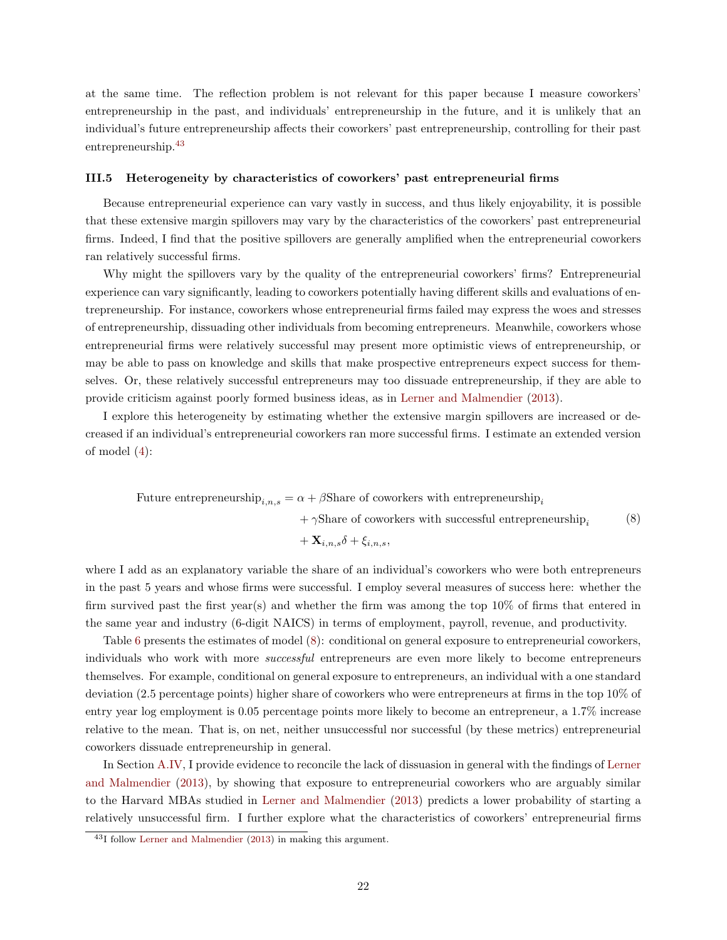at the same time. The reflection problem is not relevant for this paper because I measure coworkers' entrepreneurship in the past, and individuals' entrepreneurship in the future, and it is unlikely that an individual's future entrepreneurship affects their coworkers' past entrepreneurship, controlling for their past entrepreneurship.[43](#page-21-0)

#### III.5 Heterogeneity by characteristics of coworkers' past entrepreneurial firms

Because entrepreneurial experience can vary vastly in success, and thus likely enjoyability, it is possible that these extensive margin spillovers may vary by the characteristics of the coworkers' past entrepreneurial firms. Indeed, I find that the positive spillovers are generally amplified when the entrepreneurial coworkers ran relatively successful firms.

Why might the spillovers vary by the quality of the entrepreneurial coworkers' firms? Entrepreneurial experience can vary significantly, leading to coworkers potentially having different skills and evaluations of entrepreneurship. For instance, coworkers whose entrepreneurial firms failed may express the woes and stresses of entrepreneurship, dissuading other individuals from becoming entrepreneurs. Meanwhile, coworkers whose entrepreneurial firms were relatively successful may present more optimistic views of entrepreneurship, or may be able to pass on knowledge and skills that make prospective entrepreneurs expect success for themselves. Or, these relatively successful entrepreneurs may too dissuade entrepreneurship, if they are able to provide criticism against poorly formed business ideas, as in [Lerner and Malmendier](#page-38-1) [\(2013\)](#page-38-1).

I explore this heterogeneity by estimating whether the extensive margin spillovers are increased or decreased if an individual's entrepreneurial coworkers ran more successful firms. I estimate an extended version of model [\(4\)](#page-13-5):

Future entrepreneurship
$$
_{i,n,s} = \alpha + \beta
$$
Share of coworkers with entrepreneurship $_{i}$  $+ \gamma$ Share of coworkers with successful entrepreneurship $_{i}$  (8)

<span id="page-21-1"></span> $+ \mathbf{X}_{i,n,s} \delta + \xi_{i,n,s}$ 

where I add as an explanatory variable the share of an individual's coworkers who were both entrepreneurs in the past 5 years and whose firms were successful. I employ several measures of success here: whether the firm survived past the first year(s) and whether the firm was among the top 10% of firms that entered in the same year and industry (6-digit NAICS) in terms of employment, payroll, revenue, and productivity.

Table [6](#page-44-0) presents the estimates of model [\(8\)](#page-21-1): conditional on general exposure to entrepreneurial coworkers, individuals who work with more *successful* entrepreneurs are even more likely to become entrepreneurs themselves. For example, conditional on general exposure to entrepreneurs, an individual with a one standard deviation (2.5 percentage points) higher share of coworkers who were entrepreneurs at firms in the top 10% of entry year log employment is 0.05 percentage points more likely to become an entrepreneur, a 1.7% increase relative to the mean. That is, on net, neither unsuccessful nor successful (by these metrics) entrepreneurial coworkers dissuade entrepreneurship in general.

In Section [A.IV,](#page-69-0) I provide evidence to reconcile the lack of dissuasion in general with the findings of [Lerner](#page-38-1) [and Malmendier](#page-38-1) [\(2013\)](#page-38-1), by showing that exposure to entrepreneurial coworkers who are arguably similar to the Harvard MBAs studied in [Lerner and Malmendier](#page-38-1) [\(2013\)](#page-38-1) predicts a lower probability of starting a relatively unsuccessful firm. I further explore what the characteristics of coworkers' entrepreneurial firms

<span id="page-21-0"></span><sup>43</sup>I follow [Lerner and Malmendier](#page-38-1) [\(2013\)](#page-38-1) in making this argument.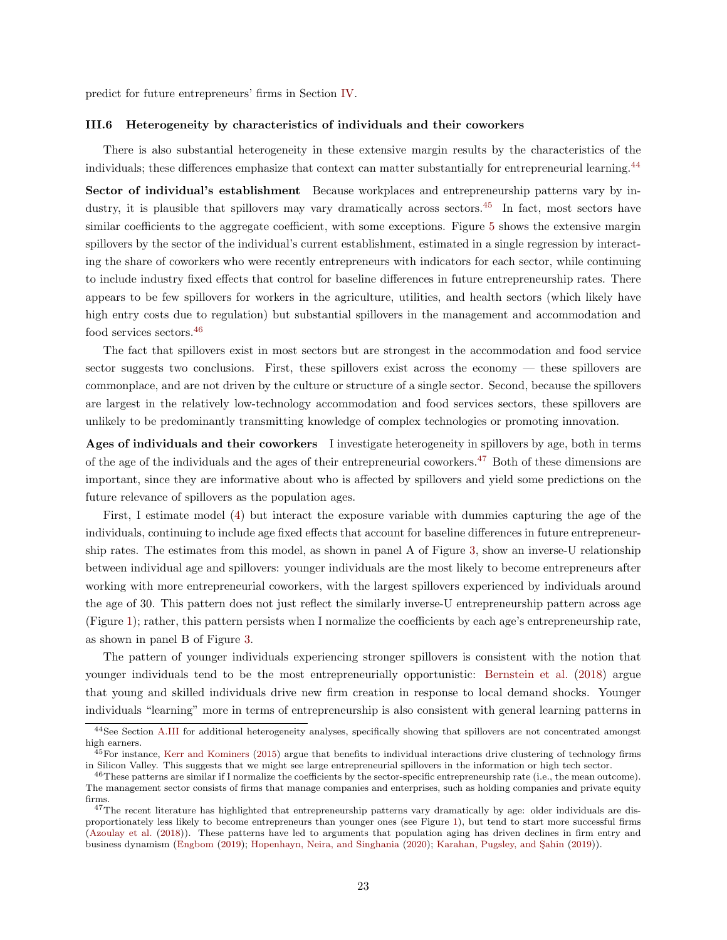predict for future entrepreneurs' firms in Section [IV.](#page-25-0)

## III.6 Heterogeneity by characteristics of individuals and their coworkers

There is also substantial heterogeneity in these extensive margin results by the characteristics of the individuals; these differences emphasize that context can matter substantially for entrepreneurial learning.<sup>[44](#page-22-0)</sup>

Sector of individual's establishment Because workplaces and entrepreneurship patterns vary by in-dustry, it is plausible that spillovers may vary dramatically across sectors.<sup>[45](#page-22-1)</sup> In fact, most sectors have similar coefficients to the aggregate coefficient, with some exceptions. Figure [5](#page-52-0) shows the extensive margin spillovers by the sector of the individual's current establishment, estimated in a single regression by interacting the share of coworkers who were recently entrepreneurs with indicators for each sector, while continuing to include industry fixed effects that control for baseline differences in future entrepreneurship rates. There appears to be few spillovers for workers in the agriculture, utilities, and health sectors (which likely have high entry costs due to regulation) but substantial spillovers in the management and accommodation and food services sectors.[46](#page-22-2)

The fact that spillovers exist in most sectors but are strongest in the accommodation and food service sector suggests two conclusions. First, these spillovers exist across the economy  $-$  these spillovers are commonplace, and are not driven by the culture or structure of a single sector. Second, because the spillovers are largest in the relatively low-technology accommodation and food services sectors, these spillovers are unlikely to be predominantly transmitting knowledge of complex technologies or promoting innovation.

Ages of individuals and their coworkers I investigate heterogeneity in spillovers by age, both in terms of the age of the individuals and the ages of their entrepreneurial coworkers.[47](#page-22-3) Both of these dimensions are important, since they are informative about who is affected by spillovers and yield some predictions on the future relevance of spillovers as the population ages.

First, I estimate model [\(4\)](#page-13-5) but interact the exposure variable with dummies capturing the age of the individuals, continuing to include age fixed effects that account for baseline differences in future entrepreneurship rates. The estimates from this model, as shown in panel A of Figure [3,](#page-51-0) show an inverse-U relationship between individual age and spillovers: younger individuals are the most likely to become entrepreneurs after working with more entrepreneurial coworkers, with the largest spillovers experienced by individuals around the age of 30. This pattern does not just reflect the similarly inverse-U entrepreneurship pattern across age (Figure [1\)](#page-50-0); rather, this pattern persists when I normalize the coefficients by each age's entrepreneurship rate, as shown in panel B of Figure [3.](#page-51-0)

The pattern of younger individuals experiencing stronger spillovers is consistent with the notion that younger individuals tend to be the most entrepreneurially opportunistic: [Bernstein et al.](#page-36-16) [\(2018\)](#page-36-16) argue that young and skilled individuals drive new firm creation in response to local demand shocks. Younger individuals "learning" more in terms of entrepreneurship is also consistent with general learning patterns in

<span id="page-22-0"></span><sup>&</sup>lt;sup>44</sup>See Section [A.III](#page-64-0) for additional heterogeneity analyses, specifically showing that spillovers are not concentrated amongst high earners.

<span id="page-22-1"></span> $^{45}$ For instance, [Kerr and Kominers](#page-38-4) [\(2015\)](#page-38-4) argue that benefits to individual interactions drive clustering of technology firms in Silicon Valley. This suggests that we might see large entrepreneurial spillovers in the information or high tech sector.

<span id="page-22-2"></span><sup>46</sup>These patterns are similar if I normalize the coefficients by the sector-specific entrepreneurship rate (i.e., the mean outcome). The management sector consists of firms that manage companies and enterprises, such as holding companies and private equity firms.

<span id="page-22-3"></span><sup>&</sup>lt;sup>47</sup>The recent literature has highlighted that entrepreneurship patterns vary dramatically by age: older individuals are disproportionately less likely to become entrepreneurs than younger ones (see Figure [1\)](#page-50-0), but tend to start more successful firms [\(Azoulay et al.](#page-36-1) [\(2018\)](#page-36-1)). These patterns have led to arguments that population aging has driven declines in firm entry and business dynamism [\(Engbom](#page-37-19) [\(2019\)](#page-38-14); [Hopenhayn, Neira, and Singhania](#page-38-19) [\(2020\)](#page-38-19); Karahan, Pugsley, and Şahin (2019)).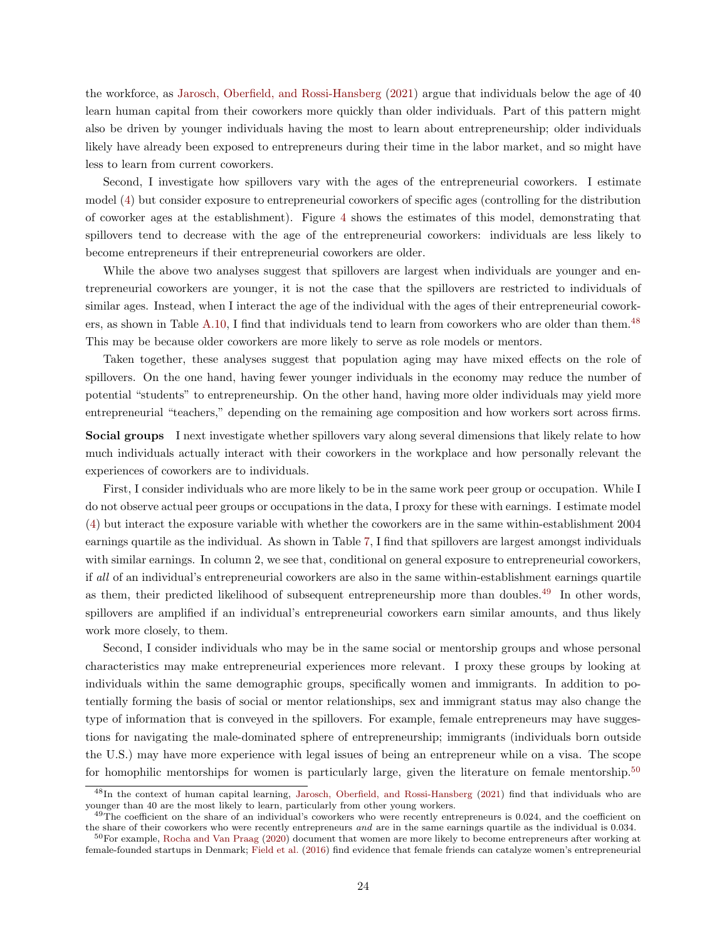the workforce, as [Jarosch, Oberfield, and Rossi-Hansberg](#page-38-17) [\(2021\)](#page-38-17) argue that individuals below the age of 40 learn human capital from their coworkers more quickly than older individuals. Part of this pattern might also be driven by younger individuals having the most to learn about entrepreneurship; older individuals likely have already been exposed to entrepreneurs during their time in the labor market, and so might have less to learn from current coworkers.

Second, I investigate how spillovers vary with the ages of the entrepreneurial coworkers. I estimate model [\(4\)](#page-13-5) but consider exposure to entrepreneurial coworkers of specific ages (controlling for the distribution of coworker ages at the establishment). Figure [4](#page-51-1) shows the estimates of this model, demonstrating that spillovers tend to decrease with the age of the entrepreneurial coworkers: individuals are less likely to become entrepreneurs if their entrepreneurial coworkers are older.

While the above two analyses suggest that spillovers are largest when individuals are younger and entrepreneurial coworkers are younger, it is not the case that the spillovers are restricted to individuals of similar ages. Instead, when I interact the age of the individual with the ages of their entrepreneurial cowork-ers, as shown in Table [A.10,](#page-75-0) I find that individuals tend to learn from coworkers who are older than them.<sup>[48](#page-23-0)</sup> This may be because older coworkers are more likely to serve as role models or mentors.

Taken together, these analyses suggest that population aging may have mixed effects on the role of spillovers. On the one hand, having fewer younger individuals in the economy may reduce the number of potential "students" to entrepreneurship. On the other hand, having more older individuals may yield more entrepreneurial "teachers," depending on the remaining age composition and how workers sort across firms.

Social groups I next investigate whether spillovers vary along several dimensions that likely relate to how much individuals actually interact with their coworkers in the workplace and how personally relevant the experiences of coworkers are to individuals.

First, I consider individuals who are more likely to be in the same work peer group or occupation. While I do not observe actual peer groups or occupations in the data, I proxy for these with earnings. I estimate model [\(4\)](#page-13-5) but interact the exposure variable with whether the coworkers are in the same within-establishment 2004 earnings quartile as the individual. As shown in Table [7,](#page-45-0) I find that spillovers are largest amongst individuals with similar earnings. In column 2, we see that, conditional on general exposure to entrepreneurial coworkers, if all of an individual's entrepreneurial coworkers are also in the same within-establishment earnings quartile as them, their predicted likelihood of subsequent entrepreneurship more than doubles.<sup>[49](#page-23-1)</sup> In other words, spillovers are amplified if an individual's entrepreneurial coworkers earn similar amounts, and thus likely work more closely, to them.

Second, I consider individuals who may be in the same social or mentorship groups and whose personal characteristics may make entrepreneurial experiences more relevant. I proxy these groups by looking at individuals within the same demographic groups, specifically women and immigrants. In addition to potentially forming the basis of social or mentor relationships, sex and immigrant status may also change the type of information that is conveyed in the spillovers. For example, female entrepreneurs may have suggestions for navigating the male-dominated sphere of entrepreneurship; immigrants (individuals born outside the U.S.) may have more experience with legal issues of being an entrepreneur while on a visa. The scope for homophilic mentorships for women is particularly large, given the literature on female mentorship.[50](#page-23-2)

<span id="page-23-0"></span><sup>48</sup>In the context of human capital learning, [Jarosch, Oberfield, and Rossi-Hansberg](#page-38-17) [\(2021\)](#page-38-17) find that individuals who are younger than 40 are the most likely to learn, particularly from other young workers.

<span id="page-23-1"></span> $^{49}$ The coefficient on the share of an individual's coworkers who were recently entrepreneurs is 0.024, and the coefficient on the share of their coworkers who were recently entrepreneurs and are in the same earnings quartile as the individual is 0.034.

<span id="page-23-2"></span><sup>50</sup>For example, [Rocha and Van Praag](#page-38-20) [\(2020\)](#page-38-20) document that women are more likely to become entrepreneurs after working at female-founded startups in Denmark; [Field et al.](#page-37-10) [\(2016\)](#page-37-10) find evidence that female friends can catalyze women's entrepreneurial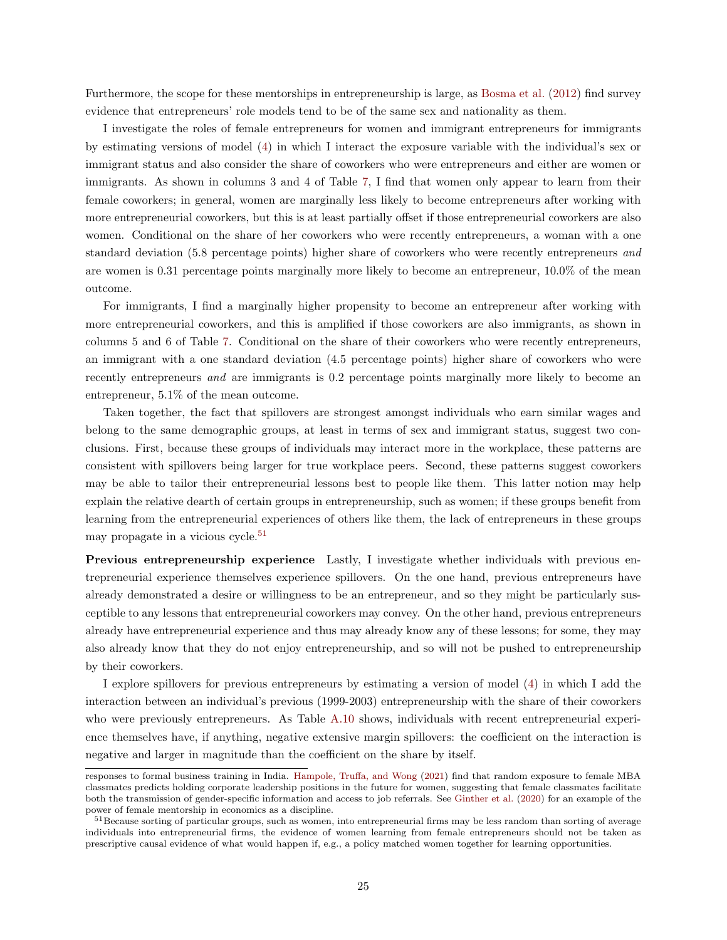Furthermore, the scope for these mentorships in entrepreneurship is large, as [Bosma et al.](#page-36-6) [\(2012\)](#page-36-6) find survey evidence that entrepreneurs' role models tend to be of the same sex and nationality as them.

I investigate the roles of female entrepreneurs for women and immigrant entrepreneurs for immigrants by estimating versions of model [\(4\)](#page-13-5) in which I interact the exposure variable with the individual's sex or immigrant status and also consider the share of coworkers who were entrepreneurs and either are women or immigrants. As shown in columns 3 and 4 of Table [7,](#page-45-0) I find that women only appear to learn from their female coworkers; in general, women are marginally less likely to become entrepreneurs after working with more entrepreneurial coworkers, but this is at least partially offset if those entrepreneurial coworkers are also women. Conditional on the share of her coworkers who were recently entrepreneurs, a woman with a one standard deviation (5.8 percentage points) higher share of coworkers who were recently entrepreneurs and are women is 0.31 percentage points marginally more likely to become an entrepreneur, 10.0% of the mean outcome.

For immigrants, I find a marginally higher propensity to become an entrepreneur after working with more entrepreneurial coworkers, and this is amplified if those coworkers are also immigrants, as shown in columns 5 and 6 of Table [7.](#page-45-0) Conditional on the share of their coworkers who were recently entrepreneurs, an immigrant with a one standard deviation (4.5 percentage points) higher share of coworkers who were recently entrepreneurs *and* are immigrants is 0.2 percentage points marginally more likely to become an entrepreneur, 5.1% of the mean outcome.

Taken together, the fact that spillovers are strongest amongst individuals who earn similar wages and belong to the same demographic groups, at least in terms of sex and immigrant status, suggest two conclusions. First, because these groups of individuals may interact more in the workplace, these patterns are consistent with spillovers being larger for true workplace peers. Second, these patterns suggest coworkers may be able to tailor their entrepreneurial lessons best to people like them. This latter notion may help explain the relative dearth of certain groups in entrepreneurship, such as women; if these groups benefit from learning from the entrepreneurial experiences of others like them, the lack of entrepreneurs in these groups may propagate in a vicious cycle.<sup>[51](#page-24-0)</sup>

Previous entrepreneurship experience Lastly, I investigate whether individuals with previous entrepreneurial experience themselves experience spillovers. On the one hand, previous entrepreneurs have already demonstrated a desire or willingness to be an entrepreneur, and so they might be particularly susceptible to any lessons that entrepreneurial coworkers may convey. On the other hand, previous entrepreneurs already have entrepreneurial experience and thus may already know any of these lessons; for some, they may also already know that they do not enjoy entrepreneurship, and so will not be pushed to entrepreneurship by their coworkers.

I explore spillovers for previous entrepreneurs by estimating a version of model [\(4\)](#page-13-5) in which I add the interaction between an individual's previous (1999-2003) entrepreneurship with the share of their coworkers who were previously entrepreneurs. As Table [A.10](#page-75-0) shows, individuals with recent entrepreneurial experience themselves have, if anything, negative extensive margin spillovers: the coefficient on the interaction is negative and larger in magnitude than the coefficient on the share by itself.

responses to formal business training in India. [Hampole, Truffa, and Wong](#page-37-20) [\(2021\)](#page-37-20) find that random exposure to female MBA classmates predicts holding corporate leadership positions in the future for women, suggesting that female classmates facilitate both the transmission of gender-specific information and access to job referrals. See [Ginther et al.](#page-37-21) [\(2020\)](#page-37-21) for an example of the power of female mentorship in economics as a discipline.

<span id="page-24-0"></span><sup>&</sup>lt;sup>51</sup>Because sorting of particular groups, such as women, into entrepreneurial firms may be less random than sorting of average individuals into entrepreneurial firms, the evidence of women learning from female entrepreneurs should not be taken as prescriptive causal evidence of what would happen if, e.g., a policy matched women together for learning opportunities.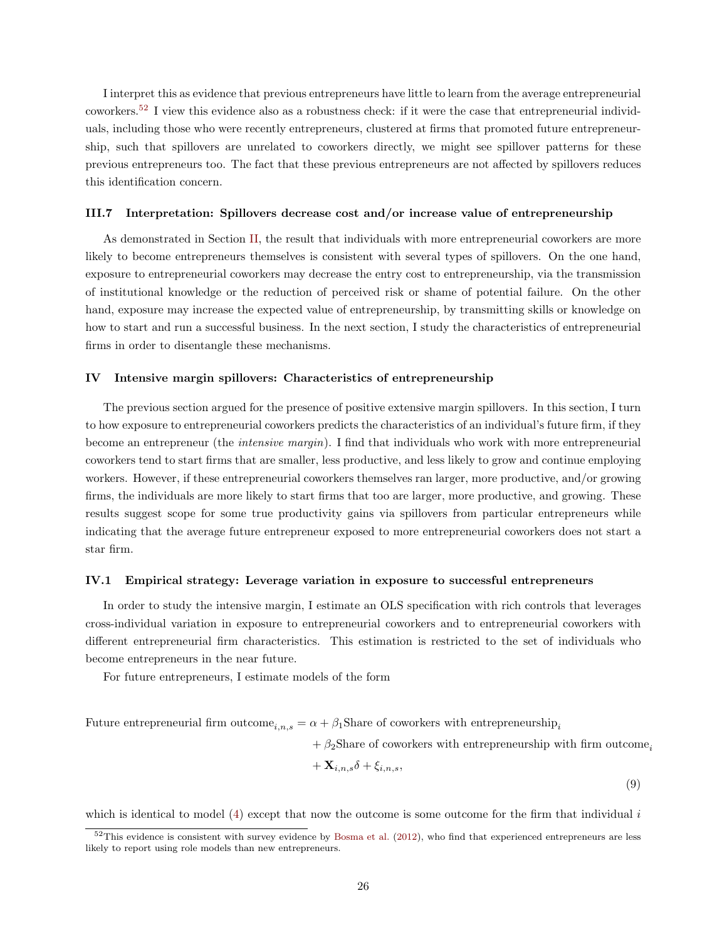I interpret this as evidence that previous entrepreneurs have little to learn from the average entrepreneurial coworkers.[52](#page-25-1) I view this evidence also as a robustness check: if it were the case that entrepreneurial individuals, including those who were recently entrepreneurs, clustered at firms that promoted future entrepreneurship, such that spillovers are unrelated to coworkers directly, we might see spillover patterns for these previous entrepreneurs too. The fact that these previous entrepreneurs are not affected by spillovers reduces this identification concern.

### III.7 Interpretation: Spillovers decrease cost and/or increase value of entrepreneurship

As demonstrated in Section [II,](#page-9-0) the result that individuals with more entrepreneurial coworkers are more likely to become entrepreneurs themselves is consistent with several types of spillovers. On the one hand, exposure to entrepreneurial coworkers may decrease the entry cost to entrepreneurship, via the transmission of institutional knowledge or the reduction of perceived risk or shame of potential failure. On the other hand, exposure may increase the expected value of entrepreneurship, by transmitting skills or knowledge on how to start and run a successful business. In the next section, I study the characteristics of entrepreneurial firms in order to disentangle these mechanisms.

# <span id="page-25-0"></span>IV Intensive margin spillovers: Characteristics of entrepreneurship

The previous section argued for the presence of positive extensive margin spillovers. In this section, I turn to how exposure to entrepreneurial coworkers predicts the characteristics of an individual's future firm, if they become an entrepreneur (the intensive margin). I find that individuals who work with more entrepreneurial coworkers tend to start firms that are smaller, less productive, and less likely to grow and continue employing workers. However, if these entrepreneurial coworkers themselves ran larger, more productive, and/or growing firms, the individuals are more likely to start firms that too are larger, more productive, and growing. These results suggest scope for some true productivity gains via spillovers from particular entrepreneurs while indicating that the average future entrepreneur exposed to more entrepreneurial coworkers does not start a star firm.

# IV.1 Empirical strategy: Leverage variation in exposure to successful entrepreneurs

In order to study the intensive margin, I estimate an OLS specification with rich controls that leverages cross-individual variation in exposure to entrepreneurial coworkers and to entrepreneurial coworkers with different entrepreneurial firm characteristics. This estimation is restricted to the set of individuals who become entrepreneurs in the near future.

For future entrepreneurs, I estimate models of the form

Future entrepreneurial firm outcome<sub>i,n,s</sub> =  $\alpha + \beta_1$ Share of coworkers with entrepreneurship<sub>i</sub>

 $+ \beta_2$ Share of coworkers with entrepreneurship with firm outcome,

$$
+\ {\bf X}_{i,n,s}\delta+\xi_{i,n,s},
$$

<span id="page-25-2"></span>(9)

which is identical to model  $(4)$  except that now the outcome is some outcome for the firm that individual i

<span id="page-25-1"></span> $52$ This evidence is consistent with survey evidence by [Bosma et al.](#page-36-6) [\(2012\)](#page-36-6), who find that experienced entrepreneurs are less likely to report using role models than new entrepreneurs.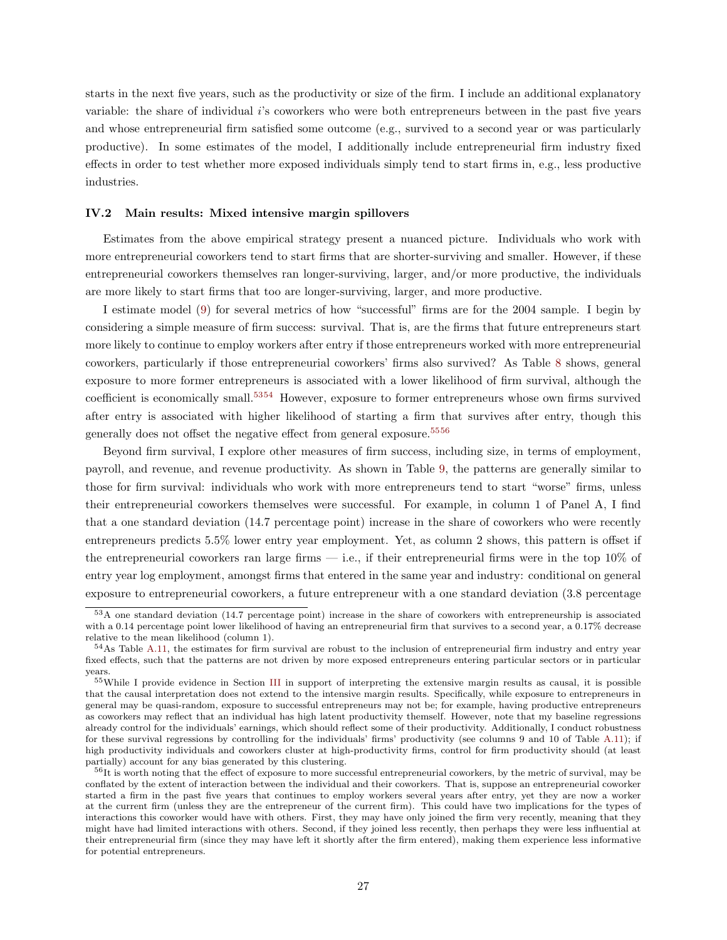starts in the next five years, such as the productivity or size of the firm. I include an additional explanatory variable: the share of individual i's coworkers who were both entrepreneurs between in the past five years and whose entrepreneurial firm satisfied some outcome (e.g., survived to a second year or was particularly productive). In some estimates of the model, I additionally include entrepreneurial firm industry fixed effects in order to test whether more exposed individuals simply tend to start firms in, e.g., less productive industries.

## IV.2 Main results: Mixed intensive margin spillovers

Estimates from the above empirical strategy present a nuanced picture. Individuals who work with more entrepreneurial coworkers tend to start firms that are shorter-surviving and smaller. However, if these entrepreneurial coworkers themselves ran longer-surviving, larger, and/or more productive, the individuals are more likely to start firms that too are longer-surviving, larger, and more productive.

I estimate model [\(9\)](#page-25-2) for several metrics of how "successful" firms are for the 2004 sample. I begin by considering a simple measure of firm success: survival. That is, are the firms that future entrepreneurs start more likely to continue to employ workers after entry if those entrepreneurs worked with more entrepreneurial coworkers, particularly if those entrepreneurial coworkers' firms also survived? As Table [8](#page-46-0) shows, general exposure to more former entrepreneurs is associated with a lower likelihood of firm survival, although the coefficient is economically small.[53](#page-26-0)[54](#page-26-1) However, exposure to former entrepreneurs whose own firms survived after entry is associated with higher likelihood of starting a firm that survives after entry, though this generally does not offset the negative effect from general exposure.[55](#page-26-2)[56](#page-26-3)

Beyond firm survival, I explore other measures of firm success, including size, in terms of employment, payroll, and revenue, and revenue productivity. As shown in Table [9,](#page-47-0) the patterns are generally similar to those for firm survival: individuals who work with more entrepreneurs tend to start "worse" firms, unless their entrepreneurial coworkers themselves were successful. For example, in column 1 of Panel A, I find that a one standard deviation (14.7 percentage point) increase in the share of coworkers who were recently entrepreneurs predicts 5.5% lower entry year employment. Yet, as column 2 shows, this pattern is offset if the entrepreneurial coworkers ran large firms  $-$  i.e., if their entrepreneurial firms were in the top 10% of entry year log employment, amongst firms that entered in the same year and industry: conditional on general exposure to entrepreneurial coworkers, a future entrepreneur with a one standard deviation (3.8 percentage

<span id="page-26-0"></span><sup>53</sup>A one standard deviation (14.7 percentage point) increase in the share of coworkers with entrepreneurship is associated with a 0.14 percentage point lower likelihood of having an entrepreneurial firm that survives to a second year, a 0.17% decrease relative to the mean likelihood (column 1).

<span id="page-26-1"></span><sup>&</sup>lt;sup>54</sup>As Table [A.11,](#page-76-0) the estimates for firm survival are robust to the inclusion of entrepreneurial firm industry and entry year fixed effects, such that the patterns are not driven by more exposed entrepreneurs entering particular sectors or in particular years.

<span id="page-26-2"></span><sup>55</sup>While I provide evidence in Section [III](#page-12-0) in support of interpreting the extensive margin results as causal, it is possible that the causal interpretation does not extend to the intensive margin results. Specifically, while exposure to entrepreneurs in general may be quasi-random, exposure to successful entrepreneurs may not be; for example, having productive entrepreneurs as coworkers may reflect that an individual has high latent productivity themself. However, note that my baseline regressions already control for the individuals' earnings, which should reflect some of their productivity. Additionally, I conduct robustness for these survival regressions by controlling for the individuals' firms' productivity (see columns 9 and 10 of Table [A.11\)](#page-76-0); if high productivity individuals and coworkers cluster at high-productivity firms, control for firm productivity should (at least partially) account for any bias generated by this clustering.

<span id="page-26-3"></span><sup>&</sup>lt;sup>56</sup>It is worth noting that the effect of exposure to more successful entrepreneurial coworkers, by the metric of survival, may be conflated by the extent of interaction between the individual and their coworkers. That is, suppose an entrepreneurial coworker started a firm in the past five years that continues to employ workers several years after entry, yet they are now a worker at the current firm (unless they are the entrepreneur of the current firm). This could have two implications for the types of interactions this coworker would have with others. First, they may have only joined the firm very recently, meaning that they might have had limited interactions with others. Second, if they joined less recently, then perhaps they were less influential at their entrepreneurial firm (since they may have left it shortly after the firm entered), making them experience less informative for potential entrepreneurs.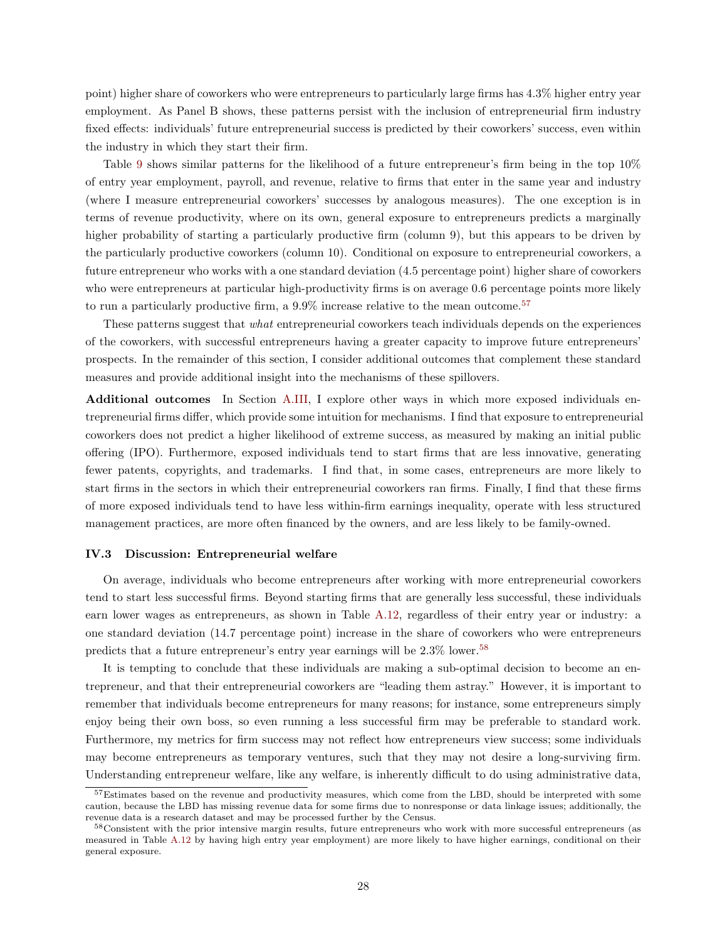point) higher share of coworkers who were entrepreneurs to particularly large firms has 4.3% higher entry year employment. As Panel B shows, these patterns persist with the inclusion of entrepreneurial firm industry fixed effects: individuals' future entrepreneurial success is predicted by their coworkers' success, even within the industry in which they start their firm.

Table [9](#page-47-0) shows similar patterns for the likelihood of a future entrepreneur's firm being in the top 10% of entry year employment, payroll, and revenue, relative to firms that enter in the same year and industry (where I measure entrepreneurial coworkers' successes by analogous measures). The one exception is in terms of revenue productivity, where on its own, general exposure to entrepreneurs predicts a marginally higher probability of starting a particularly productive firm (column 9), but this appears to be driven by the particularly productive coworkers (column 10). Conditional on exposure to entrepreneurial coworkers, a future entrepreneur who works with a one standard deviation (4.5 percentage point) higher share of coworkers who were entrepreneurs at particular high-productivity firms is on average 0.6 percentage points more likely to run a particularly productive firm, a  $9.9\%$  increase relative to the mean outcome.<sup>[57](#page-27-0)</sup>

These patterns suggest that what entrepreneurial coworkers teach individuals depends on the experiences of the coworkers, with successful entrepreneurs having a greater capacity to improve future entrepreneurs' prospects. In the remainder of this section, I consider additional outcomes that complement these standard measures and provide additional insight into the mechanisms of these spillovers.

Additional outcomes In Section [A.III,](#page-64-0) I explore other ways in which more exposed individuals entrepreneurial firms differ, which provide some intuition for mechanisms. I find that exposure to entrepreneurial coworkers does not predict a higher likelihood of extreme success, as measured by making an initial public offering (IPO). Furthermore, exposed individuals tend to start firms that are less innovative, generating fewer patents, copyrights, and trademarks. I find that, in some cases, entrepreneurs are more likely to start firms in the sectors in which their entrepreneurial coworkers ran firms. Finally, I find that these firms of more exposed individuals tend to have less within-firm earnings inequality, operate with less structured management practices, are more often financed by the owners, and are less likely to be family-owned.

# IV.3 Discussion: Entrepreneurial welfare

On average, individuals who become entrepreneurs after working with more entrepreneurial coworkers tend to start less successful firms. Beyond starting firms that are generally less successful, these individuals earn lower wages as entrepreneurs, as shown in Table [A.12,](#page-77-0) regardless of their entry year or industry: a one standard deviation (14.7 percentage point) increase in the share of coworkers who were entrepreneurs predicts that a future entrepreneur's entry year earnings will be 2.3% lower.[58](#page-27-1)

It is tempting to conclude that these individuals are making a sub-optimal decision to become an entrepreneur, and that their entrepreneurial coworkers are "leading them astray." However, it is important to remember that individuals become entrepreneurs for many reasons; for instance, some entrepreneurs simply enjoy being their own boss, so even running a less successful firm may be preferable to standard work. Furthermore, my metrics for firm success may not reflect how entrepreneurs view success; some individuals may become entrepreneurs as temporary ventures, such that they may not desire a long-surviving firm. Understanding entrepreneur welfare, like any welfare, is inherently difficult to do using administrative data,

<span id="page-27-0"></span><sup>57</sup>Estimates based on the revenue and productivity measures, which come from the LBD, should be interpreted with some caution, because the LBD has missing revenue data for some firms due to nonresponse or data linkage issues; additionally, the revenue data is a research dataset and may be processed further by the Census.

<span id="page-27-1"></span><sup>58</sup>Consistent with the prior intensive margin results, future entrepreneurs who work with more successful entrepreneurs (as measured in Table [A.12](#page-77-0) by having high entry year employment) are more likely to have higher earnings, conditional on their general exposure.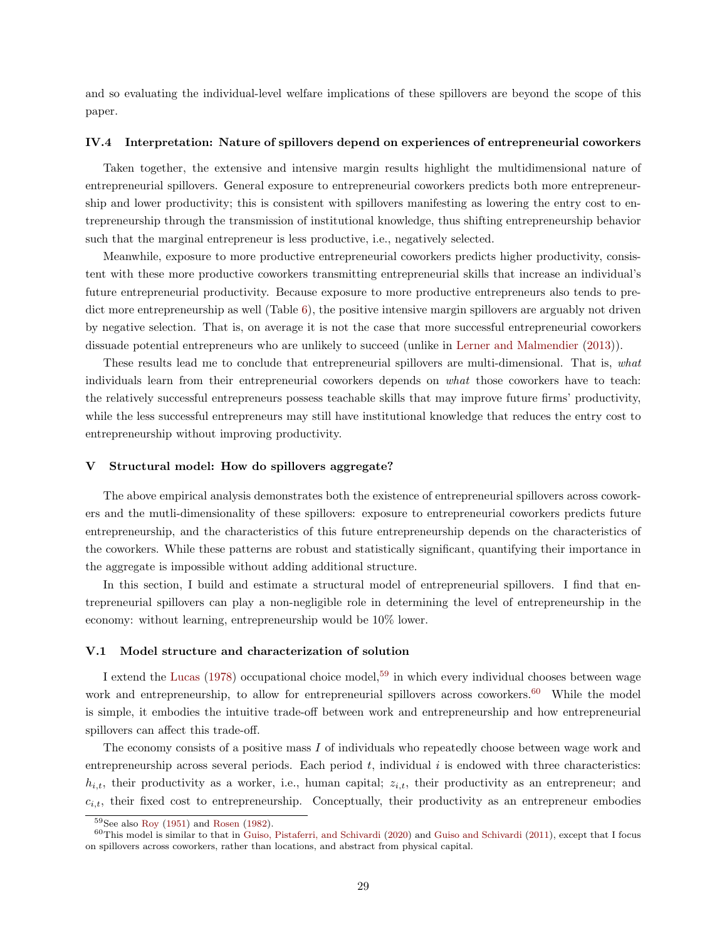and so evaluating the individual-level welfare implications of these spillovers are beyond the scope of this paper.

### IV.4 Interpretation: Nature of spillovers depend on experiences of entrepreneurial coworkers

Taken together, the extensive and intensive margin results highlight the multidimensional nature of entrepreneurial spillovers. General exposure to entrepreneurial coworkers predicts both more entrepreneurship and lower productivity; this is consistent with spillovers manifesting as lowering the entry cost to entrepreneurship through the transmission of institutional knowledge, thus shifting entrepreneurship behavior such that the marginal entrepreneur is less productive, i.e., negatively selected.

Meanwhile, exposure to more productive entrepreneurial coworkers predicts higher productivity, consistent with these more productive coworkers transmitting entrepreneurial skills that increase an individual's future entrepreneurial productivity. Because exposure to more productive entrepreneurs also tends to predict more entrepreneurship as well (Table [6\)](#page-44-0), the positive intensive margin spillovers are arguably not driven by negative selection. That is, on average it is not the case that more successful entrepreneurial coworkers dissuade potential entrepreneurs who are unlikely to succeed (unlike in [Lerner and Malmendier](#page-38-1) [\(2013\)](#page-38-1)).

These results lead me to conclude that entrepreneurial spillovers are multi-dimensional. That is, what individuals learn from their entrepreneurial coworkers depends on what those coworkers have to teach: the relatively successful entrepreneurs possess teachable skills that may improve future firms' productivity, while the less successful entrepreneurs may still have institutional knowledge that reduces the entry cost to entrepreneurship without improving productivity.

#### <span id="page-28-0"></span>V Structural model: How do spillovers aggregate?

The above empirical analysis demonstrates both the existence of entrepreneurial spillovers across coworkers and the mutli-dimensionality of these spillovers: exposure to entrepreneurial coworkers predicts future entrepreneurship, and the characteristics of this future entrepreneurship depends on the characteristics of the coworkers. While these patterns are robust and statistically significant, quantifying their importance in the aggregate is impossible without adding additional structure.

In this section, I build and estimate a structural model of entrepreneurial spillovers. I find that entrepreneurial spillovers can play a non-negligible role in determining the level of entrepreneurship in the economy: without learning, entrepreneurship would be 10% lower.

# V.1 Model structure and characterization of solution

I extend the [Lucas](#page-38-5)  $(1978)$  occupational choice model,<sup>[59](#page-28-1)</sup> in which every individual chooses between wage work and entrepreneurship, to allow for entrepreneurial spillovers across coworkers.<sup>[60](#page-28-2)</sup> While the model is simple, it embodies the intuitive trade-off between work and entrepreneurship and how entrepreneurial spillovers can affect this trade-off.

The economy consists of a positive mass I of individuals who repeatedly choose between wage work and entrepreneurship across several periods. Each period  $t$ , individual  $i$  is endowed with three characteristics:  $h_{i,t}$ , their productivity as a worker, i.e., human capital;  $z_{i,t}$ , their productivity as an entrepreneur; and  $c_{i,t}$ , their fixed cost to entrepreneurship. Conceptually, their productivity as an entrepreneur embodies

<span id="page-28-2"></span><span id="page-28-1"></span> $59$ See also [Roy](#page-38-21) [\(1951\)](#page-38-21) and [Rosen](#page-38-22) [\(1982\)](#page-38-22).

 $60$ This model is similar to that in [Guiso, Pistaferri, and Schivardi](#page-37-0) [\(2020\)](#page-37-0) and [Guiso and Schivardi](#page-37-18) [\(2011\)](#page-37-18), except that I focus on spillovers across coworkers, rather than locations, and abstract from physical capital.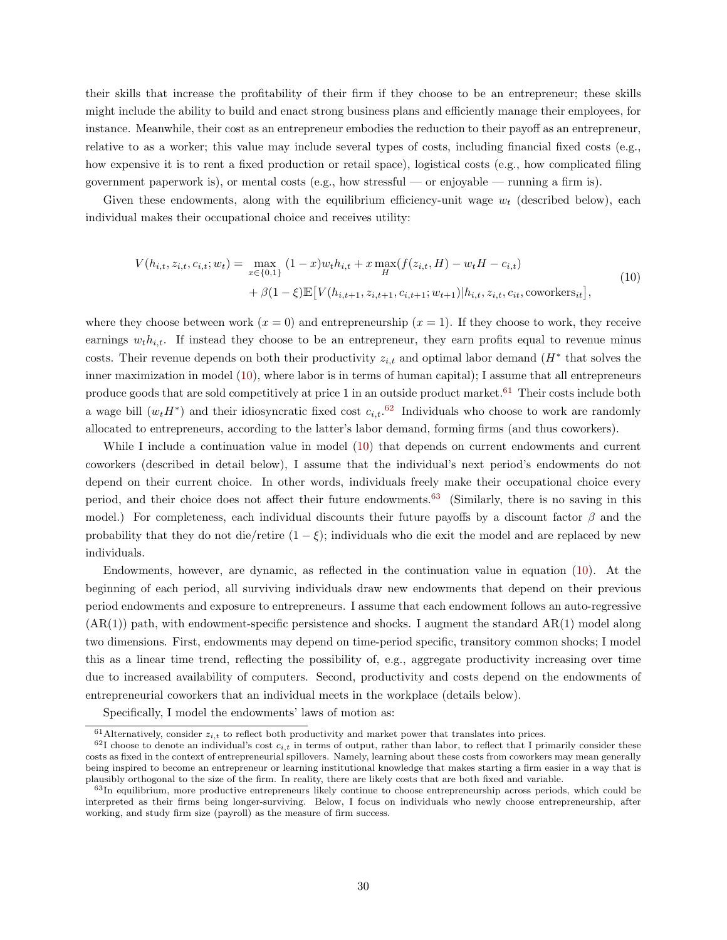their skills that increase the profitability of their firm if they choose to be an entrepreneur; these skills might include the ability to build and enact strong business plans and efficiently manage their employees, for instance. Meanwhile, their cost as an entrepreneur embodies the reduction to their payoff as an entrepreneur, relative to as a worker; this value may include several types of costs, including financial fixed costs (e.g., how expensive it is to rent a fixed production or retail space), logistical costs (e.g., how complicated filing government paperwork is), or mental costs (e.g., how stressful — or enjoyable — running a firm is).

Given these endowments, along with the equilibrium efficiency-unit wage  $w_t$  (described below), each individual makes their occupational choice and receives utility:

<span id="page-29-0"></span>
$$
V(h_{i,t}, z_{i,t}, c_{i,t}; w_t) = \max_{x \in \{0,1\}} (1-x)w_t h_{i,t} + x \max_H(f(z_{i,t}, H) - w_t H - c_{i,t})
$$
  
+  $\beta(1-\xi)\mathbb{E}[V(h_{i,t+1}, z_{i,t+1}, c_{i,t+1}; w_{t+1})|h_{i,t}, z_{i,t}, c_{it}, \text{convor} \text{ker} s_{it}],$  (10)

where they choose between work  $(x = 0)$  and entrepreneurship  $(x = 1)$ . If they choose to work, they receive earnings  $w_t h_{i,t}$ . If instead they choose to be an entrepreneur, they earn profits equal to revenue minus costs. Their revenue depends on both their productivity  $z_{i,t}$  and optimal labor demand  $(H^*$  that solves the inner maximization in model [\(10\)](#page-29-0), where labor is in terms of human capital); I assume that all entrepreneurs produce goods that are sold competitively at price 1 in an outside product market.[61](#page-29-1) Their costs include both a wage bill  $(w_t H^*)$  and their idiosyncratic fixed cost  $c_{i,t}$ .<sup>[62](#page-29-2)</sup> Individuals who choose to work are randomly allocated to entrepreneurs, according to the latter's labor demand, forming firms (and thus coworkers).

While I include a continuation value in model [\(10\)](#page-29-0) that depends on current endowments and current coworkers (described in detail below), I assume that the individual's next period's endowments do not depend on their current choice. In other words, individuals freely make their occupational choice every period, and their choice does not affect their future endowments.[63](#page-29-3) (Similarly, there is no saving in this model.) For completeness, each individual discounts their future payoffs by a discount factor  $\beta$  and the probability that they do not die/retire  $(1 - \xi)$ ; individuals who die exit the model and are replaced by new individuals.

Endowments, however, are dynamic, as reflected in the continuation value in equation [\(10\)](#page-29-0). At the beginning of each period, all surviving individuals draw new endowments that depend on their previous period endowments and exposure to entrepreneurs. I assume that each endowment follows an auto-regressive  $(AR(1))$  path, with endowment-specific persistence and shocks. I augment the standard  $AR(1)$  model along two dimensions. First, endowments may depend on time-period specific, transitory common shocks; I model this as a linear time trend, reflecting the possibility of, e.g., aggregate productivity increasing over time due to increased availability of computers. Second, productivity and costs depend on the endowments of entrepreneurial coworkers that an individual meets in the workplace (details below).

Specifically, I model the endowments' laws of motion as:

<span id="page-29-2"></span><span id="page-29-1"></span> $61$ Alternatively, consider  $z_{i,t}$  to reflect both productivity and market power that translates into prices.

 $62I$  choose to denote an individual's cost  $c_{i,t}$  in terms of output, rather than labor, to reflect that I primarily consider these costs as fixed in the context of entrepreneurial spillovers. Namely, learning about these costs from coworkers may mean generally being inspired to become an entrepreneur or learning institutional knowledge that makes starting a firm easier in a way that is plausibly orthogonal to the size of the firm. In reality, there are likely costs that are both fixed and variable.

<span id="page-29-3"></span><sup>63</sup>In equilibrium, more productive entrepreneurs likely continue to choose entrepreneurship across periods, which could be interpreted as their firms being longer-surviving. Below, I focus on individuals who newly choose entrepreneurship, after working, and study firm size (payroll) as the measure of firm success.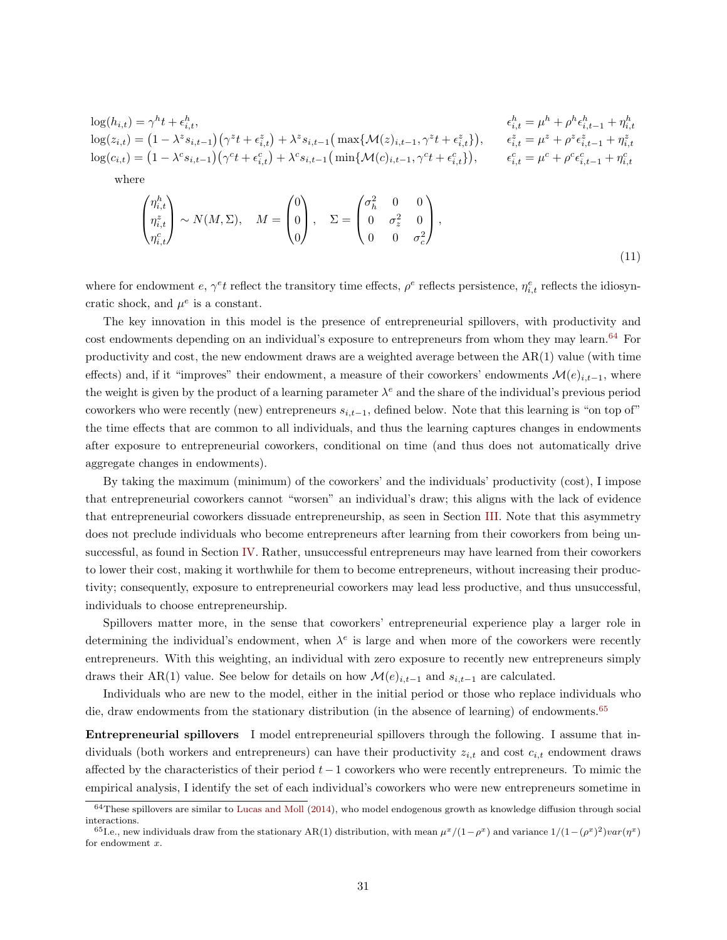$$
\log(h_{i,t}) = \gamma^h t + \epsilon_{i,t}^h, \qquad \qquad \epsilon_{i,t}^h = \mu^h + \rho^h \epsilon_{i,t-1}^h + \eta_{i,t}^h
$$
  
\n
$$
\log(z_{i,t}) = (1 - \lambda^z s_{i,t-1}) (\gamma^z t + \epsilon_{i,t}^z) + \lambda^z s_{i,t-1} (\max\{\mathcal{M}(z)_{i,t-1}, \gamma^z t + \epsilon_{i,t}^z\}), \qquad \epsilon_{i,t}^z = \mu^z + \rho^z \epsilon_{i,t-1}^z + \eta_{i,t}^z
$$
  
\n
$$
\log(c_{i,t}) = (1 - \lambda^c s_{i,t-1}) (\gamma^c t + \epsilon_{i,t}^c) + \lambda^c s_{i,t-1} (\min\{\mathcal{M}(c)_{i,t-1}, \gamma^c t + \epsilon_{i,t}^c\}), \qquad \epsilon_{i,t}^c = \mu^c + \rho^c \epsilon_{i,t-1}^c + \eta_{i,t}^c
$$
  
\nwhere

<span id="page-30-2"></span>
$$
\begin{pmatrix} \eta_{i,t}^h \\ \eta_{i,t}^z \\ \eta_{i,t}^c \end{pmatrix} \sim N(M,\Sigma), \quad M = \begin{pmatrix} 0 \\ 0 \\ 0 \end{pmatrix}, \quad \Sigma = \begin{pmatrix} \sigma_h^2 & 0 & 0 \\ 0 & \sigma_z^2 & 0 \\ 0 & 0 & \sigma_c^2 \end{pmatrix},
$$
\n(11)

where for endowment  $e, \gamma^e t$  reflect the transitory time effects,  $\rho^e$  reflects persistence,  $\eta_{i,t}^e$  reflects the idiosyncratic shock, and  $\mu^e$  is a constant.

The key innovation in this model is the presence of entrepreneurial spillovers, with productivity and cost endowments depending on an individual's exposure to entrepreneurs from whom they may learn.<sup>[64](#page-30-0)</sup> For productivity and cost, the new endowment draws are a weighted average between the AR(1) value (with time effects) and, if it "improves" their endowment, a measure of their coworkers' endowments  $\mathcal{M}(e)_{i,t-1}$ , where the weight is given by the product of a learning parameter  $\lambda^e$  and the share of the individual's previous period coworkers who were recently (new) entrepreneurs  $s_{i,t-1}$ , defined below. Note that this learning is "on top of" the time effects that are common to all individuals, and thus the learning captures changes in endowments after exposure to entrepreneurial coworkers, conditional on time (and thus does not automatically drive aggregate changes in endowments).

By taking the maximum (minimum) of the coworkers' and the individuals' productivity (cost), I impose that entrepreneurial coworkers cannot "worsen" an individual's draw; this aligns with the lack of evidence that entrepreneurial coworkers dissuade entrepreneurship, as seen in Section [III.](#page-12-0) Note that this asymmetry does not preclude individuals who become entrepreneurs after learning from their coworkers from being unsuccessful, as found in Section [IV.](#page-25-0) Rather, unsuccessful entrepreneurs may have learned from their coworkers to lower their cost, making it worthwhile for them to become entrepreneurs, without increasing their productivity; consequently, exposure to entrepreneurial coworkers may lead less productive, and thus unsuccessful, individuals to choose entrepreneurship.

Spillovers matter more, in the sense that coworkers' entrepreneurial experience play a larger role in determining the individual's endowment, when  $\lambda^e$  is large and when more of the coworkers were recently entrepreneurs. With this weighting, an individual with zero exposure to recently new entrepreneurs simply draws their AR(1) value. See below for details on how  $\mathcal{M}(e)_{i,t-1}$  and  $s_{i,t-1}$  are calculated.

Individuals who are new to the model, either in the initial period or those who replace individuals who die, draw endowments from the stationary distribution (in the absence of learning) of endowments.<sup>[65](#page-30-1)</sup>

Entrepreneurial spillovers I model entrepreneurial spillovers through the following. I assume that individuals (both workers and entrepreneurs) can have their productivity  $z_{i,t}$  and cost  $c_{i,t}$  endowment draws affected by the characteristics of their period  $t-1$  coworkers who were recently entrepreneurs. To mimic the empirical analysis, I identify the set of each individual's coworkers who were new entrepreneurs sometime in

<span id="page-30-0"></span> $64$ These spillovers are similar to [Lucas and Moll](#page-38-23) [\(2014\)](#page-38-23), who model endogenous growth as knowledge diffusion through social interactions.

<span id="page-30-1"></span><sup>&</sup>lt;sup>65</sup>I.e., new individuals draw from the stationary AR(1) distribution, with mean  $\mu^x/(1-\rho^x)$  and variance  $1/(1-(\rho^x)^2)var(\eta^x)$ for endowment  $x$ .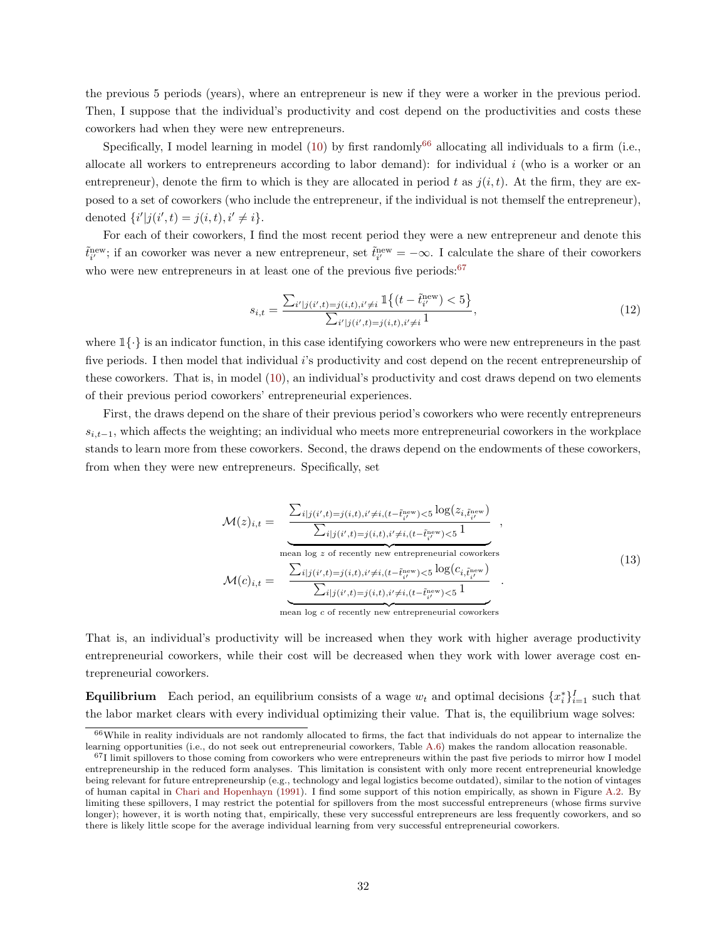the previous 5 periods (years), where an entrepreneur is new if they were a worker in the previous period. Then, I suppose that the individual's productivity and cost depend on the productivities and costs these coworkers had when they were new entrepreneurs.

Specifically, I model learning in model [\(10\)](#page-29-0) by first randomly<sup>[66](#page-31-0)</sup> allocating all individuals to a firm (i.e., allocate all workers to entrepreneurs according to labor demand): for individual  $i$  (who is a worker or an entrepreneur), denote the firm to which is they are allocated in period t as  $j(i, t)$ . At the firm, they are exposed to a set of coworkers (who include the entrepreneur, if the individual is not themself the entrepreneur), denoted  $\{i'|j(i',t) = j(i,t), i' \neq i\}.$ 

For each of their coworkers, I find the most recent period they were a new entrepreneur and denote this  $\tilde{t}_{i'}^{\text{new}}$ ; if an coworker was never a new entrepreneur, set  $\tilde{t}_{i'}^{\text{new}} = -\infty$ . I calculate the share of their coworkers who were new entrepreneurs in at least one of the previous five periods: $67$ 

$$
s_{i,t} = \frac{\sum_{i'|j(i',t)=j(i,t), i'\neq i} \mathbb{1}\{(t-\tilde{t}_{i'}^{\text{new}}) < 5\}}{\sum_{i'|j(i',t)=j(i,t), i'\neq i} 1},\tag{12}
$$

where  $1\{\cdot\}$  is an indicator function, in this case identifying coworkers who were new entrepreneurs in the past five periods. I then model that individual i's productivity and cost depend on the recent entrepreneurship of these coworkers. That is, in model [\(10\)](#page-29-0), an individual's productivity and cost draws depend on two elements of their previous period coworkers' entrepreneurial experiences.

First, the draws depend on the share of their previous period's coworkers who were recently entrepreneurs  $s_{i,t-1}$ , which affects the weighting; an individual who meets more entrepreneurial coworkers in the workplace stands to learn more from these coworkers. Second, the draws depend on the endowments of these coworkers, from when they were new entrepreneurs. Specifically, set

$$
\mathcal{M}(z)_{i,t} = \frac{\sum_{i|j(i',t)=j(i,t), i'\neq i, (t-\tilde{t}_{i'}^{\text{new}}) < 5} \log(z_{i,\tilde{t}_{i'}^{\text{new}}})}{\sum_{i|j(i',t)=j(i,t), i'\neq i, (t-\tilde{t}_{i'}^{\text{new}}) < 5} \frac{1}{1}},
$$
\n
$$
\mathcal{M}(c)_{i,t} = \frac{\sum_{i|j(i',t)=j(i,t), i'\neq i, (t-\tilde{t}_{i'}^{\text{new}}) < 5} \log(c_{i,\tilde{t}_{i'}^{\text{new}}})}{\sum_{i|j(i',t)=j(i,t), i'\neq i, (t-\tilde{t}_{i'}^{\text{new}}) < 5} \frac{1}{1}}.
$$
\n(13)

 $\overline{z}$  mean log c of recently new entrepreneurial coworkers

That is, an individual's productivity will be increased when they work with higher average productivity entrepreneurial coworkers, while their cost will be decreased when they work with lower average cost entrepreneurial coworkers.

**Equilibrium** Each period, an equilibrium consists of a wage  $w_t$  and optimal decisions  $\{x_i^*\}_{i=1}^I$  such that the labor market clears with every individual optimizing their value. That is, the equilibrium wage solves:

<span id="page-31-0"></span> $66$ While in reality individuals are not randomly allocated to firms, the fact that individuals do not appear to internalize the learning opportunities (i.e., do not seek out entrepreneurial coworkers, Table [A.6\)](#page-71-1) makes the random allocation reasonable.

<span id="page-31-1"></span> $671$  limit spillovers to those coming from coworkers who were entrepreneurs within the past five periods to mirror how I model entrepreneurship in the reduced form analyses. This limitation is consistent with only more recent entrepreneurial knowledge being relevant for future entrepreneurship (e.g., technology and legal logistics become outdated), similar to the notion of vintages of human capital in [Chari and Hopenhayn](#page-36-17) [\(1991\)](#page-36-17). I find some support of this notion empirically, as shown in Figure [A.2.](#page-89-1) By limiting these spillovers, I may restrict the potential for spillovers from the most successful entrepreneurs (whose firms survive longer); however, it is worth noting that, empirically, these very successful entrepreneurs are less frequently coworkers, and so there is likely little scope for the average individual learning from very successful entrepreneurial coworkers.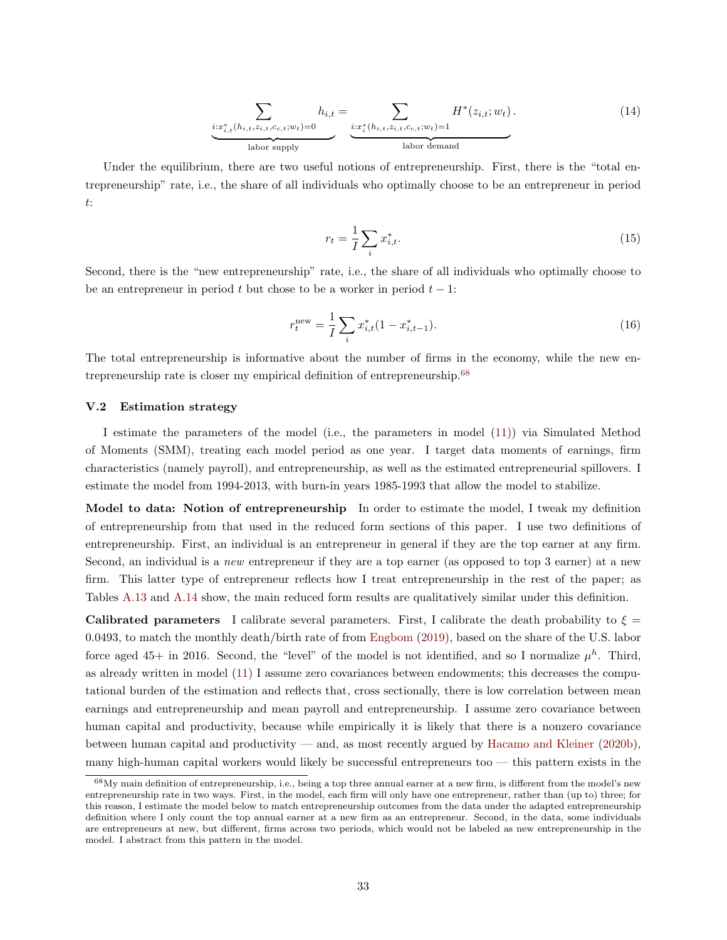$$
\sum_{i:x_{i,t}^*(h_{i,t}, z_{i,t}, c_{c,t}; w_t) = 0} h_{i,t} = \sum_{i:x_i^*(h_{i,t}, z_{i,t}, c_{c,t}; w_t) = 1} H^*(z_{i,t}; w_t).
$$
\n(14)

Under the equilibrium, there are two useful notions of entrepreneurship. First, there is the "total entrepreneurship" rate, i.e., the share of all individuals who optimally choose to be an entrepreneur in period t:

$$
r_t = \frac{1}{I} \sum_i x_{i,t}^*.
$$
\n(15)

Second, there is the "new entrepreneurship" rate, i.e., the share of all individuals who optimally choose to be an entrepreneur in period t but chose to be a worker in period  $t - 1$ :

$$
r_t^{\text{new}} = \frac{1}{I} \sum_i x_{i,t}^*(1 - x_{i,t-1}^*). \tag{16}
$$

The total entrepreneurship is informative about the number of firms in the economy, while the new en-trepreneurship rate is closer my empirical definition of entrepreneurship.<sup>[68](#page-32-0)</sup>

### V.2 Estimation strategy

I estimate the parameters of the model (i.e., the parameters in model [\(11\)](#page-30-2)) via Simulated Method of Moments (SMM), treating each model period as one year. I target data moments of earnings, firm characteristics (namely payroll), and entrepreneurship, as well as the estimated entrepreneurial spillovers. I estimate the model from 1994-2013, with burn-in years 1985-1993 that allow the model to stabilize.

Model to data: Notion of entrepreneurship In order to estimate the model, I tweak my definition of entrepreneurship from that used in the reduced form sections of this paper. I use two definitions of entrepreneurship. First, an individual is an entrepreneur in general if they are the top earner at any firm. Second, an individual is a *new* entrepreneur if they are a top earner (as opposed to top 3 earner) at a new firm. This latter type of entrepreneur reflects how I treat entrepreneurship in the rest of the paper; as Tables [A.13](#page-78-0) and [A.14](#page-79-0) show, the main reduced form results are qualitatively similar under this definition.

Calibrated parameters I calibrate several parameters. First, I calibrate the death probability to  $\xi =$ 0.0493, to match the monthly death/birth rate of from [Engbom](#page-37-19) [\(2019\)](#page-37-19), based on the share of the U.S. labor force aged 45+ in 2016. Second, the "level" of the model is not identified, and so I normalize  $\mu^h$ . Third, as already written in model [\(11\)](#page-30-2) I assume zero covariances between endowments; this decreases the computational burden of the estimation and reflects that, cross sectionally, there is low correlation between mean earnings and entrepreneurship and mean payroll and entrepreneurship. I assume zero covariance between human capital and productivity, because while empirically it is likely that there is a nonzero covariance between human capital and productivity — and, as most recently argued by [Hacamo and Kleiner](#page-37-22) [\(2020b\)](#page-37-22), many high-human capital workers would likely be successful entrepreneurs too  $-$  this pattern exists in the

<span id="page-32-0"></span><sup>&</sup>lt;sup>68</sup>My main definition of entrepreneurship, i.e., being a top three annual earner at a new firm, is different from the model's new entrepreneurship rate in two ways. First, in the model, each firm will only have one entrepreneur, rather than (up to) three; for this reason, I estimate the model below to match entrepreneurship outcomes from the data under the adapted entrepreneurship definition where I only count the top annual earner at a new firm as an entrepreneur. Second, in the data, some individuals are entrepreneurs at new, but different, firms across two periods, which would not be labeled as new entrepreneurship in the model. I abstract from this pattern in the model.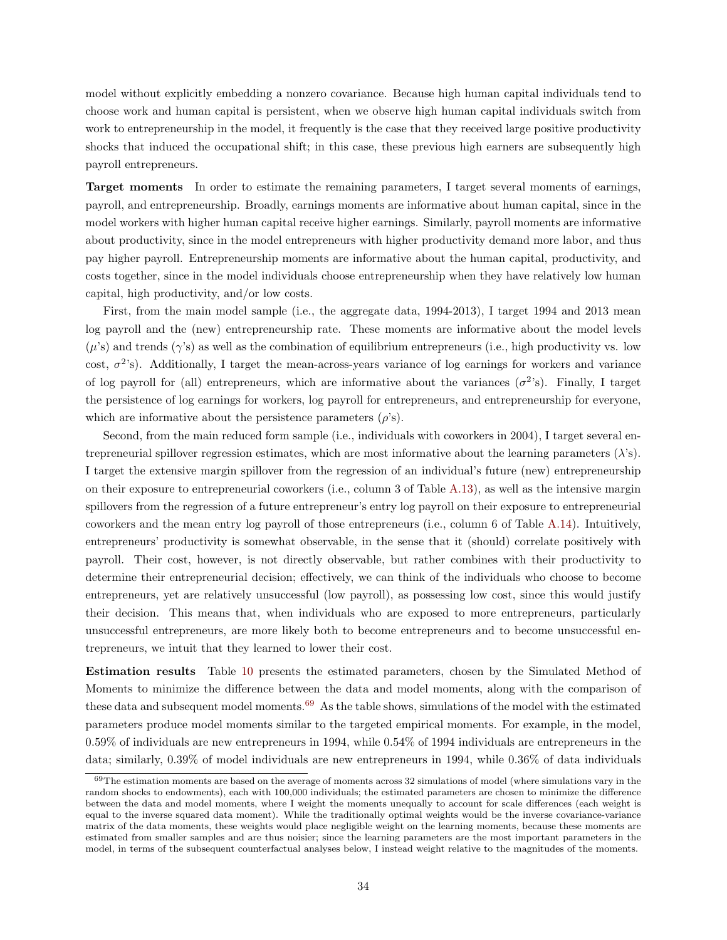model without explicitly embedding a nonzero covariance. Because high human capital individuals tend to choose work and human capital is persistent, when we observe high human capital individuals switch from work to entrepreneurship in the model, it frequently is the case that they received large positive productivity shocks that induced the occupational shift; in this case, these previous high earners are subsequently high payroll entrepreneurs.

Target moments In order to estimate the remaining parameters, I target several moments of earnings, payroll, and entrepreneurship. Broadly, earnings moments are informative about human capital, since in the model workers with higher human capital receive higher earnings. Similarly, payroll moments are informative about productivity, since in the model entrepreneurs with higher productivity demand more labor, and thus pay higher payroll. Entrepreneurship moments are informative about the human capital, productivity, and costs together, since in the model individuals choose entrepreneurship when they have relatively low human capital, high productivity, and/or low costs.

First, from the main model sample (i.e., the aggregate data, 1994-2013), I target 1994 and 2013 mean log payroll and the (new) entrepreneurship rate. These moments are informative about the model levels  $(\mu)$ 's) and trends ( $\gamma$ 's) as well as the combination of equilibrium entrepreneurs (i.e., high productivity vs. low cost,  $\sigma^2$ 's). Additionally, I target the mean-across-years variance of log earnings for workers and variance of log payroll for (all) entrepreneurs, which are informative about the variances  $(\sigma^2)$ . Finally, I target the persistence of log earnings for workers, log payroll for entrepreneurs, and entrepreneurship for everyone, which are informative about the persistence parameters  $(\rho's)$ .

Second, from the main reduced form sample (i.e., individuals with coworkers in 2004), I target several entrepreneurial spillover regression estimates, which are most informative about the learning parameters  $(\lambda)$ s). I target the extensive margin spillover from the regression of an individual's future (new) entrepreneurship on their exposure to entrepreneurial coworkers (i.e., column 3 of Table [A.13\)](#page-78-0), as well as the intensive margin spillovers from the regression of a future entrepreneur's entry log payroll on their exposure to entrepreneurial coworkers and the mean entry log payroll of those entrepreneurs (i.e., column 6 of Table [A.14\)](#page-79-0). Intuitively, entrepreneurs' productivity is somewhat observable, in the sense that it (should) correlate positively with payroll. Their cost, however, is not directly observable, but rather combines with their productivity to determine their entrepreneurial decision; effectively, we can think of the individuals who choose to become entrepreneurs, yet are relatively unsuccessful (low payroll), as possessing low cost, since this would justify their decision. This means that, when individuals who are exposed to more entrepreneurs, particularly unsuccessful entrepreneurs, are more likely both to become entrepreneurs and to become unsuccessful entrepreneurs, we intuit that they learned to lower their cost.

Estimation results Table [10](#page-48-0) presents the estimated parameters, chosen by the Simulated Method of Moments to minimize the difference between the data and model moments, along with the comparison of these data and subsequent model moments.[69](#page-33-0) As the table shows, simulations of the model with the estimated parameters produce model moments similar to the targeted empirical moments. For example, in the model, 0.59% of individuals are new entrepreneurs in 1994, while 0.54% of 1994 individuals are entrepreneurs in the data; similarly, 0.39% of model individuals are new entrepreneurs in 1994, while 0.36% of data individuals

<span id="page-33-0"></span> $69$ The estimation moments are based on the average of moments across 32 simulations of model (where simulations vary in the random shocks to endowments), each with 100,000 individuals; the estimated parameters are chosen to minimize the difference between the data and model moments, where I weight the moments unequally to account for scale differences (each weight is equal to the inverse squared data moment). While the traditionally optimal weights would be the inverse covariance-variance matrix of the data moments, these weights would place negligible weight on the learning moments, because these moments are estimated from smaller samples and are thus noisier; since the learning parameters are the most important parameters in the model, in terms of the subsequent counterfactual analyses below, I instead weight relative to the magnitudes of the moments.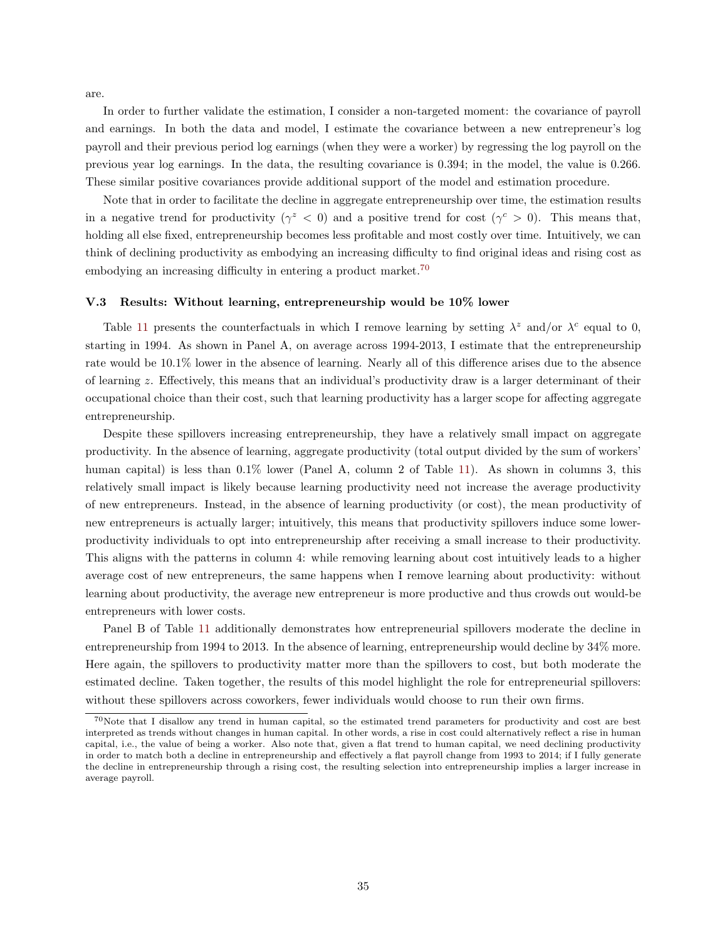are.

In order to further validate the estimation, I consider a non-targeted moment: the covariance of payroll and earnings. In both the data and model, I estimate the covariance between a new entrepreneur's log payroll and their previous period log earnings (when they were a worker) by regressing the log payroll on the previous year log earnings. In the data, the resulting covariance is 0.394; in the model, the value is 0.266. These similar positive covariances provide additional support of the model and estimation procedure.

Note that in order to facilitate the decline in aggregate entrepreneurship over time, the estimation results in a negative trend for productivity ( $\gamma^z < 0$ ) and a positive trend for cost ( $\gamma^c > 0$ ). This means that, holding all else fixed, entrepreneurship becomes less profitable and most costly over time. Intuitively, we can think of declining productivity as embodying an increasing difficulty to find original ideas and rising cost as embodying an increasing difficulty in entering a product market.<sup>[70](#page-34-0)</sup>

# V.3 Results: Without learning, entrepreneurship would be 10% lower

Table [11](#page-49-0) presents the counterfactuals in which I remove learning by setting  $\lambda^z$  and/or  $\lambda^c$  equal to 0, starting in 1994. As shown in Panel A, on average across 1994-2013, I estimate that the entrepreneurship rate would be 10.1% lower in the absence of learning. Nearly all of this difference arises due to the absence of learning z. Effectively, this means that an individual's productivity draw is a larger determinant of their occupational choice than their cost, such that learning productivity has a larger scope for affecting aggregate entrepreneurship.

Despite these spillovers increasing entrepreneurship, they have a relatively small impact on aggregate productivity. In the absence of learning, aggregate productivity (total output divided by the sum of workers' human capital) is less than  $0.1\%$  lower (Panel A, column 2 of Table [11\)](#page-49-0). As shown in columns 3, this relatively small impact is likely because learning productivity need not increase the average productivity of new entrepreneurs. Instead, in the absence of learning productivity (or cost), the mean productivity of new entrepreneurs is actually larger; intuitively, this means that productivity spillovers induce some lowerproductivity individuals to opt into entrepreneurship after receiving a small increase to their productivity. This aligns with the patterns in column 4: while removing learning about cost intuitively leads to a higher average cost of new entrepreneurs, the same happens when I remove learning about productivity: without learning about productivity, the average new entrepreneur is more productive and thus crowds out would-be entrepreneurs with lower costs.

Panel B of Table [11](#page-49-0) additionally demonstrates how entrepreneurial spillovers moderate the decline in entrepreneurship from 1994 to 2013. In the absence of learning, entrepreneurship would decline by 34% more. Here again, the spillovers to productivity matter more than the spillovers to cost, but both moderate the estimated decline. Taken together, the results of this model highlight the role for entrepreneurial spillovers: without these spillovers across coworkers, fewer individuals would choose to run their own firms.

<span id="page-34-0"></span> $70$ Note that I disallow any trend in human capital, so the estimated trend parameters for productivity and cost are best interpreted as trends without changes in human capital. In other words, a rise in cost could alternatively reflect a rise in human capital, i.e., the value of being a worker. Also note that, given a flat trend to human capital, we need declining productivity in order to match both a decline in entrepreneurship and effectively a flat payroll change from 1993 to 2014; if I fully generate the decline in entrepreneurship through a rising cost, the resulting selection into entrepreneurship implies a larger increase in average payroll.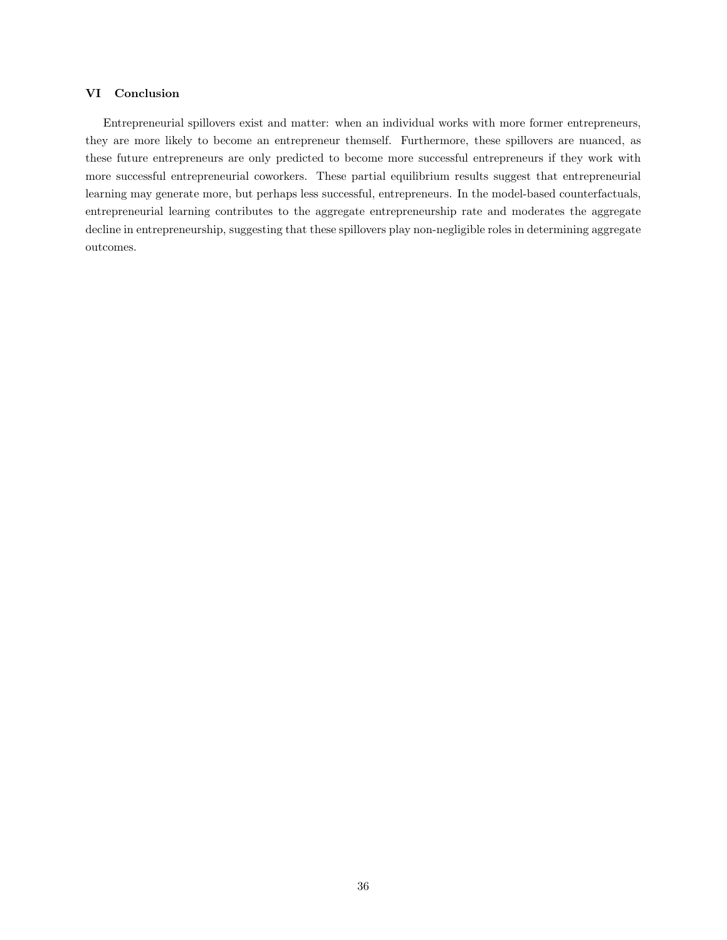# <span id="page-35-0"></span>VI Conclusion

Entrepreneurial spillovers exist and matter: when an individual works with more former entrepreneurs, they are more likely to become an entrepreneur themself. Furthermore, these spillovers are nuanced, as these future entrepreneurs are only predicted to become more successful entrepreneurs if they work with more successful entrepreneurial coworkers. These partial equilibrium results suggest that entrepreneurial learning may generate more, but perhaps less successful, entrepreneurs. In the model-based counterfactuals, entrepreneurial learning contributes to the aggregate entrepreneurship rate and moderates the aggregate decline in entrepreneurship, suggesting that these spillovers play non-negligible roles in determining aggregate outcomes.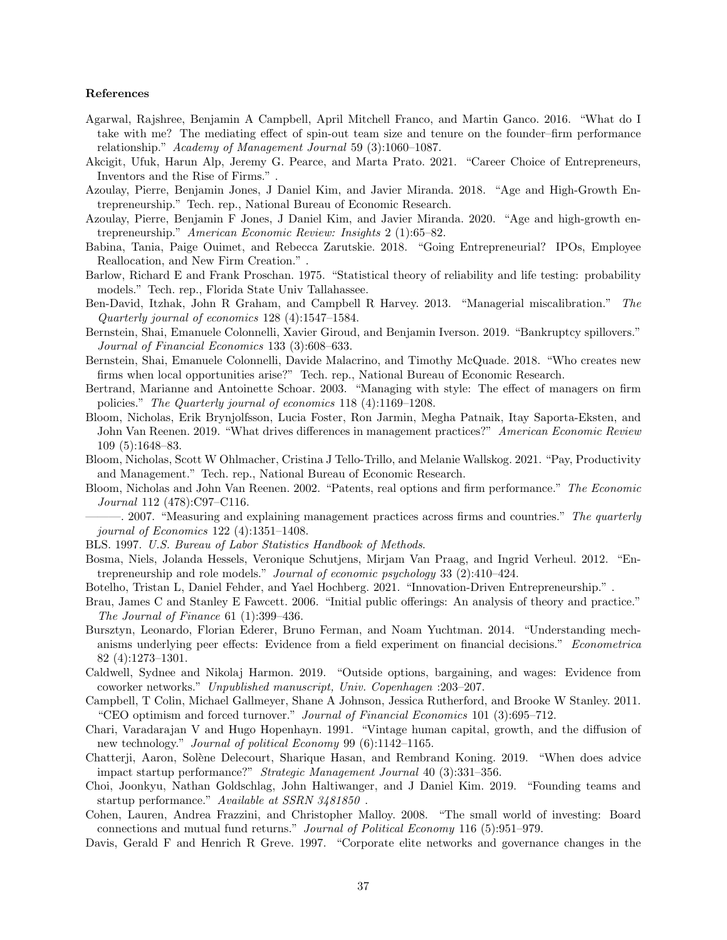#### References

- <span id="page-36-1"></span>Agarwal, Rajshree, Benjamin A Campbell, April Mitchell Franco, and Martin Ganco. 2016. "What do I take with me? The mediating effect of spin-out team size and tenure on the founder–firm performance relationship." Academy of Management Journal 59 (3):1060–1087.
- <span id="page-36-12"></span>Akcigit, Ufuk, Harun Alp, Jeremy G. Pearce, and Marta Prato. 2021. "Career Choice of Entrepreneurs, Inventors and the Rise of Firms." .
- <span id="page-36-2"></span>Azoulay, Pierre, Benjamin Jones, J Daniel Kim, and Javier Miranda. 2018. "Age and High-Growth Entrepreneurship." Tech. rep., National Bureau of Economic Research.
- <span id="page-36-9"></span>Azoulay, Pierre, Benjamin F Jones, J Daniel Kim, and Javier Miranda. 2020. "Age and high-growth entrepreneurship." American Economic Review: Insights 2 (1):65–82.
- <span id="page-36-5"></span>Babina, Tania, Paige Ouimet, and Rebecca Zarutskie. 2018. "Going Entrepreneurial? IPOs, Employee Reallocation, and New Firm Creation." .
- Barlow, Richard E and Frank Proschan. 1975. "Statistical theory of reliability and life testing: probability models." Tech. rep., Florida State Univ Tallahassee.
- Ben-David, Itzhak, John R Graham, and Campbell R Harvey. 2013. "Managerial miscalibration." The Quarterly journal of economics 128 (4):1547–1584.
- Bernstein, Shai, Emanuele Colonnelli, Xavier Giroud, and Benjamin Iverson. 2019. "Bankruptcy spillovers." Journal of Financial Economics 133 (3):608–633.
- <span id="page-36-6"></span>Bernstein, Shai, Emanuele Colonnelli, Davide Malacrino, and Timothy McQuade. 2018. "Who creates new firms when local opportunities arise?" Tech. rep., National Bureau of Economic Research.
- Bertrand, Marianne and Antoinette Schoar. 2003. "Managing with style: The effect of managers on firm policies." The Quarterly journal of economics 118 (4):1169–1208.
- <span id="page-36-3"></span>Bloom, Nicholas, Erik Brynjolfsson, Lucia Foster, Ron Jarmin, Megha Patnaik, Itay Saporta-Eksten, and John Van Reenen. 2019. "What drives differences in management practices?" American Economic Review 109 (5):1648–83.
- <span id="page-36-11"></span>Bloom, Nicholas, Scott W Ohlmacher, Cristina J Tello-Trillo, and Melanie Wallskog. 2021. "Pay, Productivity and Management." Tech. rep., National Bureau of Economic Research.
- <span id="page-36-8"></span>Bloom, Nicholas and John Van Reenen. 2002. "Patents, real options and firm performance." The Economic Journal 112 (478):C97–C116.
- <span id="page-36-4"></span>- 2007. "Measuring and explaining management practices across firms and countries." The quarterly journal of Economics 122 (4):1351–1408.
- <span id="page-36-0"></span>BLS. 1997. U.S. Bureau of Labor Statistics Handbook of Methods.
- <span id="page-36-10"></span>Bosma, Niels, Jolanda Hessels, Veronique Schutjens, Mirjam Van Praag, and Ingrid Verheul. 2012. "Entrepreneurship and role models." Journal of economic psychology 33 (2):410–424.
- Botelho, Tristan L, Daniel Fehder, and Yael Hochberg. 2021. "Innovation-Driven Entrepreneurship." .
- <span id="page-36-7"></span>Brau, James C and Stanley E Fawcett. 2006. "Initial public offerings: An analysis of theory and practice." The Journal of Finance 61 (1):399–436.
- Bursztyn, Leonardo, Florian Ederer, Bruno Ferman, and Noam Yuchtman. 2014. "Understanding mechanisms underlying peer effects: Evidence from a field experiment on financial decisions." Econometrica 82 (4):1273–1301.
- Caldwell, Sydnee and Nikolaj Harmon. 2019. "Outside options, bargaining, and wages: Evidence from coworker networks." Unpublished manuscript, Univ. Copenhagen :203–207.
- Campbell, T Colin, Michael Gallmeyer, Shane A Johnson, Jessica Rutherford, and Brooke W Stanley. 2011. "CEO optimism and forced turnover." Journal of Financial Economics 101 (3):695–712.
- Chari, Varadarajan V and Hugo Hopenhayn. 1991. "Vintage human capital, growth, and the diffusion of new technology." Journal of political Economy 99 (6):1142–1165.
- Chatterji, Aaron, Solène Delecourt, Sharique Hasan, and Rembrand Koning. 2019. "When does advice impact startup performance?" Strategic Management Journal 40 (3):331–356.
- Choi, Joonkyu, Nathan Goldschlag, John Haltiwanger, and J Daniel Kim. 2019. "Founding teams and startup performance." Available at SSRN 3481850 .
- Cohen, Lauren, Andrea Frazzini, and Christopher Malloy. 2008. "The small world of investing: Board connections and mutual fund returns." Journal of Political Economy 116 (5):951–979.
- Davis, Gerald F and Henrich R Greve. 1997. "Corporate elite networks and governance changes in the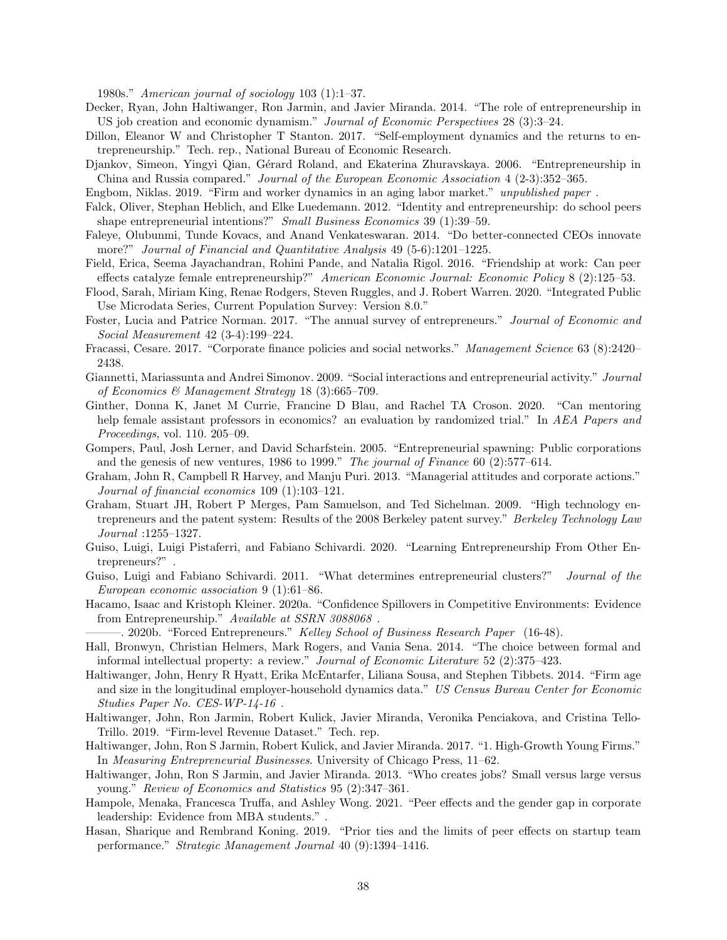1980s." American journal of sociology 103 (1):1–37.

- Decker, Ryan, John Haltiwanger, Ron Jarmin, and Javier Miranda. 2014. "The role of entrepreneurship in US job creation and economic dynamism." Journal of Economic Perspectives 28 (3):3–24.
- Dillon, Eleanor W and Christopher T Stanton. 2017. "Self-employment dynamics and the returns to entrepreneurship." Tech. rep., National Bureau of Economic Research.
- Djankov, Simeon, Yingyi Qian, Gérard Roland, and Ekaterina Zhuravskaya. 2006. "Entrepreneurship in China and Russia compared." Journal of the European Economic Association 4 (2-3):352–365.

Engbom, Niklas. 2019. "Firm and worker dynamics in an aging labor market." unpublished paper .

- Falck, Oliver, Stephan Heblich, and Elke Luedemann. 2012. "Identity and entrepreneurship: do school peers shape entrepreneurial intentions?" Small Business Economics 39 (1):39-59.
- Faleye, Olubunmi, Tunde Kovacs, and Anand Venkateswaran. 2014. "Do better-connected CEOs innovate more?" Journal of Financial and Quantitative Analysis 49 (5-6):1201-1225.
- Field, Erica, Seema Jayachandran, Rohini Pande, and Natalia Rigol. 2016. "Friendship at work: Can peer effects catalyze female entrepreneurship?" American Economic Journal: Economic Policy 8 (2):125–53.
- <span id="page-37-7"></span>Flood, Sarah, Miriam King, Renae Rodgers, Steven Ruggles, and J. Robert Warren. 2020. "Integrated Public Use Microdata Series, Current Population Survey: Version 8.0."
- <span id="page-37-4"></span>Foster, Lucia and Patrice Norman. 2017. "The annual survey of entrepreneurs." Journal of Economic and Social Measurement 42 (3-4):199–224.
- Fracassi, Cesare. 2017. "Corporate finance policies and social networks." Management Science 63 (8):2420– 2438.
- Giannetti, Mariassunta and Andrei Simonov. 2009. "Social interactions and entrepreneurial activity." Journal of Economics & Management Strategy 18 (3):665–709.
- Ginther, Donna K, Janet M Currie, Francine D Blau, and Rachel TA Croson. 2020. "Can mentoring help female assistant professors in economics? an evaluation by randomized trial." In AEA Papers and Proceedings, vol. 110. 205–09.
- <span id="page-37-6"></span>Gompers, Paul, Josh Lerner, and David Scharfstein. 2005. "Entrepreneurial spawning: Public corporations and the genesis of new ventures, 1986 to 1999." The journal of Finance 60 (2):577–614.
- Graham, John R, Campbell R Harvey, and Manju Puri. 2013. "Managerial attitudes and corporate actions." Journal of financial economics 109 (1):103–121.
- Graham, Stuart JH, Robert P Merges, Pam Samuelson, and Ted Sichelman. 2009. "High technology entrepreneurs and the patent system: Results of the 2008 Berkeley patent survey." *Berkeley Technology Law* Journal :1255–1327.
- <span id="page-37-5"></span>Guiso, Luigi, Luigi Pistaferri, and Fabiano Schivardi. 2020. "Learning Entrepreneurship From Other Entrepreneurs?" .
- Guiso, Luigi and Fabiano Schivardi. 2011. "What determines entrepreneurial clusters?" Journal of the European economic association 9 (1):61–86.
- Hacamo, Isaac and Kristoph Kleiner. 2020a. "Confidence Spillovers in Competitive Environments: Evidence from Entrepreneurship." Available at SSRN 3088068 .

-. 2020b. "Forced Entrepreneurs." Kelley School of Business Research Paper (16-48).

- Hall, Bronwyn, Christian Helmers, Mark Rogers, and Vania Sena. 2014. "The choice between formal and informal intellectual property: a review." Journal of Economic Literature 52 (2):375–423.
- <span id="page-37-1"></span>Haltiwanger, John, Henry R Hyatt, Erika McEntarfer, Liliana Sousa, and Stephen Tibbets. 2014. "Firm age and size in the longitudinal employer-household dynamics data." US Census Bureau Center for Economic Studies Paper No. CES-WP-14-16 .
- <span id="page-37-3"></span>Haltiwanger, John, Ron Jarmin, Robert Kulick, Javier Miranda, Veronika Penciakova, and Cristina Tello-Trillo. 2019. "Firm-level Revenue Dataset." Tech. rep.
- <span id="page-37-2"></span>Haltiwanger, John, Ron S Jarmin, Robert Kulick, and Javier Miranda. 2017. "1. High-Growth Young Firms." In Measuring Entrepreneurial Businesses. University of Chicago Press, 11–62.
- <span id="page-37-0"></span>Haltiwanger, John, Ron S Jarmin, and Javier Miranda. 2013. "Who creates jobs? Small versus large versus young." Review of Economics and Statistics 95 (2):347–361.
- Hampole, Menaka, Francesca Truffa, and Ashley Wong. 2021. "Peer effects and the gender gap in corporate leadership: Evidence from MBA students." .
- Hasan, Sharique and Rembrand Koning. 2019. "Prior ties and the limits of peer effects on startup team performance." Strategic Management Journal 40 (9):1394–1416.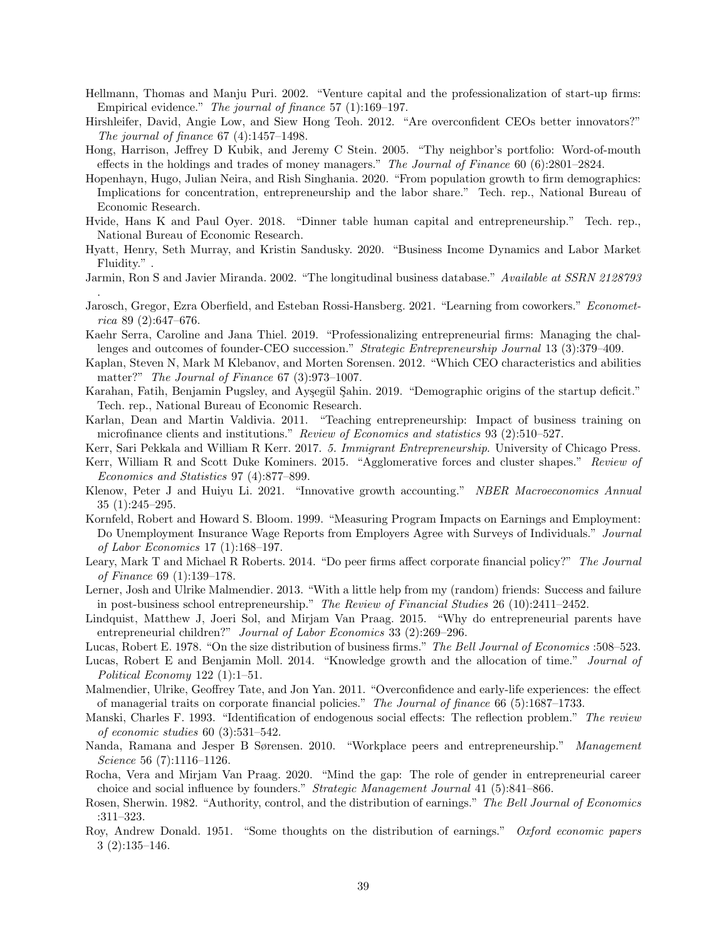- Hellmann, Thomas and Manju Puri. 2002. "Venture capital and the professionalization of start-up firms: Empirical evidence." The journal of finance 57 (1):169–197.
- Hirshleifer, David, Angie Low, and Siew Hong Teoh. 2012. "Are overconfident CEOs better innovators?" The journal of finance 67 (4):1457–1498.
- Hong, Harrison, Jeffrey D Kubik, and Jeremy C Stein. 2005. "Thy neighbor's portfolio: Word-of-mouth effects in the holdings and trades of money managers." The Journal of Finance 60 (6):2801–2824.
- Hopenhayn, Hugo, Julian Neira, and Rish Singhania. 2020. "From population growth to firm demographics: Implications for concentration, entrepreneurship and the labor share." Tech. rep., National Bureau of Economic Research.
- <span id="page-38-5"></span>Hvide, Hans K and Paul Oyer. 2018. "Dinner table human capital and entrepreneurship." Tech. rep., National Bureau of Economic Research.
- <span id="page-38-0"></span>Hyatt, Henry, Seth Murray, and Kristin Sandusky. 2020. "Business Income Dynamics and Labor Market Fluidity." .
- <span id="page-38-3"></span>Jarmin, Ron S and Javier Miranda. 2002. "The longitudinal business database." Available at SSRN 2128793 .
- Jarosch, Gregor, Ezra Oberfield, and Esteban Rossi-Hansberg. 2021. "Learning from coworkers." Econometrica 89 (2):647–676.
- Kaehr Serra, Caroline and Jana Thiel. 2019. "Professionalizing entrepreneurial firms: Managing the challenges and outcomes of founder-CEO succession." Strategic Entrepreneurship Journal 13 (3):379–409.
- Kaplan, Steven N, Mark M Klebanov, and Morten Sorensen. 2012. "Which CEO characteristics and abilities matter?" The Journal of Finance 67 (3):973-1007.
- Karahan, Fatih, Benjamin Pugsley, and Ayşegül Sahin. 2019. "Demographic origins of the startup deficit." Tech. rep., National Bureau of Economic Research.
- Karlan, Dean and Martin Valdivia. 2011. "Teaching entrepreneurship: Impact of business training on microfinance clients and institutions." Review of Economics and statistics 93 (2):510–527.
- <span id="page-38-2"></span>Kerr, Sari Pekkala and William R Kerr. 2017. 5. Immigrant Entrepreneurship. University of Chicago Press.
- Kerr, William R and Scott Duke Kominers. 2015. "Agglomerative forces and cluster shapes." Review of Economics and Statistics 97 (4):877–899.
- Klenow, Peter J and Huiyu Li. 2021. "Innovative growth accounting." NBER Macroeconomics Annual 35 (1):245–295.
- <span id="page-38-1"></span>Kornfeld, Robert and Howard S. Bloom. 1999. "Measuring Program Impacts on Earnings and Employment: Do Unemployment Insurance Wage Reports from Employers Agree with Surveys of Individuals." Journal of Labor Economics 17 (1):168–197.
- Leary, Mark T and Michael R Roberts. 2014. "Do peer firms affect corporate financial policy?" The Journal of Finance 69 (1):139–178.
- <span id="page-38-6"></span>Lerner, Josh and Ulrike Malmendier. 2013. "With a little help from my (random) friends: Success and failure in post-business school entrepreneurship." The Review of Financial Studies 26 (10):2411–2452.
- Lindquist, Matthew J, Joeri Sol, and Mirjam Van Praag. 2015. "Why do entrepreneurial parents have entrepreneurial children?" Journal of Labor Economics 33 (2):269-296.
- Lucas, Robert E. 1978. "On the size distribution of business firms." The Bell Journal of Economics :508–523.
- Lucas, Robert E and Benjamin Moll. 2014. "Knowledge growth and the allocation of time." Journal of Political Economy 122 (1):1–51.
- Malmendier, Ulrike, Geoffrey Tate, and Jon Yan. 2011. "Overconfidence and early-life experiences: the effect of managerial traits on corporate financial policies." The Journal of finance 66 (5):1687–1733.
- Manski, Charles F. 1993. "Identification of endogenous social effects: The reflection problem." The review of economic studies 60 (3):531–542.
- <span id="page-38-4"></span>Nanda, Ramana and Jesper B Sørensen. 2010. "Workplace peers and entrepreneurship." Management Science 56 (7):1116–1126.
- Rocha, Vera and Mirjam Van Praag. 2020. "Mind the gap: The role of gender in entrepreneurial career choice and social influence by founders." Strategic Management Journal 41 (5):841–866.
- Rosen, Sherwin. 1982. "Authority, control, and the distribution of earnings." The Bell Journal of Economics :311–323.
- Roy, Andrew Donald. 1951. "Some thoughts on the distribution of earnings." Oxford economic papers 3 (2):135–146.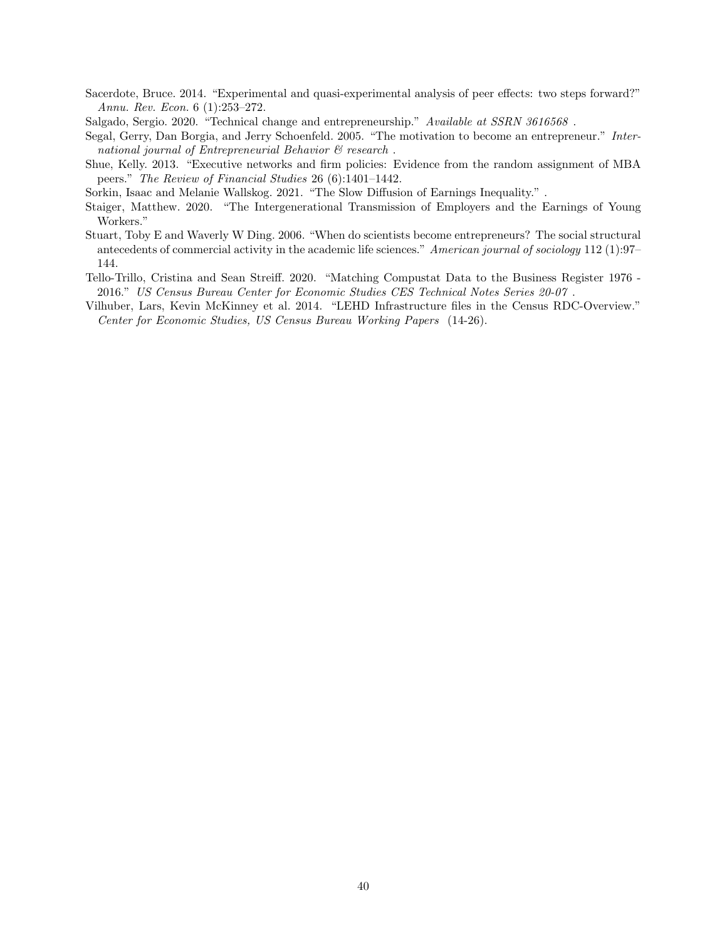Sacerdote, Bruce. 2014. "Experimental and quasi-experimental analysis of peer effects: two steps forward?" Annu. Rev. Econ. 6 (1):253–272.

Salgado, Sergio. 2020. "Technical change and entrepreneurship." Available at SSRN 3616568 .

Segal, Gerry, Dan Borgia, and Jerry Schoenfeld. 2005. "The motivation to become an entrepreneur." International journal of Entrepreneurial Behavior & research.

Shue, Kelly. 2013. "Executive networks and firm policies: Evidence from the random assignment of MBA peers." The Review of Financial Studies 26 (6):1401–1442.

<span id="page-39-2"></span>Sorkin, Isaac and Melanie Wallskog. 2021. "The Slow Diffusion of Earnings Inequality." .

- <span id="page-39-3"></span>Staiger, Matthew. 2020. "The Intergenerational Transmission of Employers and the Earnings of Young Workers."
- Stuart, Toby E and Waverly W Ding. 2006. "When do scientists become entrepreneurs? The social structural antecedents of commercial activity in the academic life sciences." American journal of sociology 112 (1):97– 144.
- <span id="page-39-1"></span>Tello-Trillo, Cristina and Sean Streiff. 2020. "Matching Compustat Data to the Business Register 1976 - 2016." US Census Bureau Center for Economic Studies CES Technical Notes Series 20-07 .
- <span id="page-39-0"></span>Vilhuber, Lars, Kevin McKinney et al. 2014. "LEHD Infrastructure files in the Census RDC-Overview." Center for Economic Studies, US Census Bureau Working Papers (14-26).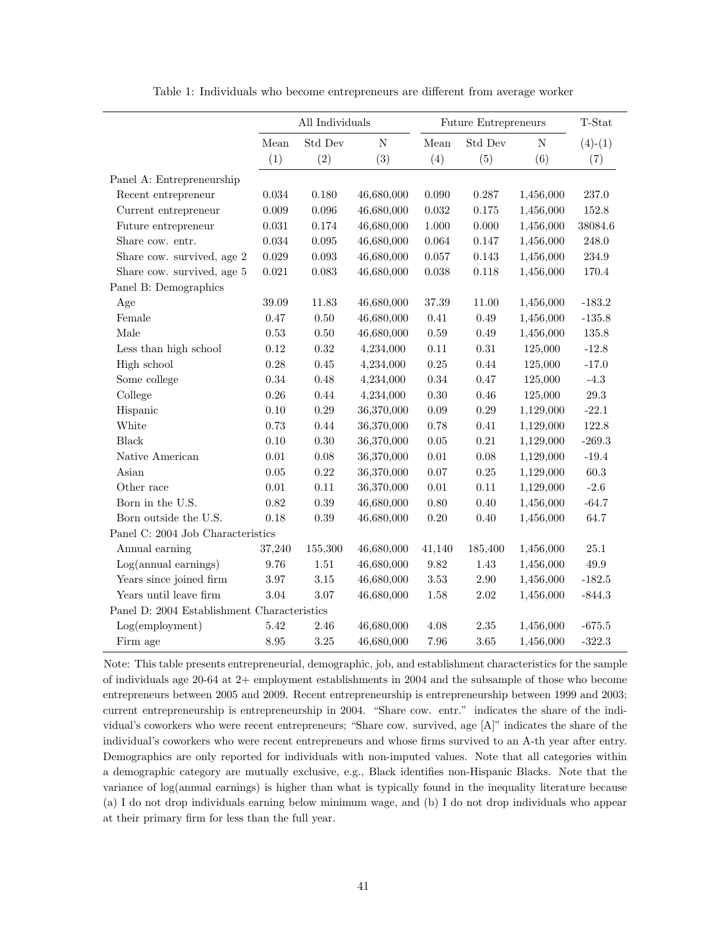<span id="page-40-0"></span>

|                                             | All Individuals |             |             |                     | Future Entrepreneurs |             | T-Stat    |
|---------------------------------------------|-----------------|-------------|-------------|---------------------|----------------------|-------------|-----------|
|                                             | Mean            | Std Dev     | $\mathbf N$ | Mean                | Std Dev              | $\mathbf N$ | $(4)-(1)$ |
|                                             | (1)             | (2)         | (3)         | (4)                 | (5)                  | (6)         | (7)       |
| Panel A: Entrepreneurship                   |                 |             |             |                     |                      |             |           |
| Recent entrepreneur                         | $0.034\,$       | 0.180       | 46,680,000  | $0.090\,$           | 0.287                | 1,456,000   | 237.0     |
| Current entrepreneur                        | $0.009\,$       | 0.096       | 46,680,000  | 0.032               | 0.175                | 1,456,000   | 152.8     |
| Future entrepreneur                         | 0.031           | 0.174       | 46,680,000  | $1.000\,$           | 0.000                | 1,456,000   | 38084.6   |
| Share cow. entr.                            | $\,0.034\,$     | $\,0.095\,$ | 46,680,000  | $\,0.064\,$         | 0.147                | 1,456,000   | 248.0     |
| Share cow. survived, age 2                  | $\,0.029\,$     | 0.093       | 46,680,000  | $0.057\,$           | 0.143                | 1,456,000   | 234.9     |
| Share cow. survived, age 5                  | 0.021           | 0.083       | 46,680,000  | 0.038               | 0.118                | 1,456,000   | 170.4     |
| Panel B: Demographics                       |                 |             |             |                     |                      |             |           |
| Age                                         | 39.09           | 11.83       | 46,680,000  | $37.39\,$           | 11.00                | 1,456,000   | $-183.2$  |
| Female                                      | 0.47            | $0.50\,$    | 46,680,000  | 0.41                | 0.49                 | 1,456,000   | $-135.8$  |
| Male                                        | 0.53            | $0.50\,$    | 46,680,000  | $0.59\,$            | 0.49                 | 1,456,000   | $135.8\,$ |
| Less than high school                       | 0.12            | 0.32        | 4,234,000   | $0.11\,$            | $\rm 0.31$           | 125,000     | $-12.8$   |
| High school                                 | 0.28            | 0.45        | 4,234,000   | 0.25                | 0.44                 | 125,000     | $-17.0$   |
| Some college                                | $\rm 0.34$      | 0.48        | 4,234,000   | $0.34\,$            | 0.47                 | 125,000     | $-4.3$    |
| College                                     | 0.26            | $0.44\,$    | 4,234,000   | $0.30\,$            | 0.46                 | 125,000     | $29.3\,$  |
| Hispanic                                    | 0.10            | $0.29\,$    | 36,370,000  | $0.09\,$            | 0.29                 | 1,129,000   | $-22.1$   |
| White                                       | 0.73            | $0.44\,$    | 36,370,000  | 0.78                | $0.41\,$             | 1,129,000   | 122.8     |
| <b>Black</b>                                | 0.10            | $0.30\,$    | 36,370,000  | $0.05\,$            | 0.21                 | 1,129,000   | $-269.3$  |
| Native American                             | 0.01            | 0.08        | 36,370,000  | $0.01\,$            | 0.08                 | 1,129,000   | $-19.4$   |
| Asian                                       | 0.05            | $\rm 0.22$  | 36,370,000  | $0.07\,$            | 0.25                 | 1,129,000   | 60.3      |
| Other race                                  | $0.01\,$        | 0.11        | 36,370,000  | $0.01\,$            | $0.11\,$             | 1,129,000   | $-2.6$    |
| Born in the U.S.                            | 0.82            | 0.39        | 46,680,000  | $0.80\,$            | 0.40                 | 1,456,000   | $-64.7$   |
| Born outside the U.S.                       | 0.18            | 0.39        | 46,680,000  | $0.20\,$            | 0.40                 | 1,456,000   | 64.7      |
| Panel C: 2004 Job Characteristics           |                 |             |             |                     |                      |             |           |
| Annual earning                              | 37,240          | 155,300     | 46,680,000  | 41,140              | 185,400              | 1,456,000   | 25.1      |
| $Log(annual\ earnings)$                     | 9.76            | 1.51        | 46,680,000  | $\boldsymbol{9.82}$ | 1.43                 | 1,456,000   | 49.9      |
| Years since joined firm                     | 3.97            | 3.15        | 46,680,000  | $3.53\,$            | 2.90                 | 1,456,000   | $-182.5$  |
| Years until leave firm                      | 3.04            | 3.07        | 46,680,000  | 1.58                | $2.02\,$             | 1,456,000   | $-844.3$  |
| Panel D: 2004 Establishment Characteristics |                 |             |             |                     |                      |             |           |
| Log(employment)                             | 5.42            | 2.46        | 46,680,000  | 4.08                | 2.35                 | 1,456,000   | $-675.5$  |
| Firm age                                    | 8.95            | 3.25        | 46,680,000  | 7.96                | 3.65                 | 1,456,000   | $-322.3$  |

Table 1: Individuals who become entrepreneurs are different from average worker

Note: This table presents entrepreneurial, demographic, job, and establishment characteristics for the sample of individuals age 20-64 at 2+ employment establishments in 2004 and the subsample of those who become entrepreneurs between 2005 and 2009. Recent entrepreneurship is entrepreneurship between 1999 and 2003; current entrepreneurship is entrepreneurship in 2004. "Share cow. entr." indicates the share of the individual's coworkers who were recent entrepreneurs; "Share cow. survived, age [A]" indicates the share of the individual's coworkers who were recent entrepreneurs and whose firms survived to an A-th year after entry. Demographics are only reported for individuals with non-imputed values. Note that all categories within a demographic category are mutually exclusive, e.g., Black identifies non-Hispanic Blacks. Note that the variance of log(annual earnings) is higher than what is typically found in the inequality literature because (a) I do not drop individuals earning below minimum wage, and (b) I do not drop individuals who appear at their primary firm for less than the full year.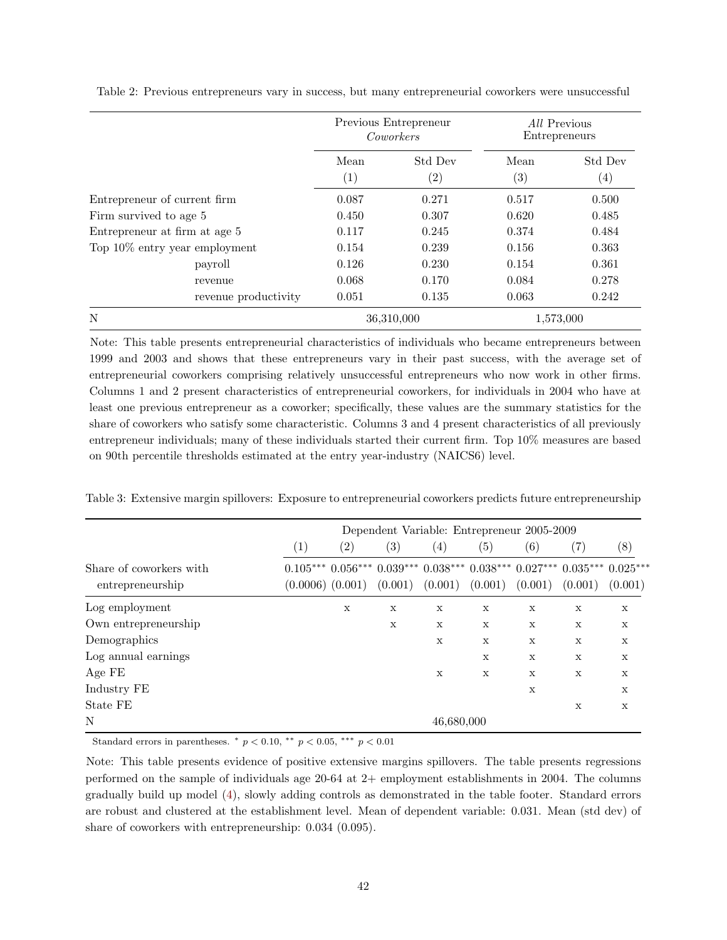|                                  |             | Previous Entrepreneur<br>Coworkers | All Previous<br>Entrepreneurs |                              |  |
|----------------------------------|-------------|------------------------------------|-------------------------------|------------------------------|--|
|                                  | Mean<br>(1) | Std Dev<br>$\left( 2\right)$       | Mean<br>(3)                   | Std Dev<br>$\left( 4\right)$ |  |
| Entrepreneur of current firm     | 0.087       | 0.271                              | 0.517                         | 0.500                        |  |
| Firm survived to age 5           | 0.450       | 0.307                              | 0.620                         | 0.485                        |  |
| Entrepreneur at firm at age 5    | 0.117       | 0.245                              | 0.374                         | 0.484                        |  |
| Top $10\%$ entry year employment | 0.154       | 0.239                              | 0.156                         | 0.363                        |  |
| payroll                          | 0.126       | 0.230                              | 0.154                         | 0.361                        |  |
| revenue                          | 0.068       | 0.170                              | 0.084                         | 0.278                        |  |
| revenue productivity             | 0.051       | 0.135                              | 0.063                         | 0.242                        |  |
| N                                |             | 36,310,000                         |                               | 1,573,000                    |  |

<span id="page-41-0"></span>Table 2: Previous entrepreneurs vary in success, but many entrepreneurial coworkers were unsuccessful

Note: This table presents entrepreneurial characteristics of individuals who became entrepreneurs between 1999 and 2003 and shows that these entrepreneurs vary in their past success, with the average set of entrepreneurial coworkers comprising relatively unsuccessful entrepreneurs who now work in other firms. Columns 1 and 2 present characteristics of entrepreneurial coworkers, for individuals in 2004 who have at least one previous entrepreneur as a coworker; specifically, these values are the summary statistics for the share of coworkers who satisfy some characteristic. Columns 3 and 4 present characteristics of all previously entrepreneur individuals; many of these individuals started their current firm. Top 10% measures are based on 90th percentile thresholds estimated at the entry year-industry (NAICS6) level.

|                                             | Dependent Variable: Entrepreneur 2005-2009 |                      |                   |                   |                     |                   |                                                                                                    |             |  |  |
|---------------------------------------------|--------------------------------------------|----------------------|-------------------|-------------------|---------------------|-------------------|----------------------------------------------------------------------------------------------------|-------------|--|--|
|                                             | $\left( 1\right)$                          | $\left( 2\right)$    | $\left( 3\right)$ | $\left( 4\right)$ | $\left( 5\right)$   | $\left( 6\right)$ | $\left( 7\right)$                                                                                  | (8)         |  |  |
| Share of coworkers with<br>entrepreneurship |                                            | $(0.0006)$ $(0.001)$ | (0.001)           |                   | $(0.001)$ $(0.001)$ | (0.001)           | $0.105***$ $0.056***$ $0.039***$ $0.038***$ $0.038***$ $0.027***$ $0.035***$ $0.025***$<br>(0.001) | (0.001)     |  |  |
| Log employment                              |                                            | X                    | X                 | $\mathbf x$       | X                   | $\mathbf X$       | $\mathbf X$                                                                                        | $\mathbf X$ |  |  |
| Own entrepreneurship                        |                                            |                      | X                 | X                 | X                   | X                 | X                                                                                                  | $\mathbf X$ |  |  |
| Demographics                                |                                            |                      |                   | $\mathbf{x}$      | X                   | X                 | X                                                                                                  | $\mathbf x$ |  |  |
| Log annual earnings                         |                                            |                      |                   |                   | X                   | X                 | X                                                                                                  | $\mathbf x$ |  |  |
| Age FE                                      |                                            |                      |                   | X                 | X                   | X                 | X                                                                                                  | X           |  |  |
| Industry FE                                 |                                            |                      |                   |                   |                     | X                 |                                                                                                    | X           |  |  |
| State FE                                    |                                            |                      |                   |                   |                     |                   | X                                                                                                  | $\mathbf x$ |  |  |
| N                                           |                                            |                      |                   | 46,680,000        |                     |                   |                                                                                                    |             |  |  |

Table 3: Extensive margin spillovers: Exposure to entrepreneurial coworkers predicts future entrepreneurship

Standard errors in parentheses.  $*$   $p < 0.10$ ,  $**$   $p < 0.05$ ,  $***$   $p < 0.01$ 

Note: This table presents evidence of positive extensive margins spillovers. The table presents regressions performed on the sample of individuals age 20-64 at 2+ employment establishments in 2004. The columns gradually build up model [\(4\)](#page-13-0), slowly adding controls as demonstrated in the table footer. Standard errors are robust and clustered at the establishment level. Mean of dependent variable: 0.031. Mean (std dev) of share of coworkers with entrepreneurship: 0.034 (0.095).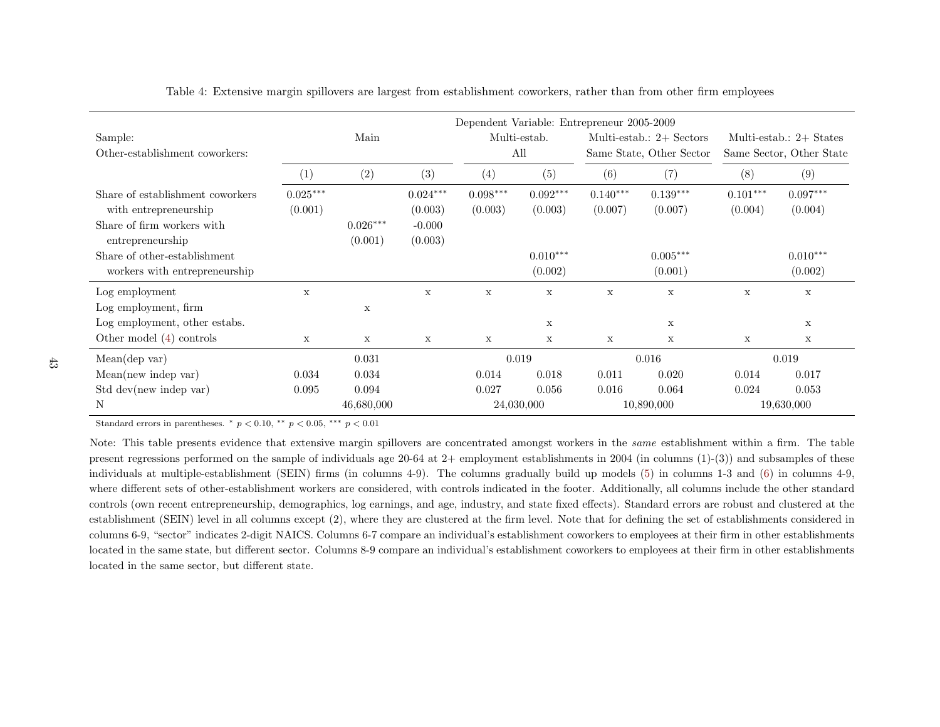|                                                           | Dependent Variable: Entrepreneur 2005-2009 |                       |                       |                       |                       |                          |                            |                          |                           |
|-----------------------------------------------------------|--------------------------------------------|-----------------------|-----------------------|-----------------------|-----------------------|--------------------------|----------------------------|--------------------------|---------------------------|
| Sample:                                                   |                                            | Main                  |                       | Multi-estab.          |                       |                          | Multi-estab.: $2+$ Sectors |                          | Multi-estab.: $2+$ States |
| Other-establishment coworkers:                            |                                            |                       |                       | All                   |                       | Same State, Other Sector |                            | Same Sector, Other State |                           |
|                                                           | (1)                                        | (2)                   | (3)                   | (4)                   | (5)                   | (6)                      | (7)                        | (8)                      | (9)                       |
| Share of establishment coworkers<br>with entrepreneurship | $0.025***$<br>(0.001)                      |                       | $0.024***$<br>(0.003) | $0.098***$<br>(0.003) | $0.092***$<br>(0.003) | $0.140***$<br>(0.007)    | $0.139***$<br>(0.007)      | $0.101***$<br>(0.004)    | $0.097***$<br>(0.004)     |
| Share of firm workers with<br>entrepreneurship            |                                            | $0.026***$<br>(0.001) | $-0.000$<br>(0.003)   |                       |                       |                          |                            |                          |                           |
| Share of other-establishment                              |                                            |                       |                       |                       | $0.010***$            |                          | $0.005***$                 |                          | $0.010***$                |
| workers with entrepreneurship                             |                                            |                       |                       |                       | (0.002)               |                          | (0.001)                    |                          | (0.002)                   |
| Log employment                                            | $\mathbf{x}$                               |                       | X                     | $\mathbf x$           | $\mathbf x$           | $\mathbf{x}$             | $\mathbf x$                | X                        | X                         |
| Log employment, firm                                      |                                            | X                     |                       |                       |                       |                          |                            |                          |                           |
| Log employment, other estabs.                             |                                            |                       |                       |                       | X                     |                          | X                          |                          | X                         |
| Other model $(4)$ controls                                | $\mathbf x$                                | X                     | $\mathbf x$           | $\mathbf x$           | $\mathbf{x}$          | X                        | X                          | X                        | X                         |
| Mean(dep var)                                             |                                            | 0.031                 |                       | 0.019                 |                       |                          | 0.016                      |                          | 0.019                     |
| Mean(new indep var)                                       | 0.034                                      | 0.034                 |                       | 0.014                 | 0.018                 | 0.011                    | 0.020                      | 0.014                    | 0.017                     |
| Std dev(new indep var)                                    | 0.095                                      | 0.094                 |                       | 0.027                 | 0.056                 | 0.016                    | 0.064                      | 0.024                    | 0.053                     |
| N                                                         |                                            | 46,680,000            |                       | 24,030,000            |                       |                          | 10,890,000                 |                          | 19,630,000                |

<span id="page-42-0"></span>Table 4: Extensive margin spillovers are largest from establishment coworkers, rather than from other firm employees

Standard errors in parentheses.  $*$   $p < 0.10$ ,  $**$   $p < 0.05$ ,  $***$   $p < 0.01$ 

Note: This table presents evidence that extensive margin spillovers are concentrated amongst workers in the *same* establishment within a firm. The table present regressions performed on the sample of individuals age 20-64 at  $2+$  employment establishments in 2004 (in columns  $(1)-(3)$ ) and subsamples of these individuals at multiple-establishment (SEIN) firms (in columns 4-9). The columns gradually build up models [\(5\)](#page-17-0) in columns 1-3 and ([6\)](#page-17-1) in columns 4-9, where different sets of other-establishment workers are considered, with controls indicated in the footer. Additionally, all columns include the other standard controls (own recent entrepreneurship, demographics, log earnings, and age, industry, and state fixed effects). Standard errors are robust and clustered at the establishment (SEIN) level in all columns except (2), where they are clustered at the firm level. Note that for defining the set of establishments considered in columns 6-9, "sector" indicates 2-digit NAICS. Columns 6-7 compare an individual's establishment coworkers to employees at their firm in other establishmentslocated in the same state, but different sector. Columns 8-9 compare an individual's establishment coworkers to employees at their firm in other establishments located in the same sector, but different state.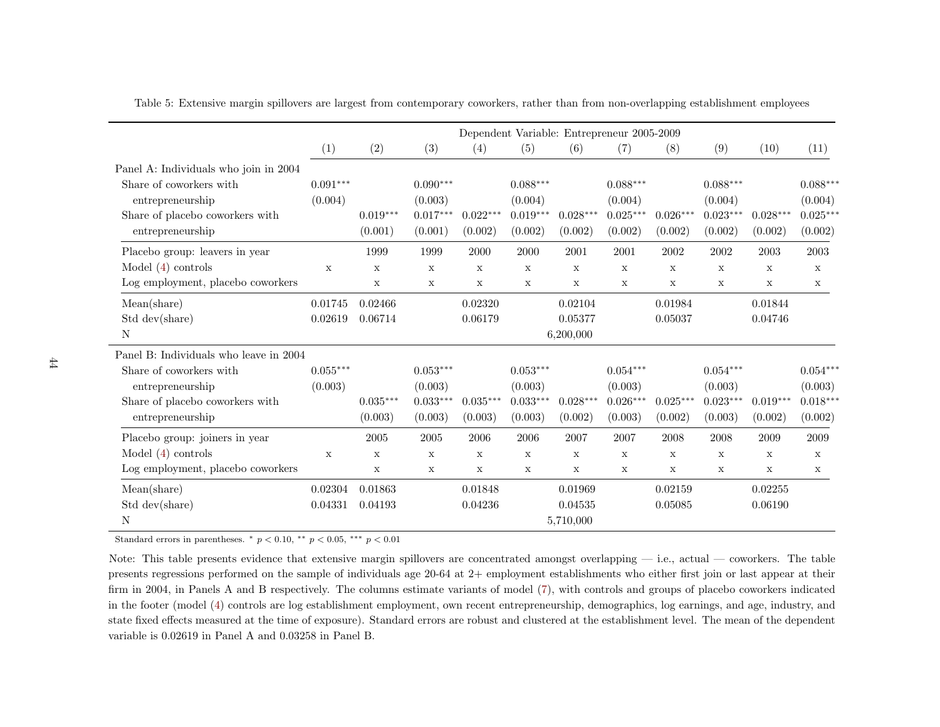|                                                                                                                                              |                                   |                                                          |                                                |                                                | Dependent Variable: Entrepreneur 2005-2009     |                                                                       |                                                |                                      |                                                |                                                |                                                |
|----------------------------------------------------------------------------------------------------------------------------------------------|-----------------------------------|----------------------------------------------------------|------------------------------------------------|------------------------------------------------|------------------------------------------------|-----------------------------------------------------------------------|------------------------------------------------|--------------------------------------|------------------------------------------------|------------------------------------------------|------------------------------------------------|
|                                                                                                                                              | (1)                               | (2)                                                      | (3)                                            | (4)                                            | (5)                                            | (6)                                                                   | (7)                                            | (8)                                  | (9)                                            | (10)                                           | (11)                                           |
| Panel A: Individuals who join in 2004<br>Share of coworkers with<br>entrepreneurship<br>Share of placebo coworkers with<br>entrepreneurship  | $0.091***$<br>(0.004)             | $0.019***$<br>(0.001)                                    | $0.090***$<br>(0.003)<br>$0.017***$<br>(0.001) | $0.022***$<br>(0.002)                          | $0.088***$<br>(0.004)<br>$0.019***$<br>(0.002) | $0.028***$<br>(0.002)                                                 | $0.088***$<br>(0.004)<br>$0.025***$<br>(0.002) | $0.026***$<br>(0.002)                | $0.088***$<br>(0.004)<br>$0.023***$<br>(0.002) | $0.028***$<br>(0.002)                          | $0.088***$<br>(0.004)<br>$0.025***$<br>(0.002) |
| Placebo group: leavers in year<br>Model $(4)$ controls<br>Log employment, placebo coworkers                                                  | $\mathbf X$                       | 1999<br>X<br>$\mathbf X$                                 | 1999<br>$\mathbf X$<br>$\mathbf x$             | 2000<br>$\mathbf X$<br>X                       | 2000<br>$\mathbf X$<br>$\mathbf x$             | 2001<br>$\mathbf X$<br>$\mathbf x$                                    | 2001<br>$\mathbf X$<br>X                       | 2002<br>$\mathbf X$<br>X             | 2002<br>$\mathbf X$<br>$\mathbf X$             | 2003<br>$\mathbf x$<br>$\mathbf X$             | 2003<br>$\mathbf x$<br>$\mathbf X$             |
| Mean(share)<br>Std dev(share)<br>N                                                                                                           | 0.01745<br>0.02619                | 0.02466<br>0.06714                                       |                                                | 0.02320<br>0.06179                             |                                                | 0.02104<br>0.05377<br>6,200,000                                       |                                                | 0.01984<br>0.05037                   |                                                | 0.01844<br>0.04746                             |                                                |
| Panel B: Individuals who leave in 2004<br>Share of coworkers with<br>entrepreneurship<br>Share of placebo coworkers with<br>entrepreneurship | $0.055***$<br>(0.003)             | $0.035***$<br>(0.003)                                    | $0.053***$<br>(0.003)<br>$0.033***$<br>(0.003) | $0.035***$<br>(0.003)                          | $0.053***$<br>(0.003)<br>$0.033***$<br>(0.003) | $0.028***$<br>(0.002)                                                 | $0.054***$<br>(0.003)<br>$0.026***$<br>(0.003) | $0.025***$<br>(0.002)                | $0.054***$<br>(0.003)<br>$0.023***$<br>(0.003) | $0.019***$<br>(0.002)                          | $0.054***$<br>(0.003)<br>$0.018***$<br>(0.002) |
| Placebo group: joiners in year<br>Model $(4)$ controls<br>Log employment, placebo coworkers<br>Mean(share)<br>Std dev(share)<br>N            | $\mathbf X$<br>0.02304<br>0.04331 | 2005<br>$\mathbf X$<br>$\mathbf x$<br>0.01863<br>0.04193 | 2005<br>$\mathbf X$<br>X                       | 2006<br>$\mathbf X$<br>X<br>0.01848<br>0.04236 | 2006<br>$\mathbf x$<br>$\mathbf x$             | 2007<br>$\mathbf x$<br>$\mathbf x$<br>0.01969<br>0.04535<br>5,710,000 | 2007<br>X<br>X                                 | 2008<br>X<br>X<br>0.02159<br>0.05085 | 2008<br>$\mathbf X$<br>$\mathbf x$             | 2009<br>$\mathbf X$<br>X<br>0.02255<br>0.06190 | 2009<br>$\mathbf x$<br>$\mathbf{x}$            |

Table 5: Extensive margin spillovers are largest from contemporary coworkers, rather than from non-overlapping establishment employees

Standard errors in parentheses.  $*$   $p < 0.10$ ,  $**$   $p < 0.05$ ,  $**$   $p < 0.01$ 

Note: This table presents evidence that extensive margin spillovers are concentrated amongst overlapping — i.e., actual — coworkers. The table presents regressions performed on the sample of individuals age 20-64 at 2+ employment establishments who either first join or last appear at their firm in 2004, in Panels A and <sup>B</sup> respectively. The columns estimate variants of model [\(7\)](#page-18-0), with controls and groups of <sup>p</sup>lacebo coworkers indicated in the footer (model [\(4\)](#page-13-1) controls are log establishment employment, own recent entrepreneurship, demographics, log earnings, and age, industry, and state fixed effects measured at the time of exposure). Standard errors are robust and clustered at the establishment level. The mean of the dependentvariable is 0.02619 in Panel A and 0.03258 in Panel B.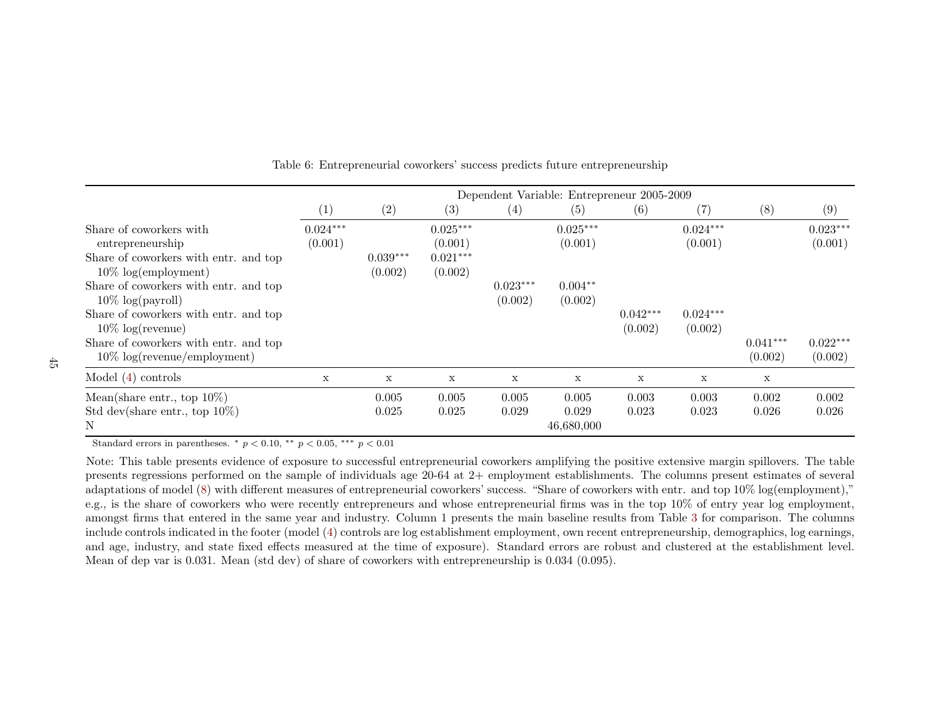|                                                                                                                                                                                |                       | Dependent Variable: Entrepreneur 2005-2009 |                                                |                       |                              |                       |                       |                |                       |
|--------------------------------------------------------------------------------------------------------------------------------------------------------------------------------|-----------------------|--------------------------------------------|------------------------------------------------|-----------------------|------------------------------|-----------------------|-----------------------|----------------|-----------------------|
|                                                                                                                                                                                | (1)                   | (2)                                        | (3)                                            | (4)                   | (5)                          | (6)                   | (7)                   | (8)            | (9)                   |
| Share of coworkers with<br>entrepreneurship<br>Share of coworkers with entr. and top<br>$10\% \text{ log}(embyment)$                                                           | $0.024***$<br>(0.001) | $0.039***$<br>(0.002)                      | $0.025***$<br>(0.001)<br>$0.021***$<br>(0.002) |                       | $0.025***$<br>(0.001)        |                       | $0.024***$<br>(0.001) |                | $0.023***$<br>(0.001) |
| Share of coworkers with entr. and top<br>$10\% \log(payroll)$<br>Share of coworkers with entr. and top<br>$10\% \text{ log(revenue)}$<br>Share of coworkers with entr. and top |                       |                                            |                                                | $0.023***$<br>(0.002) | $0.004**$<br>(0.002)         | $0.042***$<br>(0.002) | $0.024***$<br>(0.002) | $0.041***$     | $0.022***$            |
| $10\% \text{ log(revenue/employment)}$                                                                                                                                         |                       |                                            |                                                |                       |                              |                       |                       | (0.002)        | (0.002)               |
| Model $(4)$ controls                                                                                                                                                           | $\mathbf x$           | $\mathbf X$                                | X                                              | $\mathbf x$           | X                            | X                     | $\mathbf x$           | X              |                       |
| Mean(share entr., top $10\%$ )<br>Std dev(share entr., top $10\%$ )<br>N                                                                                                       |                       | 0.005<br>0.025                             | 0.005<br>0.025                                 | 0.005<br>0.029        | 0.005<br>0.029<br>46,680,000 | 0.003<br>0.023        | 0.003<br>0.023        | 0.002<br>0.026 | 0.002<br>0.026        |

Table 6: Entrepreneurial coworkers' success predicts future entrepreneurship

Standard errors in parentheses.  $*$   $p < 0.10$ ,  $**$   $p < 0.05$ ,  $**$   $p < 0.01$ 

Note: This table presents evidence of exposure to successful entrepreneurial coworkers amplifying the positive extensive margin spillovers. The table presents regressions performed on the sample of individuals age 20-64 at 2+ employment establishments. The columns present estimates of several adaptations of model [\(8\)](#page-21-0) with different measures of entrepreneurial coworkers' success. "Share of coworkers with entr. and top 10% log(employment)," e.g., is the share of coworkers who were recently entrepreneurs and whose entrepreneurial firms was in the top 10% of entry year log employment, amongst firms that entered in the same year and industry. Column 1 presents the main baseline results from Table [3](#page-41-0) for comparison. The columns include controls indicated in the footer (model ([4\)](#page-13-1) controls are log establishment employment, own recent entrepreneurship, demographics, log earnings, and age, industry, and state fixed effects measured at the time of exposure). Standard errors are robust and clustered at the establishment level.Mean of dep var is 0.031. Mean (std dev) of share of coworkers with entrepreneurship is 0.034 (0.095).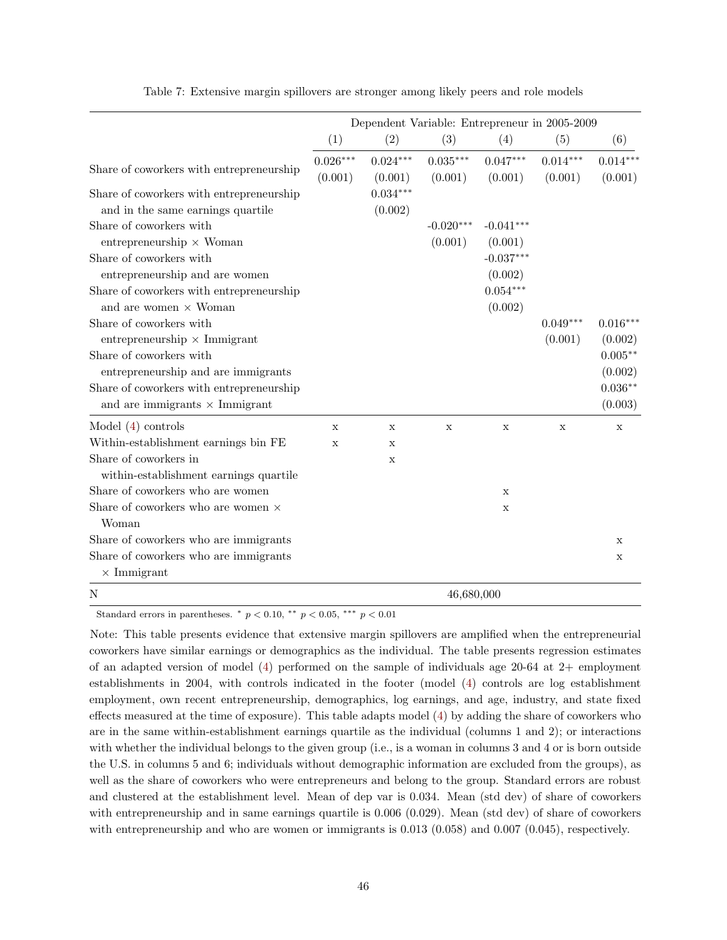|                                                                                                          | Dependent Variable: Entrepreneur in 2005-2009 |                       |                       |                                   |                       |                       |  |  |  |
|----------------------------------------------------------------------------------------------------------|-----------------------------------------------|-----------------------|-----------------------|-----------------------------------|-----------------------|-----------------------|--|--|--|
|                                                                                                          | (1)                                           | (2)                   | (3)                   | (4)                               | (5)                   | (6)                   |  |  |  |
| Share of coworkers with entrepreneurship                                                                 | $0.026***$<br>(0.001)                         | $0.024***$<br>(0.001) | $0.035***$<br>(0.001) | $0.047***$<br>(0.001)             | $0.014***$<br>(0.001) | $0.014***$<br>(0.001) |  |  |  |
| Share of coworkers with entrepreneurship<br>and in the same earnings quartile<br>Share of coworkers with |                                               | $0.034***$<br>(0.002) | $-0.020***$           | $-0.041***$                       |                       |                       |  |  |  |
| $entrepreneurship \times Woman$<br>Share of coworkers with<br>entrepreneurship and are women             |                                               |                       | (0.001)               | (0.001)<br>$-0.037***$<br>(0.002) |                       |                       |  |  |  |
| Share of coworkers with entrepreneurship<br>and are women $\times$ Woman                                 |                                               |                       |                       | $0.054***$<br>(0.002)             |                       |                       |  |  |  |
| Share of coworkers with<br>entrepreneurship $\times$ Immigrant                                           |                                               |                       |                       |                                   | $0.049***$<br>(0.001) | $0.016***$<br>(0.002) |  |  |  |
| Share of coworkers with<br>entrepreneurship and are immigrants                                           |                                               |                       |                       |                                   |                       | $0.005***$<br>(0.002) |  |  |  |
| Share of coworkers with entrepreneurship<br>and are immigrants $\times$ Immigrant                        |                                               |                       |                       |                                   |                       | $0.036**$<br>(0.003)  |  |  |  |
| Model $(4)$ controls                                                                                     | X                                             | X                     | $\mathbf x$           | $\mathbf X$                       | $\mathbf X$           | X                     |  |  |  |
| Within-establishment earnings bin FE                                                                     | $\mathbf x$                                   | $\mathbf x$           |                       |                                   |                       |                       |  |  |  |
| Share of coworkers in<br>within-establishment earnings quartile                                          |                                               | X                     |                       |                                   |                       |                       |  |  |  |
| Share of coworkers who are women                                                                         |                                               |                       |                       | $\mathbf x$                       |                       |                       |  |  |  |
| Share of coworkers who are women $\times$<br>Woman                                                       |                                               |                       |                       | $\mathbf X$                       |                       |                       |  |  |  |
| Share of coworkers who are immigrants                                                                    |                                               |                       |                       |                                   |                       | X                     |  |  |  |
| Share of coworkers who are immigrants<br>$\times$ Immigrant                                              |                                               |                       |                       |                                   |                       | $\mathbf X$           |  |  |  |
| N                                                                                                        |                                               |                       | 46,680,000            |                                   |                       |                       |  |  |  |

Table 7: Extensive margin spillovers are stronger among likely peers and role models

Standard errors in parentheses. \* $p < 0.10,$ \*\* $p < 0.05,$ \*\*\* $p < 0.01$ 

Note: This table presents evidence that extensive margin spillovers are amplified when the entrepreneurial coworkers have similar earnings or demographics as the individual. The table presents regression estimates of an adapted version of model [\(4\)](#page-13-0) performed on the sample of individuals age 20-64 at 2+ employment establishments in 2004, with controls indicated in the footer (model [\(4\)](#page-13-0) controls are log establishment employment, own recent entrepreneurship, demographics, log earnings, and age, industry, and state fixed effects measured at the time of exposure). This table adapts model [\(4\)](#page-13-0) by adding the share of coworkers who are in the same within-establishment earnings quartile as the individual (columns 1 and 2); or interactions with whether the individual belongs to the given group (i.e., is a woman in columns 3 and 4 or is born outside the U.S. in columns 5 and 6; individuals without demographic information are excluded from the groups), as well as the share of coworkers who were entrepreneurs and belong to the group. Standard errors are robust and clustered at the establishment level. Mean of dep var is 0.034. Mean (std dev) of share of coworkers with entrepreneurship and in same earnings quartile is  $0.006$   $(0.029)$ . Mean (std dev) of share of coworkers with entrepreneurship and who are women or immigrants is 0.013 (0.058) and 0.007 (0.045), respectively.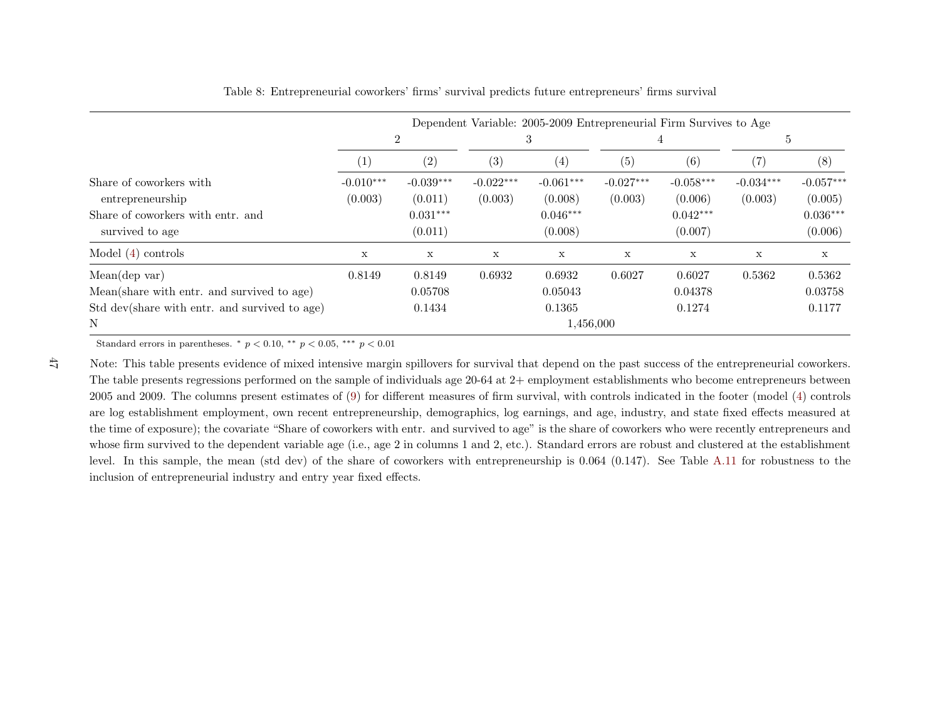|                                                                          | Dependent Variable: 2005-2009 Entrepreneurial Firm Survives to Age |                                  |             |                                  |                   |                                  |             |                                  |  |
|--------------------------------------------------------------------------|--------------------------------------------------------------------|----------------------------------|-------------|----------------------------------|-------------------|----------------------------------|-------------|----------------------------------|--|
|                                                                          |                                                                    | 2                                |             | 3                                | 4                 |                                  | 5           |                                  |  |
|                                                                          | $\perp$                                                            | (2)                              | (3)         | (4)                              | $\left( 5\right)$ | (6)                              | (7)         | (8)                              |  |
| Share of coworkers with                                                  | $-0.010***$                                                        | $-0.039***$                      | $-0.022***$ | $-0.061***$                      | $-0.027***$       | $-0.058***$                      | $-0.034***$ | $-0.057***$                      |  |
| entrepreneurship<br>Share of coworkers with entr. and<br>survived to age | (0.003)                                                            | (0.011)<br>$0.031***$<br>(0.011) | (0.003)     | (0.008)<br>$0.046***$<br>(0.008) | (0.003)           | (0.006)<br>$0.042***$<br>(0.007) | (0.003)     | (0.005)<br>$0.036***$<br>(0.006) |  |
| Model $(4)$ controls                                                     | X                                                                  | $\mathbf x$                      | X           | $\mathbf x$                      | X                 | X                                | $\mathbf x$ | $\mathbf X$                      |  |
| Mean(dep var)                                                            | 0.8149                                                             | 0.8149                           | 0.6932      | 0.6932                           | 0.6027            | 0.6027                           | 0.5362      | 0.5362                           |  |
| Mean(share with entr. and survived to age)                               |                                                                    | 0.05708                          |             | 0.05043                          |                   | 0.04378                          |             | 0.03758                          |  |
| Std dev(share with entr. and survived to age)                            |                                                                    | 0.1434                           |             | 0.1365                           |                   | 0.1274                           |             | 0.1177                           |  |
| N                                                                        |                                                                    |                                  |             | 1,456,000                        |                   |                                  |             |                                  |  |

### Table 8: Entrepreneurial coworkers' firms' survival predicts future entrepreneurs' firms survival

Standard errors in parentheses.  $*$   $p < 0.10$ ,  $**$   $p < 0.05$ ,  $**$   $p < 0.01$ 

47

Note: This table presents evidence of mixed intensive margin spillovers for survival that depend on the past success of the entrepreneurial coworkers.The table presents regressions performed on the sample of individuals age 20-64 at 2+ employment establishments who become entrepreneurs between <sup>2005</sup> and 2009. The columns present estimates of [\(9\)](#page-25-0) for different measures of firm survival, with controls indicated in the footer (model ([4\)](#page-13-1) controls are log establishment employment, own recent entrepreneurship, demographics, log earnings, and age, industry, and state fixed effects measured at the time of exposure); the covariate "Share of coworkers with entr. and survived to age" is the share of coworkers who were recently entrepreneurs and whose firm survived to the dependent variable age (i.e., age <sup>2</sup> in columns <sup>1</sup> and 2, etc.). Standard errors are robust and clustered at the establishment level. In this sample, the mean (std dev) of the share of coworkers with entrepreneurship is 0.064 (0.147). See Table [A.11](#page-76-0) for robustness to the inclusion of entrepreneurial industry and entry year fixed effects.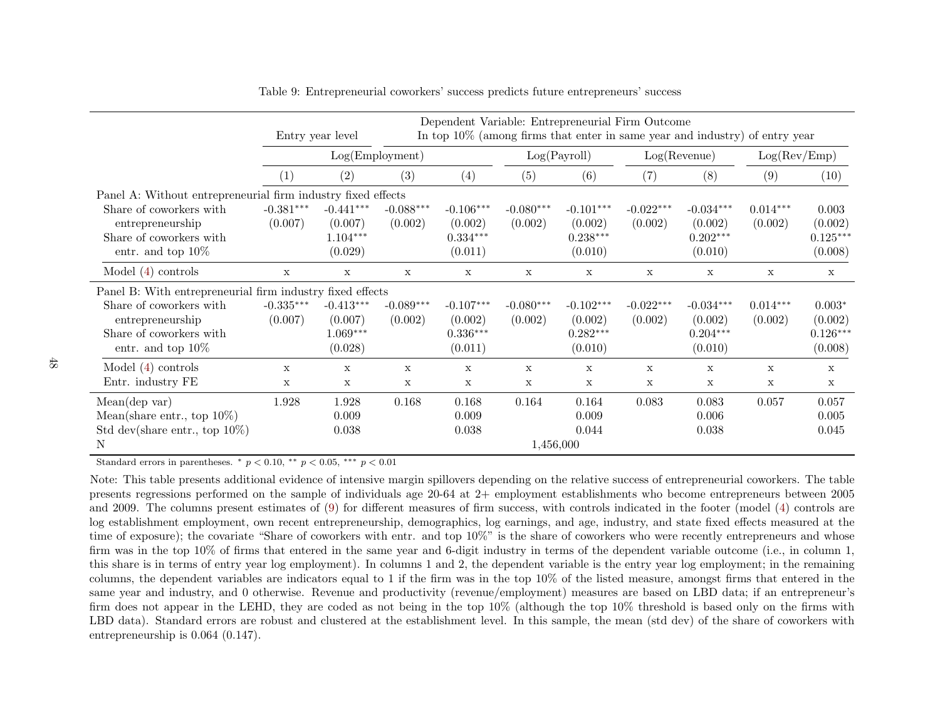|                                                                                                |                        | Entry year level                                |                        |                                                 |                        | Dependent Variable: Entrepreneurial Firm Outcome<br>In top 10% (among firms that enter in same year and industry) of entry year |                        |                                                 |                       |                                              |
|------------------------------------------------------------------------------------------------|------------------------|-------------------------------------------------|------------------------|-------------------------------------------------|------------------------|---------------------------------------------------------------------------------------------------------------------------------|------------------------|-------------------------------------------------|-----------------------|----------------------------------------------|
|                                                                                                |                        | Log(Employment)                                 |                        |                                                 | Log(Payroll)           |                                                                                                                                 | Log( Revenue)          |                                                 | Log(Rev/Emp)          |                                              |
|                                                                                                | (1)                    | (2)                                             | (3)                    | (4)                                             | (5)                    | (6)                                                                                                                             | (7)                    | (8)                                             | (9)                   | (10)                                         |
| Panel A: Without entrepreneurial firm industry fixed effects                                   |                        |                                                 |                        |                                                 |                        |                                                                                                                                 |                        |                                                 |                       |                                              |
| Share of coworkers with<br>entrepreneurship<br>Share of coworkers with<br>entr. and top $10\%$ | $-0.381***$<br>(0.007) | $-0.441***$<br>(0.007)<br>$1.104***$<br>(0.029) | $-0.088***$<br>(0.002) | $-0.106***$<br>(0.002)<br>$0.334***$<br>(0.011) | $-0.080***$<br>(0.002) | $-0.101***$<br>(0.002)<br>$0.238***$<br>(0.010)                                                                                 | $-0.022***$<br>(0.002) | $-0.034***$<br>(0.002)<br>$0.202***$<br>(0.010) | $0.014***$<br>(0.002) | 0.003<br>(0.002)<br>$0.125***$<br>(0.008)    |
| Model $(4)$ controls                                                                           | $\mathbf x$            | $\mathbf x$                                     | $\mathbf x$            | $\mathbf x$                                     | $\mathbf x$            | $\mathbf{x}$                                                                                                                    | $\mathbf x$            | $\mathbf x$                                     | $\mathbf{x}$          | $\mathbf x$                                  |
| Panel B: With entrepreneurial firm industry fixed effects                                      |                        |                                                 |                        |                                                 |                        |                                                                                                                                 |                        |                                                 |                       |                                              |
| Share of coworkers with<br>entrepreneurship<br>Share of coworkers with<br>entr. and top $10\%$ | $-0.335***$<br>(0.007) | $-0.413***$<br>(0.007)<br>$1.069***$<br>(0.028) | $-0.089***$<br>(0.002) | $-0.107***$<br>(0.002)<br>$0.336***$<br>(0.011) | $-0.080***$<br>(0.002) | $-0.102***$<br>(0.002)<br>$0.282***$<br>(0.010)                                                                                 | $-0.022***$<br>(0.002) | $-0.034***$<br>(0.002)<br>$0.204***$<br>(0.010) | $0.014***$<br>(0.002) | $0.003*$<br>(0.002)<br>$0.126***$<br>(0.008) |
| Model $(4)$ controls                                                                           | X                      | X                                               | $\mathbf x$            | X                                               | X                      | $\mathbf x$                                                                                                                     | $\mathbf x$            | X                                               | X                     | $\mathbf x$                                  |
| Entr. industry FE                                                                              | X                      | $\mathbf x$                                     | $\mathbf x$            | $\mathbf x$                                     | $\mathbf x$            | $\mathbf x$                                                                                                                     | $\mathbf x$            | X                                               | X                     | X                                            |
| Mean(dep var)<br>Mean(share entr., top $10\%$ )<br>Std dev(share entr., top $10\%$ )<br>Ν      | 1.928                  | 1.928<br>0.009<br>0.038                         | 0.168                  | 0.168<br>0.009<br>0.038                         | 0.164<br>1,456,000     | 0.164<br>0.009<br>0.044                                                                                                         | 0.083                  | 0.083<br>0.006<br>0.038                         | 0.057                 | 0.057<br>0.005<br>0.045                      |

<span id="page-47-0"></span>Table 9: Entrepreneurial coworkers' success predicts future entrepreneurs' success

Standard errors in parentheses.  $*$   $p < 0.10$ ,  $**$   $p < 0.05$ ,  $**$   $p < 0.01$ 

Note: This table presents additional evidence of intensive margin spillovers depending on the relative success of entrepreneurial coworkers. The table presents regressions performed on the sample of individuals age 20-64 at 2+ employment establishments who become entrepreneurs between 2005 and 2009. The columns present estimates of [\(9\)](#page-25-0) for different measures of firm success, with controls indicated in the footer (model ([4\)](#page-13-1) controls are log establishment employment, own recent entrepreneurship, demographics, log earnings, and age, industry, and state fixed effects measured at the time of exposure); the covariate "Share of coworkers with entr. and top 10%" is the share of coworkers who were recently entrepreneurs and whose firm was in the top 10% of firms that entered in the same year and 6-digit industry in terms of the dependent variable outcome (i.e., in column 1,this share is in terms of entry year log employment). In columns <sup>1</sup> and 2, the dependent variable is the entry year log employment; in the remaining columns, the dependent variables are indicators equal to <sup>1</sup> if the firm was in the top 10% of the listed measure, amongst firms that entered in the same year and industry, and <sup>0</sup> otherwise. Revenue and productivity (revenue/employment) measures are based on LBD data; if an entrepreneur's firm does not appear in the LEHD, they are coded as not being in the top 10% (although the top 10% threshold is based only on the firms with LBD data). Standard errors are robust and clustered at the establishment level. In this sample, the mean (std dev) of the share of coworkers withentrepreneurship is 0.064 (0.147).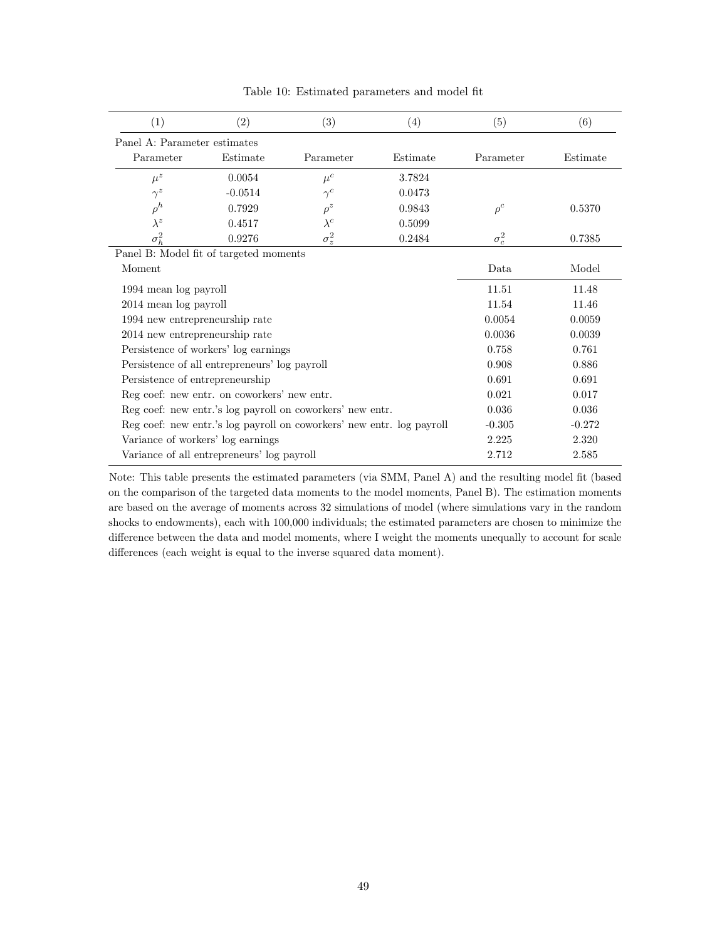| (1)                                    | (2)                                                       | (3)                                                                   | (4)      | (5)          | (6)      |
|----------------------------------------|-----------------------------------------------------------|-----------------------------------------------------------------------|----------|--------------|----------|
| Panel A: Parameter estimates           |                                                           |                                                                       |          |              |          |
| Parameter                              | Estimate                                                  | Parameter                                                             | Estimate | Parameter    | Estimate |
| $\mu^z$                                | 0.0054                                                    | $\mu^c$                                                               | 3.7824   |              |          |
| $\gamma^z$                             | $-0.0514$                                                 | $\gamma^{c}$                                                          | 0.0473   |              |          |
| $\rho^h$                               | 0.7929                                                    | $\rho^z$                                                              | 0.9843   | $\rho^c$     | 0.5370   |
| $\lambda^z$                            | 0.4517                                                    | $\lambda^c$                                                           | 0.5099   |              |          |
| $\sigma_h^2$                           | 0.9276                                                    | $\sigma_z^2$                                                          | 0.2484   | $\sigma_c^2$ | 0.7385   |
| Panel B: Model fit of targeted moments |                                                           |                                                                       |          |              |          |
| Moment                                 |                                                           |                                                                       |          | Data         | Model    |
| 1994 mean log payroll                  |                                                           |                                                                       |          | 11.51        | 11.48    |
| 2014 mean log payroll                  |                                                           |                                                                       |          | 11.54        | 11.46    |
| 1994 new entrepreneurship rate         |                                                           |                                                                       |          | 0.0054       | 0.0059   |
| 2014 new entrepreneurship rate         |                                                           |                                                                       |          | 0.0036       | 0.0039   |
|                                        | Persistence of workers' log earnings                      |                                                                       |          | 0.758        | 0.761    |
|                                        | Persistence of all entrepreneurs' log payroll             |                                                                       |          | 0.908        | 0.886    |
| Persistence of entrepreneurship        |                                                           |                                                                       |          | 0.691        | 0.691    |
|                                        | Reg coef: new entr. on coworkers' new entr.               |                                                                       |          | 0.021        | 0.017    |
|                                        | Reg coef: new entr.'s log payroll on coworkers' new entr. | 0.036                                                                 | 0.036    |              |          |
|                                        |                                                           | Reg coef: new entr.'s log payroll on coworkers' new entr. log payroll |          | $-0.305$     | $-0.272$ |
| Variance of workers' log earnings      |                                                           |                                                                       | 2.225    | 2.320        |          |
|                                        | Variance of all entrepreneurs' log payroll                |                                                                       |          | 2.712        | 2.585    |

Table 10: Estimated parameters and model fit

Note: This table presents the estimated parameters (via SMM, Panel A) and the resulting model fit (based on the comparison of the targeted data moments to the model moments, Panel B). The estimation moments are based on the average of moments across 32 simulations of model (where simulations vary in the random shocks to endowments), each with 100,000 individuals; the estimated parameters are chosen to minimize the difference between the data and model moments, where I weight the moments unequally to account for scale differences (each weight is equal to the inverse squared data moment).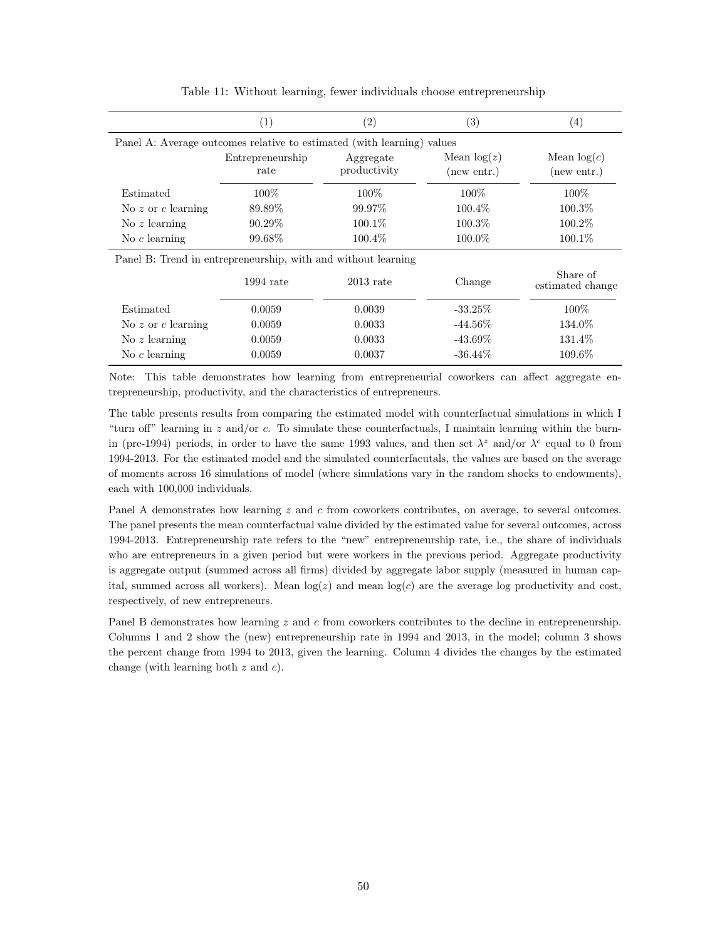|                    | $\left( 1\right)$                                                      | (2)                       | (3)                          | $\left(4\right)$             |
|--------------------|------------------------------------------------------------------------|---------------------------|------------------------------|------------------------------|
|                    | Panel A: Average outcomes relative to estimated (with learning) values |                           |                              |                              |
|                    | Entrepreneurship<br>rate                                               | Aggregate<br>productivity | Mean $log(z)$<br>(new entr.) | Mean $log(c)$<br>(new entr.) |
| Estimated          | $100\%$                                                                | 100\%                     | 100%                         | $100\%$                      |
| No z or c learning | 89.89%                                                                 | 99.97%                    | 100.4\%                      | 100.3%                       |
| No $z$ learning    | 90.29%                                                                 | $100.1\%$                 | $100.3\%$                    | 100.2%                       |
| No $c$ learning    | 99.68%                                                                 | $100.4\%$                 | $100.0\%$                    | 100.1\%                      |
|                    | Panel B: Trend in entrepreneurship, with and without learning          |                           |                              |                              |
|                    | $1994$ rate                                                            | $2013$ rate               | Change                       | Share of<br>estimated change |
| Estimated          | 0.0059                                                                 | 0.0039                    | $-33.25\%$                   | $100\%$                      |
| No z or c learning | 0.0059                                                                 | 0.0033                    | $-44.56\%$                   | 134.0%                       |
| No $z$ learning    | 0.0059                                                                 | 0.0033                    | $-43.69\%$                   | 131.4%                       |
| No $c$ learning    | 0.0059                                                                 | 0.0037                    | $-36.44\%$                   | 109.6%                       |

Table 11: Without learning, fewer individuals choose entrepreneurship

Note: This table demonstrates how learning from entrepreneurial coworkers can affect aggregate entrepreneurship, productivity, and the characteristics of entrepreneurs.

The table presents results from comparing the estimated model with counterfactual simulations in which I "turn off" learning in  $z$  and/or  $c$ . To simulate these counterfactuals, I maintain learning within the burnin (pre-1994) periods, in order to have the same 1993 values, and then set  $\lambda^z$  and/or  $\lambda^c$  equal to 0 from 1994-2013. For the estimated model and the simulated counterfacutals, the values are based on the average of moments across 16 simulations of model (where simulations vary in the random shocks to endowments), each with 100,000 individuals.

Panel A demonstrates how learning z and c from coworkers contributes, on average, to several outcomes. The panel presents the mean counterfactual value divided by the estimated value for several outcomes, across 1994-2013. Entrepreneurship rate refers to the "new" entrepreneurship rate, i.e., the share of individuals who are entrepreneurs in a given period but were workers in the previous period. Aggregate productivity is aggregate output (summed across all firms) divided by aggregate labor supply (measured in human capital, summed across all workers). Mean  $log(z)$  and mean  $log(c)$  are the average log productivity and cost, respectively, of new entrepreneurs.

Panel B demonstrates how learning z and c from coworkers contributes to the decline in entrepreneurship. Columns 1 and 2 show the (new) entrepreneurship rate in 1994 and 2013, in the model; column 3 shows the percent change from 1994 to 2013, given the learning. Column 4 divides the changes by the estimated change (with learning both  $z$  and  $c$ ).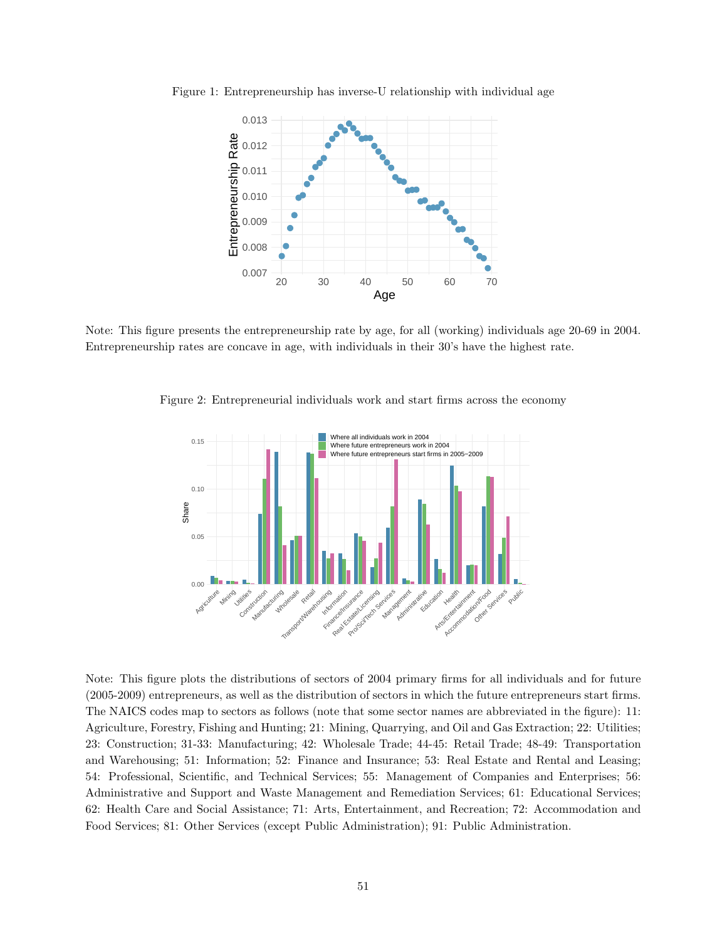

<span id="page-50-0"></span>Figure 1: Entrepreneurship has inverse-U relationship with individual age

Note: This figure presents the entrepreneurship rate by age, for all (working) individuals age 20-69 in 2004. Entrepreneurship rates are concave in age, with individuals in their 30's have the highest rate.

<span id="page-50-1"></span>



Note: This figure plots the distributions of sectors of 2004 primary firms for all individuals and for future (2005-2009) entrepreneurs, as well as the distribution of sectors in which the future entrepreneurs start firms. The NAICS codes map to sectors as follows (note that some sector names are abbreviated in the figure): 11: Agriculture, Forestry, Fishing and Hunting; 21: Mining, Quarrying, and Oil and Gas Extraction; 22: Utilities; 23: Construction; 31-33: Manufacturing; 42: Wholesale Trade; 44-45: Retail Trade; 48-49: Transportation and Warehousing; 51: Information; 52: Finance and Insurance; 53: Real Estate and Rental and Leasing; 54: Professional, Scientific, and Technical Services; 55: Management of Companies and Enterprises; 56: Administrative and Support and Waste Management and Remediation Services; 61: Educational Services; 62: Health Care and Social Assistance; 71: Arts, Entertainment, and Recreation; 72: Accommodation and Food Services; 81: Other Services (except Public Administration); 91: Public Administration.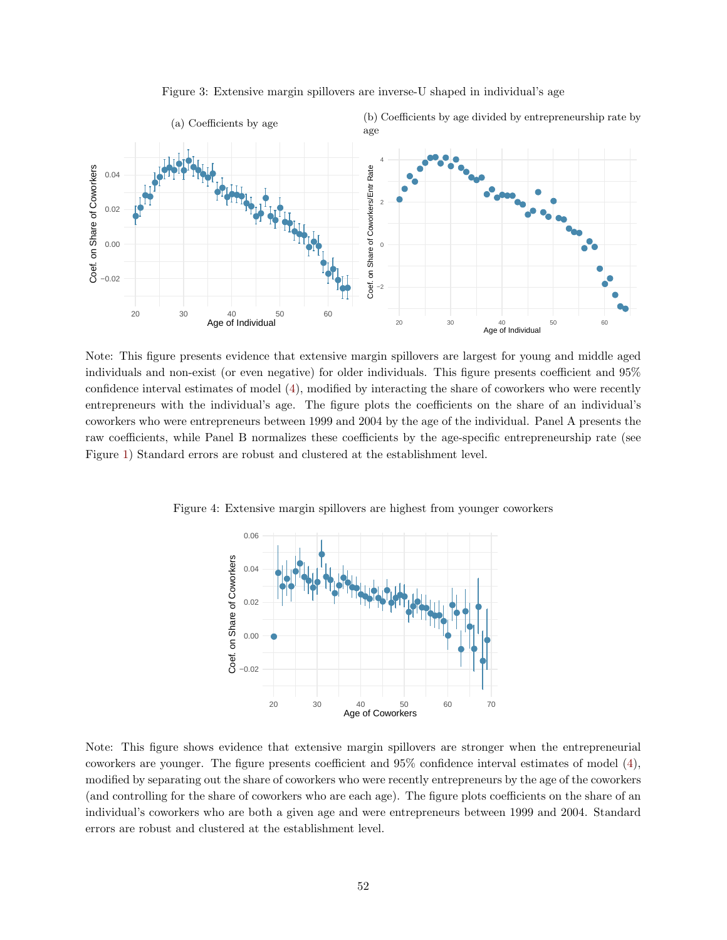

Figure 3: Extensive margin spillovers are inverse-U shaped in individual's age

Note: This figure presents evidence that extensive margin spillovers are largest for young and middle aged individuals and non-exist (or even negative) for older individuals. This figure presents coefficient and 95% confidence interval estimates of model [\(4\)](#page-13-0), modified by interacting the share of coworkers who were recently entrepreneurs with the individual's age. The figure plots the coefficients on the share of an individual's coworkers who were entrepreneurs between 1999 and 2004 by the age of the individual. Panel A presents the raw coefficients, while Panel B normalizes these coefficients by the age-specific entrepreneurship rate (see Figure [1\)](#page-50-0) Standard errors are robust and clustered at the establishment level.

Figure 4: Extensive margin spillovers are highest from younger coworkers



Note: This figure shows evidence that extensive margin spillovers are stronger when the entrepreneurial coworkers are younger. The figure presents coefficient and 95% confidence interval estimates of model [\(4\)](#page-13-0), modified by separating out the share of coworkers who were recently entrepreneurs by the age of the coworkers (and controlling for the share of coworkers who are each age). The figure plots coefficients on the share of an individual's coworkers who are both a given age and were entrepreneurs between 1999 and 2004. Standard errors are robust and clustered at the establishment level.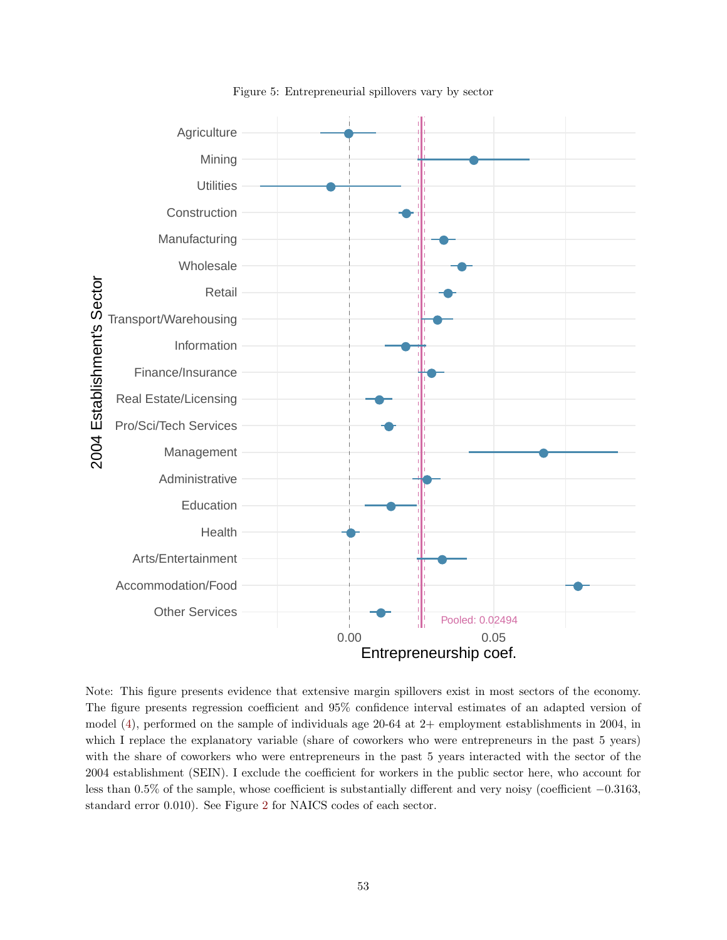

Figure 5: Entrepreneurial spillovers vary by sector

Note: This figure presents evidence that extensive margin spillovers exist in most sectors of the economy. The figure presents regression coefficient and 95% confidence interval estimates of an adapted version of model [\(4\)](#page-13-0), performed on the sample of individuals age 20-64 at 2+ employment establishments in 2004, in which I replace the explanatory variable (share of coworkers who were entrepreneurs in the past 5 years) with the share of coworkers who were entrepreneurs in the past 5 years interacted with the sector of the 2004 establishment (SEIN). I exclude the coefficient for workers in the public sector here, who account for less than 0.5% of the sample, whose coefficient is substantially different and very noisy (coefficient −0.3163, standard error 0.010). See Figure [2](#page-50-1) for NAICS codes of each sector.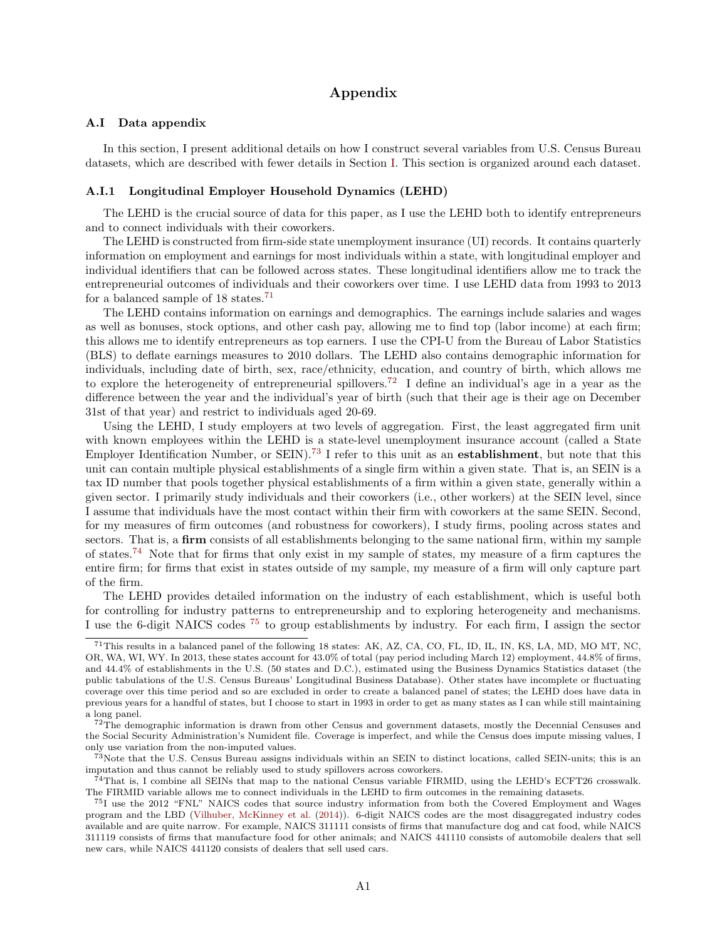# Appendix

### <span id="page-53-5"></span>A.I Data appendix

In this section, I present additional details on how I construct several variables from U.S. Census Bureau datasets, which are described with fewer details in Section [I.](#page-5-0) This section is organized around each dataset.

### A.I.1 Longitudinal Employer Household Dynamics (LEHD)

The LEHD is the crucial source of data for this paper, as I use the LEHD both to identify entrepreneurs and to connect individuals with their coworkers.

The LEHD is constructed from firm-side state unemployment insurance (UI) records. It contains quarterly information on employment and earnings for most individuals within a state, with longitudinal employer and individual identifiers that can be followed across states. These longitudinal identifiers allow me to track the entrepreneurial outcomes of individuals and their coworkers over time. I use LEHD data from 1993 to 2013 for a balanced sample of 18 states.[71](#page-53-0)

The LEHD contains information on earnings and demographics. The earnings include salaries and wages as well as bonuses, stock options, and other cash pay, allowing me to find top (labor income) at each firm; this allows me to identify entrepreneurs as top earners. I use the CPI-U from the Bureau of Labor Statistics (BLS) to deflate earnings measures to 2010 dollars. The LEHD also contains demographic information for individuals, including date of birth, sex, race/ethnicity, education, and country of birth, which allows me to explore the heterogeneity of entrepreneurial spillovers.<sup>[72](#page-53-1)</sup> I define an individual's age in a year as the difference between the year and the individual's year of birth (such that their age is their age on December 31st of that year) and restrict to individuals aged 20-69.

Using the LEHD, I study employers at two levels of aggregation. First, the least aggregated firm unit with known employees within the LEHD is a state-level unemployment insurance account (called a State Employer Identification Number, or SEIN).[73](#page-53-2) I refer to this unit as an establishment, but note that this unit can contain multiple physical establishments of a single firm within a given state. That is, an SEIN is a tax ID number that pools together physical establishments of a firm within a given state, generally within a given sector. I primarily study individuals and their coworkers (i.e., other workers) at the SEIN level, since I assume that individuals have the most contact within their firm with coworkers at the same SEIN. Second, for my measures of firm outcomes (and robustness for coworkers), I study firms, pooling across states and sectors. That is, a firm consists of all establishments belonging to the same national firm, within my sample of states.<sup>[74](#page-53-3)</sup> Note that for firms that only exist in my sample of states, my measure of a firm captures the entire firm; for firms that exist in states outside of my sample, my measure of a firm will only capture part of the firm.

The LEHD provides detailed information on the industry of each establishment, which is useful both for controlling for industry patterns to entrepreneurship and to exploring heterogeneity and mechanisms. I use the 6-digit NAICS codes [75](#page-53-4) to group establishments by industry. For each firm, I assign the sector

<span id="page-53-0"></span><sup>71</sup>This results in a balanced panel of the following 18 states: AK, AZ, CA, CO, FL, ID, IL, IN, KS, LA, MD, MO MT, NC, OR, WA, WI, WY. In 2013, these states account for 43.0% of total (pay period including March 12) employment, 44.8% of firms, and 44.4% of establishments in the U.S. (50 states and D.C.), estimated using the Business Dynamics Statistics dataset (the public tabulations of the U.S. Census Bureaus' Longitudinal Business Database). Other states have incomplete or fluctuating coverage over this time period and so are excluded in order to create a balanced panel of states; the LEHD does have data in previous years for a handful of states, but I choose to start in 1993 in order to get as many states as I can while still maintaining a long panel.

<span id="page-53-1"></span><sup>&</sup>lt;sup>72</sup>The demographic information is drawn from other Census and government datasets, mostly the Decennial Censuses and the Social Security Administration's Numident file. Coverage is imperfect, and while the Census does impute missing values, I only use variation from the non-imputed values.

<span id="page-53-2"></span> $7<sup>3</sup>$ Note that the U.S. Census Bureau assigns individuals within an SEIN to distinct locations, called SEIN-units; this is an imputation and thus cannot be reliably used to study spillovers across coworkers.

<span id="page-53-3"></span> $^{74}$ That is, I combine all SEINs that map to the national Census variable FIRMID, using the LEHD's ECFT26 crosswalk. The FIRMID variable allows me to connect individuals in the LEHD to firm outcomes in the remaining datasets.

<span id="page-53-4"></span><sup>75</sup>I use the 2012 "FNL" NAICS codes that source industry information from both the Covered Employment and Wages program and the LBD [\(Vilhuber, McKinney et al.](#page-39-0) [\(2014\)](#page-39-0)). 6-digit NAICS codes are the most disaggregated industry codes available and are quite narrow. For example, NAICS 311111 consists of firms that manufacture dog and cat food, while NAICS 311119 consists of firms that manufacture food for other animals; and NAICS 441110 consists of automobile dealers that sell new cars, while NAICS 441120 consists of dealers that sell used cars.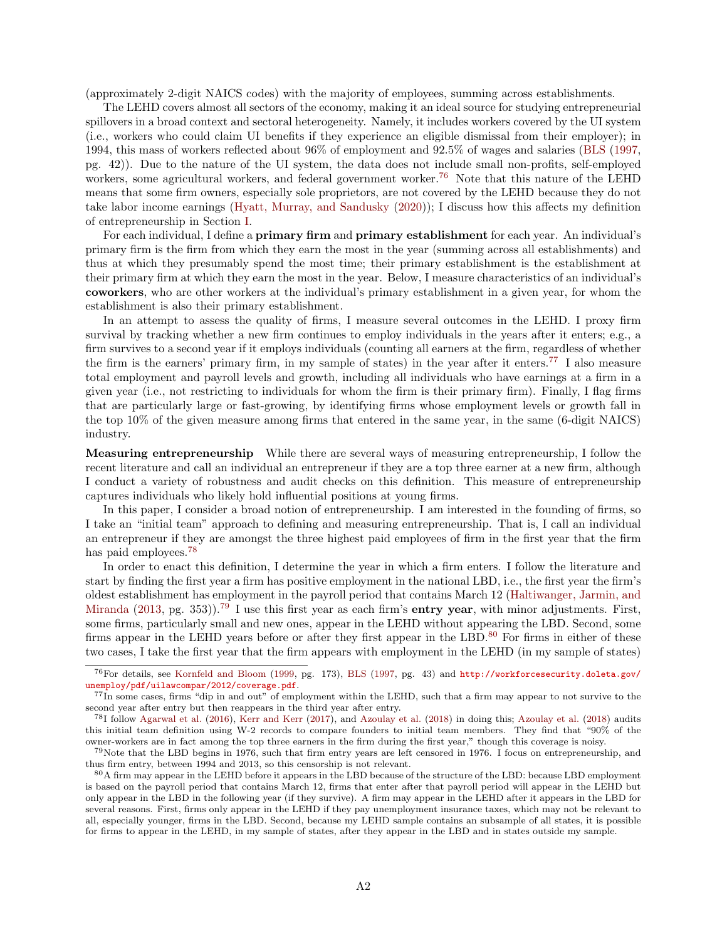(approximately 2-digit NAICS codes) with the majority of employees, summing across establishments.

The LEHD covers almost all sectors of the economy, making it an ideal source for studying entrepreneurial spillovers in a broad context and sectoral heterogeneity. Namely, it includes workers covered by the UI system (i.e., workers who could claim UI benefits if they experience an eligible dismissal from their employer); in 1994, this mass of workers reflected about 96% of employment and 92.5% of wages and salaries [\(BLS](#page-36-0) [\(1997,](#page-36-0) pg. 42)). Due to the nature of the UI system, the data does not include small non-profits, self-employed workers, some agricultural workers, and federal government worker.<sup>[76](#page-54-0)</sup> Note that this nature of the LEHD means that some firm owners, especially sole proprietors, are not covered by the LEHD because they do not take labor income earnings [\(Hyatt, Murray, and Sandusky](#page-38-0) [\(2020\)](#page-38-0)); I discuss how this affects my definition of entrepreneurship in Section [I.](#page-5-0)

For each individual, I define a **primary firm** and **primary establishment** for each year. An individual's primary firm is the firm from which they earn the most in the year (summing across all establishments) and thus at which they presumably spend the most time; their primary establishment is the establishment at their primary firm at which they earn the most in the year. Below, I measure characteristics of an individual's coworkers, who are other workers at the individual's primary establishment in a given year, for whom the establishment is also their primary establishment.

In an attempt to assess the quality of firms, I measure several outcomes in the LEHD. I proxy firm survival by tracking whether a new firm continues to employ individuals in the years after it enters; e.g., a firm survives to a second year if it employs individuals (counting all earners at the firm, regardless of whether the firm is the earners' primary firm, in my sample of states) in the year after it enters.[77](#page-54-1) I also measure total employment and payroll levels and growth, including all individuals who have earnings at a firm in a given year (i.e., not restricting to individuals for whom the firm is their primary firm). Finally, I flag firms that are particularly large or fast-growing, by identifying firms whose employment levels or growth fall in the top 10% of the given measure among firms that entered in the same year, in the same (6-digit NAICS) industry.

Measuring entrepreneurship While there are several ways of measuring entrepreneurship, I follow the recent literature and call an individual an entrepreneur if they are a top three earner at a new firm, although I conduct a variety of robustness and audit checks on this definition. This measure of entrepreneurship captures individuals who likely hold influential positions at young firms.

In this paper, I consider a broad notion of entrepreneurship. I am interested in the founding of firms, so I take an "initial team" approach to defining and measuring entrepreneurship. That is, I call an individual an entrepreneur if they are amongst the three highest paid employees of firm in the first year that the firm has paid employees.<sup>[78](#page-54-2)</sup>

In order to enact this definition, I determine the year in which a firm enters. I follow the literature and start by finding the first year a firm has positive employment in the national LBD, i.e., the first year the firm's oldest establishment has employment in the payroll period that contains March 12 [\(Haltiwanger, Jarmin, and](#page-37-0) [Miranda](#page-37-0) [\(2013,](#page-37-0) pg. 353)).<sup>[79](#page-54-3)</sup> I use this first year as each firm's **entry year**, with minor adjustments. First, some firms, particularly small and new ones, appear in the LEHD without appearing the LBD. Second, some firms appear in the LEHD years before or after they first appear in the LBD. $80$  For firms in either of these two cases, I take the first year that the firm appears with employment in the LEHD (in my sample of states)

<span id="page-54-0"></span><sup>76</sup>For details, see [Kornfeld and Bloom](#page-38-1) [\(1999,](#page-38-1) pg. 173), [BLS](#page-36-0) [\(1997,](#page-36-0) pg. 43) and [http://workforcesecurity.doleta.gov/](http://workforcesecurity.doleta.gov/unemploy/pdf/uilawcompar/2012/coverage.pdf) [unemploy/pdf/uilawcompar/2012/coverage.pdf](http://workforcesecurity.doleta.gov/unemploy/pdf/uilawcompar/2012/coverage.pdf).

<span id="page-54-1"></span><sup>77</sup>In some cases, firms "dip in and out" of employment within the LEHD, such that a firm may appear to not survive to the second year after entry but then reappears in the third year after entry.

<span id="page-54-2"></span><sup>78</sup>I follow [Agarwal et al.](#page-36-1) [\(2016\)](#page-36-1), [Kerr and Kerr](#page-38-2) [\(2017\)](#page-38-2), and [Azoulay et al.](#page-36-2) [\(2018\)](#page-36-2) in doing this; [Azoulay et al.](#page-36-2) [\(2018\)](#page-36-2) audits this initial team definition using W-2 records to compare founders to initial team members. They find that "90% of the owner-workers are in fact among the top three earners in the firm during the first year," though this coverage is noisy.

<span id="page-54-3"></span> $^{79}$ Note that the LBD begins in 1976, such that firm entry years are left censored in 1976. I focus on entrepreneurship, and thus firm entry, between 1994 and 2013, so this censorship is not relevant.

<span id="page-54-4"></span><sup>80</sup>A firm may appear in the LEHD before it appears in the LBD because of the structure of the LBD: because LBD employment is based on the payroll period that contains March 12, firms that enter after that payroll period will appear in the LEHD but only appear in the LBD in the following year (if they survive). A firm may appear in the LEHD after it appears in the LBD for several reasons. First, firms only appear in the LEHD if they pay unemployment insurance taxes, which may not be relevant to all, especially younger, firms in the LBD. Second, because my LEHD sample contains an subsample of all states, it is possible for firms to appear in the LEHD, in my sample of states, after they appear in the LBD and in states outside my sample.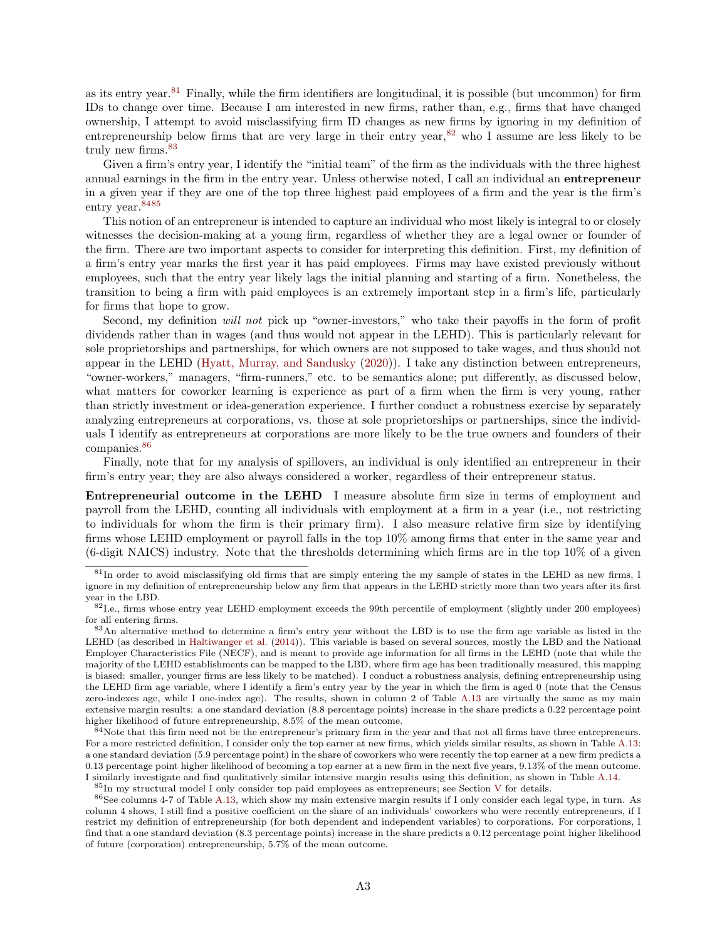as its entry year.<sup>[81](#page-55-0)</sup> Finally, while the firm identifiers are longitudinal, it is possible (but uncommon) for firm IDs to change over time. Because I am interested in new firms, rather than, e.g., firms that have changed ownership, I attempt to avoid misclassifying firm ID changes as new firms by ignoring in my definition of entrepreneurship below firms that are very large in their entry year,  $82$  who I assume are less likely to be truly new firms.<sup>[83](#page-55-2)</sup>

Given a firm's entry year, I identify the "initial team" of the firm as the individuals with the three highest annual earnings in the firm in the entry year. Unless otherwise noted, I call an individual an entrepreneur in a given year if they are one of the top three highest paid employees of a firm and the year is the firm's entry year.[84](#page-55-3)[85](#page-55-4)

This notion of an entrepreneur is intended to capture an individual who most likely is integral to or closely witnesses the decision-making at a young firm, regardless of whether they are a legal owner or founder of the firm. There are two important aspects to consider for interpreting this definition. First, my definition of a firm's entry year marks the first year it has paid employees. Firms may have existed previously without employees, such that the entry year likely lags the initial planning and starting of a firm. Nonetheless, the transition to being a firm with paid employees is an extremely important step in a firm's life, particularly for firms that hope to grow.

Second, my definition will not pick up "owner-investors," who take their payoffs in the form of profit dividends rather than in wages (and thus would not appear in the LEHD). This is particularly relevant for sole proprietorships and partnerships, for which owners are not supposed to take wages, and thus should not appear in the LEHD [\(Hyatt, Murray, and Sandusky](#page-38-0) [\(2020\)](#page-38-0)). I take any distinction between entrepreneurs, "owner-workers," managers, "firm-runners," etc. to be semantics alone; put differently, as discussed below, what matters for coworker learning is experience as part of a firm when the firm is very young, rather than strictly investment or idea-generation experience. I further conduct a robustness exercise by separately analyzing entrepreneurs at corporations, vs. those at sole proprietorships or partnerships, since the individuals I identify as entrepreneurs at corporations are more likely to be the true owners and founders of their companies.<sup>[86](#page-55-5)</sup>

Finally, note that for my analysis of spillovers, an individual is only identified an entrepreneur in their firm's entry year; they are also always considered a worker, regardless of their entrepreneur status.

Entrepreneurial outcome in the LEHD I measure absolute firm size in terms of employment and payroll from the LEHD, counting all individuals with employment at a firm in a year (i.e., not restricting to individuals for whom the firm is their primary firm). I also measure relative firm size by identifying firms whose LEHD employment or payroll falls in the top 10% among firms that enter in the same year and (6-digit NAICS) industry. Note that the thresholds determining which firms are in the top 10% of a given

<span id="page-55-3"></span> $84$ Note that this firm need not be the entrepreneur's primary firm in the year and that not all firms have three entrepreneurs. For a more restricted definition, I consider only the top earner at new firms, which yields similar results, as shown in Table [A.13:](#page-78-0) a one standard deviation (5.9 percentage point) in the share of coworkers who were recently the top earner at a new firm predicts a 0.13 percentage point higher likelihood of becoming a top earner at a new firm in the next five years, 9.13% of the mean outcome. I similarly investigate and find qualitatively similar intensive margin results using this definition, as shown in Table [A.14.](#page-79-0)

<span id="page-55-0"></span><sup>&</sup>lt;sup>81</sup>In order to avoid misclassifying old firms that are simply entering the my sample of states in the LEHD as new firms, I ignore in my definition of entrepreneurship below any firm that appears in the LEHD strictly more than two years after its first year in the LBD.

<span id="page-55-1"></span><sup>&</sup>lt;sup>82</sup>I.e., firms whose entry year LEHD employment exceeds the 99th percentile of employment (slightly under 200 employees) for all entering firms.

<span id="page-55-2"></span><sup>83</sup>An alternative method to determine a firm's entry year without the LBD is to use the firm age variable as listed in the LEHD (as described in [Haltiwanger et al.](#page-37-1) [\(2014\)](#page-37-1)). This variable is based on several sources, mostly the LBD and the National Employer Characteristics File (NECF), and is meant to provide age information for all firms in the LEHD (note that while the majority of the LEHD establishments can be mapped to the LBD, where firm age has been traditionally measured, this mapping is biased: smaller, younger firms are less likely to be matched). I conduct a robustness analysis, defining entrepreneurship using the LEHD firm age variable, where I identify a firm's entry year by the year in which the firm is aged 0 (note that the Census zero-indexes age, while I one-index age). The results, shown in column 2 of Table [A.13](#page-78-0) are virtually the same as my main extensive margin results: a one standard deviation (8.8 percentage points) increase in the share predicts a 0.22 percentage point higher likelihood of future entrepreneurship, 8.5% of the mean outcome.

<span id="page-55-5"></span><span id="page-55-4"></span><sup>85</sup>In my structural model I only consider top paid employees as entrepreneurs; see Section [V](#page-28-0) for details.

<sup>86</sup>See columns 4-7 of Table [A.13,](#page-78-0) which show my main extensive margin results if I only consider each legal type, in turn. As column 4 shows, I still find a positive coefficient on the share of an individuals' coworkers who were recently entrepreneurs, if I restrict my definition of entrepreneurship (for both dependent and independent variables) to corporations. For corporations, I find that a one standard deviation (8.3 percentage points) increase in the share predicts a 0.12 percentage point higher likelihood of future (corporation) entrepreneurship, 5.7% of the mean outcome.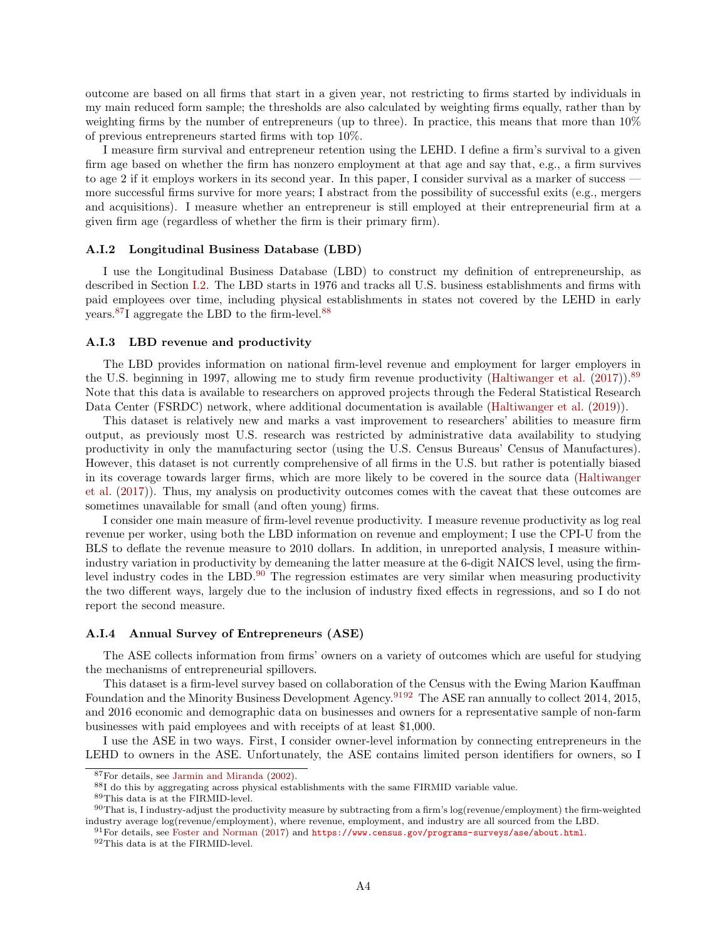outcome are based on all firms that start in a given year, not restricting to firms started by individuals in my main reduced form sample; the thresholds are also calculated by weighting firms equally, rather than by weighting firms by the number of entrepreneurs (up to three). In practice, this means that more than 10% of previous entrepreneurs started firms with top 10%.

I measure firm survival and entrepreneur retention using the LEHD. I define a firm's survival to a given firm age based on whether the firm has nonzero employment at that age and say that, e.g., a firm survives to age 2 if it employs workers in its second year. In this paper, I consider survival as a marker of success more successful firms survive for more years; I abstract from the possibility of successful exits (e.g., mergers and acquisitions). I measure whether an entrepreneur is still employed at their entrepreneurial firm at a given firm age (regardless of whether the firm is their primary firm).

#### A.I.2 Longitudinal Business Database (LBD)

I use the Longitudinal Business Database (LBD) to construct my definition of entrepreneurship, as described in Section [I.2.](#page-6-0) The LBD starts in 1976 and tracks all U.S. business establishments and firms with paid employees over time, including physical establishments in states not covered by the LEHD in early years.[87](#page-56-0)I aggregate the LBD to the firm-level.[88](#page-56-1)

## A.I.3 LBD revenue and productivity

The LBD provides information on national firm-level revenue and employment for larger employers in the U.S. beginning in 1997, allowing me to study firm revenue productivity [\(Haltiwanger et al.](#page-37-2) [\(2017\)](#page-37-2)).<sup>[89](#page-56-2)</sup> Note that this data is available to researchers on approved projects through the Federal Statistical Research Data Center (FSRDC) network, where additional documentation is available [\(Haltiwanger et al.](#page-37-3) [\(2019\)](#page-37-3)).

This dataset is relatively new and marks a vast improvement to researchers' abilities to measure firm output, as previously most U.S. research was restricted by administrative data availability to studying productivity in only the manufacturing sector (using the U.S. Census Bureaus' Census of Manufactures). However, this dataset is not currently comprehensive of all firms in the U.S. but rather is potentially biased in its coverage towards larger firms, which are more likely to be covered in the source data [\(Haltiwanger](#page-37-2) [et al.](#page-37-2) [\(2017\)](#page-37-2)). Thus, my analysis on productivity outcomes comes with the caveat that these outcomes are sometimes unavailable for small (and often young) firms.

I consider one main measure of firm-level revenue productivity. I measure revenue productivity as log real revenue per worker, using both the LBD information on revenue and employment; I use the CPI-U from the BLS to deflate the revenue measure to 2010 dollars. In addition, in unreported analysis, I measure withinindustry variation in productivity by demeaning the latter measure at the 6-digit NAICS level, using the firmlevel industry codes in the LBD. $90$  The regression estimates are very similar when measuring productivity the two different ways, largely due to the inclusion of industry fixed effects in regressions, and so I do not report the second measure.

### A.I.4 Annual Survey of Entrepreneurs (ASE)

The ASE collects information from firms' owners on a variety of outcomes which are useful for studying the mechanisms of entrepreneurial spillovers.

This dataset is a firm-level survey based on collaboration of the Census with the Ewing Marion Kauffman Foundation and the Minority Business Development Agency.<sup>[91](#page-56-4)[92](#page-56-5)</sup> The ASE ran annually to collect 2014, 2015, and 2016 economic and demographic data on businesses and owners for a representative sample of non-farm businesses with paid employees and with receipts of at least \$1,000.

I use the ASE in two ways. First, I consider owner-level information by connecting entrepreneurs in the LEHD to owners in the ASE. Unfortunately, the ASE contains limited person identifiers for owners, so I

<span id="page-56-0"></span><sup>87</sup>For details, see [Jarmin and Miranda](#page-38-3) [\(2002\)](#page-38-3).

<span id="page-56-1"></span><sup>88</sup>I do this by aggregating across physical establishments with the same FIRMID variable value.

<span id="page-56-3"></span><span id="page-56-2"></span><sup>89</sup>This data is at the FIRMID-level.

 $90$ That is, I industry-adjust the productivity measure by subtracting from a firm's log(revenue/employment) the firm-weighted industry average log(revenue/employment), where revenue, employment, and industry are all sourced from the LBD.

<span id="page-56-4"></span><sup>91</sup>For details, see [Foster and Norman](#page-37-4) [\(2017\)](#page-37-4) and <https://www.census.gov/programs-surveys/ase/about.html>.

<span id="page-56-5"></span> $^{92}\mathrm{This}$  data is at the FIRMID-level.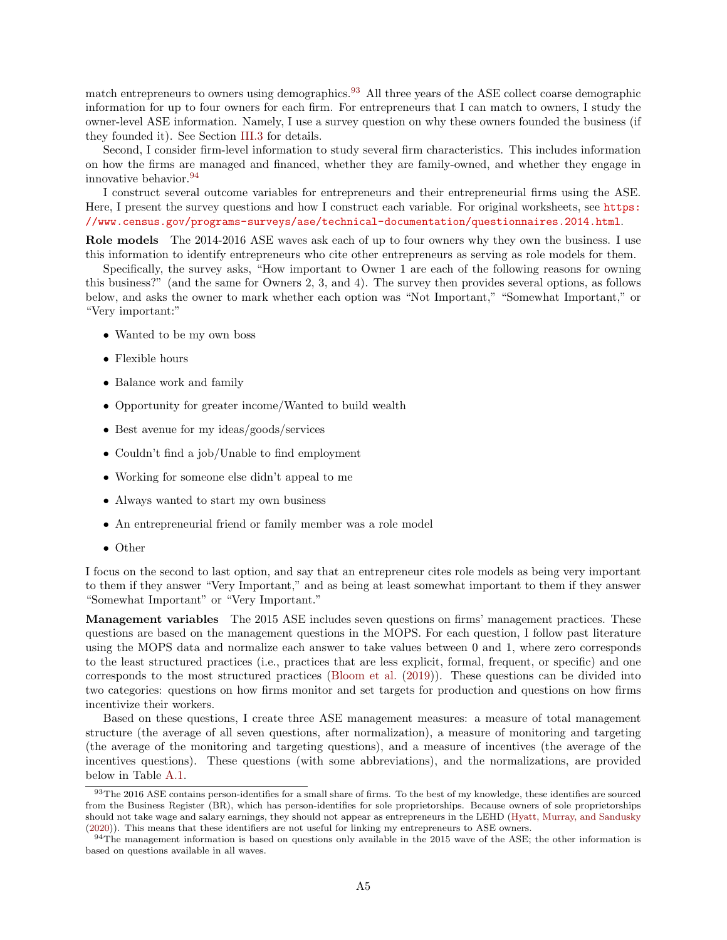match entrepreneurs to owners using demographics.<sup>[93](#page-57-0)</sup> All three years of the ASE collect coarse demographic information for up to four owners for each firm. For entrepreneurs that I can match to owners, I study the owner-level ASE information. Namely, I use a survey question on why these owners founded the business (if they founded it). See Section [III.3](#page-15-0) for details.

Second, I consider firm-level information to study several firm characteristics. This includes information on how the firms are managed and financed, whether they are family-owned, and whether they engage in innovative behavior.[94](#page-57-1)

I construct several outcome variables for entrepreneurs and their entrepreneurial firms using the ASE. Here, I present the survey questions and how I construct each variable. For original worksheets, see [https:](https://www.census.gov/programs-surveys/ase/technical-documentation/questionnaires.2014.html) [//www.census.gov/programs-surveys/ase/technical-documentation/questionnaires.2014.html](https://www.census.gov/programs-surveys/ase/technical-documentation/questionnaires.2014.html).

Role models The 2014-2016 ASE waves ask each of up to four owners why they own the business. I use this information to identify entrepreneurs who cite other entrepreneurs as serving as role models for them.

Specifically, the survey asks, "How important to Owner 1 are each of the following reasons for owning this business?" (and the same for Owners 2, 3, and 4). The survey then provides several options, as follows below, and asks the owner to mark whether each option was "Not Important," "Somewhat Important," or "Very important:"

- Wanted to be my own boss
- Flexible hours
- Balance work and family
- Opportunity for greater income/Wanted to build wealth
- Best avenue for my ideas/goods/services
- Couldn't find a job/Unable to find employment
- Working for someone else didn't appeal to me
- Always wanted to start my own business
- An entrepreneurial friend or family member was a role model
- Other

I focus on the second to last option, and say that an entrepreneur cites role models as being very important to them if they answer "Very Important," and as being at least somewhat important to them if they answer "Somewhat Important" or "Very Important."

Management variables The 2015 ASE includes seven questions on firms' management practices. These questions are based on the management questions in the MOPS. For each question, I follow past literature using the MOPS data and normalize each answer to take values between 0 and 1, where zero corresponds to the least structured practices (i.e., practices that are less explicit, formal, frequent, or specific) and one corresponds to the most structured practices [\(Bloom et al.](#page-36-3) [\(2019\)](#page-36-3)). These questions can be divided into two categories: questions on how firms monitor and set targets for production and questions on how firms incentivize their workers.

Based on these questions, I create three ASE management measures: a measure of total management structure (the average of all seven questions, after normalization), a measure of monitoring and targeting (the average of the monitoring and targeting questions), and a measure of incentives (the average of the incentives questions). These questions (with some abbreviations), and the normalizations, are provided below in Table [A.1.](#page-58-0)

<span id="page-57-0"></span><sup>&</sup>lt;sup>93</sup>The 2016 ASE contains person-identifies for a small share of firms. To the best of my knowledge, these identifies are sourced from the Business Register (BR), which has person-identifies for sole proprietorships. Because owners of sole proprietorships should not take wage and salary earnings, they should not appear as entrepreneurs in the LEHD [\(Hyatt, Murray, and Sandusky](#page-38-0) [\(2020\)](#page-38-0)). This means that these identifiers are not useful for linking my entrepreneurs to ASE owners.

<span id="page-57-1"></span><sup>&</sup>lt;sup>94</sup>The management information is based on questions only available in the 2015 wave of the ASE; the other information is based on questions available in all waves.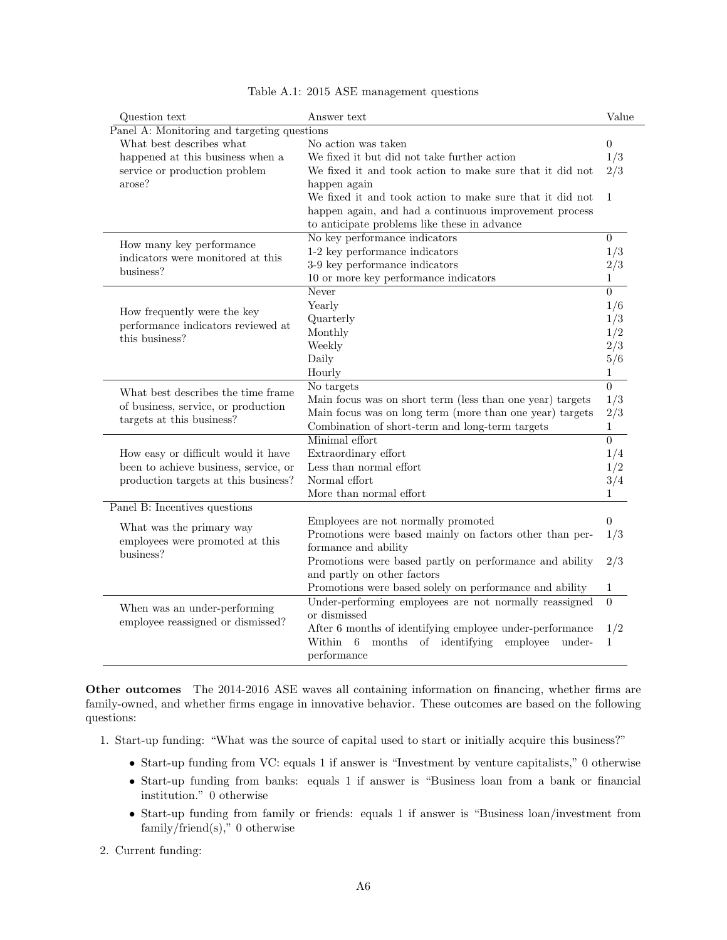<span id="page-58-0"></span>

| Question text                               | Answer text                                                | Value          |
|---------------------------------------------|------------------------------------------------------------|----------------|
| Panel A: Monitoring and targeting questions |                                                            |                |
| What best describes what                    | No action was taken                                        | $\theta$       |
| happened at this business when a            | We fixed it but did not take further action                | 1/3            |
| service or production problem               | We fixed it and took action to make sure that it did not   | 2/3            |
| arose?                                      | happen again                                               |                |
|                                             | We fixed it and took action to make sure that it did not   | 1              |
|                                             | happen again, and had a continuous improvement process     |                |
|                                             | to anticipate problems like these in advance               |                |
|                                             | No key performance indicators                              | $\theta$       |
| How many key performance                    | 1-2 key performance indicators                             | 1/3            |
| indicators were monitored at this           | 3-9 key performance indicators                             | 2/3            |
| business?                                   | 10 or more key performance indicators                      | 1              |
|                                             | Never                                                      | $\Omega$       |
|                                             | Yearly                                                     | 1/6            |
| How frequently were the key                 | Quarterly                                                  | 1/3            |
| performance indicators reviewed at          | Monthly                                                    | 1/2            |
| this business?                              | Weekly                                                     | 2/3            |
|                                             | Daily                                                      | 5/6            |
|                                             | Hourly                                                     | 1              |
|                                             | No targets                                                 | $\overline{0}$ |
| What best describes the time frame          | Main focus was on short term (less than one year) targets  | 1/3            |
| of business, service, or production         | Main focus was on long term (more than one year) targets   | 2/3            |
| targets at this business?                   | Combination of short-term and long-term targets            | $\mathbf{1}$   |
|                                             | Minimal effort                                             | $\overline{0}$ |
| How easy or difficult would it have         | Extraordinary effort                                       | 1/4            |
| been to achieve business, service, or       | Less than normal effort                                    | 1/2            |
| production targets at this business?        | Normal effort                                              | 3/4            |
|                                             | More than normal effort                                    | 1              |
| Panel B: Incentives questions               |                                                            |                |
|                                             | Employees are not normally promoted                        | $\theta$       |
| What was the primary way                    | Promotions were based mainly on factors other than per-    | 1/3            |
| employees were promoted at this             | formance and ability                                       |                |
| business?                                   | Promotions were based partly on performance and ability    | 2/3            |
|                                             | and partly on other factors                                |                |
|                                             | Promotions were based solely on performance and ability    | 1              |
|                                             | Under-performing employees are not normally reassigned     | $\theta$       |
| When was an under-performing                | or dismissed                                               |                |
| employee reassigned or dismissed?           | After 6 months of identifying employee under-performance   | 1/2            |
|                                             | Within<br>months of identifying<br>employee<br>6<br>under- | $\mathbf 1$    |
|                                             | performance                                                |                |

|  |  |  |  | Table A.1: 2015 ASE management questions |  |
|--|--|--|--|------------------------------------------|--|
|--|--|--|--|------------------------------------------|--|

Other outcomes The 2014-2016 ASE waves all containing information on financing, whether firms are family-owned, and whether firms engage in innovative behavior. These outcomes are based on the following questions:

- 1. Start-up funding: "What was the source of capital used to start or initially acquire this business?"
	- Start-up funding from VC: equals 1 if answer is "Investment by venture capitalists," 0 otherwise
	- Start-up funding from banks: equals 1 if answer is "Business loan from a bank or financial institution." 0 otherwise
	- Start-up funding from family or friends: equals 1 if answer is "Business loan/investment from family/friend(s)," 0 otherwise

## 2. Current funding: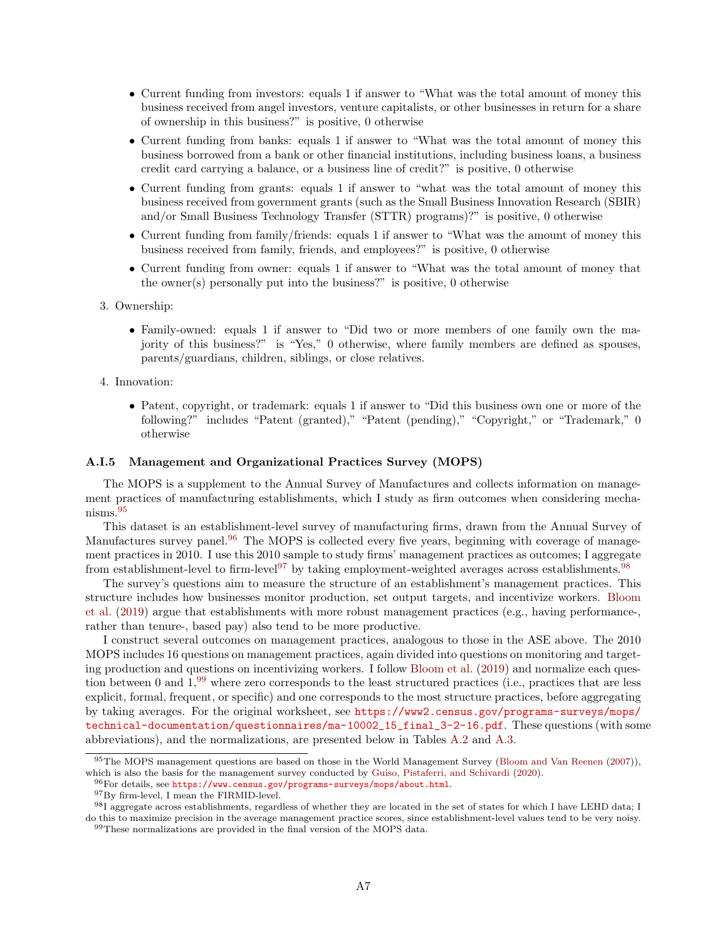- Current funding from investors: equals 1 if answer to "What was the total amount of money this business received from angel investors, venture capitalists, or other businesses in return for a share of ownership in this business?" is positive, 0 otherwise
- Current funding from banks: equals 1 if answer to "What was the total amount of money this business borrowed from a bank or other financial institutions, including business loans, a business credit card carrying a balance, or a business line of credit?" is positive, 0 otherwise
- Current funding from grants: equals 1 if answer to "what was the total amount of money this business received from government grants (such as the Small Business Innovation Research (SBIR) and/or Small Business Technology Transfer (STTR) programs)?" is positive, 0 otherwise
- Current funding from family/friends: equals 1 if answer to "What was the amount of money this business received from family, friends, and employees?" is positive, 0 otherwise
- Current funding from owner: equals 1 if answer to "What was the total amount of money that the owner(s) personally put into the business?" is positive,  $0$  otherwise
- 3. Ownership:
	- Family-owned: equals 1 if answer to "Did two or more members of one family own the majority of this business?" is "Yes," 0 otherwise, where family members are defined as spouses, parents/guardians, children, siblings, or close relatives.
- 4. Innovation:
	- Patent, copyright, or trademark: equals 1 if answer to "Did this business own one or more of the following?" includes "Patent (granted)," "Patent (pending)," "Copyright," or "Trademark," 0 otherwise

### A.I.5 Management and Organizational Practices Survey (MOPS)

The MOPS is a supplement to the Annual Survey of Manufactures and collects information on management practices of manufacturing establishments, which I study as firm outcomes when considering mechanisms.[95](#page-59-0)

This dataset is an establishment-level survey of manufacturing firms, drawn from the Annual Survey of Manufactures survey panel.<sup>[96](#page-59-1)</sup> The MOPS is collected every five years, beginning with coverage of management practices in 2010. I use this 2010 sample to study firms' management practices as outcomes; I aggregate from establishment-level to firm-level<sup>[97](#page-59-2)</sup> by taking employment-weighted averages across establishments.<sup>[98](#page-59-3)</sup>

The survey's questions aim to measure the structure of an establishment's management practices. This structure includes how businesses monitor production, set output targets, and incentivize workers. [Bloom](#page-36-3) [et al.](#page-36-3) [\(2019\)](#page-36-3) argue that establishments with more robust management practices (e.g., having performance-, rather than tenure-, based pay) also tend to be more productive.

I construct several outcomes on management practices, analogous to those in the ASE above. The 2010 MOPS includes 16 questions on management practices, again divided into questions on monitoring and targeting production and questions on incentivizing workers. I follow [Bloom et al.](#page-36-3) [\(2019\)](#page-36-3) and normalize each question between 0 and 1,[99](#page-59-4) where zero corresponds to the least structured practices (i.e., practices that are less explicit, formal, frequent, or specific) and one corresponds to the most structure practices, before aggregating by taking averages. For the original worksheet, see [https://www2.census.gov/programs-surveys/mops/](https://www2.census.gov/programs-surveys/mops/technical-documentation/questionnaires/ma-10002_15_final_3-2-16.pdf) [technical-documentation/questionnaires/ma-10002\\_15\\_final\\_3-2-16.pdf](https://www2.census.gov/programs-surveys/mops/technical-documentation/questionnaires/ma-10002_15_final_3-2-16.pdf). These questions (with some abbreviations), and the normalizations, are presented below in Tables [A.2](#page-60-0) and [A.3.](#page-61-0)

<span id="page-59-0"></span><sup>&</sup>lt;sup>95</sup>The MOPS management questions are based on those in the World Management Survey [\(Bloom and Van Reenen](#page-36-4) [\(2007\)](#page-36-4)), which is also the basis for the management survey conducted by [Guiso, Pistaferri, and Schivardi](#page-37-5) [\(2020\)](#page-37-5).

<span id="page-59-1"></span> $^{96}\rm{For\ details, see \,\,https://www.census.gov/programs-surveys/mops/about.html.}$  $^{96}\rm{For\ details, see \,\,https://www.census.gov/programs-surveys/mops/about.html.}$  $^{96}\rm{For\ details, see \,\,https://www.census.gov/programs-surveys/mops/about.html.}$ 

<span id="page-59-3"></span><span id="page-59-2"></span> $^{97}{\rm By}$  firm-level, I mean the FIRMID-level.

<span id="page-59-4"></span><sup>98</sup>I aggregate across establishments, regardless of whether they are located in the set of states for which I have LEHD data; I do this to maximize precision in the average management practice scores, since establishment-level values tend to be very noisy. <sup>99</sup>These normalizations are provided in the final version of the MOPS data.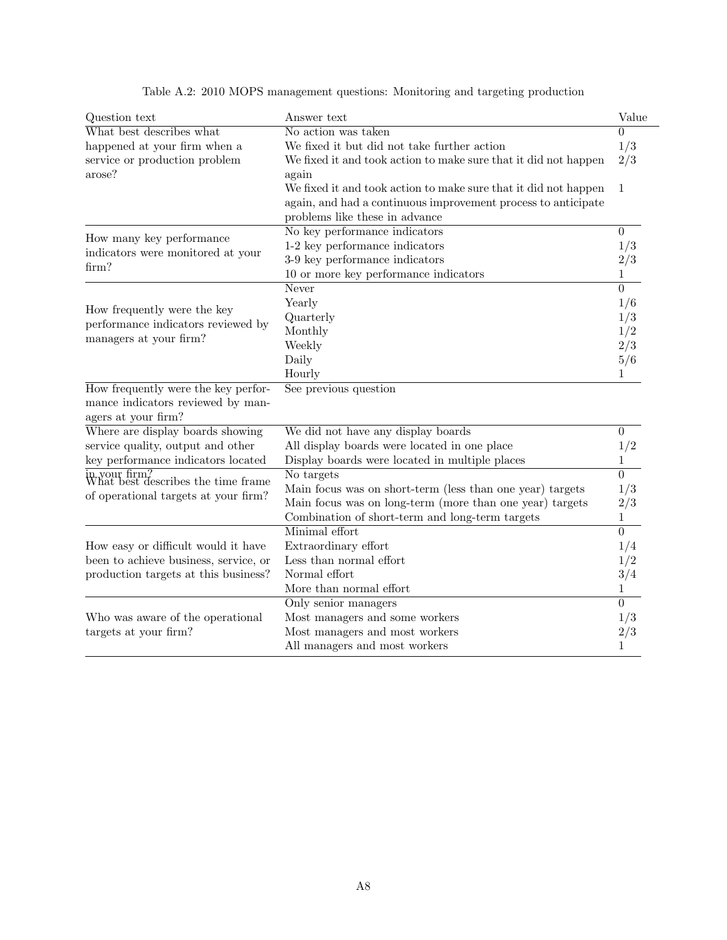<span id="page-60-0"></span>

| Question text                                       | Answer text                                                     | Value          |
|-----------------------------------------------------|-----------------------------------------------------------------|----------------|
| What best describes what                            | No action was taken                                             | 0              |
| happened at your firm when a                        | We fixed it but did not take further action                     | 1/3            |
| service or production problem                       | We fixed it and took action to make sure that it did not happen | 2/3            |
| arose?                                              | again                                                           |                |
|                                                     | We fixed it and took action to make sure that it did not happen | 1              |
|                                                     | again, and had a continuous improvement process to anticipate   |                |
|                                                     | problems like these in advance                                  |                |
|                                                     | No key performance indicators                                   | $\overline{0}$ |
| How many key performance                            | 1-2 key performance indicators                                  | 1/3            |
| indicators were monitored at your                   | 3-9 key performance indicators                                  | 2/3            |
| firm?                                               | 10 or more key performance indicators                           | 1              |
|                                                     | Never                                                           | $\theta$       |
|                                                     | Yearly                                                          | 1/6            |
| How frequently were the key                         | Quarterly                                                       | 1/3            |
| performance indicators reviewed by                  | Monthly                                                         | 1/2            |
| managers at your firm?                              | Weekly                                                          | 2/3            |
|                                                     | Daily                                                           | 5/6            |
|                                                     | Hourly                                                          | 1              |
| How frequently were the key perfor-                 | See previous question                                           |                |
| mance indicators reviewed by man-                   |                                                                 |                |
| agers at your firm?                                 |                                                                 |                |
| Where are display boards showing                    | We did not have any display boards                              | $\theta$       |
| service quality, output and other                   | All display boards were located in one place                    | 1/2            |
| key performance indicators located                  | Display boards were located in multiple places                  | $\mathbf 1$    |
| in your firm?<br>What best describes the time frame | No targets                                                      | $\theta$       |
|                                                     | Main focus was on short-term (less than one year) targets       | 1/3            |
| of operational targets at your firm?                | Main focus was on long-term (more than one year) targets        | 2/3            |
|                                                     | Combination of short-term and long-term targets                 | $\mathbf 1$    |
|                                                     | Minimal effort                                                  | $\overline{0}$ |
| How easy or difficult would it have                 | Extraordinary effort                                            | 1/4            |
| been to achieve business, service, or               | Less than normal effort                                         | 1/2            |
| production targets at this business?                | Normal effort                                                   | 3/4            |
|                                                     | More than normal effort                                         | 1              |
|                                                     | Only senior managers                                            | $\theta$       |
| Who was aware of the operational                    | Most managers and some workers                                  | 1/3            |
| targets at your firm?                               | Most managers and most workers                                  | 2/3            |
|                                                     | All managers and most workers                                   | 1              |

Table A.2: 2010 MOPS management questions: Monitoring and targeting production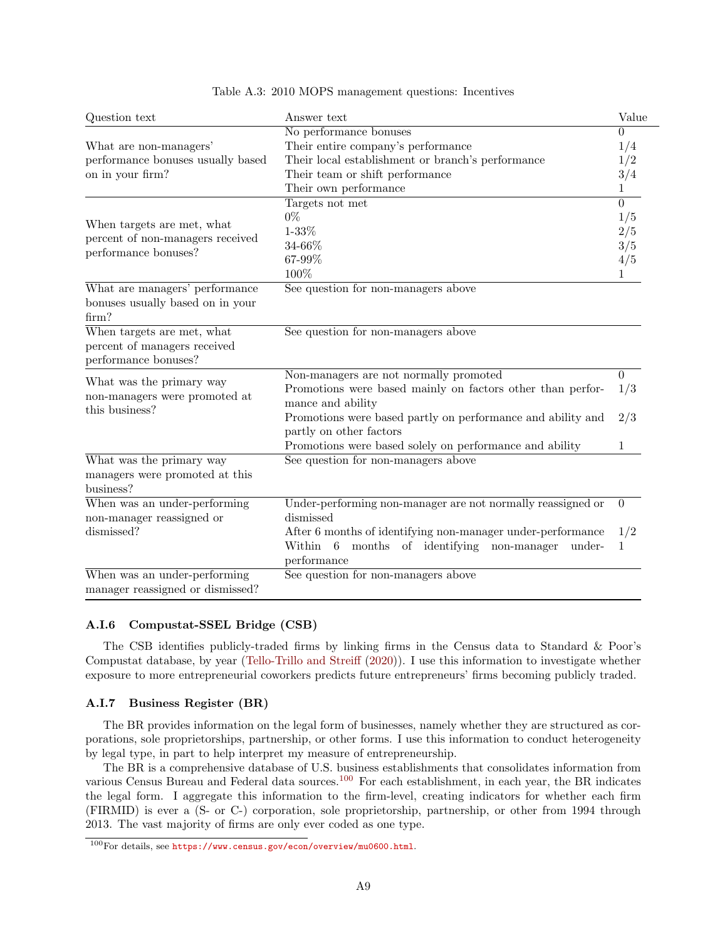<span id="page-61-0"></span>

| Question text                                   | Answer text                                                 | Value    |
|-------------------------------------------------|-------------------------------------------------------------|----------|
|                                                 | No performance bonuses                                      | $\Omega$ |
| What are non-managers'                          | Their entire company's performance                          | 1/4      |
| performance bonuses usually based               | Their local establishment or branch's performance           | 1/2      |
| on in your firm?                                | Their team or shift performance                             | 3/4      |
|                                                 | Their own performance                                       | 1        |
|                                                 | Targets not met                                             | $\Omega$ |
|                                                 | $0\%$                                                       | 1/5      |
| When targets are met, what                      | $1 - 33%$                                                   | 2/5      |
| percent of non-managers received                | 34-66%                                                      | 3/5      |
| performance bonuses?                            | 67-99%                                                      | 4/5      |
|                                                 | 100%                                                        | 1        |
| What are managers' performance                  | See question for non-managers above                         |          |
| bonuses usually based on in your                |                                                             |          |
| firm?                                           |                                                             |          |
| When targets are met, what                      | See question for non-managers above                         |          |
| percent of managers received                    |                                                             |          |
| performance bonuses?                            |                                                             |          |
|                                                 | Non-managers are not normally promoted                      | $\theta$ |
| What was the primary way                        | Promotions were based mainly on factors other than perfor-  | 1/3      |
| non-managers were promoted at<br>this business? | mance and ability                                           |          |
|                                                 | Promotions were based partly on performance and ability and | 2/3      |
|                                                 | partly on other factors                                     |          |
|                                                 | Promotions were based solely on performance and ability     | 1        |
| What was the primary way                        | See question for non-managers above                         |          |
| managers were promoted at this                  |                                                             |          |
| business?                                       |                                                             |          |
| When was an under-performing                    | Under-performing non-manager are not normally reassigned or | $\theta$ |
| non-manager reassigned or                       | dismissed                                                   |          |
| dismissed?                                      | After 6 months of identifying non-manager under-performance | 1/2      |
|                                                 | months of identifying non-manager<br>Within 6<br>under-     | 1        |
|                                                 | performance                                                 |          |
| When was an under-performing                    | See question for non-managers above                         |          |
| manager reassigned or dismissed?                |                                                             |          |

### Table A.3: 2010 MOPS management questions: Incentives

# A.I.6 Compustat-SSEL Bridge (CSB)

The CSB identifies publicly-traded firms by linking firms in the Census data to Standard & Poor's Compustat database, by year [\(Tello-Trillo and Streiff](#page-39-1) [\(2020\)](#page-39-1)). I use this information to investigate whether exposure to more entrepreneurial coworkers predicts future entrepreneurs' firms becoming publicly traded.

## A.I.7 Business Register (BR)

The BR provides information on the legal form of businesses, namely whether they are structured as corporations, sole proprietorships, partnership, or other forms. I use this information to conduct heterogeneity by legal type, in part to help interpret my measure of entrepreneurship.

The BR is a comprehensive database of U.S. business establishments that consolidates information from various Census Bureau and Federal data sources.<sup>[100](#page-61-1)</sup> For each establishment, in each year, the BR indicates the legal form. I aggregate this information to the firm-level, creating indicators for whether each firm (FIRMID) is ever a (S- or C-) corporation, sole proprietorship, partnership, or other from 1994 through 2013. The vast majority of firms are only ever coded as one type.

<span id="page-61-1"></span><sup>100</sup>For details, see <https://www.census.gov/econ/overview/mu0600.html>.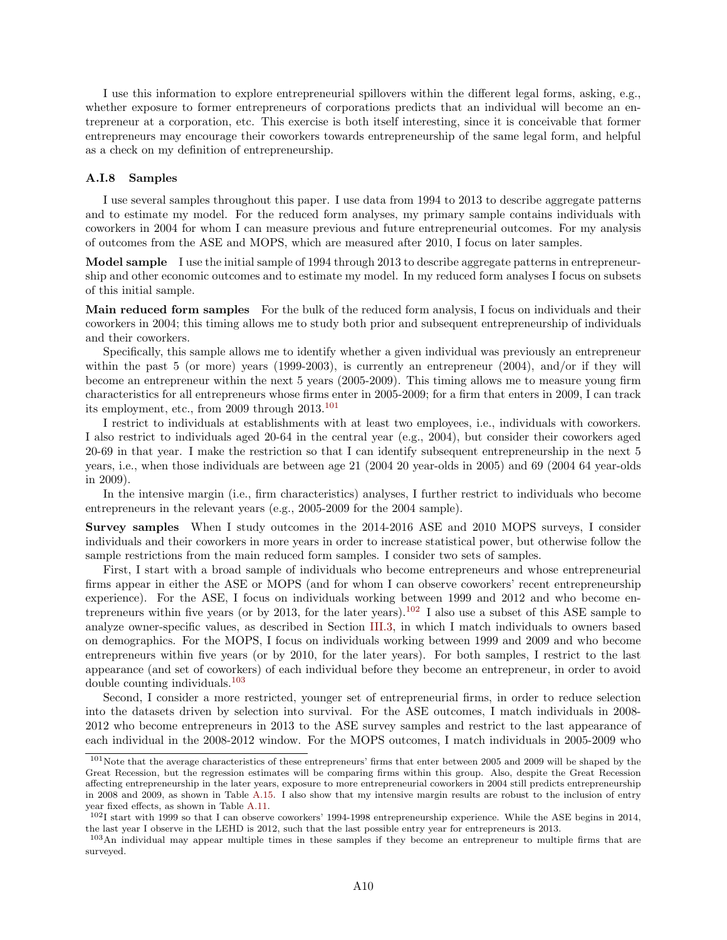I use this information to explore entrepreneurial spillovers within the different legal forms, asking, e.g., whether exposure to former entrepreneurs of corporations predicts that an individual will become an entrepreneur at a corporation, etc. This exercise is both itself interesting, since it is conceivable that former entrepreneurs may encourage their coworkers towards entrepreneurship of the same legal form, and helpful as a check on my definition of entrepreneurship.

### A.I.8 Samples

I use several samples throughout this paper. I use data from 1994 to 2013 to describe aggregate patterns and to estimate my model. For the reduced form analyses, my primary sample contains individuals with coworkers in 2004 for whom I can measure previous and future entrepreneurial outcomes. For my analysis of outcomes from the ASE and MOPS, which are measured after 2010, I focus on later samples.

Model sample I use the initial sample of 1994 through 2013 to describe aggregate patterns in entrepreneurship and other economic outcomes and to estimate my model. In my reduced form analyses I focus on subsets of this initial sample.

Main reduced form samples For the bulk of the reduced form analysis, I focus on individuals and their coworkers in 2004; this timing allows me to study both prior and subsequent entrepreneurship of individuals and their coworkers.

Specifically, this sample allows me to identify whether a given individual was previously an entrepreneur within the past 5 (or more) years (1999-2003), is currently an entrepreneur (2004), and/or if they will become an entrepreneur within the next 5 years (2005-2009). This timing allows me to measure young firm characteristics for all entrepreneurs whose firms enter in 2005-2009; for a firm that enters in 2009, I can track its employment, etc., from 2009 through 2013.[101](#page-62-0)

I restrict to individuals at establishments with at least two employees, i.e., individuals with coworkers. I also restrict to individuals aged 20-64 in the central year (e.g., 2004), but consider their coworkers aged 20-69 in that year. I make the restriction so that I can identify subsequent entrepreneurship in the next 5 years, i.e., when those individuals are between age 21 (2004 20 year-olds in 2005) and 69 (2004 64 year-olds in 2009).

In the intensive margin (i.e., firm characteristics) analyses, I further restrict to individuals who become entrepreneurs in the relevant years (e.g., 2005-2009 for the 2004 sample).

Survey samples When I study outcomes in the 2014-2016 ASE and 2010 MOPS surveys, I consider individuals and their coworkers in more years in order to increase statistical power, but otherwise follow the sample restrictions from the main reduced form samples. I consider two sets of samples.

First, I start with a broad sample of individuals who become entrepreneurs and whose entrepreneurial firms appear in either the ASE or MOPS (and for whom I can observe coworkers' recent entrepreneurship experience). For the ASE, I focus on individuals working between 1999 and 2012 and who become en-trepreneurs within five years (or by 2013, for the later years).<sup>[102](#page-62-1)</sup> I also use a subset of this ASE sample to analyze owner-specific values, as described in Section [III.3,](#page-15-0) in which I match individuals to owners based on demographics. For the MOPS, I focus on individuals working between 1999 and 2009 and who become entrepreneurs within five years (or by 2010, for the later years). For both samples, I restrict to the last appearance (and set of coworkers) of each individual before they become an entrepreneur, in order to avoid double counting individuals.[103](#page-62-2)

Second, I consider a more restricted, younger set of entrepreneurial firms, in order to reduce selection into the datasets driven by selection into survival. For the ASE outcomes, I match individuals in 2008- 2012 who become entrepreneurs in 2013 to the ASE survey samples and restrict to the last appearance of each individual in the 2008-2012 window. For the MOPS outcomes, I match individuals in 2005-2009 who

<span id="page-62-0"></span> $101$ Note that the average characteristics of these entrepreneurs' firms that enter between 2005 and 2009 will be shaped by the Great Recession, but the regression estimates will be comparing firms within this group. Also, despite the Great Recession affecting entrepreneurship in the later years, exposure to more entrepreneurial coworkers in 2004 still predicts entrepreneurship in 2008 and 2009, as shown in Table [A.15.](#page-80-0) I also show that my intensive margin results are robust to the inclusion of entry year fixed effects, as shown in Table [A.11.](#page-76-1)

<span id="page-62-1"></span><sup>102</sup>I start with 1999 so that I can observe coworkers' 1994-1998 entrepreneurship experience. While the ASE begins in 2014, the last year I observe in the LEHD is 2012, such that the last possible entry year for entrepreneurs is 2013.

<span id="page-62-2"></span><sup>103</sup>An individual may appear multiple times in these samples if they become an entrepreneur to multiple firms that are surveyed.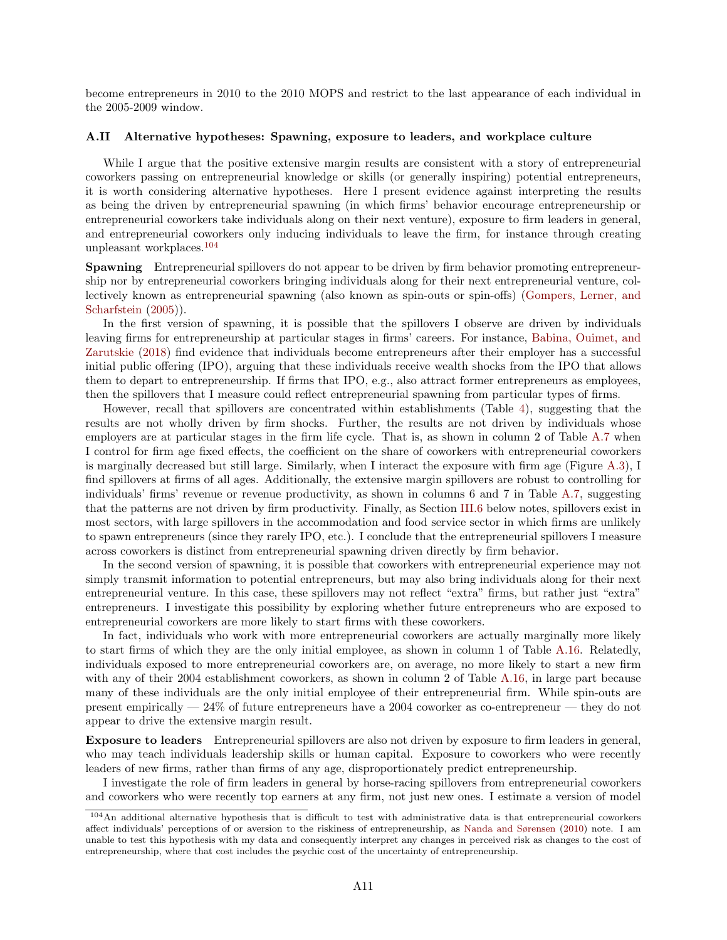become entrepreneurs in 2010 to the 2010 MOPS and restrict to the last appearance of each individual in the 2005-2009 window.

#### <span id="page-63-1"></span>A.II Alternative hypotheses: Spawning, exposure to leaders, and workplace culture

While I argue that the positive extensive margin results are consistent with a story of entrepreneurial coworkers passing on entrepreneurial knowledge or skills (or generally inspiring) potential entrepreneurs, it is worth considering alternative hypotheses. Here I present evidence against interpreting the results as being the driven by entrepreneurial spawning (in which firms' behavior encourage entrepreneurship or entrepreneurial coworkers take individuals along on their next venture), exposure to firm leaders in general, and entrepreneurial coworkers only inducing individuals to leave the firm, for instance through creating unpleasant workplaces.[104](#page-63-0)

Spawning Entrepreneurial spillovers do not appear to be driven by firm behavior promoting entrepreneurship nor by entrepreneurial coworkers bringing individuals along for their next entrepreneurial venture, collectively known as entrepreneurial spawning (also known as spin-outs or spin-offs) [\(Gompers, Lerner, and](#page-37-6) [Scharfstein](#page-37-6)  $(2005)$ ).

In the first version of spawning, it is possible that the spillovers I observe are driven by individuals leaving firms for entrepreneurship at particular stages in firms' careers. For instance, [Babina, Ouimet, and](#page-36-5) [Zarutskie](#page-36-5) [\(2018\)](#page-36-5) find evidence that individuals become entrepreneurs after their employer has a successful initial public offering (IPO), arguing that these individuals receive wealth shocks from the IPO that allows them to depart to entrepreneurship. If firms that IPO, e.g., also attract former entrepreneurs as employees, then the spillovers that I measure could reflect entrepreneurial spawning from particular types of firms.

However, recall that spillovers are concentrated within establishments (Table [4\)](#page-42-0), suggesting that the results are not wholly driven by firm shocks. Further, the results are not driven by individuals whose employers are at particular stages in the firm life cycle. That is, as shown in column 2 of Table [A.7](#page-72-0) when I control for firm age fixed effects, the coefficient on the share of coworkers with entrepreneurial coworkers is marginally decreased but still large. Similarly, when I interact the exposure with firm age (Figure [A.3\)](#page-90-0), I find spillovers at firms of all ages. Additionally, the extensive margin spillovers are robust to controlling for individuals' firms' revenue or revenue productivity, as shown in columns 6 and 7 in Table [A.7,](#page-72-0) suggesting that the patterns are not driven by firm productivity. Finally, as Section [III.6](#page-22-0) below notes, spillovers exist in most sectors, with large spillovers in the accommodation and food service sector in which firms are unlikely to spawn entrepreneurs (since they rarely IPO, etc.). I conclude that the entrepreneurial spillovers I measure across coworkers is distinct from entrepreneurial spawning driven directly by firm behavior.

In the second version of spawning, it is possible that coworkers with entrepreneurial experience may not simply transmit information to potential entrepreneurs, but may also bring individuals along for their next entrepreneurial venture. In this case, these spillovers may not reflect "extra" firms, but rather just "extra" entrepreneurs. I investigate this possibility by exploring whether future entrepreneurs who are exposed to entrepreneurial coworkers are more likely to start firms with these coworkers.

In fact, individuals who work with more entrepreneurial coworkers are actually marginally more likely to start firms of which they are the only initial employee, as shown in column 1 of Table [A.16.](#page-81-0) Relatedly, individuals exposed to more entrepreneurial coworkers are, on average, no more likely to start a new firm with any of their 2004 establishment coworkers, as shown in column 2 of Table [A.16,](#page-81-0) in large part because many of these individuals are the only initial employee of their entrepreneurial firm. While spin-outs are present empirically — 24% of future entrepreneurs have a 2004 coworker as co-entrepreneur — they do not appear to drive the extensive margin result.

Exposure to leaders Entrepreneurial spillovers are also not driven by exposure to firm leaders in general, who may teach individuals leadership skills or human capital. Exposure to coworkers who were recently leaders of new firms, rather than firms of any age, disproportionately predict entrepreneurship.

I investigate the role of firm leaders in general by horse-racing spillovers from entrepreneurial coworkers and coworkers who were recently top earners at any firm, not just new ones. I estimate a version of model

<span id="page-63-0"></span><sup>104</sup>An additional alternative hypothesis that is difficult to test with administrative data is that entrepreneurial coworkers affect individuals' perceptions of or aversion to the riskiness of entrepreneurship, as [Nanda and Sørensen](#page-38-4) [\(2010\)](#page-38-4) note. I am unable to test this hypothesis with my data and consequently interpret any changes in perceived risk as changes to the cost of entrepreneurship, where that cost includes the psychic cost of the uncertainty of entrepreneurship.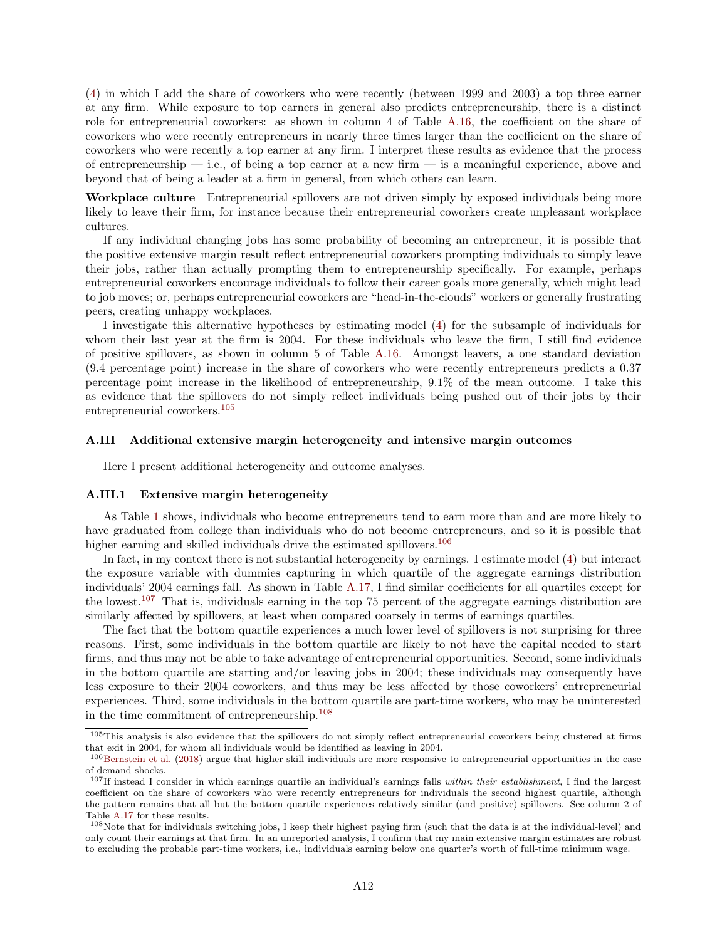[\(4\)](#page-13-0) in which I add the share of coworkers who were recently (between 1999 and 2003) a top three earner at any firm. While exposure to top earners in general also predicts entrepreneurship, there is a distinct role for entrepreneurial coworkers: as shown in column 4 of Table [A.16,](#page-81-0) the coefficient on the share of coworkers who were recently entrepreneurs in nearly three times larger than the coefficient on the share of coworkers who were recently a top earner at any firm. I interpret these results as evidence that the process of entrepreneurship — i.e., of being a top earner at a new firm — is a meaningful experience, above and beyond that of being a leader at a firm in general, from which others can learn.

Workplace culture Entrepreneurial spillovers are not driven simply by exposed individuals being more likely to leave their firm, for instance because their entrepreneurial coworkers create unpleasant workplace cultures.

If any individual changing jobs has some probability of becoming an entrepreneur, it is possible that the positive extensive margin result reflect entrepreneurial coworkers prompting individuals to simply leave their jobs, rather than actually prompting them to entrepreneurship specifically. For example, perhaps entrepreneurial coworkers encourage individuals to follow their career goals more generally, which might lead to job moves; or, perhaps entrepreneurial coworkers are "head-in-the-clouds" workers or generally frustrating peers, creating unhappy workplaces.

I investigate this alternative hypotheses by estimating model [\(4\)](#page-13-0) for the subsample of individuals for whom their last year at the firm is 2004. For these individuals who leave the firm, I still find evidence of positive spillovers, as shown in column 5 of Table [A.16.](#page-81-0) Amongst leavers, a one standard deviation (9.4 percentage point) increase in the share of coworkers who were recently entrepreneurs predicts a 0.37 percentage point increase in the likelihood of entrepreneurship, 9.1% of the mean outcome. I take this as evidence that the spillovers do not simply reflect individuals being pushed out of their jobs by their entrepreneurial coworkers.[105](#page-64-0)

### <span id="page-64-4"></span>A.III Additional extensive margin heterogeneity and intensive margin outcomes

Here I present additional heterogeneity and outcome analyses.

### A.III.1 Extensive margin heterogeneity

As Table [1](#page-40-0) shows, individuals who become entrepreneurs tend to earn more than and are more likely to have graduated from college than individuals who do not become entrepreneurs, and so it is possible that higher earning and skilled individuals drive the estimated spillovers.<sup>[106](#page-64-1)</sup>

In fact, in my context there is not substantial heterogeneity by earnings. I estimate model [\(4\)](#page-13-0) but interact the exposure variable with dummies capturing in which quartile of the aggregate earnings distribution individuals' 2004 earnings fall. As shown in Table [A.17,](#page-82-0) I find similar coefficients for all quartiles except for the lowest.[107](#page-64-2) That is, individuals earning in the top 75 percent of the aggregate earnings distribution are similarly affected by spillovers, at least when compared coarsely in terms of earnings quartiles.

The fact that the bottom quartile experiences a much lower level of spillovers is not surprising for three reasons. First, some individuals in the bottom quartile are likely to not have the capital needed to start firms, and thus may not be able to take advantage of entrepreneurial opportunities. Second, some individuals in the bottom quartile are starting and/or leaving jobs in 2004; these individuals may consequently have less exposure to their 2004 coworkers, and thus may be less affected by those coworkers' entrepreneurial experiences. Third, some individuals in the bottom quartile are part-time workers, who may be uninterested in the time commitment of entrepreneurship.[108](#page-64-3)

<span id="page-64-0"></span><sup>105</sup>This analysis is also evidence that the spillovers do not simply reflect entrepreneurial coworkers being clustered at firms that exit in 2004, for whom all individuals would be identified as leaving in 2004.

<span id="page-64-1"></span><sup>106</sup>[Bernstein et al.](#page-36-6) [\(2018\)](#page-36-6) argue that higher skill individuals are more responsive to entrepreneurial opportunities in the case of demand shocks.

<span id="page-64-2"></span> $107$ If instead I consider in which earnings quartile an individual's earnings falls *within their establishment*, I find the largest coefficient on the share of coworkers who were recently entrepreneurs for individuals the second highest quartile, although the pattern remains that all but the bottom quartile experiences relatively similar (and positive) spillovers. See column 2 of Table [A.17](#page-82-0) for these results.

<span id="page-64-3"></span><sup>108</sup>Note that for individuals switching jobs, I keep their highest paying firm (such that the data is at the individual-level) and only count their earnings at that firm. In an unreported analysis, I confirm that my main extensive margin estimates are robust to excluding the probable part-time workers, i.e., individuals earning below one quarter's worth of full-time minimum wage.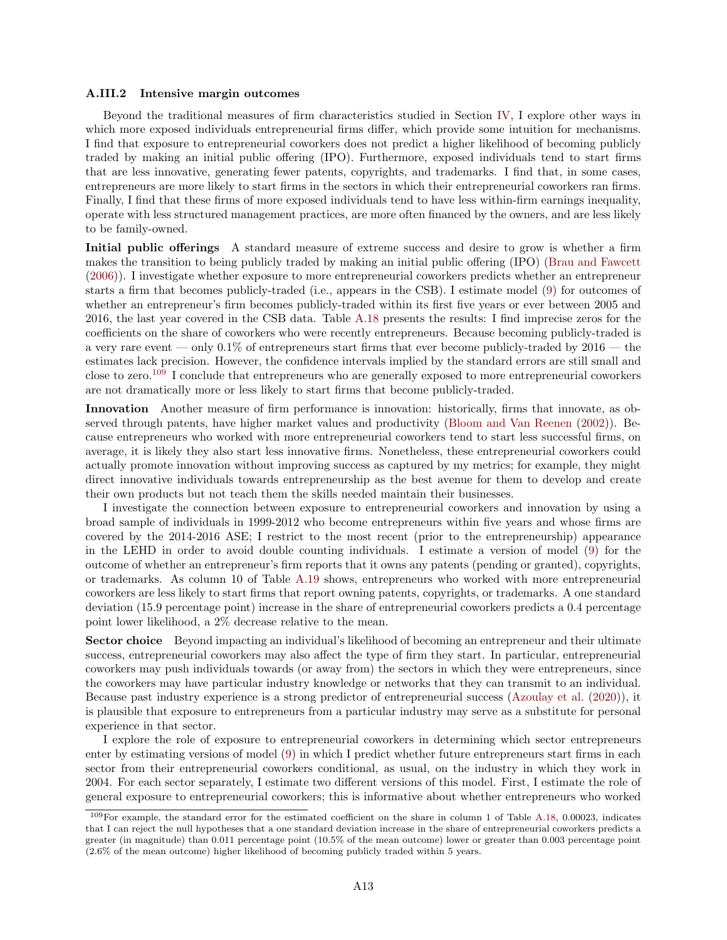#### A.III.2 Intensive margin outcomes

Beyond the traditional measures of firm characteristics studied in Section [IV,](#page-25-1) I explore other ways in which more exposed individuals entrepreneurial firms differ, which provide some intuition for mechanisms. I find that exposure to entrepreneurial coworkers does not predict a higher likelihood of becoming publicly traded by making an initial public offering (IPO). Furthermore, exposed individuals tend to start firms that are less innovative, generating fewer patents, copyrights, and trademarks. I find that, in some cases, entrepreneurs are more likely to start firms in the sectors in which their entrepreneurial coworkers ran firms. Finally, I find that these firms of more exposed individuals tend to have less within-firm earnings inequality, operate with less structured management practices, are more often financed by the owners, and are less likely to be family-owned.

Initial public offerings A standard measure of extreme success and desire to grow is whether a firm makes the transition to being publicly traded by making an initial public offering (IPO) [\(Brau and Fawcett](#page-36-7) [\(2006\)](#page-36-7)). I investigate whether exposure to more entrepreneurial coworkers predicts whether an entrepreneur starts a firm that becomes publicly-traded (i.e., appears in the CSB). I estimate model [\(9\)](#page-25-2) for outcomes of whether an entrepreneur's firm becomes publicly-traded within its first five years or ever between 2005 and 2016, the last year covered in the CSB data. Table [A.18](#page-82-1) presents the results: I find imprecise zeros for the coefficients on the share of coworkers who were recently entrepreneurs. Because becoming publicly-traded is a very rare event — only  $0.1\%$  of entrepreneurs start firms that ever become publicly-traded by  $2016$  — the estimates lack precision. However, the confidence intervals implied by the standard errors are still small and close to zero.[109](#page-65-0) I conclude that entrepreneurs who are generally exposed to more entrepreneurial coworkers are not dramatically more or less likely to start firms that become publicly-traded.

Innovation Another measure of firm performance is innovation: historically, firms that innovate, as observed through patents, have higher market values and productivity [\(Bloom and Van Reenen](#page-36-8) [\(2002\)](#page-36-8)). Because entrepreneurs who worked with more entrepreneurial coworkers tend to start less successful firms, on average, it is likely they also start less innovative firms. Nonetheless, these entrepreneurial coworkers could actually promote innovation without improving success as captured by my metrics; for example, they might direct innovative individuals towards entrepreneurship as the best avenue for them to develop and create their own products but not teach them the skills needed maintain their businesses.

I investigate the connection between exposure to entrepreneurial coworkers and innovation by using a broad sample of individuals in 1999-2012 who become entrepreneurs within five years and whose firms are covered by the 2014-2016 ASE; I restrict to the most recent (prior to the entrepreneurship) appearance in the LEHD in order to avoid double counting individuals. I estimate a version of model [\(9\)](#page-25-2) for the outcome of whether an entrepreneur's firm reports that it owns any patents (pending or granted), copyrights, or trademarks. As column 10 of Table [A.19](#page-83-0) shows, entrepreneurs who worked with more entrepreneurial coworkers are less likely to start firms that report owning patents, copyrights, or trademarks. A one standard deviation (15.9 percentage point) increase in the share of entrepreneurial coworkers predicts a 0.4 percentage point lower likelihood, a 2% decrease relative to the mean.

Sector choice Beyond impacting an individual's likelihood of becoming an entrepreneur and their ultimate success, entrepreneurial coworkers may also affect the type of firm they start. In particular, entrepreneurial coworkers may push individuals towards (or away from) the sectors in which they were entrepreneurs, since the coworkers may have particular industry knowledge or networks that they can transmit to an individual. Because past industry experience is a strong predictor of entrepreneurial success [\(Azoulay et al.](#page-36-9) [\(2020\)](#page-36-9)), it is plausible that exposure to entrepreneurs from a particular industry may serve as a substitute for personal experience in that sector.

I explore the role of exposure to entrepreneurial coworkers in determining which sector entrepreneurs enter by estimating versions of model [\(9\)](#page-25-2) in which I predict whether future entrepreneurs start firms in each sector from their entrepreneurial coworkers conditional, as usual, on the industry in which they work in 2004. For each sector separately, I estimate two different versions of this model. First, I estimate the role of general exposure to entrepreneurial coworkers; this is informative about whether entrepreneurs who worked

<span id="page-65-0"></span><sup>109</sup>For example, the standard error for the estimated coefficient on the share in column 1 of Table [A.18,](#page-82-1) 0.00023, indicates that I can reject the null hypotheses that a one standard deviation increase in the share of entrepreneurial coworkers predicts a greater (in magnitude) than 0.011 percentage point (10.5% of the mean outcome) lower or greater than 0.003 percentage point (2.6% of the mean outcome) higher likelihood of becoming publicly traded within 5 years.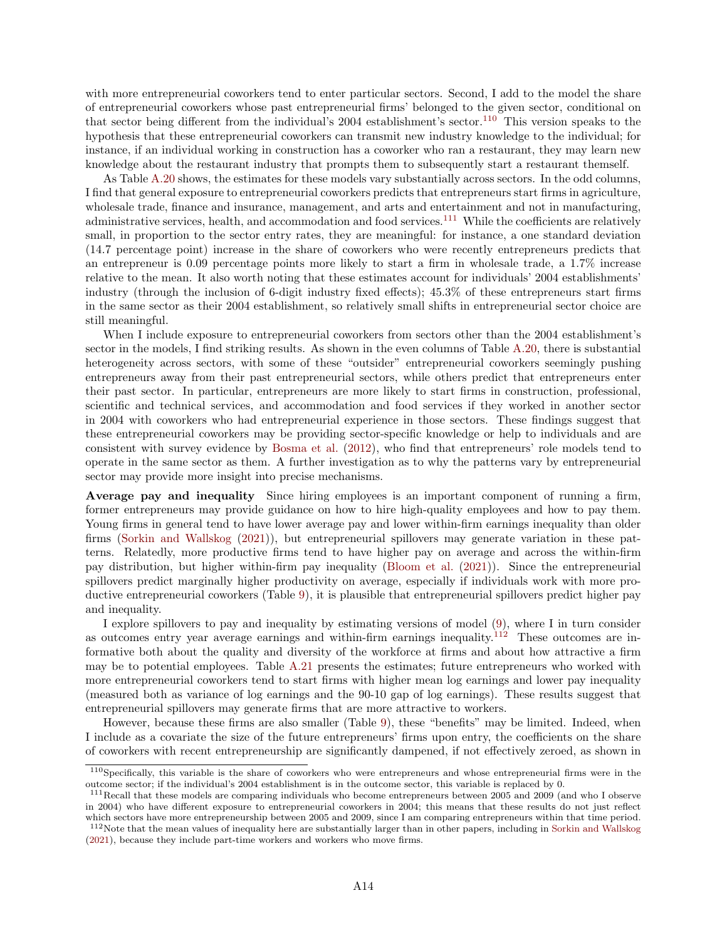with more entrepreneurial coworkers tend to enter particular sectors. Second, I add to the model the share of entrepreneurial coworkers whose past entrepreneurial firms' belonged to the given sector, conditional on that sector being different from the individual's  $2004$  establishment's sector.<sup>[110](#page-66-0)</sup> This version speaks to the hypothesis that these entrepreneurial coworkers can transmit new industry knowledge to the individual; for instance, if an individual working in construction has a coworker who ran a restaurant, they may learn new knowledge about the restaurant industry that prompts them to subsequently start a restaurant themself.

As Table [A.20](#page-84-0) shows, the estimates for these models vary substantially across sectors. In the odd columns, I find that general exposure to entrepreneurial coworkers predicts that entrepreneurs start firms in agriculture, wholesale trade, finance and insurance, management, and arts and entertainment and not in manufacturing, administrative services, health, and accommodation and food services.[111](#page-66-1) While the coefficients are relatively small, in proportion to the sector entry rates, they are meaningful: for instance, a one standard deviation (14.7 percentage point) increase in the share of coworkers who were recently entrepreneurs predicts that an entrepreneur is 0.09 percentage points more likely to start a firm in wholesale trade, a 1.7% increase relative to the mean. It also worth noting that these estimates account for individuals' 2004 establishments' industry (through the inclusion of 6-digit industry fixed effects); 45.3% of these entrepreneurs start firms in the same sector as their 2004 establishment, so relatively small shifts in entrepreneurial sector choice are still meaningful.

When I include exposure to entrepreneurial coworkers from sectors other than the 2004 establishment's sector in the models, I find striking results. As shown in the even columns of Table [A.20,](#page-84-0) there is substantial heterogeneity across sectors, with some of these "outsider" entrepreneurial coworkers seemingly pushing entrepreneurs away from their past entrepreneurial sectors, while others predict that entrepreneurs enter their past sector. In particular, entrepreneurs are more likely to start firms in construction, professional, scientific and technical services, and accommodation and food services if they worked in another sector in 2004 with coworkers who had entrepreneurial experience in those sectors. These findings suggest that these entrepreneurial coworkers may be providing sector-specific knowledge or help to individuals and are consistent with survey evidence by [Bosma et al.](#page-36-10) [\(2012\)](#page-36-10), who find that entrepreneurs' role models tend to operate in the same sector as them. A further investigation as to why the patterns vary by entrepreneurial sector may provide more insight into precise mechanisms.

Average pay and inequality Since hiring employees is an important component of running a firm, former entrepreneurs may provide guidance on how to hire high-quality employees and how to pay them. Young firms in general tend to have lower average pay and lower within-firm earnings inequality than older firms [\(Sorkin and Wallskog](#page-39-2) [\(2021\)](#page-39-2)), but entrepreneurial spillovers may generate variation in these patterns. Relatedly, more productive firms tend to have higher pay on average and across the within-firm pay distribution, but higher within-firm pay inequality [\(Bloom et al.](#page-36-11) [\(2021\)](#page-36-11)). Since the entrepreneurial spillovers predict marginally higher productivity on average, especially if individuals work with more productive entrepreneurial coworkers (Table [9\)](#page-47-0), it is plausible that entrepreneurial spillovers predict higher pay and inequality.

I explore spillovers to pay and inequality by estimating versions of model [\(9\)](#page-25-2), where I in turn consider as outcomes entry year average earnings and within-firm earnings inequality.<sup>[112](#page-66-2)</sup> These outcomes are informative both about the quality and diversity of the workforce at firms and about how attractive a firm may be to potential employees. Table [A.21](#page-85-0) presents the estimates; future entrepreneurs who worked with more entrepreneurial coworkers tend to start firms with higher mean log earnings and lower pay inequality (measured both as variance of log earnings and the 90-10 gap of log earnings). These results suggest that entrepreneurial spillovers may generate firms that are more attractive to workers.

However, because these firms are also smaller (Table [9\)](#page-47-0), these "benefits" may be limited. Indeed, when I include as a covariate the size of the future entrepreneurs' firms upon entry, the coefficients on the share of coworkers with recent entrepreneurship are significantly dampened, if not effectively zeroed, as shown in

<span id="page-66-0"></span><sup>&</sup>lt;sup>110</sup>Specifically, this variable is the share of coworkers who were entrepreneurs and whose entrepreneurial firms were in the outcome sector; if the individual's 2004 establishment is in the outcome sector, this variable is replaced by 0.

<span id="page-66-1"></span><sup>&</sup>lt;sup>111</sup>Recall that these models are comparing individuals who become entrepreneurs between 2005 and 2009 (and who I observe in 2004) who have different exposure to entrepreneurial coworkers in 2004; this means that these results do not just reflect which sectors have more entrepreneurship between 2005 and 2009, since I am comparing entrepreneurs within that time period.

<span id="page-66-2"></span><sup>112</sup>Note that the mean values of inequality here are substantially larger than in other papers, including in [Sorkin and Wallskog](#page-39-2) [\(2021\)](#page-39-2), because they include part-time workers and workers who move firms.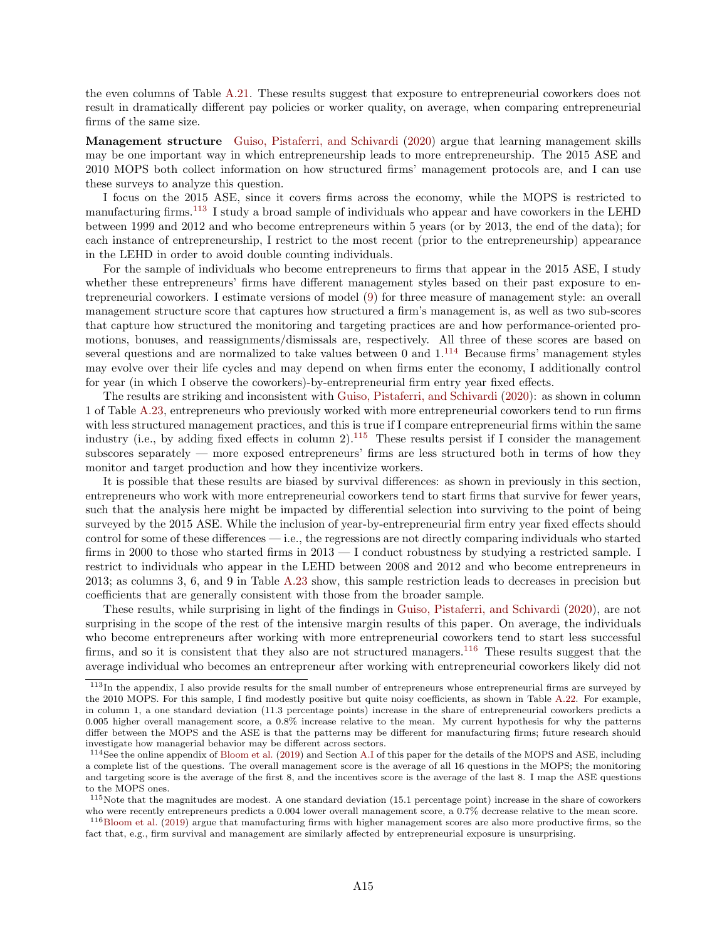the even columns of Table [A.21.](#page-85-0) These results suggest that exposure to entrepreneurial coworkers does not result in dramatically different pay policies or worker quality, on average, when comparing entrepreneurial firms of the same size.

Management structure [Guiso, Pistaferri, and Schivardi](#page-37-5) [\(2020\)](#page-37-5) argue that learning management skills may be one important way in which entrepreneurship leads to more entrepreneurship. The 2015 ASE and 2010 MOPS both collect information on how structured firms' management protocols are, and I can use these surveys to analyze this question.

I focus on the 2015 ASE, since it covers firms across the economy, while the MOPS is restricted to manufacturing firms.<sup>[113](#page-67-0)</sup> I study a broad sample of individuals who appear and have coworkers in the LEHD between 1999 and 2012 and who become entrepreneurs within 5 years (or by 2013, the end of the data); for each instance of entrepreneurship, I restrict to the most recent (prior to the entrepreneurship) appearance in the LEHD in order to avoid double counting individuals.

For the sample of individuals who become entrepreneurs to firms that appear in the 2015 ASE, I study whether these entrepreneurs' firms have different management styles based on their past exposure to entrepreneurial coworkers. I estimate versions of model [\(9\)](#page-25-2) for three measure of management style: an overall management structure score that captures how structured a firm's management is, as well as two sub-scores that capture how structured the monitoring and targeting practices are and how performance-oriented promotions, bonuses, and reassignments/dismissals are, respectively. All three of these scores are based on several questions and are normalized to take values between 0 and  $1.114$  $1.114$  Because firms' management styles may evolve over their life cycles and may depend on when firms enter the economy, I additionally control for year (in which I observe the coworkers)-by-entrepreneurial firm entry year fixed effects.

The results are striking and inconsistent with [Guiso, Pistaferri, and Schivardi](#page-37-5) [\(2020\)](#page-37-5): as shown in column 1 of Table [A.23,](#page-87-0) entrepreneurs who previously worked with more entrepreneurial coworkers tend to run firms with less structured management practices, and this is true if I compare entrepreneurial firms within the same industry (i.e., by adding fixed effects in column 2).<sup>[115](#page-67-2)</sup> These results persist if I consider the management subscores separately — more exposed entrepreneurs' firms are less structured both in terms of how they monitor and target production and how they incentivize workers.

It is possible that these results are biased by survival differences: as shown in previously in this section, entrepreneurs who work with more entrepreneurial coworkers tend to start firms that survive for fewer years, such that the analysis here might be impacted by differential selection into surviving to the point of being surveyed by the 2015 ASE. While the inclusion of year-by-entrepreneurial firm entry year fixed effects should control for some of these differences — i.e., the regressions are not directly comparing individuals who started firms in 2000 to those who started firms in 2013 — I conduct robustness by studying a restricted sample. I restrict to individuals who appear in the LEHD between 2008 and 2012 and who become entrepreneurs in 2013; as columns 3, 6, and 9 in Table [A.23](#page-87-0) show, this sample restriction leads to decreases in precision but coefficients that are generally consistent with those from the broader sample.

These results, while surprising in light of the findings in [Guiso, Pistaferri, and Schivardi](#page-37-5) [\(2020\)](#page-37-5), are not surprising in the scope of the rest of the intensive margin results of this paper. On average, the individuals who become entrepreneurs after working with more entrepreneurial coworkers tend to start less successful firms, and so it is consistent that they also are not structured managers.[116](#page-67-3) These results suggest that the average individual who becomes an entrepreneur after working with entrepreneurial coworkers likely did not

<span id="page-67-0"></span><sup>113</sup>In the appendix, I also provide results for the small number of entrepreneurs whose entrepreneurial firms are surveyed by the 2010 MOPS. For this sample, I find modestly positive but quite noisy coefficients, as shown in Table [A.22.](#page-86-0) For example, in column 1, a one standard deviation (11.3 percentage points) increase in the share of entrepreneurial coworkers predicts a 0.005 higher overall management score, a 0.8% increase relative to the mean. My current hypothesis for why the patterns differ between the MOPS and the ASE is that the patterns may be different for manufacturing firms; future research should investigate how managerial behavior may be different across sectors.

<span id="page-67-1"></span><sup>&</sup>lt;sup>114</sup>See the online appendix of [Bloom et al.](#page-36-3) [\(2019\)](#page-36-3) and Section [A.I](#page-53-5) of this paper for the details of the MOPS and ASE, including a complete list of the questions. The overall management score is the average of all 16 questions in the MOPS; the monitoring and targeting score is the average of the first 8, and the incentives score is the average of the last 8. I map the ASE questions to the MOPS ones.

<span id="page-67-2"></span> $115$ Note that the magnitudes are modest. A one standard deviation (15.1 percentage point) increase in the share of coworkers who were recently entrepreneurs predicts a 0.004 lower overall management score, a 0.7% decrease relative to the mean score.

<span id="page-67-3"></span><sup>116</sup>[Bloom et al.](#page-36-3) [\(2019\)](#page-36-3) argue that manufacturing firms with higher management scores are also more productive firms, so the fact that, e.g., firm survival and management are similarly affected by entrepreneurial exposure is unsurprising.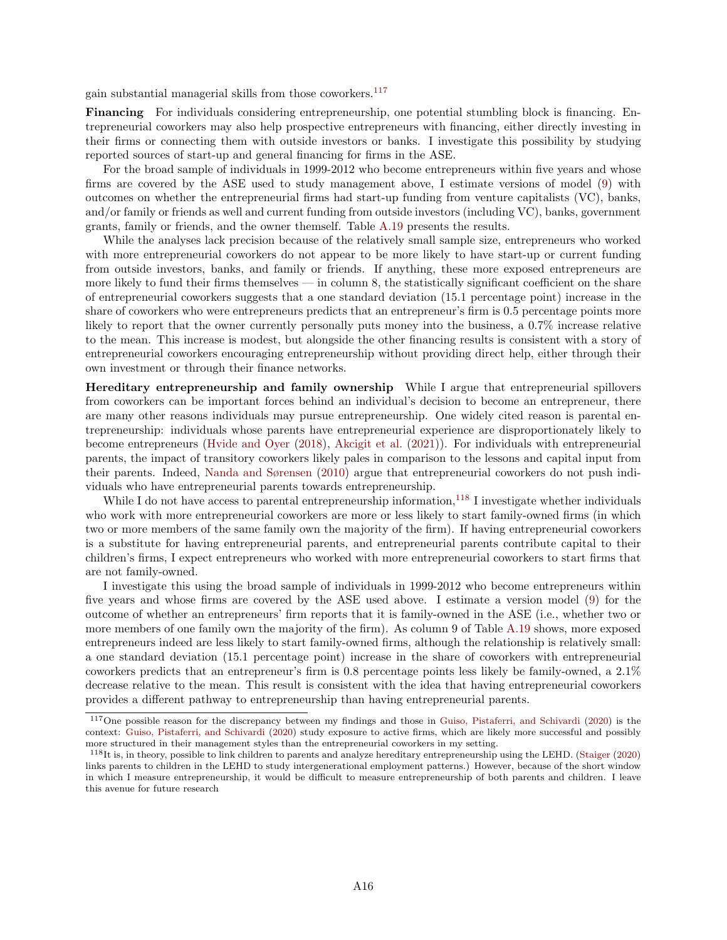gain substantial managerial skills from those coworkers.[117](#page-68-0)

Financing For individuals considering entrepreneurship, one potential stumbling block is financing. Entrepreneurial coworkers may also help prospective entrepreneurs with financing, either directly investing in their firms or connecting them with outside investors or banks. I investigate this possibility by studying reported sources of start-up and general financing for firms in the ASE.

For the broad sample of individuals in 1999-2012 who become entrepreneurs within five years and whose firms are covered by the ASE used to study management above, I estimate versions of model [\(9\)](#page-25-2) with outcomes on whether the entrepreneurial firms had start-up funding from venture capitalists (VC), banks, and/or family or friends as well and current funding from outside investors (including VC), banks, government grants, family or friends, and the owner themself. Table [A.19](#page-83-0) presents the results.

While the analyses lack precision because of the relatively small sample size, entrepreneurs who worked with more entrepreneurial coworkers do not appear to be more likely to have start-up or current funding from outside investors, banks, and family or friends. If anything, these more exposed entrepreneurs are more likely to fund their firms themselves — in column 8, the statistically significant coefficient on the share of entrepreneurial coworkers suggests that a one standard deviation (15.1 percentage point) increase in the share of coworkers who were entrepreneurs predicts that an entrepreneur's firm is 0.5 percentage points more likely to report that the owner currently personally puts money into the business, a 0.7% increase relative to the mean. This increase is modest, but alongside the other financing results is consistent with a story of entrepreneurial coworkers encouraging entrepreneurship without providing direct help, either through their own investment or through their finance networks.

Hereditary entrepreneurship and family ownership While I argue that entrepreneurial spillovers from coworkers can be important forces behind an individual's decision to become an entrepreneur, there are many other reasons individuals may pursue entrepreneurship. One widely cited reason is parental entrepreneurship: individuals whose parents have entrepreneurial experience are disproportionately likely to become entrepreneurs [\(Hvide and Oyer](#page-38-5) [\(2018\)](#page-38-5), [Akcigit et al.](#page-36-12) [\(2021\)](#page-36-12)). For individuals with entrepreneurial parents, the impact of transitory coworkers likely pales in comparison to the lessons and capital input from their parents. Indeed, [Nanda and Sørensen](#page-38-4) [\(2010\)](#page-38-4) argue that entrepreneurial coworkers do not push individuals who have entrepreneurial parents towards entrepreneurship.

While I do not have access to parental entrepreneurship information,  $^{118}$  $^{118}$  $^{118}$  I investigate whether individuals who work with more entrepreneurial coworkers are more or less likely to start family-owned firms (in which two or more members of the same family own the majority of the firm). If having entrepreneurial coworkers is a substitute for having entrepreneurial parents, and entrepreneurial parents contribute capital to their children's firms, I expect entrepreneurs who worked with more entrepreneurial coworkers to start firms that are not family-owned.

I investigate this using the broad sample of individuals in 1999-2012 who become entrepreneurs within five years and whose firms are covered by the ASE used above. I estimate a version model [\(9\)](#page-25-2) for the outcome of whether an entrepreneurs' firm reports that it is family-owned in the ASE (i.e., whether two or more members of one family own the majority of the firm). As column 9 of Table [A.19](#page-83-0) shows, more exposed entrepreneurs indeed are less likely to start family-owned firms, although the relationship is relatively small: a one standard deviation (15.1 percentage point) increase in the share of coworkers with entrepreneurial coworkers predicts that an entrepreneur's firm is 0.8 percentage points less likely be family-owned, a 2.1% decrease relative to the mean. This result is consistent with the idea that having entrepreneurial coworkers provides a different pathway to entrepreneurship than having entrepreneurial parents.

<span id="page-68-0"></span><sup>&</sup>lt;sup>117</sup>One possible reason for the discrepancy between my findings and those in [Guiso, Pistaferri, and Schivardi](#page-37-5) [\(2020\)](#page-37-5) is the context: [Guiso, Pistaferri, and Schivardi](#page-37-5) [\(2020\)](#page-37-5) study exposure to active firms, which are likely more successful and possibly more structured in their management styles than the entrepreneurial coworkers in my setting.

<span id="page-68-1"></span><sup>118</sup>It is, in theory, possible to link children to parents and analyze hereditary entrepreneurship using the LEHD. [\(Staiger](#page-39-3) [\(2020\)](#page-39-3) links parents to children in the LEHD to study intergenerational employment patterns.) However, because of the short window in which I measure entrepreneurship, it would be difficult to measure entrepreneurship of both parents and children. I leave this avenue for future research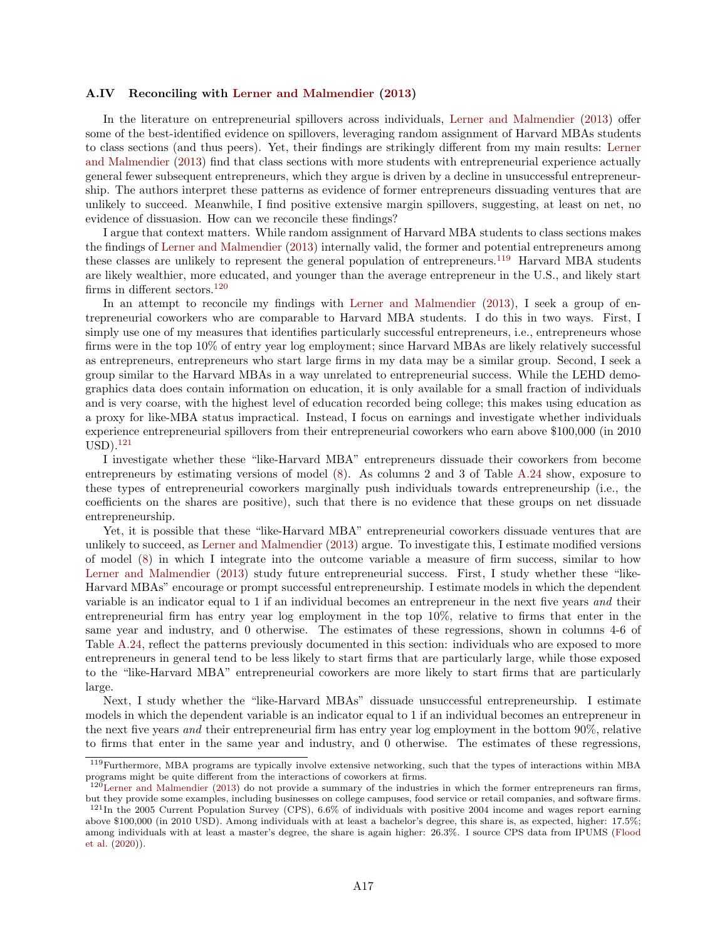#### <span id="page-69-3"></span>A.IV Reconciling with [Lerner and Malmendier](#page-38-6) [\(2013\)](#page-38-6)

In the literature on entrepreneurial spillovers across individuals, [Lerner and Malmendier](#page-38-6) [\(2013\)](#page-38-6) offer some of the best-identified evidence on spillovers, leveraging random assignment of Harvard MBAs students to class sections (and thus peers). Yet, their findings are strikingly different from my main results: [Lerner](#page-38-6) [and Malmendier](#page-38-6) [\(2013\)](#page-38-6) find that class sections with more students with entrepreneurial experience actually general fewer subsequent entrepreneurs, which they argue is driven by a decline in unsuccessful entrepreneurship. The authors interpret these patterns as evidence of former entrepreneurs dissuading ventures that are unlikely to succeed. Meanwhile, I find positive extensive margin spillovers, suggesting, at least on net, no evidence of dissuasion. How can we reconcile these findings?

I argue that context matters. While random assignment of Harvard MBA students to class sections makes the findings of [Lerner and Malmendier](#page-38-6) [\(2013\)](#page-38-6) internally valid, the former and potential entrepreneurs among these classes are unlikely to represent the general population of entrepreneurs.<sup>[119](#page-69-0)</sup> Harvard MBA students are likely wealthier, more educated, and younger than the average entrepreneur in the U.S., and likely start firms in different sectors.[120](#page-69-1)

In an attempt to reconcile my findings with [Lerner and Malmendier](#page-38-6) [\(2013\)](#page-38-6), I seek a group of entrepreneurial coworkers who are comparable to Harvard MBA students. I do this in two ways. First, I simply use one of my measures that identifies particularly successful entrepreneurs, i.e., entrepreneurs whose firms were in the top 10% of entry year log employment; since Harvard MBAs are likely relatively successful as entrepreneurs, entrepreneurs who start large firms in my data may be a similar group. Second, I seek a group similar to the Harvard MBAs in a way unrelated to entrepreneurial success. While the LEHD demographics data does contain information on education, it is only available for a small fraction of individuals and is very coarse, with the highest level of education recorded being college; this makes using education as a proxy for like-MBA status impractical. Instead, I focus on earnings and investigate whether individuals experience entrepreneurial spillovers from their entrepreneurial coworkers who earn above \$100,000 (in 2010  $\text{USD}.^{121}$  $\text{USD}.^{121}$  $\text{USD}.^{121}$ 

I investigate whether these "like-Harvard MBA" entrepreneurs dissuade their coworkers from become entrepreneurs by estimating versions of model [\(8\)](#page-21-1). As columns 2 and 3 of Table [A.24](#page-88-0) show, exposure to these types of entrepreneurial coworkers marginally push individuals towards entrepreneurship (i.e., the coefficients on the shares are positive), such that there is no evidence that these groups on net dissuade entrepreneurship.

Yet, it is possible that these "like-Harvard MBA" entrepreneurial coworkers dissuade ventures that are unlikely to succeed, as [Lerner and Malmendier](#page-38-6) [\(2013\)](#page-38-6) argue. To investigate this, I estimate modified versions of model [\(8\)](#page-21-1) in which I integrate into the outcome variable a measure of firm success, similar to how [Lerner and Malmendier](#page-38-6) [\(2013\)](#page-38-6) study future entrepreneurial success. First, I study whether these "like-Harvard MBAs" encourage or prompt successful entrepreneurship. I estimate models in which the dependent variable is an indicator equal to 1 if an individual becomes an entrepreneur in the next five years and their entrepreneurial firm has entry year log employment in the top 10%, relative to firms that enter in the same year and industry, and 0 otherwise. The estimates of these regressions, shown in columns 4-6 of Table [A.24,](#page-88-0) reflect the patterns previously documented in this section: individuals who are exposed to more entrepreneurs in general tend to be less likely to start firms that are particularly large, while those exposed to the "like-Harvard MBA" entrepreneurial coworkers are more likely to start firms that are particularly large.

Next, I study whether the "like-Harvard MBAs" dissuade unsuccessful entrepreneurship. I estimate models in which the dependent variable is an indicator equal to 1 if an individual becomes an entrepreneur in the next five years and their entrepreneurial firm has entry year log employment in the bottom 90%, relative to firms that enter in the same year and industry, and 0 otherwise. The estimates of these regressions,

<span id="page-69-0"></span><sup>119</sup>Furthermore, MBA programs are typically involve extensive networking, such that the types of interactions within MBA programs might be quite different from the interactions of coworkers at firms.

<span id="page-69-1"></span> $120$ [Lerner and Malmendier](#page-38-6) [\(2013\)](#page-38-6) do not provide a summary of the industries in which the former entrepreneurs ran firms, but they provide some examples, including businesses on college campuses, food service or retail companies, and software firms.

<span id="page-69-2"></span> $121$ In the 2005 Current Population Survey (CPS),  $6.6\%$  of individuals with positive 2004 income and wages report earning above \$100,000 (in 2010 USD). Among individuals with at least a bachelor's degree, this share is, as expected, higher: 17.5%; among individuals with at least a master's degree, the share is again higher: 26.3%. I source CPS data from IPUMS [\(Flood](#page-37-7) [et al.](#page-37-7) [\(2020\)](#page-37-7)).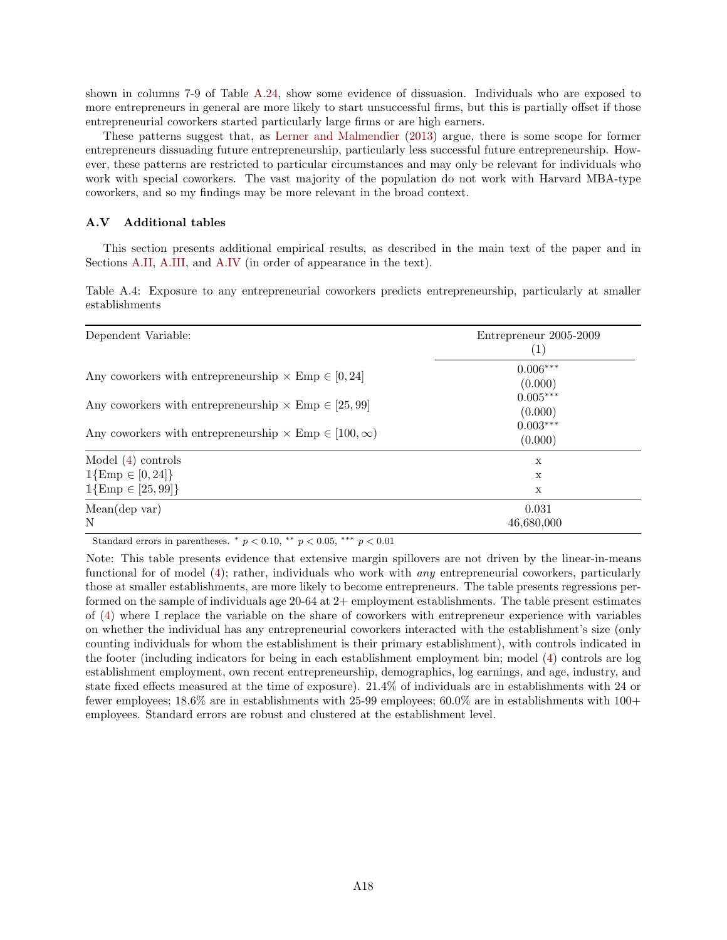shown in columns 7-9 of Table [A.24,](#page-88-0) show some evidence of dissuasion. Individuals who are exposed to more entrepreneurs in general are more likely to start unsuccessful firms, but this is partially offset if those entrepreneurial coworkers started particularly large firms or are high earners.

These patterns suggest that, as [Lerner and Malmendier](#page-38-6) [\(2013\)](#page-38-6) argue, there is some scope for former entrepreneurs dissuading future entrepreneurship, particularly less successful future entrepreneurship. However, these patterns are restricted to particular circumstances and may only be relevant for individuals who work with special coworkers. The vast majority of the population do not work with Harvard MBA-type coworkers, and so my findings may be more relevant in the broad context.

## A.V Additional tables

This section presents additional empirical results, as described in the main text of the paper and in Sections [A.II,](#page-63-1) [A.III,](#page-64-4) and [A.IV](#page-69-3) (in order of appearance in the text).

Table A.4: Exposure to any entrepreneurial coworkers predicts entrepreneurship, particularly at smaller establishments

| Dependent Variable:                                                                                                                                                                                         | Entrepreneur 2005-2009<br>$\left( 1\right)$                             |  |
|-------------------------------------------------------------------------------------------------------------------------------------------------------------------------------------------------------------|-------------------------------------------------------------------------|--|
| Any coworkers with entrepreneurship $\times$ Emp $\in$ [0, 24]<br>Any coworkers with entrepreneurship $\times$ Emp $\in$ [25,99]<br>Any coworkers with entrepreneurship $\times$ Emp $\in$ [100, $\infty$ ) | $0.006***$<br>(0.000)<br>$0.005***$<br>(0.000)<br>$0.003***$<br>(0.000) |  |
| Model $(4)$ controls                                                                                                                                                                                        | $\mathbf x$                                                             |  |
| $1\{\text{Emp} \in [0, 24]\}$                                                                                                                                                                               | X                                                                       |  |
| $1\{\text{Emp} \in [25, 99]\}\$                                                                                                                                                                             | X                                                                       |  |
| Mean(dep var)                                                                                                                                                                                               | 0.031                                                                   |  |
| N                                                                                                                                                                                                           | 46,680,000                                                              |  |

Standard errors in parentheses.  $*$   $p < 0.10$ ,  $**$   $p < 0.05$ ,  $***$   $p < 0.01$ 

Note: This table presents evidence that extensive margin spillovers are not driven by the linear-in-means functional for of model [\(4\)](#page-13-0); rather, individuals who work with any entrepreneurial coworkers, particularly those at smaller establishments, are more likely to become entrepreneurs. The table presents regressions performed on the sample of individuals age 20-64 at 2+ employment establishments. The table present estimates of [\(4\)](#page-13-0) where I replace the variable on the share of coworkers with entrepreneur experience with variables on whether the individual has any entrepreneurial coworkers interacted with the establishment's size (only counting individuals for whom the establishment is their primary establishment), with controls indicated in the footer (including indicators for being in each establishment employment bin; model [\(4\)](#page-13-0) controls are log establishment employment, own recent entrepreneurship, demographics, log earnings, and age, industry, and state fixed effects measured at the time of exposure). 21.4% of individuals are in establishments with 24 or fewer employees; 18.6% are in establishments with 25-99 employees; 60.0% are in establishments with 100+ employees. Standard errors are robust and clustered at the establishment level.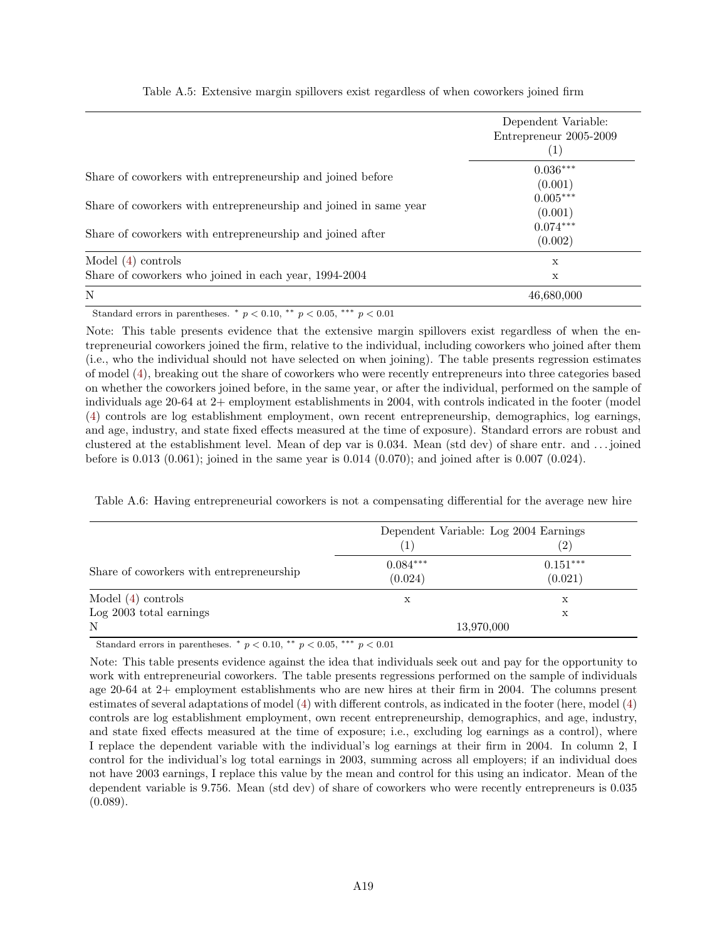|                                                                  | Dependent Variable:<br>Entrepreneur 2005-2009<br>$\left(1\right)$ |
|------------------------------------------------------------------|-------------------------------------------------------------------|
| Share of coworkers with entrepreneurship and joined before       | $0.036***$<br>(0.001)                                             |
| Share of coworkers with entrepreneurship and joined in same year | $0.005***$<br>(0.001)                                             |
| Share of coworkers with entrepreneurship and joined after        | $0.074***$<br>(0.002)                                             |
| Model $(4)$ controls                                             | X                                                                 |
| Share of coworkers who joined in each year, 1994-2004            | X                                                                 |
| N                                                                | 46,680,000                                                        |

Table A.5: Extensive margin spillovers exist regardless of when coworkers joined firm

Standard errors in parentheses.  $*$   $p < 0.10$ ,  $**$   $p < 0.05$ ,  $***$   $p < 0.01$ 

Note: This table presents evidence that the extensive margin spillovers exist regardless of when the entrepreneurial coworkers joined the firm, relative to the individual, including coworkers who joined after them (i.e., who the individual should not have selected on when joining). The table presents regression estimates of model [\(4\)](#page-13-0), breaking out the share of coworkers who were recently entrepreneurs into three categories based on whether the coworkers joined before, in the same year, or after the individual, performed on the sample of individuals age 20-64 at 2+ employment establishments in 2004, with controls indicated in the footer (model [\(4\)](#page-13-0) controls are log establishment employment, own recent entrepreneurship, demographics, log earnings, and age, industry, and state fixed effects measured at the time of exposure). Standard errors are robust and clustered at the establishment level. Mean of dep var is 0.034. Mean (std dev) of share entr. and . . . joined before is 0.013 (0.061); joined in the same year is 0.014 (0.070); and joined after is 0.007 (0.024).

|                                          | Dependent Variable: Log 2004 Earnings |                       |
|------------------------------------------|---------------------------------------|-----------------------|
|                                          |                                       | $\left( 2\right)$     |
| Share of coworkers with entrepreneurship | $0.084***$<br>(0.024)                 | $0.151***$<br>(0.021) |
| Model $(4)$ controls                     | х                                     | X                     |
| Log 2003 total earnings                  |                                       | Х                     |
| N                                        | 13,970,000                            |                       |

Table A.6: Having entrepreneurial coworkers is not a compensating differential for the average new hire

Standard errors in parentheses.  $*$   $p < 0.10$ ,  $**$   $p < 0.05$ ,  $***$   $p < 0.01$ 

Note: This table presents evidence against the idea that individuals seek out and pay for the opportunity to work with entrepreneurial coworkers. The table presents regressions performed on the sample of individuals age 20-64 at 2+ employment establishments who are new hires at their firm in 2004. The columns present estimates of several adaptations of model [\(4\)](#page-13-0) with different controls, as indicated in the footer (here, model [\(4\)](#page-13-0) controls are log establishment employment, own recent entrepreneurship, demographics, and age, industry, and state fixed effects measured at the time of exposure; i.e., excluding log earnings as a control), where I replace the dependent variable with the individual's log earnings at their firm in 2004. In column 2, I control for the individual's log total earnings in 2003, summing across all employers; if an individual does not have 2003 earnings, I replace this value by the mean and control for this using an indicator. Mean of the dependent variable is 9.756. Mean (std dev) of share of coworkers who were recently entrepreneurs is 0.035  $(0.089).$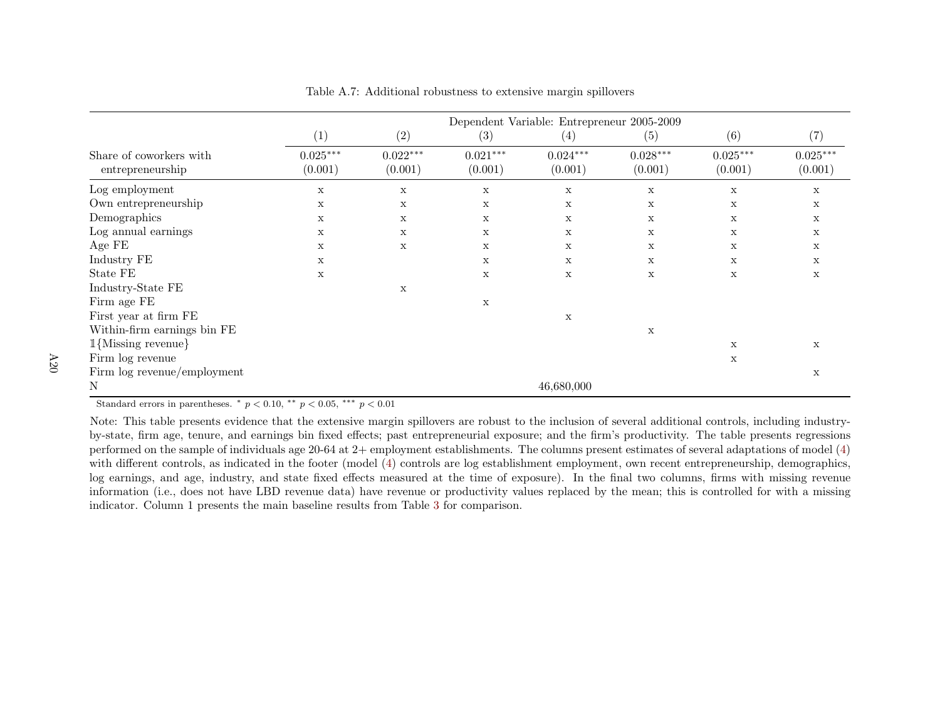|                                             | Dependent Variable: Entrepreneur 2005-2009 |                       |                       |                       |                       |                       |                       |  |
|---------------------------------------------|--------------------------------------------|-----------------------|-----------------------|-----------------------|-----------------------|-----------------------|-----------------------|--|
|                                             | (1)                                        | (2)                   | (3)                   | (4)                   | (5)                   | (6)                   | (7)                   |  |
| Share of coworkers with<br>entrepreneurship | $0.025***$<br>(0.001)                      | $0.022***$<br>(0.001) | $0.021***$<br>(0.001) | $0.024***$<br>(0.001) | $0.028***$<br>(0.001) | $0.025***$<br>(0.001) | $0.025***$<br>(0.001) |  |
| Log employment                              | $\mathbf x$                                | $\mathbf X$           | X                     | $\mathbf X$           | X                     | $\mathbf X$           | X                     |  |
| Own entrepreneurship                        | $\mathbf x$                                | X                     | X                     | $\mathbf x$           | $\mathbf x$           | X                     | $\mathbf x$           |  |
| Demographics                                | $\mathbf x$                                | X                     | X                     | X                     | X                     | X                     | X                     |  |
| Log annual earnings                         | $\mathbf x$                                | $\mathbf X$           | X                     | X                     | X                     | $\mathbf X$           | X                     |  |
| Age FE                                      | X                                          | $\mathbf X$           | X                     | X                     | X                     | X                     | X                     |  |
| Industry FE                                 | X                                          |                       | X                     | $\mathbf x$           | X                     | X                     | X                     |  |
| State FE                                    | $\mathbf x$                                |                       | X                     | X                     | X                     | $\mathbf x$           | X                     |  |
| ${\rm Indexry\text{-}State}$ ${\rm FE}$     |                                            | X                     |                       |                       |                       |                       |                       |  |
| Firm age FE                                 |                                            |                       | X                     |                       |                       |                       |                       |  |
| First year at firm FE                       |                                            |                       |                       | $\mathbf x$           |                       |                       |                       |  |
| Within-firm earnings bin FE                 |                                            |                       |                       |                       | X                     |                       |                       |  |
| $1$ {Missing revenue}                       |                                            |                       |                       |                       |                       | X                     | X                     |  |
| Firm log revenue                            |                                            |                       |                       |                       |                       | $\mathbf X$           |                       |  |
| Firm $log$ revenue/employment               |                                            |                       |                       |                       |                       |                       | X                     |  |
| N                                           |                                            |                       |                       | 46,680,000            |                       |                       |                       |  |

Table A.7: Additional robustness to extensive margin spillovers

Note: This table presents evidence that the extensive margin spillovers are robust to the inclusion of several additional controls, including industryby-state, firm age, tenure, and earnings bin fixed effects; past entrepreneurial exposure; and the firm's productivity. The table presents regressions performed on the sample of individuals age 20-64 at 2+ employment establishments. The columns present estimates of several adaptations of model ([4\)](#page-13-0) with different controls, as indicated in the footer (model [\(4\)](#page-13-0) controls are log establishment employment, own recent entrepreneurship, demographics,log earnings, and age, industry, and state fixed effects measured at the time of exposure). In the final two columns, firms with missing revenue information (i.e., does not have LBD revenue data) have revenue or productivity values replaced by the mean; this is controlled for with <sup>a</sup> missingindicator. Column 1 presents the main baseline results from Table [3](#page-41-0) for comparison.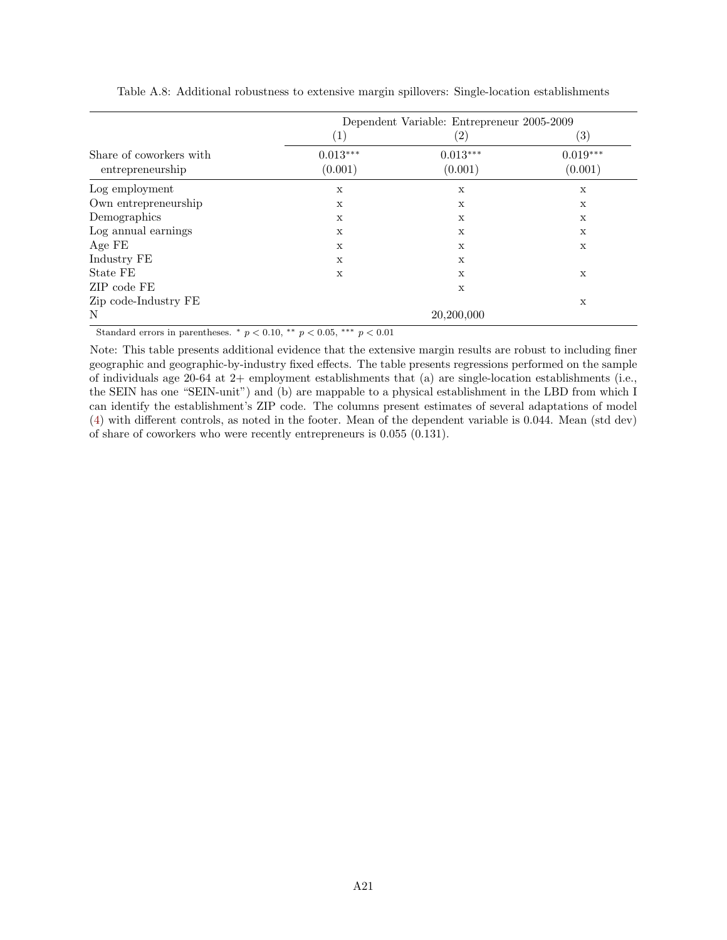|                                             |                       | Dependent Variable: Entrepreneur 2005-2009 |                       |
|---------------------------------------------|-----------------------|--------------------------------------------|-----------------------|
|                                             | $\left( 1\right)$     | $\left( 2\right)$                          | $\left( 3\right)$     |
| Share of coworkers with<br>entrepreneurship | $0.013***$<br>(0.001) | $0.013***$<br>(0.001)                      | $0.019***$<br>(0.001) |
| Log employment                              | X                     | X                                          | X                     |
| Own entrepreneurship                        | X                     | X                                          | X                     |
| Demographics                                | $\mathbf X$           | X                                          | X                     |
| Log annual earnings                         | $\mathbf X$           | X                                          | X                     |
| Age FE                                      | X                     | X                                          | X                     |
| Industry FE                                 | X                     | X                                          |                       |
| State FE                                    | X                     | X                                          | $\mathbf X$           |
| ZIP code FE                                 |                       | X                                          |                       |
| Zip code-Industry FE                        |                       |                                            | $\mathbf X$           |
| N                                           |                       | 20,200,000                                 |                       |

Table A.8: Additional robustness to extensive margin spillovers: Single-location establishments

Note: This table presents additional evidence that the extensive margin results are robust to including finer geographic and geographic-by-industry fixed effects. The table presents regressions performed on the sample of individuals age 20-64 at  $2+$  employment establishments that (a) are single-location establishments (i.e., the SEIN has one "SEIN-unit") and (b) are mappable to a physical establishment in the LBD from which I can identify the establishment's ZIP code. The columns present estimates of several adaptations of model [\(4\)](#page-13-1) with different controls, as noted in the footer. Mean of the dependent variable is 0.044. Mean (std dev) of share of coworkers who were recently entrepreneurs is 0.055 (0.131).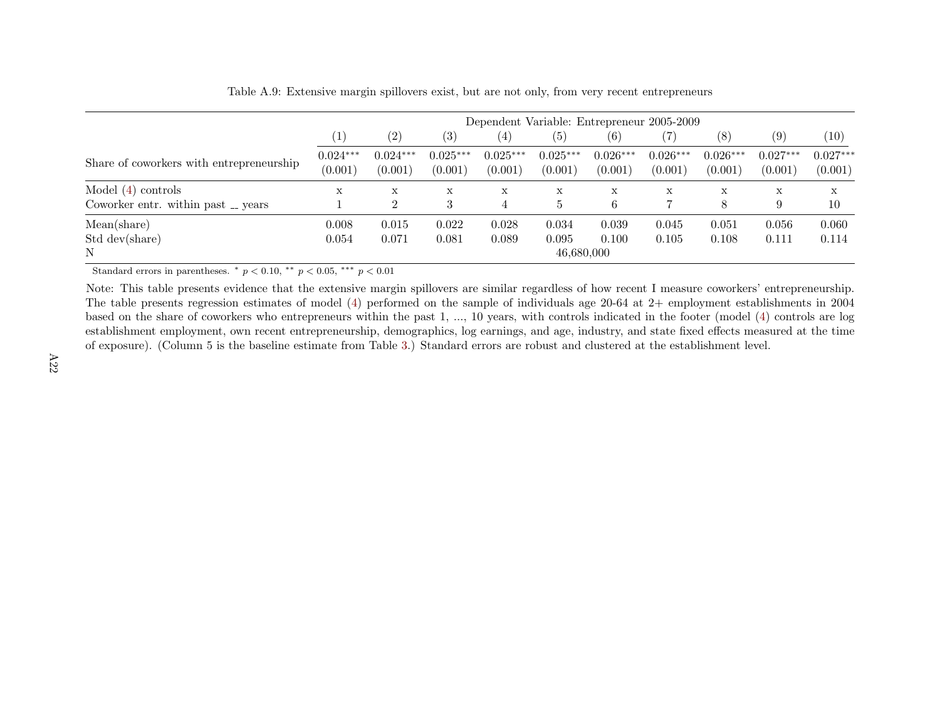|                                                            | Dependent Variable: Entrepreneur 2005-2009 |                       |                       |                       |                              |                       |                       |                       |                       |                       |
|------------------------------------------------------------|--------------------------------------------|-----------------------|-----------------------|-----------------------|------------------------------|-----------------------|-----------------------|-----------------------|-----------------------|-----------------------|
|                                                            | (1)                                        | (2)                   | (3)                   | $\left( 4\right)$     | (5)                          | $\left( 6\right)$     |                       | (8)                   | (9)                   | (10)                  |
| Share of coworkers with entrepreneurship                   | $0.024***$<br>(0.001)                      | $0.024***$<br>(0.001) | $0.025***$<br>(0.001) | $0.025***$<br>(0.001) | $0.025***$<br>(0.001)        | $0.026***$<br>(0.001) | $0.026***$<br>(0.001) | $0.026***$<br>(0.001) | $0.027***$<br>(0.001) | $0.027***$<br>(0.001) |
| Model $(4)$ controls<br>Coworker entr. within past _ years | Х                                          | X<br>$\Omega$         | X<br>3                | $\mathbf x$<br>4      | X<br>h.                      | X<br>6                | X                     | X<br>8                | X<br>9                | $\mathbf x$<br>10     |
| Mean(share)<br>Std dev(share)<br>N                         | 0.008<br>0.054                             | 0.015<br>0.071        | 0.022<br>0.081        | 0.028<br>0.089        | 0.034<br>0.095<br>46,680,000 | 0.039<br>0.100        | 0.045<br>0.105        | 0.051<br>0.108        | 0.056<br>0.111        | 0.060<br>0.114        |

Table A.9: Extensive margin spillovers exist, but are not only, from very recent entrepreneurs

Note: This table presents evidence that the extensive margin spillovers are similar regardless of how recent I measure coworkers' entrepreneurship. The table presents regression estimates of model [\(4\)](#page-13-0) performed on the sample of individuals age 20-64 at 2+ employment establishments in <sup>2004</sup> based on the share of coworkers who entrepreneurs within the past 1, ..., <sup>10</sup> years, with controls indicated in the footer (model ([4\)](#page-13-0) controls are log establishment employment, own recent entrepreneurship, demographics, log earnings, and age, industry, and state fixed effects measured at the timeof exposure). (Column <sup>5</sup> is the baseline estimate from Table [3.](#page-41-0)) Standard errors are robust and clustered at the establishment level.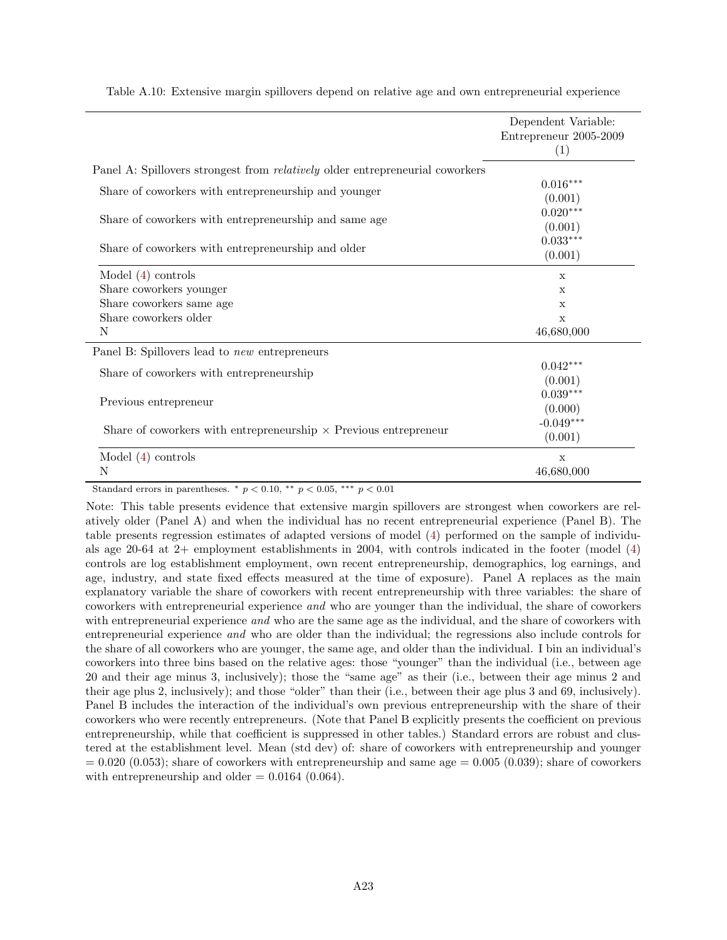|                                                                                      | Dependent Variable:<br>Entrepreneur 2005-2009 |
|--------------------------------------------------------------------------------------|-----------------------------------------------|
|                                                                                      | (1)                                           |
| Panel A: Spillovers strongest from <i>relatively</i> older entrepreneurial coworkers |                                               |
| Share of coworkers with entrepreneurship and younger                                 | $0.016***$                                    |
|                                                                                      | (0.001)                                       |
| Share of coworkers with entrepreneurship and same age                                | $0.020***$                                    |
|                                                                                      | (0.001)                                       |
| Share of coworkers with entrepreneurship and older                                   | $0.033***$                                    |
|                                                                                      | (0.001)                                       |
| Model $(4)$ controls                                                                 | X                                             |
| Share coworkers younger                                                              | X                                             |
| Share coworkers same age                                                             | $\mathbf x$                                   |
| Share coworkers older                                                                | $\mathbf x$                                   |
| N                                                                                    | 46,680,000                                    |
| Panel B: Spillovers lead to <i>new</i> entrepreneurs                                 |                                               |
|                                                                                      | $0.042***$                                    |
| Share of coworkers with entrepreneurship                                             | (0.001)                                       |
|                                                                                      | $0.039***$                                    |
| Previous entrepreneur                                                                | (0.000)                                       |
|                                                                                      | $-0.049***$                                   |
| Share of coworkers with entrepreneurship $\times$ Previous entrepreneur              | (0.001)                                       |
| Model $(4)$ controls                                                                 | X                                             |
| N                                                                                    | 46,680,000                                    |

Table A.10: Extensive margin spillovers depend on relative age and own entrepreneurial experience

Standard errors in parentheses.  $*$   $p < 0.10$ ,  $**$   $p < 0.05$ ,  $***$   $p < 0.01$ 

Note: This table presents evidence that extensive margin spillovers are strongest when coworkers are relatively older (Panel A) and when the individual has no recent entrepreneurial experience (Panel B). The table presents regression estimates of adapted versions of model [\(4\)](#page-13-1) performed on the sample of individuals age 20-64 at 2+ employment establishments in 2004, with controls indicated in the footer (model [\(4\)](#page-13-1) controls are log establishment employment, own recent entrepreneurship, demographics, log earnings, and age, industry, and state fixed effects measured at the time of exposure). Panel A replaces as the main explanatory variable the share of coworkers with recent entrepreneurship with three variables: the share of coworkers with entrepreneurial experience and who are younger than the individual, the share of coworkers with entrepreneurial experience and who are the same age as the individual, and the share of coworkers with entrepreneurial experience and who are older than the individual; the regressions also include controls for the share of all coworkers who are younger, the same age, and older than the individual. I bin an individual's coworkers into three bins based on the relative ages: those "younger" than the individual (i.e., between age 20 and their age minus 3, inclusively); those the "same age" as their (i.e., between their age minus 2 and their age plus 2, inclusively); and those "older" than their (i.e., between their age plus 3 and 69, inclusively). Panel B includes the interaction of the individual's own previous entrepreneurship with the share of their coworkers who were recently entrepreneurs. (Note that Panel B explicitly presents the coefficient on previous entrepreneurship, while that coefficient is suppressed in other tables.) Standard errors are robust and clustered at the establishment level. Mean (std dev) of: share of coworkers with entrepreneurship and younger  $= 0.020 (0.053)$ ; share of coworkers with entrepreneurship and same age  $= 0.005 (0.039)$ ; share of coworkers with entrepreneurship and older  $= 0.0164$  (0.064).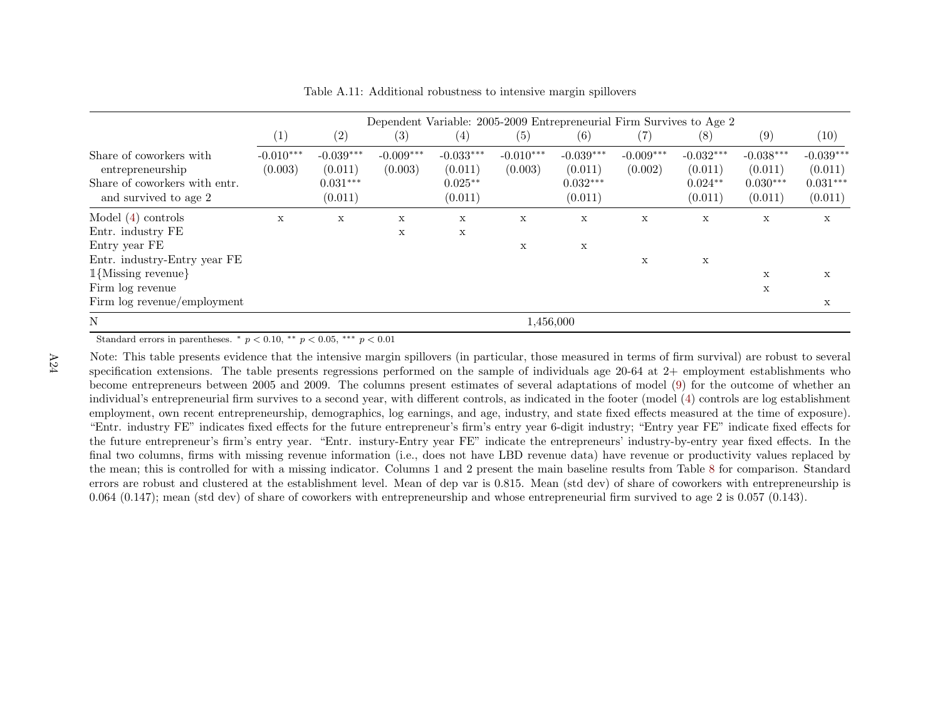|                                                                                                       |                        | Dependent Variable: 2005-2009 Entrepreneurial Firm Survives to Age 2 |                        |                                                |                        |                                                 |                        |                                                |                                                 |                                                 |
|-------------------------------------------------------------------------------------------------------|------------------------|----------------------------------------------------------------------|------------------------|------------------------------------------------|------------------------|-------------------------------------------------|------------------------|------------------------------------------------|-------------------------------------------------|-------------------------------------------------|
|                                                                                                       | $\left( 1\right)$      | $\left( 2\right)$                                                    | (3)                    | $\left( 4\right)$                              | (5)                    | (6)                                             | (7)                    | (8)                                            | (9)                                             | (10)                                            |
| Share of coworkers with<br>entrepreneurship<br>Share of coworkers with entr.<br>and survived to age 2 | $-0.010***$<br>(0.003) | $-0.039***$<br>(0.011)<br>$0.031***$<br>(0.011)                      | $-0.009***$<br>(0.003) | $-0.033***$<br>(0.011)<br>$0.025**$<br>(0.011) | $-0.010***$<br>(0.003) | $-0.039***$<br>(0.011)<br>$0.032***$<br>(0.011) | $-0.009***$<br>(0.002) | $-0.032***$<br>(0.011)<br>$0.024**$<br>(0.011) | $-0.038***$<br>(0.011)<br>$0.030***$<br>(0.011) | $-0.039***$<br>(0.011)<br>$0.031***$<br>(0.011) |
| Model $(4)$ controls                                                                                  | X                      | $\mathbf X$                                                          | $\mathbf X$            | X                                              | X                      | $\mathbf X$                                     | $\mathbf X$            | $\mathbf X$                                    | $\mathbf X$                                     | $\mathbf X$                                     |
| Entr. industry FE                                                                                     |                        |                                                                      | X                      | X                                              |                        |                                                 |                        |                                                |                                                 |                                                 |
| Entry year FE                                                                                         |                        |                                                                      |                        |                                                | X                      | $\mathbf x$                                     |                        |                                                |                                                 |                                                 |
| Entr. industry-Entry year FE                                                                          |                        |                                                                      |                        |                                                |                        |                                                 | $\mathbf x$            | $\mathbf X$                                    |                                                 |                                                 |
| $1$ {Missing revenue}                                                                                 |                        |                                                                      |                        |                                                |                        |                                                 |                        |                                                | X                                               | X                                               |
| Firm $log$ revenue                                                                                    |                        |                                                                      |                        |                                                |                        |                                                 |                        |                                                | X                                               |                                                 |
| Firm $log$ revenue/employment                                                                         |                        |                                                                      |                        |                                                |                        |                                                 |                        |                                                |                                                 | X                                               |
| N                                                                                                     |                        | 1,456,000                                                            |                        |                                                |                        |                                                 |                        |                                                |                                                 |                                                 |

Table A.11: Additional robustness to intensive margin spillovers

Note: This table presents evidence that the intensive margin spillovers (in particular, those measured in terms of firm survival) are robust to several specification extensions. The table presents regressions performed on the sample of individuals age 20-64 at 2+ employment establishments who become entrepreneurs between <sup>2005</sup> and 2009. The columns present estimates of several adaptations of model ([9\)](#page-25-0) for the outcome of whether an individual's entrepreneurial firm survives to <sup>a</sup> second year, with different controls, as indicated in the footer (model [\(4\)](#page-13-0) controls are log establishment employment, own recent entrepreneurship, demographics, log earnings, and age, industry, and state fixed effects measured at the time of exposure). "Entr. industry FE" indicates fixed effects for the future entrepreneur's firm's entry year 6-digit industry; "Entry year FE" indicate fixed effects for the future entrepreneur's firm's entry year. "Entr. instury-Entry year FE" indicate the entrepreneurs' industry-by-entry year fixed effects. In the final two columns, firms with missing revenue information (i.e., does not have LBD revenue data) have revenue or productivity values replaced by the mean; this is controlled for with <sup>a</sup> missing indicator. Columns 1 and 2 present the main baseline results from Table [8](#page-46-0) for comparison. Standard errors are robust and clustered at the establishment level. Mean of dep var is 0.815. Mean (std dev) of share of coworkers with entrepreneurship is0.064 (0.147); mean (std dev) of share of coworkers with entrepreneurship and whose entrepreneurial firm survived to age <sup>2</sup> is 0.057 (0.143).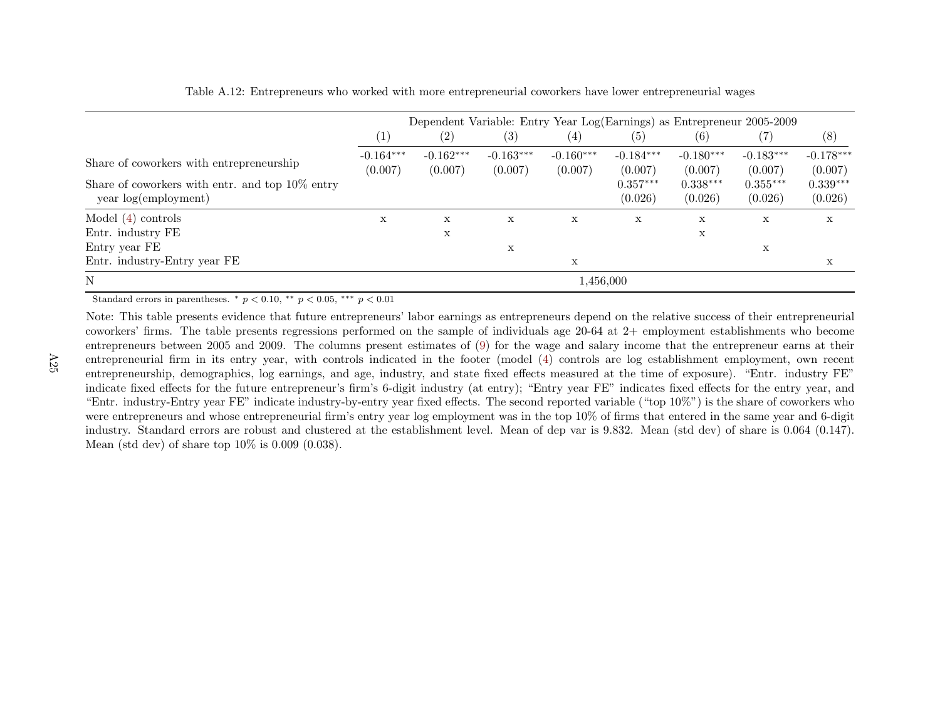|                                                                              | Dependent Variable: Entry Year Log(Earnings) as Entrepreneur 2005-2009 |                        |                        |                        |                        |                        |                        |                        |
|------------------------------------------------------------------------------|------------------------------------------------------------------------|------------------------|------------------------|------------------------|------------------------|------------------------|------------------------|------------------------|
|                                                                              | $\left( 1\right)$                                                      | (2)                    | (3)                    | $\left( 4\right)$      | (5)                    | (6)                    |                        | (8)                    |
| Share of coworkers with entrepreneurship                                     | $-0.164***$<br>(0.007)                                                 | $-0.162***$<br>(0.007) | $-0.163***$<br>(0.007) | $-0.160***$<br>(0.007) | $-0.184***$<br>(0.007) | $-0.180***$<br>(0.007) | $-0.183***$<br>(0.007) | $-0.178***$<br>(0.007) |
| Share of coworkers with entr. and top $10\%$ entry<br>year $log(employment)$ |                                                                        |                        |                        |                        | $0.357***$<br>(0.026)  | $0.338***$<br>(0.026)  | $0.355***$<br>(0.026)  | $0.339***$<br>(0.026)  |
| Model $(4)$ controls                                                         | X                                                                      | X                      | X                      | X                      | X                      | X                      | X                      | X                      |
| Entr. industry FE                                                            |                                                                        | X                      |                        |                        |                        | X                      |                        |                        |
| Entry year FE                                                                |                                                                        |                        | X                      |                        |                        |                        | X                      |                        |
| Entr. industry-Entry year FE                                                 |                                                                        |                        |                        | X                      |                        |                        |                        | х                      |
| N                                                                            |                                                                        |                        |                        | 1,456,000              |                        |                        |                        |                        |

Table A.12: Entrepreneurs who worked with more entrepreneurial coworkers have lower entrepreneurial wages

Note: This table presents evidence that future entrepreneurs' labor earnings as entrepreneurs depend on the relative success of their entrepreneurial coworkers' firms. The table presents regressions performed on the sample of individuals age 20-64 at 2+ employment establishments who become entrepreneurs between <sup>2005</sup> and 2009. The columns present estimates of [\(9\)](#page-25-0) for the wage and salary income that the entrepreneur earns at their entrepreneurial firm in its entry year, with controls indicated in the footer (model [\(4\)](#page-13-0) controls are log establishment employment, own recent entrepreneurship, demographics, log earnings, and age, industry, and state fixed effects measured at the time of exposure). "Entr. industry FE" indicate fixed effects for the future entrepreneur's firm's 6-digit industry (at entry); "Entry year FE" indicates fixed effects for the entry year, and "Entr. industry-Entry year FE" indicate industry-by-entry year fixed effects. The second reported variable ("top 10%") is the share of coworkers who were entrepreneurs and whose entrepreneurial firm's entry year log employment was in the top 10% of firms that entered in the same year and 6-digit industry. Standard errors are robust and clustered at the establishment level. Mean of dep var is 9.832. Mean (std dev) of share is 0.064 (0.147).Mean (std dev) of share top 10% is 0.009 (0.038).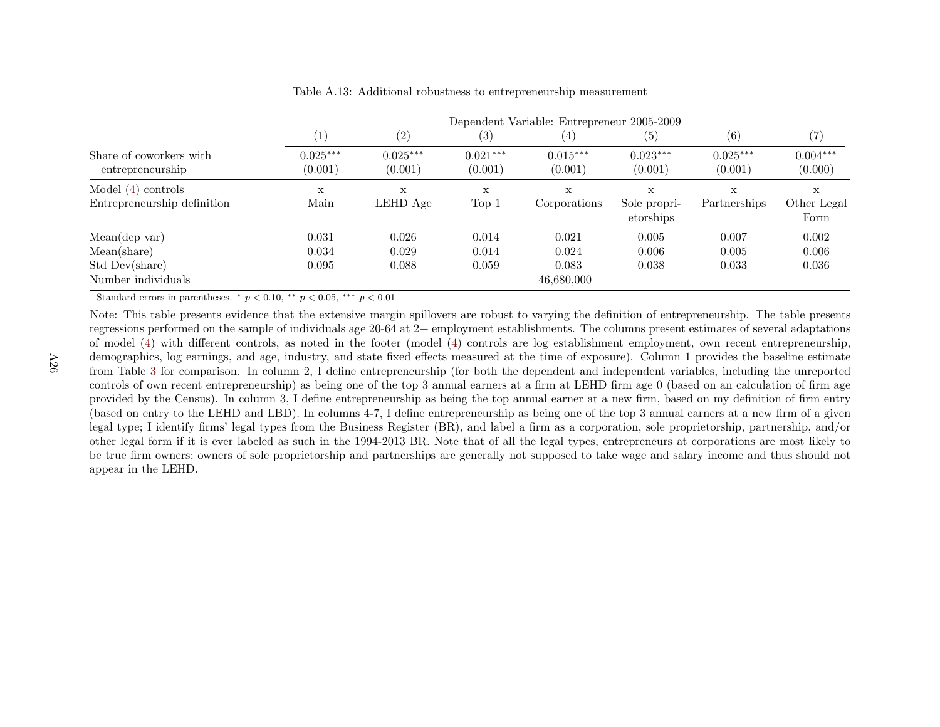|                                                                      |                         | Dependent Variable: Entrepreneur 2005-2009 |                         |                                       |                                |                         |                          |  |
|----------------------------------------------------------------------|-------------------------|--------------------------------------------|-------------------------|---------------------------------------|--------------------------------|-------------------------|--------------------------|--|
|                                                                      | $\left(1\right)$        | (2)                                        | $\left( 3\right)$       | $\left(4\right)$                      | $\left( 5\right)$              | (6)                     | (7)                      |  |
| Share of coworkers with<br>entrepreneurship                          | $0.025***$<br>(0.001)   | $0.025***$<br>(0.001)                      | $0.021***$<br>(0.001)   | $0.015***$<br>(0.001)                 | $0.023***$<br>(0.001)          | $0.025***$<br>(0.001)   | $0.004***$<br>(0.000)    |  |
| Model $(4)$ controls<br>Entrepreneurship definition                  | $\mathbf x$<br>Main     | X<br>LEHD Age                              | X<br>Top 1              | X<br>Corporations                     | X<br>Sole propri-<br>etorships | X<br>Partnerships       | X<br>Other Legal<br>Form |  |
| Mean(dep var)<br>Mean(share)<br>Std Dev(share)<br>Number individuals | 0.031<br>0.034<br>0.095 | 0.026<br>0.029<br>0.088                    | 0.014<br>0.014<br>0.059 | 0.021<br>0.024<br>0.083<br>46,680,000 | 0.005<br>0.006<br>0.038        | 0.007<br>0.005<br>0.033 | 0.002<br>0.006<br>0.036  |  |

Table A.13: Additional robustness to entrepreneurship measurement

Note: This table presents evidence that the extensive margin spillovers are robust to varying the definition of entrepreneurship. The table presents regressions performed on the sample of individuals age 20-64 at 2+ employment establishments. The columns present estimates of several adaptations of model [\(4\)](#page-13-0) with different controls, as noted in the footer (model [\(4\)](#page-13-0) controls are log establishment employment, own recent entrepreneurship, demographics, log earnings, and age, industry, and state fixed effects measured at the time of exposure). Column <sup>1</sup> provides the baseline estimate from Table [3](#page-41-0) for comparison. In column 2, <sup>I</sup> define entrepreneurship (for both the dependent and independent variables, including the unreported controls of own recent entrepreneurship) as being one of the top <sup>3</sup> annual earners at <sup>a</sup> firm at LEHD firm age <sup>0</sup> (based on an calculation of firm age provided by the Census). In column 3, <sup>I</sup> define entrepreneurship as being the top annual earner at <sup>a</sup> new firm, based on my definition of firm entry (based on entry to the LEHD and LBD). In columns 4-7, <sup>I</sup> define entrepreneurship as being one of the top <sup>3</sup> annual earners at <sup>a</sup> new firm of <sup>a</sup> <sup>g</sup>iven legal type; <sup>I</sup> identify firms' legal types from the Business Register (BR), and label <sup>a</sup> firm as <sup>a</sup> corporation, sole proprietorship, partnership, and/or other legal form if it is ever labeled as such in the 1994-2013 BR. Note that of all the legal types, entrepreneurs at corporations are most likely to be true firm owners; owners of sole proprietorship and partnerships are generally not supposed to take wage and salary income and thus should notappear in the LEHD.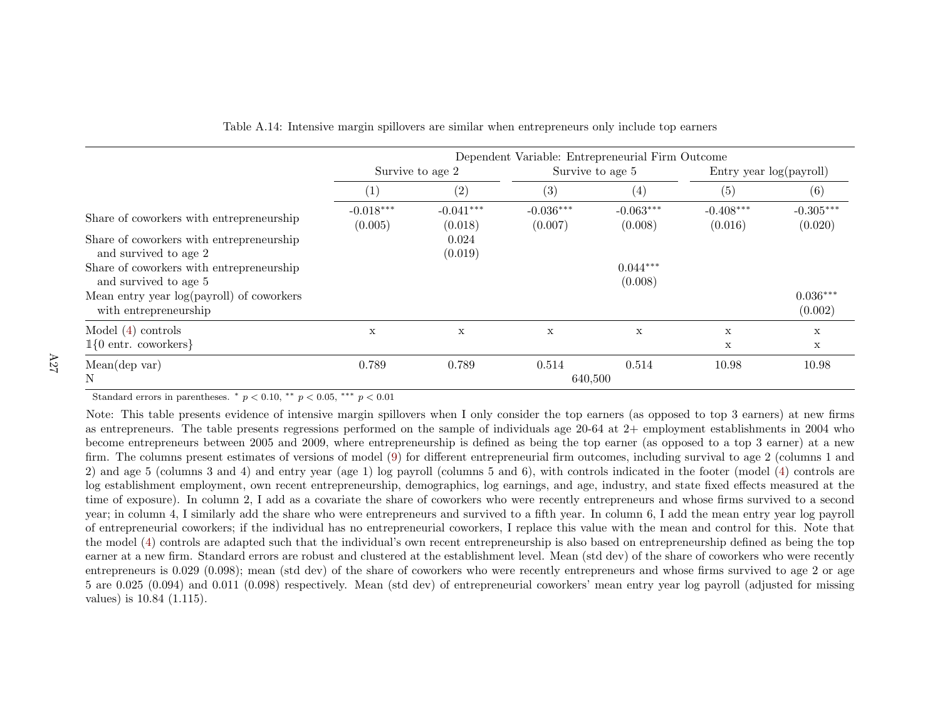|                                                                    | Dependent Variable: Entrepreneurial Firm Outcome |                        |                        |                        |                         |                        |  |
|--------------------------------------------------------------------|--------------------------------------------------|------------------------|------------------------|------------------------|-------------------------|------------------------|--|
|                                                                    | Survive to age 2                                 |                        |                        | Survive to age 5       | Entry year log(payroll) |                        |  |
|                                                                    | $\left(1\right)$                                 | (2)                    | (3)                    | (4)                    | (5)                     | (6)                    |  |
| Share of coworkers with entrepreneurship                           | $-0.018***$<br>(0.005)                           | $-0.041***$<br>(0.018) | $-0.036***$<br>(0.007) | $-0.063***$<br>(0.008) | $-0.408***$<br>(0.016)  | $-0.305***$<br>(0.020) |  |
| Share of coworkers with entrepreneurship<br>and survived to age 2  |                                                  | 0.024<br>(0.019)       |                        |                        |                         |                        |  |
| Share of coworkers with entrepreneurship<br>and survived to age 5  |                                                  |                        |                        | $0.044***$<br>(0.008)  |                         |                        |  |
| Mean entry year log(payroll) of coworkers<br>with entrepreneurship |                                                  |                        |                        |                        |                         | $0.036***$<br>(0.002)  |  |
| Model $(4)$ controls                                               | X                                                | $\mathbf x$            | $\mathbf{x}$           | X                      | X                       | X                      |  |
| $1{0 \text{ entr.} \text{ coworkers}}$                             |                                                  |                        |                        |                        | $\mathbf x$             | X                      |  |
| Mean(dep var)                                                      | 0.789                                            | 0.789                  | 0.514                  | 0.514                  | 10.98                   | 10.98                  |  |
| N                                                                  |                                                  |                        | 640,500                |                        |                         |                        |  |

Table A.14: Intensive margin spillovers are similar when entrepreneurs only include top earners

Note: This table presents evidence of intensive margin spillovers when <sup>I</sup> only consider the top earners (as opposed to top <sup>3</sup> earners) at new firms as entrepreneurs. The table presents regressions performed on the sample of individuals age 20-64 at 2+ employment establishments in 2004 who become entrepreneurs between <sup>2005</sup> and 2009, where entrepreneurship is defined as being the top earner (as opposed to <sup>a</sup> top <sup>3</sup> earner) at <sup>a</sup> new firm. The columns present estimates of versions of model ([9\)](#page-25-0) for different entrepreneurial firm outcomes, including survival to age <sup>2</sup> (columns <sup>1</sup> and 2) and age <sup>5</sup> (columns <sup>3</sup> and 4) and entry year (age 1) log payroll (columns <sup>5</sup> and 6), with controls indicated in the footer (model [\(4\)](#page-13-0) controls are log establishment employment, own recent entrepreneurship, demographics, log earnings, and age, industry, and state fixed effects measured at the time of exposure). In column 2, <sup>I</sup> add as <sup>a</sup> covariate the share of coworkers who were recently entrepreneurs and whose firms survived to <sup>a</sup> second year; in column 4, I similarly add the share who were entrepreneurs and survived to <sup>a</sup> fifth year. In column 6, I add the mean entry year log payroll of entrepreneurial coworkers; if the individual has no entrepreneurial coworkers, I replace this value with the mean and control for this. Note that the model ([4\)](#page-13-0) controls are adapted such that the individual's own recent entrepreneurship is also based on entrepreneurship defined as being the top earner at <sup>a</sup> new firm. Standard errors are robust and clustered at the establishment level. Mean (std dev) of the share of coworkers who were recently entrepreneurs is 0.029 (0.098); mean (std dev) of the share of coworkers who were recently entrepreneurs and whose firms survived to age <sup>2</sup> or age <sup>5</sup> are 0.025 (0.094) and 0.011 (0.098) respectively. Mean (std dev) of entrepreneurial coworkers' mean entry year log payroll (adjusted for missingvalues) is 10.84 (1.115).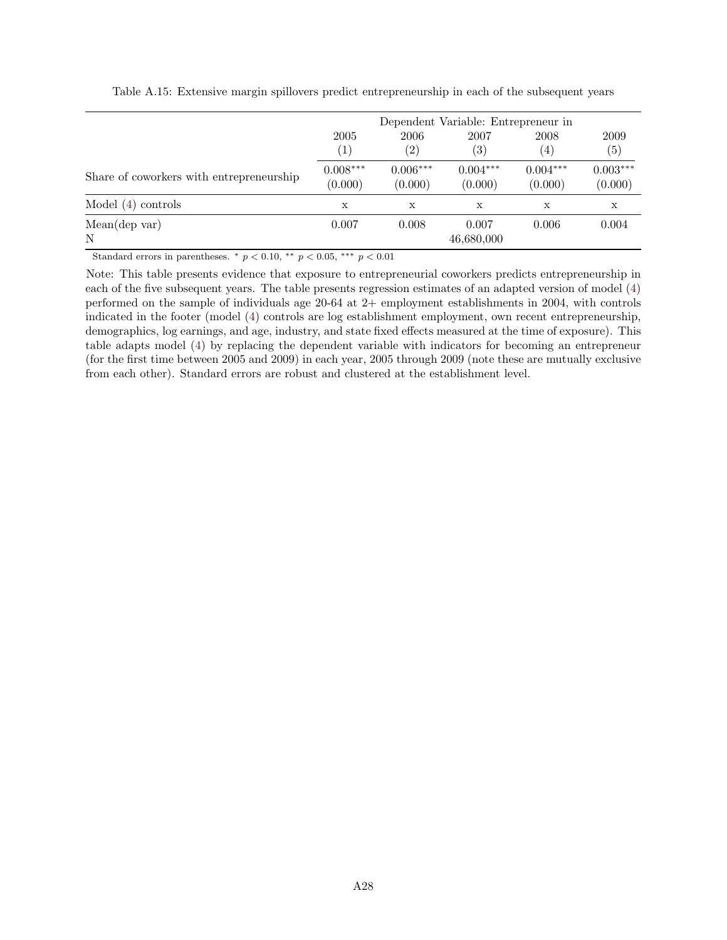|                                          | 2005<br>$\left( 1\right)$ | 2006<br>$\left( 2\right)$ | Dependent Variable: Entrepreneur in<br>2007<br>(3) | 2008<br>(4)           | 2009<br>(5)           |
|------------------------------------------|---------------------------|---------------------------|----------------------------------------------------|-----------------------|-----------------------|
| Share of coworkers with entrepreneurship | $0.008***$<br>(0.000)     | $0.006***$<br>(0.000)     | $0.004***$<br>(0.000)                              | $0.004***$<br>(0.000) | $0.003***$<br>(0.000) |
| Model $(4)$ controls                     | X                         | X                         | X                                                  | X                     | X                     |
| Mean(dep var)<br>N                       | 0.007                     | 0.008                     | 0.007<br>46,680,000                                | 0.006                 | 0.004                 |

Table A.15: Extensive margin spillovers predict entrepreneurship in each of the subsequent years

Note: This table presents evidence that exposure to entrepreneurial coworkers predicts entrepreneurship in each of the five subsequent years. The table presents regression estimates of an adapted version of model [\(4\)](#page-13-1) performed on the sample of individuals age 20-64 at 2+ employment establishments in 2004, with controls indicated in the footer (model [\(4\)](#page-13-1) controls are log establishment employment, own recent entrepreneurship, demographics, log earnings, and age, industry, and state fixed effects measured at the time of exposure). This table adapts model [\(4\)](#page-13-1) by replacing the dependent variable with indicators for becoming an entrepreneur (for the first time between 2005 and 2009) in each year, 2005 through 2009 (note these are mutually exclusive from each other). Standard errors are robust and clustered at the establishment level.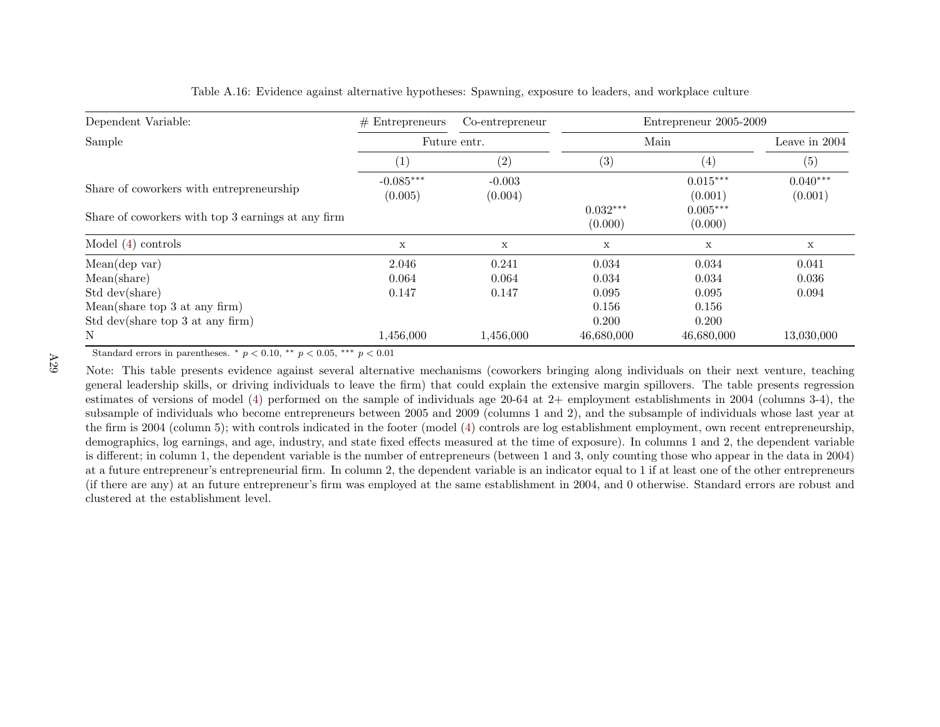| Dependent Variable:                                | $#$ Entrepreneurs      | Co-entrepreneur     |                       | Entrepreneur 2005-2009 |                       |  |
|----------------------------------------------------|------------------------|---------------------|-----------------------|------------------------|-----------------------|--|
| Sample                                             |                        | Future entr.        | Main                  | Leave in $2004$        |                       |  |
|                                                    | (1)                    | (2)                 | (3)                   | (4)                    | (5)                   |  |
| Share of coworkers with entrepreneurship           | $-0.085***$<br>(0.005) | $-0.003$<br>(0.004) |                       | $0.015***$<br>(0.001)  | $0.040***$<br>(0.001) |  |
| Share of coworkers with top 3 earnings at any firm |                        |                     | $0.032***$<br>(0.000) | $0.005***$<br>(0.000)  |                       |  |
| Model $(4)$ controls                               | $\mathbf X$            | $\mathbf x$         | $\mathbf X$           | $\mathbf X$            | $\mathbf x$           |  |
| Mean(dep var)                                      | 2.046                  | 0.241               | 0.034                 | 0.034                  | 0.041                 |  |
| Mean(share)                                        | 0.064                  | 0.064               | 0.034                 | 0.034                  | 0.036                 |  |
| Std dev(share)                                     | 0.147                  | 0.147               | 0.095                 | 0.095                  | 0.094                 |  |
| Mean(share top 3 at any firm)                      |                        |                     | 0.156                 | 0.156                  |                       |  |
| Std dev(share top 3 at any firm)                   |                        |                     | 0.200                 | 0.200                  |                       |  |
| N                                                  | 1,456,000              | 1,456,000           | 46,680,000            | 46,680,000             | 13,030,000            |  |

Table A.16: Evidence against alternative hypotheses: Spawning, exposure to leaders, and workplace culture

Note: This table presents evidence against several alternative mechanisms (coworkers bringing along individuals on their next venture, teaching genera<sup>l</sup> leadership skills, or driving individuals to leave the firm) that could explain the extensive margin spillovers. The table presents regression estimates of versions of model [\(4\)](#page-13-0) performed on the sample of individuals age 20-64 at 2+ employment establishments in <sup>2004</sup> (columns 3-4), the subsample of individuals who become entrepreneurs between <sup>2005</sup> and <sup>2009</sup> (columns <sup>1</sup> and 2), and the subsample of individuals whose last year at the firm is <sup>2004</sup> (column 5); with controls indicated in the footer (model [\(4\)](#page-13-0) controls are log establishment employment, own recent entrepreneurship, demographics, log earnings, and age, industry, and state fixed effects measured at the time of exposure). In columns <sup>1</sup> and 2, the dependent variable is different; in column 1, the dependent variable is the number of entrepreneurs (between <sup>1</sup> and 3, only counting those who appear in the data in 2004) at <sup>a</sup> future entrepreneur's entrepreneurial firm. In column 2, the dependent variable is an indicator equal to 1 if at least one of the other entrepreneurs (if there are any) at an future entrepreneur's firm was employed at the same establishment in 2004, and <sup>0</sup> otherwise. Standard errors are robust andclustered at the establishment level.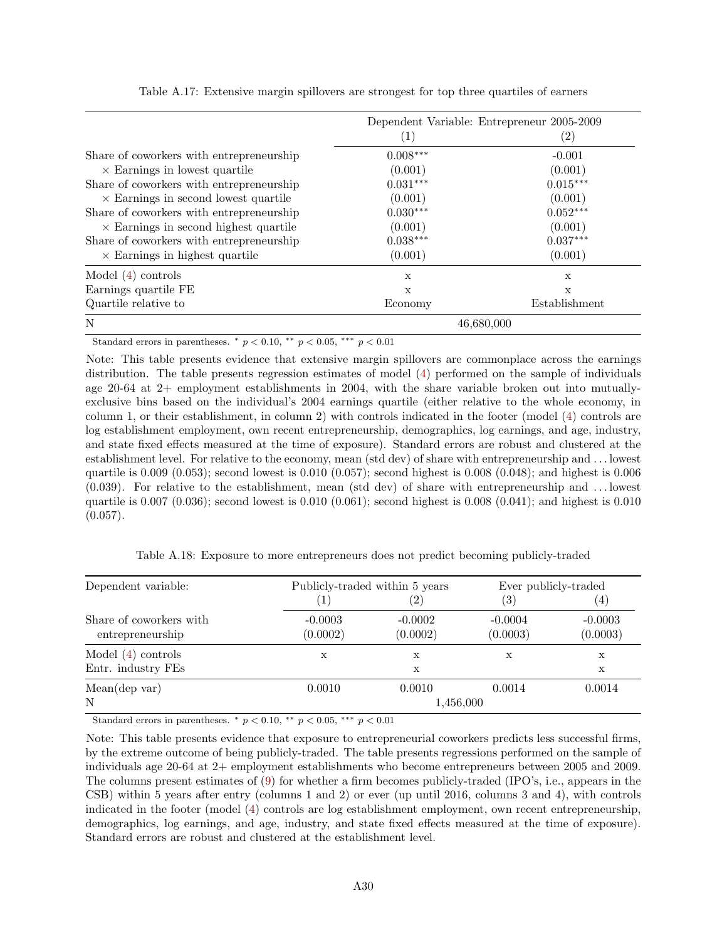|                                              |             | Dependent Variable: Entrepreneur 2005-2009 |
|----------------------------------------------|-------------|--------------------------------------------|
|                                              | (1)         | $\left( 2\right)$                          |
| Share of coworkers with entrepreneurship     | $0.008***$  | $-0.001$                                   |
| $\times$ Earnings in lowest quartile         | (0.001)     | (0.001)                                    |
| Share of coworkers with entrepreneurship     | $0.031***$  | $0.015***$                                 |
| $\times$ Earnings in second lowest quartile  | (0.001)     | (0.001)                                    |
| Share of coworkers with entrepreneurship     | $0.030***$  | $0.052***$                                 |
| $\times$ Earnings in second highest quartile | (0.001)     | (0.001)                                    |
| Share of coworkers with entrepreneurship     | $0.038***$  | $0.037***$                                 |
| $\times$ Earnings in highest quartile        | (0.001)     | (0.001)                                    |
| Model $(4)$ controls                         | X           | X                                          |
| Earnings quartile FE                         | $\mathbf x$ | $\mathbf x$                                |
| Quartile relative to                         | Economy     | Establishment                              |
| N                                            |             | 46,680,000                                 |

Table A.17: Extensive margin spillovers are strongest for top three quartiles of earners

Note: This table presents evidence that extensive margin spillovers are commonplace across the earnings distribution. The table presents regression estimates of model [\(4\)](#page-13-1) performed on the sample of individuals age 20-64 at 2+ employment establishments in 2004, with the share variable broken out into mutuallyexclusive bins based on the individual's 2004 earnings quartile (either relative to the whole economy, in column 1, or their establishment, in column 2) with controls indicated in the footer (model [\(4\)](#page-13-1) controls are log establishment employment, own recent entrepreneurship, demographics, log earnings, and age, industry, and state fixed effects measured at the time of exposure). Standard errors are robust and clustered at the establishment level. For relative to the economy, mean (std dev) of share with entrepreneurship and . . . lowest quartile is 0.009 (0.053); second lowest is 0.010 (0.057); second highest is 0.008 (0.048); and highest is 0.006 (0.039). For relative to the establishment, mean (std dev) of share with entrepreneurship and . . . lowest quartile is 0.007 (0.036); second lowest is 0.010 (0.061); second highest is 0.008 (0.041); and highest is 0.010  $(0.057)$ .

| Dependent variable:                         |                       | Publicly-traded within 5 years | Ever publicly-traded  |                       |  |
|---------------------------------------------|-----------------------|--------------------------------|-----------------------|-----------------------|--|
|                                             | $\left  \right $      | $\left( 2\right)$              | (3)                   | (4)                   |  |
| Share of coworkers with<br>entrepreneurship | $-0.0003$<br>(0.0002) | $-0.0002$<br>(0.0002)          | $-0.0004$<br>(0.0003) | $-0.0003$<br>(0.0003) |  |
| Model $(4)$ controls<br>Entr. industry FEs  | X                     | X<br>X                         | х                     | X<br>X                |  |
| Mean(dep var)<br>N                          | 0.0010                | 0.0010<br>1,456,000            | 0.0014                | 0.0014                |  |

Table A.18: Exposure to more entrepreneurs does not predict becoming publicly-traded

Standard errors in parentheses.  $*$   $p < 0.10$ ,  $*$   $p < 0.05$ ,  $**$   $p < 0.01$ 

Note: This table presents evidence that exposure to entrepreneurial coworkers predicts less successful firms, by the extreme outcome of being publicly-traded. The table presents regressions performed on the sample of individuals age 20-64 at 2+ employment establishments who become entrepreneurs between 2005 and 2009. The columns present estimates of [\(9\)](#page-25-1) for whether a firm becomes publicly-traded (IPO's, i.e., appears in the CSB) within 5 years after entry (columns 1 and 2) or ever (up until 2016, columns 3 and 4), with controls indicated in the footer (model [\(4\)](#page-13-1) controls are log establishment employment, own recent entrepreneurship, demographics, log earnings, and age, industry, and state fixed effects measured at the time of exposure). Standard errors are robust and clustered at the establishment level.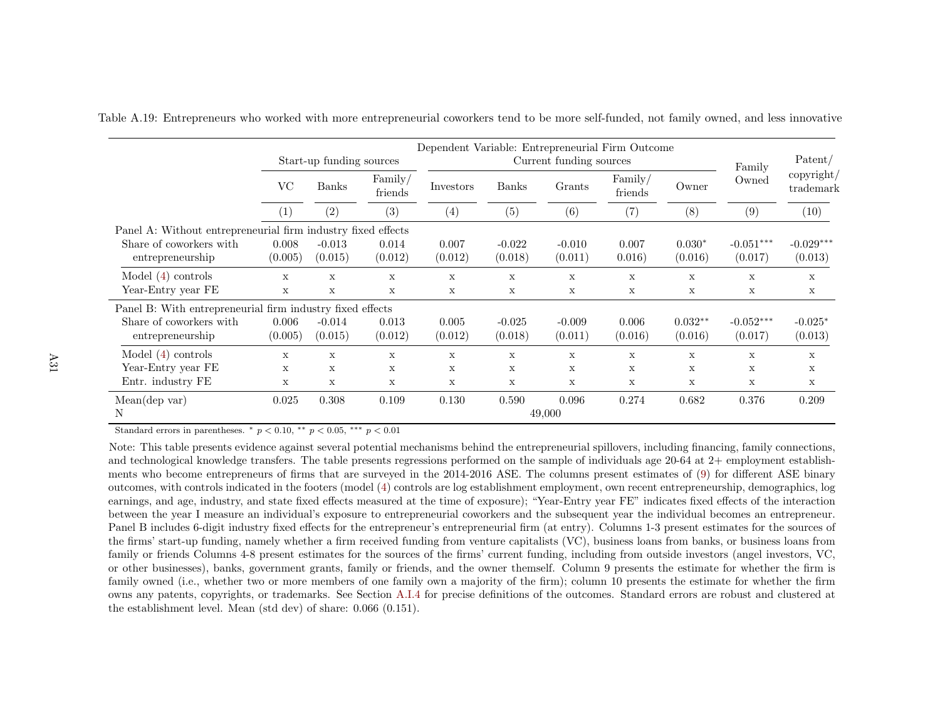|                                                              |                           | Start-up funding sources |                  | Dependent Variable: Entrepreneurial Firm Outcome | Current funding sources | Family              | Patent/          |                      |                         |                        |
|--------------------------------------------------------------|---------------------------|--------------------------|------------------|--------------------------------------------------|-------------------------|---------------------|------------------|----------------------|-------------------------|------------------------|
|                                                              | <b>VC</b><br><b>Banks</b> | Family/<br>friends       | Investors        | <b>Banks</b>                                     | Grants                  | Family/<br>friends  | Owner            | Owned                | copyright/<br>trademark |                        |
|                                                              | $\left( 1\right)$         | (2)                      | (3)              | (4)                                              | (5)                     | (6)                 | (7)              | (8)                  | (9)                     | (10)                   |
| Panel A: Without entrepreneurial firm industry fixed effects |                           |                          |                  |                                                  |                         |                     |                  |                      |                         |                        |
| Share of coworkers with<br>entrepreneurship                  | 0.008<br>(0.005)          | $-0.013$<br>(0.015)      | 0.014<br>(0.012) | 0.007<br>(0.012)                                 | $-0.022$<br>(0.018)     | $-0.010$<br>(0.011) | 0.007<br>0.016)  | $0.030*$<br>(0.016)  | $-0.051***$<br>(0.017)  | $-0.029***$<br>(0.013) |
| Model $(4)$ controls<br>Year-Entry year FE                   | X<br>$\mathbf x$          | X<br>X                   | X<br>X           | X<br>X                                           | X<br>X                  | X<br>X              | X<br>X           | X<br>X               | X<br>X                  | X<br>$\mathbf X$       |
| Panel B: With entrepreneurial firm industry fixed effects    |                           |                          |                  |                                                  |                         |                     |                  |                      |                         |                        |
| Share of coworkers with<br>entrepreneurship                  | 0.006<br>(0.005)          | $-0.014$<br>(0.015)      | 0.013<br>(0.012) | 0.005<br>(0.012)                                 | $-0.025$<br>(0.018)     | $-0.009$<br>(0.011) | 0.006<br>(0.016) | $0.032**$<br>(0.016) | $-0.052***$<br>(0.017)  | $-0.025*$<br>(0.013)   |
| Model $(4)$ controls                                         | $\mathbf{x}$              | X                        | X                | X                                                | $\mathbf x$             | X                   | X                | X                    | $\mathbf x$             | X                      |
| Year-Entry year FE                                           | X                         | X                        | X                | X                                                | X                       | X                   | X                | X                    | X                       | X                      |
| Entr. industry FE                                            | X                         | X                        | X                | X                                                | X                       | X                   | X                | $\mathbf X$          | X                       | X                      |
| Mean(dep var)<br>N                                           | 0.025                     | 0.308                    | 0.109            | 0.130                                            | 0.590                   | 0.096<br>49,000     | 0.274            | 0.682                | 0.376                   | 0.209                  |

Table A.19: Entrepreneurs who worked with more entrepreneurial coworkers tend to be more self-funded, not family owned, and less innovative

Note: This table presents evidence against several potential mechanisms behind the entrepreneurial spillovers, including financing, family connections, and technological knowledge transfers. The table presents regressions performed on the sample of individuals age 20-64 at 2+ employment establishments who become entrepreneurs of firms that are surveyed in the 2014-2016 ASE. The columns present estimates of [\(9\)](#page-25-0) for different ASE binary outcomes, with controls indicated in the footers (model [\(4\)](#page-13-0) controls are log establishment employment, own recent entrepreneurship, demographics, log earnings, and age, industry, and state fixed effects measured at the time of exposure); "Year-Entry year FE" indicates fixed effects of the interaction between the year I measure an individual's exposure to entrepreneurial coworkers and the subsequent year the individual becomes an entrepreneur. Panel <sup>B</sup> includes 6-digit industry fixed effects for the entrepreneur's entrepreneurial firm (at entry). Columns 1-3 present estimates for the sources of the firms' start-up funding, namely whether <sup>a</sup> firm received funding from venture capitalists (VC), business loans from banks, or business loans from family or friends Columns 4-8 present estimates for the sources of the firms' current funding, including from outside investors (angel investors, VC,or other businesses), banks, government grants, family or friends, and the owner themself. Column <sup>9</sup> presents the estimate for whether the firm is family owned (i.e., whether two or more members of one family own <sup>a</sup> majority of the firm); column <sup>10</sup> presents the estimate for whether the firm owns any patents, copyrights, or trademarks. See Section [A.I.4](#page-56-0) for precise definitions of the outcomes. Standard errors are robust and clustered at the establishment level. Mean (std dev) of share: 0.066 (0.151).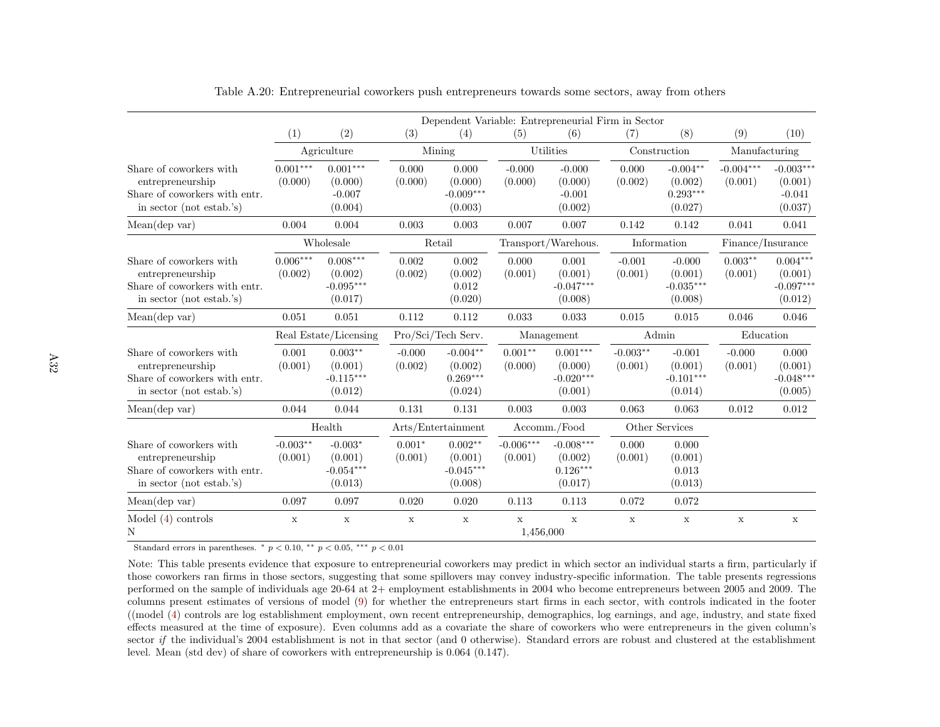|                                                                                                          |                       | Dependent Variable: Entrepreneurial Firm in Sector |                     |                                                |                          |                                                 |                       |                                                |                        |                                                 |
|----------------------------------------------------------------------------------------------------------|-----------------------|----------------------------------------------------|---------------------|------------------------------------------------|--------------------------|-------------------------------------------------|-----------------------|------------------------------------------------|------------------------|-------------------------------------------------|
|                                                                                                          | (1)                   | (2)                                                | (3)                 | (4)                                            | (5)                      | (6)                                             | (7)                   | (8)                                            | (9)                    | (10)                                            |
|                                                                                                          | Agriculture           |                                                    | Mining              |                                                |                          | Utilities                                       |                       | Construction                                   | Manufacturing          |                                                 |
| Share of coworkers with<br>entrepreneurship<br>Share of coworkers with entr.<br>in sector (not estab.'s) | $0.001***$<br>(0.000) | $0.001***$<br>(0.000)<br>$-0.007$<br>(0.004)       | 0.000<br>(0.000)    | 0.000<br>(0.000)<br>$-0.009***$<br>(0.003)     | $-0.000$<br>(0.000)      | $-0.000$<br>(0.000)<br>$-0.001$<br>(0.002)      | 0.000<br>(0.002)      | $-0.004**$<br>(0.002)<br>$0.293***$<br>(0.027) | $-0.004***$<br>(0.001) | $-0.003***$<br>(0.001)<br>$-0.041$<br>(0.037)   |
| Mean(dep var)                                                                                            | 0.004                 | 0.004                                              | 0.003               | 0.003                                          | 0.007                    | 0.007                                           | 0.142                 | 0.142                                          | 0.041                  | 0.041                                           |
|                                                                                                          | Wholesale             |                                                    | Retail              |                                                | Transport/Warehous.      |                                                 | Information           |                                                | Finance/Insurance      |                                                 |
| Share of coworkers with<br>entrepreneurship<br>Share of coworkers with entr.<br>in sector (not estab.'s) | $0.006***$<br>(0.002) | $0.008***$<br>(0.002)<br>$-0.095***$<br>(0.017)    | 0.002<br>(0.002)    | 0.002<br>(0.002)<br>0.012<br>(0.020)           | 0.000<br>(0.001)         | 0.001<br>(0.001)<br>$-0.047***$<br>(0.008)      | $-0.001$<br>(0.001)   | $-0.000$<br>(0.001)<br>$-0.035***$<br>(0.008)  | $0.003**$<br>(0.001)   | $0.004***$<br>(0.001)<br>$-0.097***$<br>(0.012) |
| Mean(dep var)                                                                                            | 0.051                 | 0.051                                              | 0.112               | 0.112                                          | 0.033                    | 0.033                                           | 0.015                 | 0.015                                          | 0.046                  | 0.046                                           |
|                                                                                                          | Real Estate/Licensing |                                                    | Pro/Sci/Tech Serv.  |                                                | Management               |                                                 | Admin                 |                                                | Education              |                                                 |
| Share of coworkers with<br>entrepreneurship<br>Share of coworkers with entr.<br>in sector (not estab.'s) | 0.001<br>(0.001)      | $0.003**$<br>(0.001)<br>$-0.115***$<br>(0.012)     | $-0.000$<br>(0.002) | $-0.004**$<br>(0.002)<br>$0.269***$<br>(0.024) | $0.001**$<br>(0.000)     | $0.001***$<br>(0.000)<br>$-0.020***$<br>(0.001) | $-0.003**$<br>(0.001) | $-0.001$<br>(0.001)<br>$-0.101***$<br>(0.014)  | $-0.000$<br>(0.001)    | 0.000<br>(0.001)<br>$-0.048***$<br>(0.005)      |
| Mean(dep var)                                                                                            | 0.044                 | 0.044                                              | 0.131               | 0.131                                          | 0.003                    | 0.003                                           | 0.063                 | 0.063                                          | 0.012                  | 0.012                                           |
|                                                                                                          | Health                |                                                    | Arts/Entertainment  |                                                | Accomm./Food             |                                                 | Other Services        |                                                |                        |                                                 |
| Share of coworkers with<br>entrepreneurship<br>Share of coworkers with entr.<br>in sector (not estab.'s) | $-0.003**$<br>(0.001) | $-0.003*$<br>(0.001)<br>$-0.054***$<br>(0.013)     | $0.001*$<br>(0.001) | $0.002**$<br>(0.001)<br>$-0.045***$<br>(0.008) | $-0.006***$<br>(0.001)   | $-0.008***$<br>(0.002)<br>$0.126***$<br>(0.017) | 0.000<br>(0.001)      | 0.000<br>(0.001)<br>0.013<br>(0.013)           |                        |                                                 |
| Mean(dep var)                                                                                            | 0.097                 | 0.097                                              | 0.020               | 0.020                                          | 0.113                    | 0.113                                           | 0.072                 | 0.072                                          |                        |                                                 |
| Model $(4)$ controls<br>N                                                                                | $\mathbf X$           | $\mathbf x$                                        | $\mathbf x$         | $\mathbf x$                                    | $\mathbf x$<br>1.456,000 | $\mathbf x$                                     | $\mathbf x$           | $\mathbf X$                                    | $\mathbf x$            | $\mathbf X$                                     |

Table A.20: Entrepreneurial coworkers push entrepreneurs towards some sectors, away from others

Note: This table presents evidence that exposure to entrepreneurial coworkers may predict in which sector an individual starts <sup>a</sup> firm, particularly if those coworkers ran firms in those sectors, suggesting that some spillovers may convey industry-specific information. The table presents regressions performed on the sample of individuals age 20-64 at 2+ employment establishments in 2004 who become entrepreneurs between 2005 and 2009. The columns present estimates of versions of model [\(9\)](#page-25-0) for whether the entrepreneurs start firms in each sector, with controls indicated in the footer ((model [\(4\)](#page-13-0) controls are log establishment employment, own recent entrepreneurship, demographics, log earnings, and age, industry, and state fixed effects measured at the time of exposure). Even columns add as <sup>a</sup> covariate the share of coworkers who were entrepreneurs in the <sup>g</sup>iven column'ssector *if* the individual's 2004 establishment is not in that sector (and 0 otherwise). Standard errors are robust and clustered at the establishment level. Mean (std dev) of share of coworkers with entrepreneurship is 0.064 (0.147).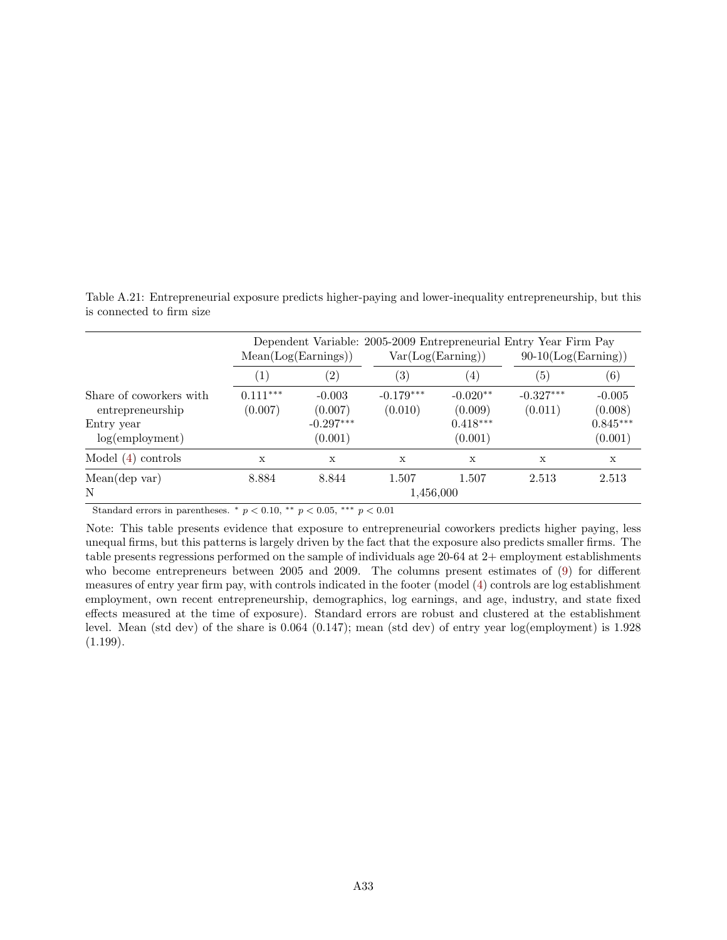Table A.21: Entrepreneurial exposure predicts higher-paying and lower-inequality entrepreneurship, but this is connected to firm size

|                                                                                 |                       | Mean(Log(Earnings))                           |                        | Var(Log(Earning))                              |                        | Dependent Variable: 2005-2009 Entrepreneurial Entry Year Firm Pay<br>$90-10(\text{Log}(\text{Earning}))$ |  |  |
|---------------------------------------------------------------------------------|-----------------------|-----------------------------------------------|------------------------|------------------------------------------------|------------------------|----------------------------------------------------------------------------------------------------------|--|--|
|                                                                                 | $\left( 1\right)$     | $\left( 2\right)$                             | $\left( 3\right)$      | $\left( 4\right)$                              | (5)                    | (6)                                                                                                      |  |  |
| Share of coworkers with<br>entrepreneurship<br>Entry year<br>$log(em$ ployment) | $0.111***$<br>(0.007) | $-0.003$<br>(0.007)<br>$-0.297***$<br>(0.001) | $-0.179***$<br>(0.010) | $-0.020**$<br>(0.009)<br>$0.418***$<br>(0.001) | $-0.327***$<br>(0.011) | $-0.005$<br>(0.008)<br>$0.845***$<br>(0.001)                                                             |  |  |
| Model $(4)$ controls                                                            | X                     | X                                             | X                      | X                                              | X                      | X                                                                                                        |  |  |
| Mean(dep var)<br>N                                                              | 8.884                 | 8.844                                         | 1.507<br>1,456,000     | 1.507                                          | 2.513                  | 2.513                                                                                                    |  |  |

Note: This table presents evidence that exposure to entrepreneurial coworkers predicts higher paying, less unequal firms, but this patterns is largely driven by the fact that the exposure also predicts smaller firms. The table presents regressions performed on the sample of individuals age 20-64 at 2+ employment establishments who become entrepreneurs between 2005 and 2009. The columns present estimates of [\(9\)](#page-25-1) for different measures of entry year firm pay, with controls indicated in the footer (model [\(4\)](#page-13-1) controls are log establishment employment, own recent entrepreneurship, demographics, log earnings, and age, industry, and state fixed effects measured at the time of exposure). Standard errors are robust and clustered at the establishment level. Mean (std dev) of the share is 0.064 (0.147); mean (std dev) of entry year log(employment) is 1.928  $(1.199).$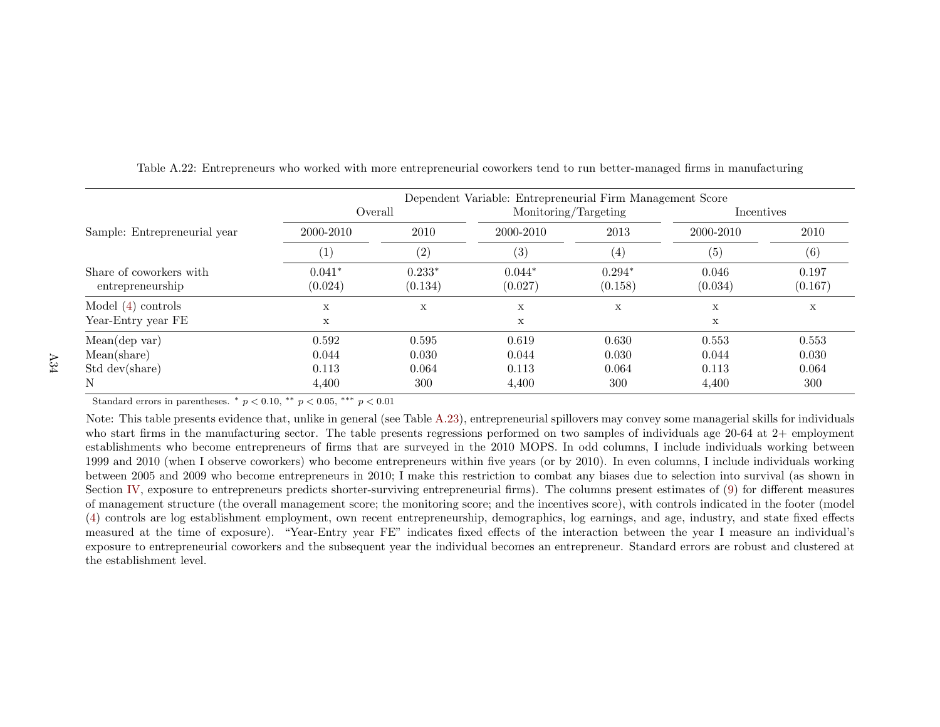|                                             | Dependent Variable: Entrepreneurial Firm Management Score |                       |                            |                       |                         |                       |  |  |  |  |
|---------------------------------------------|-----------------------------------------------------------|-----------------------|----------------------------|-----------------------|-------------------------|-----------------------|--|--|--|--|
|                                             | Overall                                                   |                       | Monitoring/Targeting       |                       | Incentives              |                       |  |  |  |  |
| Sample: Entrepreneurial year                | 2000-2010                                                 | 2010                  | 2000-2010                  | 2013                  | 2000-2010               | 2010                  |  |  |  |  |
|                                             | $\left( 1\right)$                                         | (2)                   | (3)                        | $\left( 4\right)$     | (5)                     | (6)                   |  |  |  |  |
| Share of coworkers with<br>entrepreneurship | $0.041*$<br>(0.024)                                       | $0.233*$<br>(0.134)   | $0.044*$<br>(0.027)        | $0.294*$<br>(0.158)   | 0.046<br>(0.034)        | 0.197<br>(0.167)      |  |  |  |  |
| Model $(4)$ controls<br>Year-Entry year FE  | X<br>X                                                    | X                     | $\mathbf X$<br>$\mathbf X$ | X                     | X<br>X                  | $\mathbf x$           |  |  |  |  |
| Mean(dep var)                               | 0.592                                                     | 0.595                 | 0.619                      | 0.630                 | 0.553                   | 0.553                 |  |  |  |  |
| Mean(share)<br>Std dev(share)<br>N          | 0.044<br>0.113<br>4,400                                   | 0.030<br>0.064<br>300 | 0.044<br>0.113<br>4,400    | 0.030<br>0.064<br>300 | 0.044<br>0.113<br>4,400 | 0.030<br>0.064<br>300 |  |  |  |  |

Table A.22: Entrepreneurs who worked with more entrepreneurial coworkers tend to run better-managed firms in manufacturing

Note: This table presents evidence that, unlike in genera<sup>l</sup> (see Table [A.23\)](#page-87-0), entrepreneurial spillovers may convey some managerial skills for individuals who start firms in the manufacturing sector. The table presents regressions performed on two samples of individuals age 20-64 at 2+ employment establishments who become entrepreneurs of firms that are surveyed in the 2010 MOPS. In odd columns, I include individuals working between <sup>1999</sup> and <sup>2010</sup> (when <sup>I</sup> observe coworkers) who become entrepreneurs within five years (or by 2010). In even columns, <sup>I</sup> include individuals working between <sup>2005</sup> and <sup>2009</sup> who become entrepreneurs in 2010; <sup>I</sup> make this restriction to combat any biases due to selection into survival (as shown in Section [IV,](#page-25-2) exposure to entrepreneurs predicts shorter-surviving entrepreneurial firms). The columns present estimates of [\(9\)](#page-25-0) for different measures of management structure (the overall management score; the monitoring score; and the incentives score), with controls indicated in the footer (model [\(4\)](#page-13-0) controls are log establishment employment, own recent entrepreneurship, demographics, log earnings, and age, industry, and state fixed effects measured at the time of exposure). "Year-Entry year FE" indicates fixed effects of the interaction between the year <sup>I</sup> measure an individual's exposure to entrepreneurial coworkers and the subsequent year the individual becomes an entrepreneur. Standard errors are robust and clustered atthe establishment level.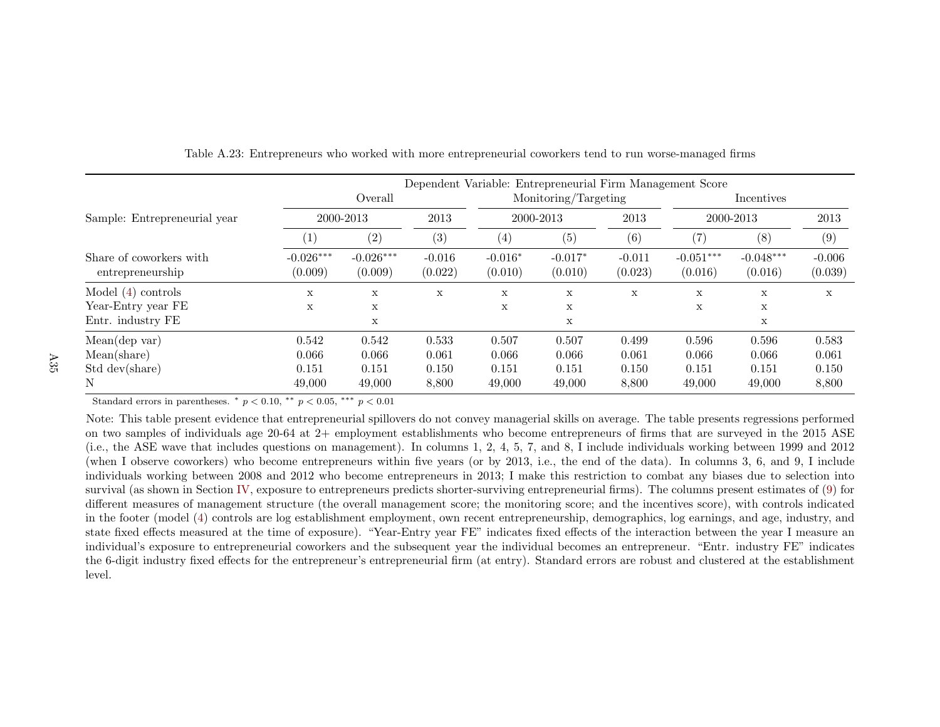|                                             |                        | Dependent Variable: Entrepreneurial Firm Management Score |                     |                      |                      |                     |                        |                        |                     |  |  |
|---------------------------------------------|------------------------|-----------------------------------------------------------|---------------------|----------------------|----------------------|---------------------|------------------------|------------------------|---------------------|--|--|
|                                             |                        | Overall                                                   |                     |                      | Monitoring/Targeting |                     |                        | Incentives             |                     |  |  |
| Sample: Entrepreneurial year                |                        | 2000-2013                                                 |                     | 2000-2013            |                      | 2013                | 2000-2013              |                        | 2013                |  |  |
|                                             | $\left(1\right)$       | (2)                                                       | (3)                 | (4)                  | (5)                  | (6)                 | $\left( 7\right)$      | (8)                    | (9)                 |  |  |
| Share of coworkers with<br>entrepreneurship | $-0.026***$<br>(0.009) | $-0.026***$<br>(0.009)                                    | $-0.016$<br>(0.022) | $-0.016*$<br>(0.010) | $-0.017*$<br>(0.010) | $-0.011$<br>(0.023) | $-0.051***$<br>(0.016) | $-0.048***$<br>(0.016) | $-0.006$<br>(0.039) |  |  |
| Model $(4)$ controls                        | X                      | X                                                         | $\mathbf x$         | X                    | X                    | X                   | X                      | X                      | X                   |  |  |
| Year-Entry year FE                          | X                      | X                                                         |                     | X                    | X                    |                     | X                      | X                      |                     |  |  |
| Entr. industry FE                           |                        | X                                                         |                     |                      | X                    |                     |                        | $\mathbf X$            |                     |  |  |
| Mean(dep var)                               | 0.542                  | 0.542                                                     | 0.533               | 0.507                | 0.507                | 0.499               | 0.596                  | 0.596                  | 0.583               |  |  |
| Mean(share)                                 | 0.066                  | 0.066                                                     | 0.061               | 0.066                | 0.066                | 0.061               | 0.066                  | 0.066                  | 0.061               |  |  |
| Std dev(share)                              | 0.151                  | 0.151                                                     | 0.150               | 0.151                | 0.151                | 0.150               | 0.151                  | 0.151                  | 0.150               |  |  |
| N                                           | 49,000                 | 49,000                                                    | 8,800               | 49,000               | 49,000               | 8,800               | 49,000                 | 49,000                 | 8,800               |  |  |

<span id="page-87-0"></span>Table A.23: Entrepreneurs who worked with more entrepreneurial coworkers tend to run worse-managed firms

Note: This table present evidence that entrepreneurial spillovers do not convey managerial skills on average. The table presents regressions performed on two samples of individuals age 20-64 at 2+ employment establishments who become entrepreneurs of firms that are surveyed in the 2015 ASE (i.e., the ASE wave that includes questions on management). In columns 1, 2, 4, 5, 7, and 8, <sup>I</sup> include individuals working between <sup>1999</sup> and <sup>2012</sup> (when <sup>I</sup> observe coworkers) who become entrepreneurs within five years (or by 2013, i.e., the end of the data). In columns 3, 6, and 9, <sup>I</sup> include individuals working between 2008 and 2012 who become entrepreneurs in 2013; I make this restriction to combat any biases due to selection into survival (as shown in Section [IV,](#page-25-2) exposure to entrepreneurs predicts shorter-surviving entrepreneurial firms). The columns present estimates of [\(9\)](#page-25-0) for different measures of management structure (the overall management score; the monitoring score; and the incentives score), with controls indicated in the footer (model ([4\)](#page-13-0) controls are log establishment employment, own recent entrepreneurship, demographics, log earnings, and age, industry, and state fixed effects measured at the time of exposure). "Year-Entry year FE" indicates fixed effects of the interaction between the year <sup>I</sup> measure an individual's exposure to entrepreneurial coworkers and the subsequent year the individual becomes an entrepreneur. "Entr. industry FE" indicates the 6-digit industry fixed effects for the entrepreneur's entrepreneurial firm (at entry). Standard errors are robust and clustered at the establishmentlevel.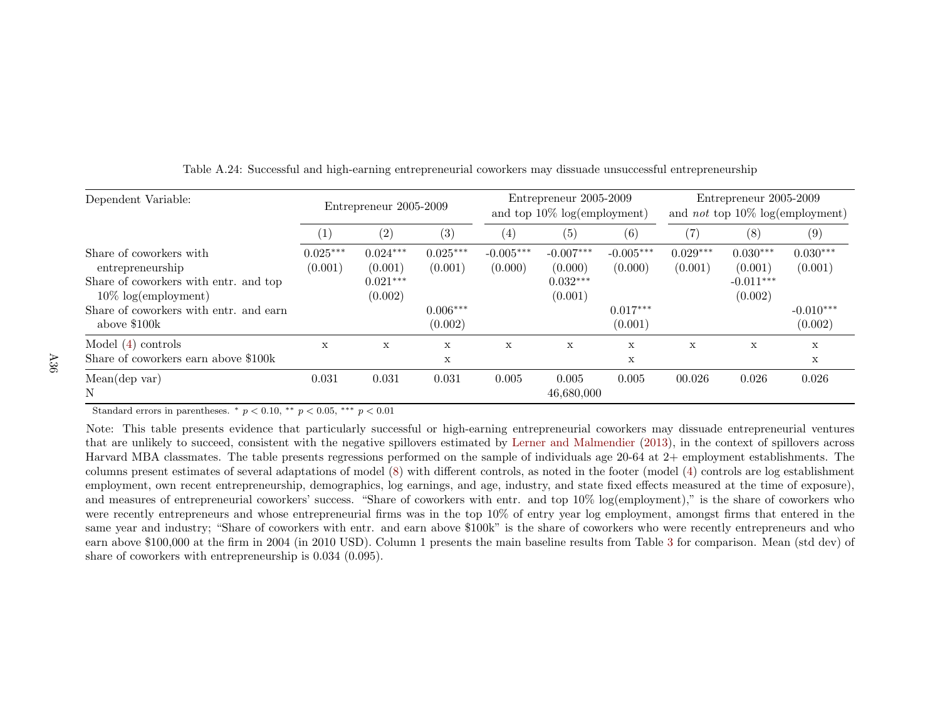| Dependent Variable:                                                                                                                                                            | Entrepreneur 2005-2009 |                                                |                                                | Entrepreneur 2005-2009<br>and top $10\%$ log(employment) |                                                 |                                                 | Entrepreneur 2005-2009<br>and <i>not</i> top $10\%$ log(employment) |                                                 |                                                 |
|--------------------------------------------------------------------------------------------------------------------------------------------------------------------------------|------------------------|------------------------------------------------|------------------------------------------------|----------------------------------------------------------|-------------------------------------------------|-------------------------------------------------|---------------------------------------------------------------------|-------------------------------------------------|-------------------------------------------------|
|                                                                                                                                                                                |                        | (2)                                            | (3)                                            | (4)                                                      | (5)                                             | (6)                                             | $\left( 7\right)$                                                   | (8)                                             | (9)                                             |
| Share of coworkers with<br>entrepreneurship<br>Share of coworkers with entr. and top<br>$10\% \text{ log}(embyment)$<br>Share of coworkers with entr. and earn<br>above \$100k | $0.025***$<br>(0.001)  | $0.024***$<br>(0.001)<br>$0.021***$<br>(0.002) | $0.025***$<br>(0.001)<br>$0.006***$<br>(0.002) | $-0.005***$<br>(0.000)                                   | $-0.007***$<br>(0.000)<br>$0.032***$<br>(0.001) | $-0.005***$<br>(0.000)<br>$0.017***$<br>(0.001) | $0.029***$<br>(0.001)                                               | $0.030***$<br>(0.001)<br>$-0.011***$<br>(0.002) | $0.030***$<br>(0.001)<br>$-0.010***$<br>(0.002) |
| Model $(4)$ controls<br>Share of coworkers earn above \$100k                                                                                                                   | X                      | X                                              | X<br>X                                         | X                                                        | X                                               | X<br>Х                                          | X                                                                   | X                                               | X<br>X                                          |
| Mean(dep var)<br>N                                                                                                                                                             | 0.031                  | 0.031                                          | 0.031                                          | 0.005                                                    | 0.005<br>46,680,000                             | 0.005                                           | 00.026                                                              | 0.026                                           | 0.026                                           |

Table A.24: Successful and high-earning entrepreneurial coworkers may dissuade unsuccessful entrepreneurship

Note: This table presents evidence that particularly successful or high-earning entrepreneurial coworkers may dissuade entrepreneurial ventures that are unlikely to succeed, consistent with the negative spillovers estimated by Lerner and [Malmendier](#page-38-0) ([2013\)](#page-38-0), in the context of spillovers across Harvard MBA classmates. The table presents regressions performed on the sample of individuals age 20-64 at 2+ employment establishments. The columns present estimates of several adaptations of model [\(8\)](#page-21-0) with different controls, as noted in the footer (model ([4\)](#page-13-0) controls are log establishment employment, own recent entrepreneurship, demographics, log earnings, and age, industry, and state fixed effects measured at the time of exposure),and measures of entrepreneurial coworkers' success. "Share of coworkers with entr. and top 10% log(employment)," is the share of coworkers who were recently entrepreneurs and whose entrepreneurial firms was in the top 10% of entry year log employment, amongst firms that entered in the same year and industry; "Share of coworkers with entr. and earn above \$100k" is the share of coworkers who were recently entrepreneurs and who earn above \$100,000 at the firm in <sup>2004</sup> (in <sup>2010</sup> USD). Column <sup>1</sup> presents the main baseline results from Table [3](#page-41-0) for comparison. Mean (std dev) of share of coworkers with entrepreneurship is 0.034 (0.095).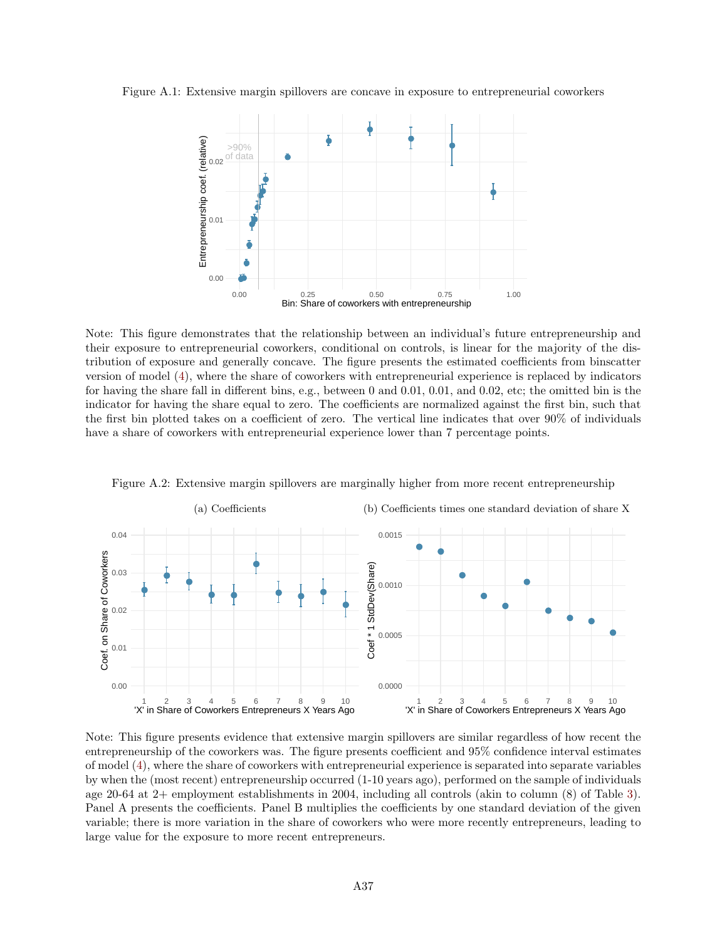Figure A.1: Extensive margin spillovers are concave in exposure to entrepreneurial coworkers



Note: This figure demonstrates that the relationship between an individual's future entrepreneurship and their exposure to entrepreneurial coworkers, conditional on controls, is linear for the majority of the distribution of exposure and generally concave. The figure presents the estimated coefficients from binscatter version of model [\(4\)](#page-13-1), where the share of coworkers with entrepreneurial experience is replaced by indicators for having the share fall in different bins, e.g., between 0 and 0.01, 0.01, and 0.02, etc; the omitted bin is the indicator for having the share equal to zero. The coefficients are normalized against the first bin, such that the first bin plotted takes on a coefficient of zero. The vertical line indicates that over 90% of individuals have a share of coworkers with entrepreneurial experience lower than 7 percentage points.



Figure A.2: Extensive margin spillovers are marginally higher from more recent entrepreneurship

Note: This figure presents evidence that extensive margin spillovers are similar regardless of how recent the entrepreneurship of the coworkers was. The figure presents coefficient and 95% confidence interval estimates of model [\(4\)](#page-13-1), where the share of coworkers with entrepreneurial experience is separated into separate variables by when the (most recent) entrepreneurship occurred (1-10 years ago), performed on the sample of individuals age 20-64 at 2+ employment establishments in 2004, including all controls (akin to column (8) of Table [3\)](#page-41-1). Panel A presents the coefficients. Panel B multiplies the coefficients by one standard deviation of the given variable; there is more variation in the share of coworkers who were more recently entrepreneurs, leading to large value for the exposure to more recent entrepreneurs.